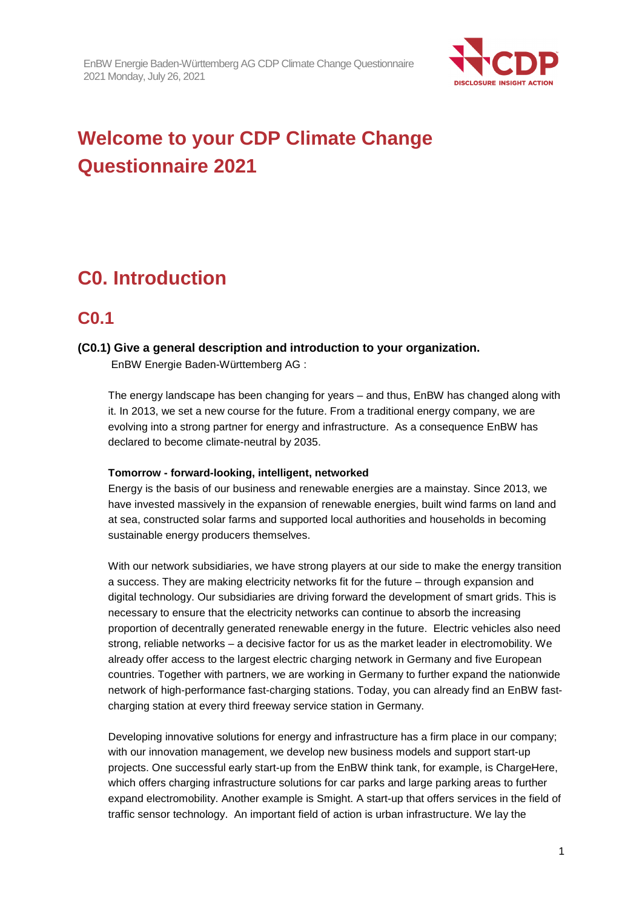

# **Welcome to your CDP Climate Change Questionnaire 2021**

## **C0. Introduction**

## **C0.1**

## **(C0.1) Give a general description and introduction to your organization.**

EnBW Energie Baden-Württemberg AG :

The energy landscape has been changing for years – and thus, EnBW has changed along with it. In 2013, we set a new course for the future. From a traditional energy company, we are evolving into a strong partner for energy and infrastructure. As a consequence EnBW has declared to become climate-neutral by 2035.

## **Tomorrow - forward-looking, intelligent, networked**

Energy is the basis of our business and renewable energies are a mainstay. Since 2013, we have invested massively in the expansion of renewable energies, built wind farms on land and at sea, constructed solar farms and supported local authorities and households in becoming sustainable energy producers themselves.

With our network subsidiaries, we have strong players at our side to make the energy transition a success. They are making electricity networks fit for the future – through expansion and digital technology. Our subsidiaries are driving forward the development of smart grids. This is necessary to ensure that the electricity networks can continue to absorb the increasing proportion of decentrally generated renewable energy in the future. Electric vehicles also need strong, reliable networks – a decisive factor for us as the market leader in electromobility. We already offer access to the largest electric charging network in Germany and five European countries. Together with partners, we are working in Germany to further expand the nationwide network of high-performance fast-charging stations. Today, you can already find an EnBW fastcharging station at every third freeway service station in Germany.

Developing innovative solutions for energy and infrastructure has a firm place in our company; with our innovation management, we develop new business models and support start-up projects. One successful early start-up from the EnBW think tank, for example, is ChargeHere, which offers charging infrastructure solutions for car parks and large parking areas to further expand electromobility. Another example is Smight. A start-up that offers services in the field of traffic sensor technology. An important field of action is urban infrastructure. We lay the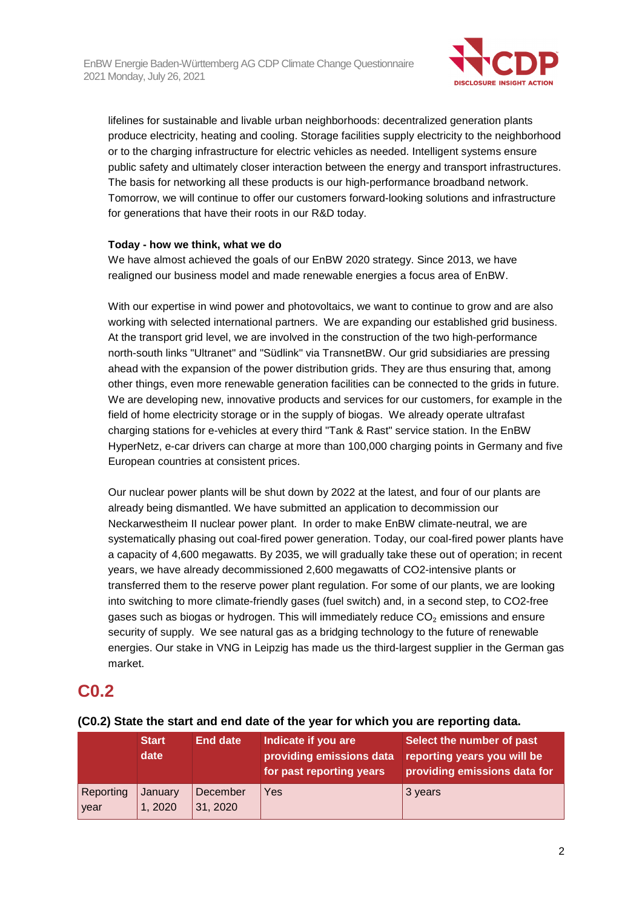

lifelines for sustainable and livable urban neighborhoods: decentralized generation plants produce electricity, heating and cooling. Storage facilities supply electricity to the neighborhood or to the charging infrastructure for electric vehicles as needed. Intelligent systems ensure public safety and ultimately closer interaction between the energy and transport infrastructures. The basis for networking all these products is our high-performance broadband network. Tomorrow, we will continue to offer our customers forward-looking solutions and infrastructure for generations that have their roots in our R&D today.

#### **Today - how we think, what we do**

We have almost achieved the goals of our EnBW 2020 strategy. Since 2013, we have realigned our business model and made renewable energies a focus area of EnBW.

With our expertise in wind power and photovoltaics, we want to continue to grow and are also working with selected international partners. We are expanding our established grid business. At the transport grid level, we are involved in the construction of the two high-performance north-south links "Ultranet" and "Südlink" via TransnetBW. Our grid subsidiaries are pressing ahead with the expansion of the power distribution grids. They are thus ensuring that, among other things, even more renewable generation facilities can be connected to the grids in future. We are developing new, innovative products and services for our customers, for example in the field of home electricity storage or in the supply of biogas. We already operate ultrafast charging stations for e-vehicles at every third "Tank & Rast" service station. In the EnBW HyperNetz, e-car drivers can charge at more than 100,000 charging points in Germany and five European countries at consistent prices.

Our nuclear power plants will be shut down by 2022 at the latest, and four of our plants are already being dismantled. We have submitted an application to decommission our Neckarwestheim II nuclear power plant. In order to make EnBW climate-neutral, we are systematically phasing out coal-fired power generation. Today, our coal-fired power plants have a capacity of 4,600 megawatts. By 2035, we will gradually take these out of operation; in recent years, we have already decommissioned 2,600 megawatts of CO2-intensive plants or transferred them to the reserve power plant regulation. For some of our plants, we are looking into switching to more climate-friendly gases (fuel switch) and, in a second step, to CO2-free gases such as biogas or hydrogen. This will immediately reduce  $CO<sub>2</sub>$  emissions and ensure security of supply. We see natural gas as a bridging technology to the future of renewable energies. Our stake in VNG in Leipzig has made us the third-largest supplier in the German gas market.

## **C0.2**

|                   | <b>Start</b><br>date | <b>End date</b>      | Indicate if you are<br>providing emissions data<br>for past reporting years | Select the number of past<br>reporting years you will be<br>providing emissions data for |
|-------------------|----------------------|----------------------|-----------------------------------------------------------------------------|------------------------------------------------------------------------------------------|
| Reporting<br>year | January<br>1, 2020   | December<br>31, 2020 | Yes                                                                         | 3 years                                                                                  |

## **(C0.2) State the start and end date of the year for which you are reporting data.**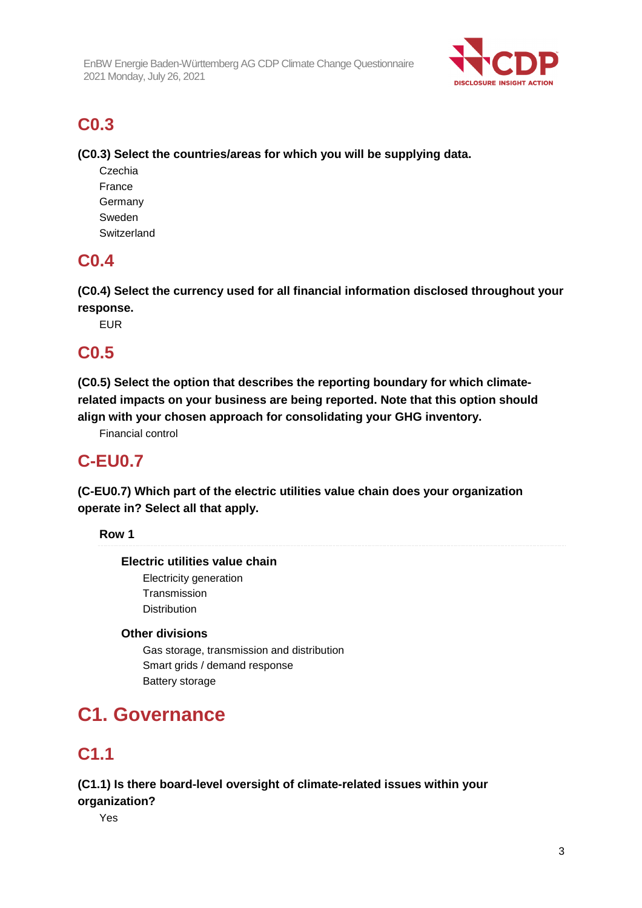

## **C0.3**

**(C0.3) Select the countries/areas for which you will be supplying data.** 

Czechia France Germany Sweden **Switzerland** 

## **C0.4**

**(C0.4) Select the currency used for all financial information disclosed throughout your response.** 

EUR

## **C0.5**

**(C0.5) Select the option that describes the reporting boundary for which climaterelated impacts on your business are being reported. Note that this option should align with your chosen approach for consolidating your GHG inventory.** 

Financial control

## **C-EU0.7**

**(C-EU0.7) Which part of the electric utilities value chain does your organization operate in? Select all that apply.** 

**Row 1** 

## **Electric utilities value chain**

Electricity generation **Transmission** Distribution

## **Other divisions**

Gas storage, transmission and distribution Smart grids / demand response Battery storage

## **C1. Governance**

## **C1.1**

## **(C1.1) Is there board-level oversight of climate-related issues within your organization?**

Yes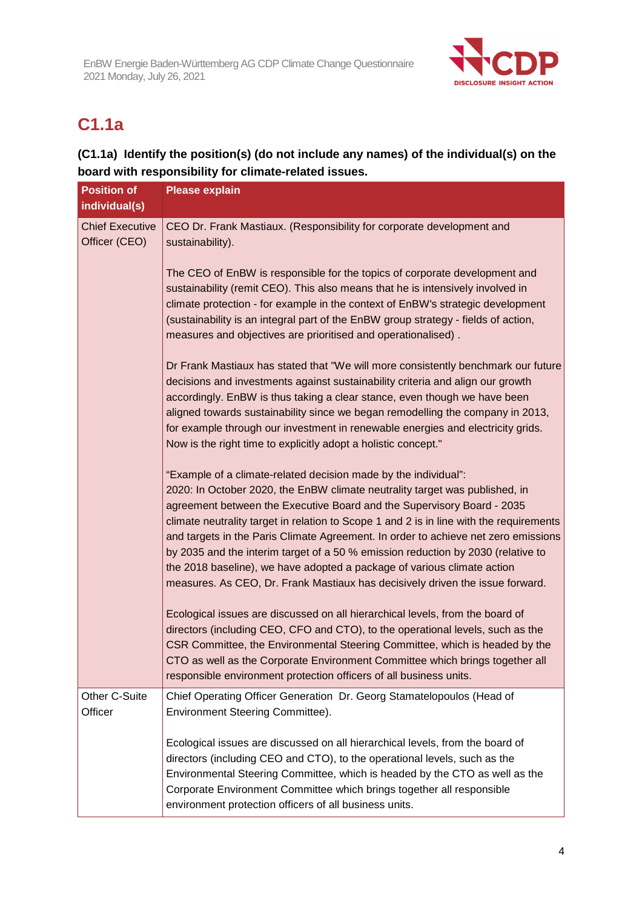

## **C1.1a**

## **(C1.1a) Identify the position(s) (do not include any names) of the individual(s) on the board with responsibility for climate-related issues.**

| <b>Position of</b><br>individual(s)     | <b>Please explain</b>                                                                                                                                                                                                                                                                                                                                                                                                                                                                                                                                                                                                                                     |
|-----------------------------------------|-----------------------------------------------------------------------------------------------------------------------------------------------------------------------------------------------------------------------------------------------------------------------------------------------------------------------------------------------------------------------------------------------------------------------------------------------------------------------------------------------------------------------------------------------------------------------------------------------------------------------------------------------------------|
| <b>Chief Executive</b><br>Officer (CEO) | CEO Dr. Frank Mastiaux. (Responsibility for corporate development and<br>sustainability).                                                                                                                                                                                                                                                                                                                                                                                                                                                                                                                                                                 |
|                                         | The CEO of EnBW is responsible for the topics of corporate development and<br>sustainability (remit CEO). This also means that he is intensively involved in<br>climate protection - for example in the context of EnBW's strategic development<br>(sustainability is an integral part of the EnBW group strategy - fields of action,<br>measures and objectives are prioritised and operationalised).                                                                                                                                                                                                                                                    |
|                                         | Dr Frank Mastiaux has stated that "We will more consistently benchmark our future<br>decisions and investments against sustainability criteria and align our growth<br>accordingly. EnBW is thus taking a clear stance, even though we have been<br>aligned towards sustainability since we began remodelling the company in 2013,<br>for example through our investment in renewable energies and electricity grids.<br>Now is the right time to explicitly adopt a holistic concept."                                                                                                                                                                   |
|                                         | "Example of a climate-related decision made by the individual":<br>2020: In October 2020, the EnBW climate neutrality target was published, in<br>agreement between the Executive Board and the Supervisory Board - 2035<br>climate neutrality target in relation to Scope 1 and 2 is in line with the requirements<br>and targets in the Paris Climate Agreement. In order to achieve net zero emissions<br>by 2035 and the interim target of a 50 % emission reduction by 2030 (relative to<br>the 2018 baseline), we have adopted a package of various climate action<br>measures. As CEO, Dr. Frank Mastiaux has decisively driven the issue forward. |
|                                         | Ecological issues are discussed on all hierarchical levels, from the board of<br>directors (including CEO, CFO and CTO), to the operational levels, such as the<br>CSR Committee, the Environmental Steering Committee, which is headed by the<br>CTO as well as the Corporate Environment Committee which brings together all<br>responsible environment protection officers of all business units.                                                                                                                                                                                                                                                      |
| Other C-Suite<br>Officer                | Chief Operating Officer Generation Dr. Georg Stamatelopoulos (Head of<br>Environment Steering Committee).                                                                                                                                                                                                                                                                                                                                                                                                                                                                                                                                                 |
|                                         | Ecological issues are discussed on all hierarchical levels, from the board of<br>directors (including CEO and CTO), to the operational levels, such as the<br>Environmental Steering Committee, which is headed by the CTO as well as the<br>Corporate Environment Committee which brings together all responsible<br>environment protection officers of all business units.                                                                                                                                                                                                                                                                              |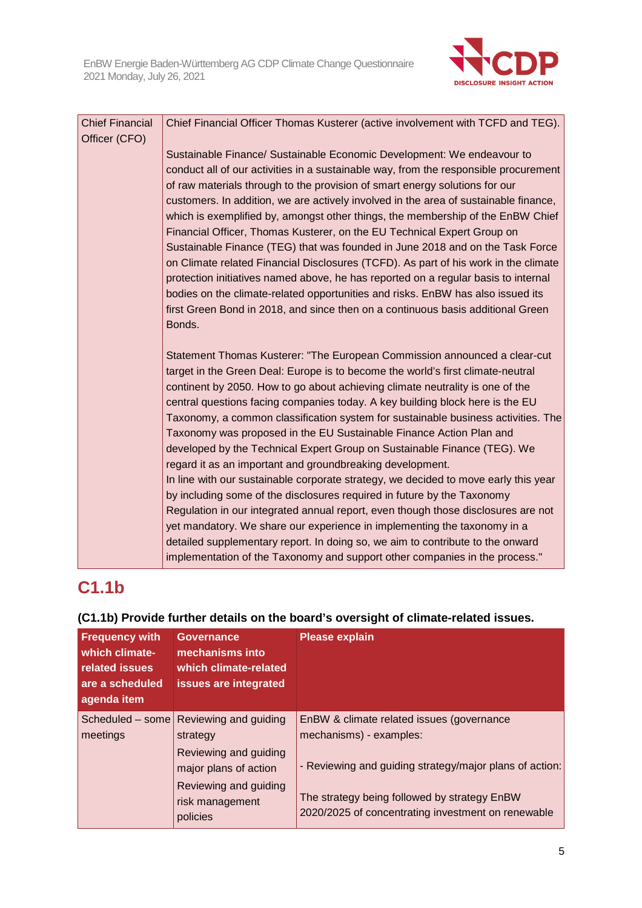

| <b>Chief Financial</b> | Chief Financial Officer Thomas Kusterer (active involvement with TCFD and TEG).      |
|------------------------|--------------------------------------------------------------------------------------|
| Officer (CFO)          |                                                                                      |
|                        | Sustainable Finance/ Sustainable Economic Development: We endeavour to               |
|                        | conduct all of our activities in a sustainable way, from the responsible procurement |
|                        | of raw materials through to the provision of smart energy solutions for our          |
|                        | customers. In addition, we are actively involved in the area of sustainable finance, |
|                        | which is exemplified by, amongst other things, the membership of the EnBW Chief      |
|                        | Financial Officer, Thomas Kusterer, on the EU Technical Expert Group on              |
|                        | Sustainable Finance (TEG) that was founded in June 2018 and on the Task Force        |
|                        | on Climate related Financial Disclosures (TCFD). As part of his work in the climate  |
|                        | protection initiatives named above, he has reported on a regular basis to internal   |
|                        | bodies on the climate-related opportunities and risks. EnBW has also issued its      |
|                        | first Green Bond in 2018, and since then on a continuous basis additional Green      |
|                        | Bonds.                                                                               |
|                        | Statement Thomas Kusterer: "The European Commission announced a clear-cut            |
|                        | target in the Green Deal: Europe is to become the world's first climate-neutral      |
|                        | continent by 2050. How to go about achieving climate neutrality is one of the        |
|                        | central questions facing companies today. A key building block here is the EU        |
|                        | Taxonomy, a common classification system for sustainable business activities. The    |
|                        | Taxonomy was proposed in the EU Sustainable Finance Action Plan and                  |
|                        | developed by the Technical Expert Group on Sustainable Finance (TEG). We             |
|                        | regard it as an important and groundbreaking development.                            |
|                        | In line with our sustainable corporate strategy, we decided to move early this year  |
|                        | by including some of the disclosures required in future by the Taxonomy              |
|                        | Regulation in our integrated annual report, even though those disclosures are not    |
|                        | yet mandatory. We share our experience in implementing the taxonomy in a             |
|                        | detailed supplementary report. In doing so, we aim to contribute to the onward       |
|                        | implementation of the Taxonomy and support other companies in the process."          |

## **C1.1b**

## **(C1.1b) Provide further details on the board's oversight of climate-related issues.**

| <b>Frequency with</b><br>which climate-<br>related issues<br>are a scheduled<br>agenda item | <b>Governance</b><br>mechanisms into<br>which climate-related<br>issues are integrated | <b>Please explain</b>                                                                                                                                         |
|---------------------------------------------------------------------------------------------|----------------------------------------------------------------------------------------|---------------------------------------------------------------------------------------------------------------------------------------------------------------|
| meetings                                                                                    | Scheduled – some Reviewing and guiding<br>strategy<br>Reviewing and guiding            | EnBW & climate related issues (governance<br>mechanisms) - examples:                                                                                          |
|                                                                                             | major plans of action<br>Reviewing and guiding<br>risk management<br>policies          | - Reviewing and guiding strategy/major plans of action:<br>The strategy being followed by strategy EnBW<br>2020/2025 of concentrating investment on renewable |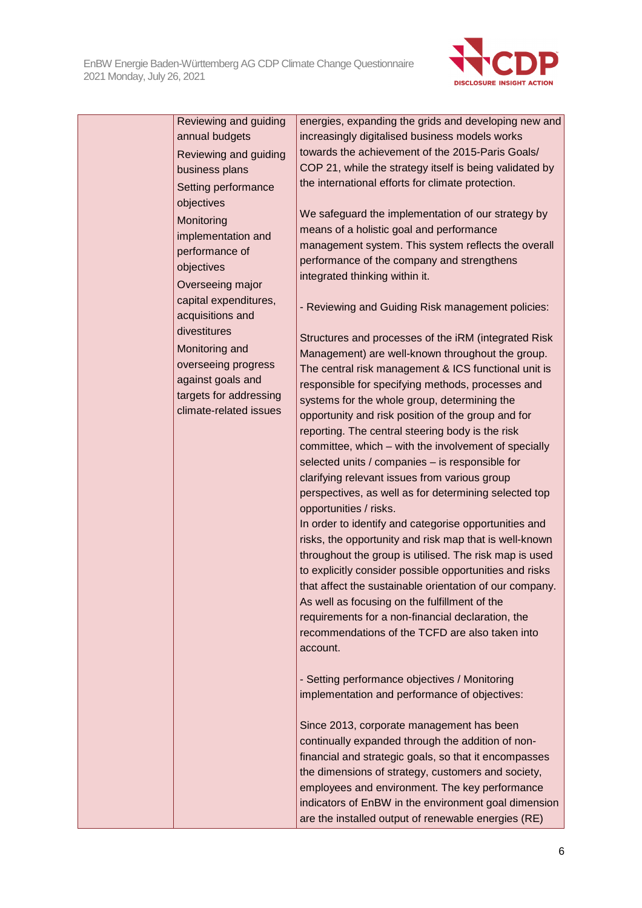

| Reviewing and guiding  | energies, expanding the grids and developing new and    |
|------------------------|---------------------------------------------------------|
| annual budgets         | increasingly digitalised business models works          |
| Reviewing and guiding  | towards the achievement of the 2015-Paris Goals/        |
| business plans         | COP 21, while the strategy itself is being validated by |
| Setting performance    | the international efforts for climate protection.       |
| objectives             |                                                         |
| Monitoring             | We safeguard the implementation of our strategy by      |
| implementation and     | means of a holistic goal and performance                |
| performance of         | management system. This system reflects the overall     |
| objectives             | performance of the company and strengthens              |
| Overseeing major       | integrated thinking within it.                          |
| capital expenditures,  | - Reviewing and Guiding Risk management policies:       |
| acquisitions and       |                                                         |
| divestitures           | Structures and processes of the iRM (integrated Risk    |
| Monitoring and         | Management) are well-known throughout the group.        |
| overseeing progress    | The central risk management & ICS functional unit is    |
| against goals and      | responsible for specifying methods, processes and       |
| targets for addressing | systems for the whole group, determining the            |
| climate-related issues | opportunity and risk position of the group and for      |
|                        | reporting. The central steering body is the risk        |
|                        | committee, which - with the involvement of specially    |
|                        | selected units / companies - is responsible for         |
|                        | clarifying relevant issues from various group           |
|                        | perspectives, as well as for determining selected top   |
|                        | opportunities / risks.                                  |
|                        | In order to identify and categorise opportunities and   |
|                        | risks, the opportunity and risk map that is well-known  |
|                        | throughout the group is utilised. The risk map is used  |
|                        | to explicitly consider possible opportunities and risks |
|                        | that affect the sustainable orientation of our company. |
|                        | As well as focusing on the fulfillment of the           |
|                        | requirements for a non-financial declaration, the       |
|                        | recommendations of the TCFD are also taken into         |
|                        | account.                                                |
|                        |                                                         |
|                        | - Setting performance objectives / Monitoring           |
|                        | implementation and performance of objectives:           |
|                        | Since 2013, corporate management has been               |
|                        | continually expanded through the addition of non-       |
|                        | financial and strategic goals, so that it encompasses   |
|                        | the dimensions of strategy, customers and society,      |
|                        | employees and environment. The key performance          |
|                        | indicators of EnBW in the environment goal dimension    |
|                        | are the installed output of renewable energies (RE)     |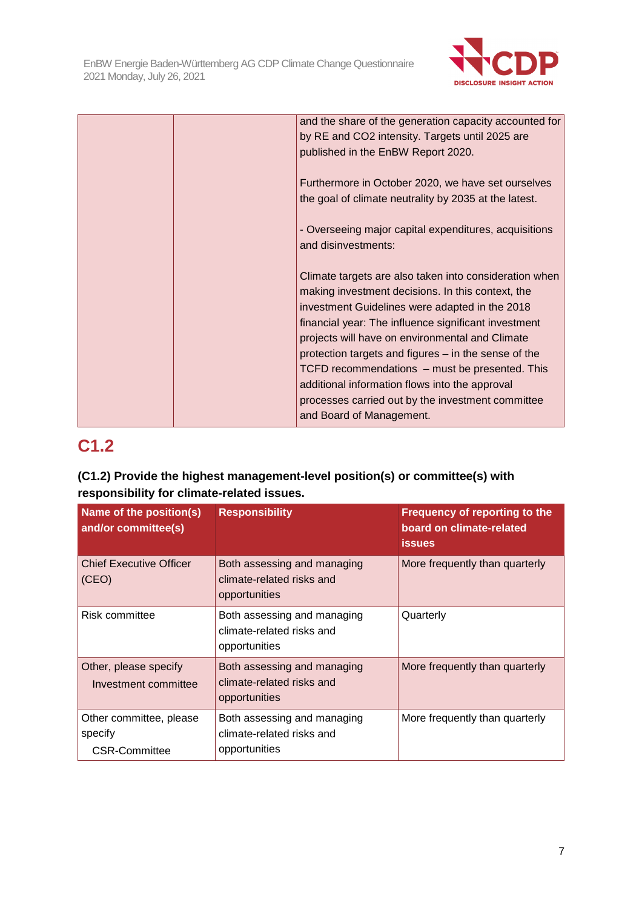

| and the share of the generation capacity accounted for                        |
|-------------------------------------------------------------------------------|
| by RE and CO2 intensity. Targets until 2025 are                               |
| published in the EnBW Report 2020.                                            |
|                                                                               |
| Furthermore in October 2020, we have set ourselves                            |
| the goal of climate neutrality by 2035 at the latest.                         |
|                                                                               |
| - Overseeing major capital expenditures, acquisitions                         |
| and disinvestments:                                                           |
|                                                                               |
| Climate targets are also taken into consideration when                        |
| making investment decisions. In this context, the                             |
| investment Guidelines were adapted in the 2018                                |
| financial year: The influence significant investment                          |
| projects will have on environmental and Climate                               |
| protection targets and figures – in the sense of the                          |
| TCFD recommendations - must be presented. This                                |
|                                                                               |
|                                                                               |
| additional information flows into the approval                                |
| processes carried out by the investment committee<br>and Board of Management. |

## **C1.2**

## **(C1.2) Provide the highest management-level position(s) or committee(s) with responsibility for climate-related issues.**

| Name of the position(s)<br>and/or committee(s)      | <b>Responsibility</b>                                                     | <b>Frequency of reporting to the</b><br>board on climate-related<br><b>issues</b> |
|-----------------------------------------------------|---------------------------------------------------------------------------|-----------------------------------------------------------------------------------|
| <b>Chief Executive Officer</b><br>(CEO)             | Both assessing and managing<br>climate-related risks and<br>opportunities | More frequently than quarterly                                                    |
| Risk committee                                      | Both assessing and managing<br>climate-related risks and<br>opportunities | Quarterly                                                                         |
| Other, please specify<br>Investment committee       | Both assessing and managing<br>climate-related risks and<br>opportunities | More frequently than quarterly                                                    |
| Other committee, please<br>specify<br>CSR-Committee | Both assessing and managing<br>climate-related risks and<br>opportunities | More frequently than quarterly                                                    |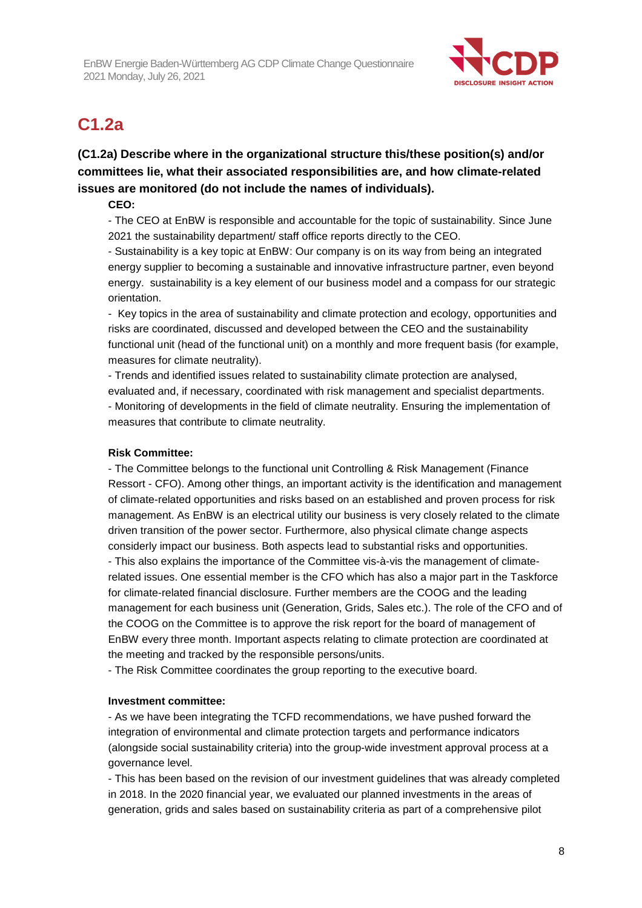

## **C1.2a**

## **(C1.2a) Describe where in the organizational structure this/these position(s) and/or committees lie, what their associated responsibilities are, and how climate-related issues are monitored (do not include the names of individuals).**

## **CEO:**

- The CEO at EnBW is responsible and accountable for the topic of sustainability. Since June 2021 the sustainability department/ staff office reports directly to the CEO.

- Sustainability is a key topic at EnBW: Our company is on its way from being an integrated energy supplier to becoming a sustainable and innovative infrastructure partner, even beyond energy. sustainability is a key element of our business model and a compass for our strategic orientation.

- Key topics in the area of sustainability and climate protection and ecology, opportunities and risks are coordinated, discussed and developed between the CEO and the sustainability functional unit (head of the functional unit) on a monthly and more frequent basis (for example, measures for climate neutrality).

- Trends and identified issues related to sustainability climate protection are analysed, evaluated and, if necessary, coordinated with risk management and specialist departments. - Monitoring of developments in the field of climate neutrality. Ensuring the implementation of measures that contribute to climate neutrality.

## **Risk Committee:**

- The Committee belongs to the functional unit Controlling & Risk Management (Finance Ressort - CFO). Among other things, an important activity is the identification and management of climate-related opportunities and risks based on an established and proven process for risk management. As EnBW is an electrical utility our business is very closely related to the climate driven transition of the power sector. Furthermore, also physical climate change aspects considerly impact our business. Both aspects lead to substantial risks and opportunities. - This also explains the importance of the Committee vis-à-vis the management of climaterelated issues. One essential member is the CFO which has also a major part in the Taskforce

for climate-related financial disclosure. Further members are the COOG and the leading management for each business unit (Generation, Grids, Sales etc.). The role of the CFO and of the COOG on the Committee is to approve the risk report for the board of management of EnBW every three month. Important aspects relating to climate protection are coordinated at the meeting and tracked by the responsible persons/units.

- The Risk Committee coordinates the group reporting to the executive board.

## **Investment committee:**

- As we have been integrating the TCFD recommendations, we have pushed forward the integration of environmental and climate protection targets and performance indicators (alongside social sustainability criteria) into the group-wide investment approval process at a governance level.

- This has been based on the revision of our investment guidelines that was already completed in 2018. In the 2020 financial year, we evaluated our planned investments in the areas of generation, grids and sales based on sustainability criteria as part of a comprehensive pilot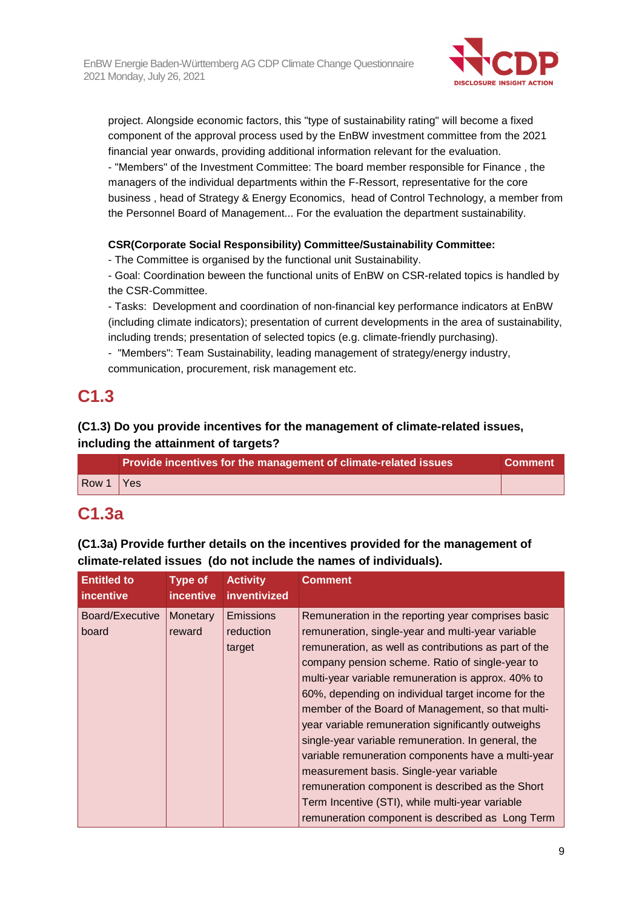

project. Alongside economic factors, this "type of sustainability rating" will become a fixed component of the approval process used by the EnBW investment committee from the 2021 financial year onwards, providing additional information relevant for the evaluation.

- "Members" of the Investment Committee: The board member responsible for Finance , the managers of the individual departments within the F-Ressort, representative for the core business , head of Strategy & Energy Economics, head of Control Technology, a member from the Personnel Board of Management... For the evaluation the department sustainability.

## **CSR(Corporate Social Responsibility) Committee/Sustainability Committee:**

- The Committee is organised by the functional unit Sustainability.

- Goal: Coordination beween the functional units of EnBW on CSR-related topics is handled by the CSR-Committee.

- Tasks: Development and coordination of non-financial key performance indicators at EnBW (including climate indicators); presentation of current developments in the area of sustainability, including trends; presentation of selected topics (e.g. climate-friendly purchasing).

- "Members": Team Sustainability, leading management of strategy/energy industry, communication, procurement, risk management etc.

## **C1.3**

## **(C1.3) Do you provide incentives for the management of climate-related issues, including the attainment of targets?**

|                              | Provide incentives for the management of climate-related issues | Comment <sup>1</sup> |
|------------------------------|-----------------------------------------------------------------|----------------------|
| $\sqrt{\frac{80001}{1}}$ Yes |                                                                 |                      |

## **C1.3a**

**(C1.3a) Provide further details on the incentives provided for the management of climate-related issues (do not include the names of individuals).** 

| <b>Entitled to</b>       | <b>Type of</b>     | <b>Activity</b>                  | <b>Comment</b>                                                                                                                                                                                                                                                                                                                                                                                                                                                                                                                                                                                                                                                                                                                                               |
|--------------------------|--------------------|----------------------------------|--------------------------------------------------------------------------------------------------------------------------------------------------------------------------------------------------------------------------------------------------------------------------------------------------------------------------------------------------------------------------------------------------------------------------------------------------------------------------------------------------------------------------------------------------------------------------------------------------------------------------------------------------------------------------------------------------------------------------------------------------------------|
| <i>incentive</i>         | <i>incentive</i>   | inventivized                     |                                                                                                                                                                                                                                                                                                                                                                                                                                                                                                                                                                                                                                                                                                                                                              |
| Board/Executive<br>board | Monetary<br>reward | Emissions<br>reduction<br>target | Remuneration in the reporting year comprises basic<br>remuneration, single-year and multi-year variable<br>remuneration, as well as contributions as part of the<br>company pension scheme. Ratio of single-year to<br>multi-year variable remuneration is approx. 40% to<br>60%, depending on individual target income for the<br>member of the Board of Management, so that multi-<br>year variable remuneration significantly outweighs<br>single-year variable remuneration. In general, the<br>variable remuneration components have a multi-year<br>measurement basis. Single-year variable<br>remuneration component is described as the Short<br>Term Incentive (STI), while multi-year variable<br>remuneration component is described as Long Term |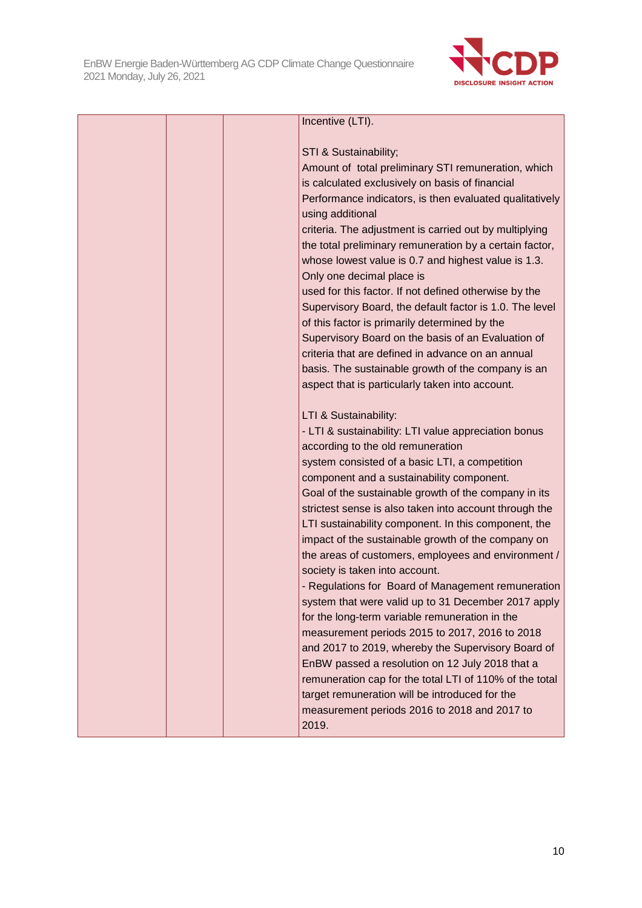

| Incentive (LTI).                                        |
|---------------------------------------------------------|
|                                                         |
| STI & Sustainability;                                   |
| Amount of total preliminary STI remuneration, which     |
| is calculated exclusively on basis of financial         |
| Performance indicators, is then evaluated qualitatively |
| using additional                                        |
| criteria. The adjustment is carried out by multiplying  |
| the total preliminary remuneration by a certain factor, |
| whose lowest value is 0.7 and highest value is 1.3.     |
| Only one decimal place is                               |
| used for this factor. If not defined otherwise by the   |
| Supervisory Board, the default factor is 1.0. The level |
| of this factor is primarily determined by the           |
| Supervisory Board on the basis of an Evaluation of      |
| criteria that are defined in advance on an annual       |
| basis. The sustainable growth of the company is an      |
| aspect that is particularly taken into account.         |
| LTI & Sustainability:                                   |
| - LTI & sustainability: LTI value appreciation bonus    |
| according to the old remuneration                       |
| system consisted of a basic LTI, a competition          |
| component and a sustainability component.               |
| Goal of the sustainable growth of the company in its    |
| strictest sense is also taken into account through the  |
| LTI sustainability component. In this component, the    |
| impact of the sustainable growth of the company on      |
| the areas of customers, employees and environment /     |
| society is taken into account.                          |
| - Regulations for Board of Management remuneration      |
| system that were valid up to 31 December 2017 apply     |
| for the long-term variable remuneration in the          |
| measurement periods 2015 to 2017, 2016 to 2018          |
| and 2017 to 2019, whereby the Supervisory Board of      |
| EnBW passed a resolution on 12 July 2018 that a         |
| remuneration cap for the total LTI of 110% of the total |
| target remuneration will be introduced for the          |
| measurement periods 2016 to 2018 and 2017 to            |
| 2019.                                                   |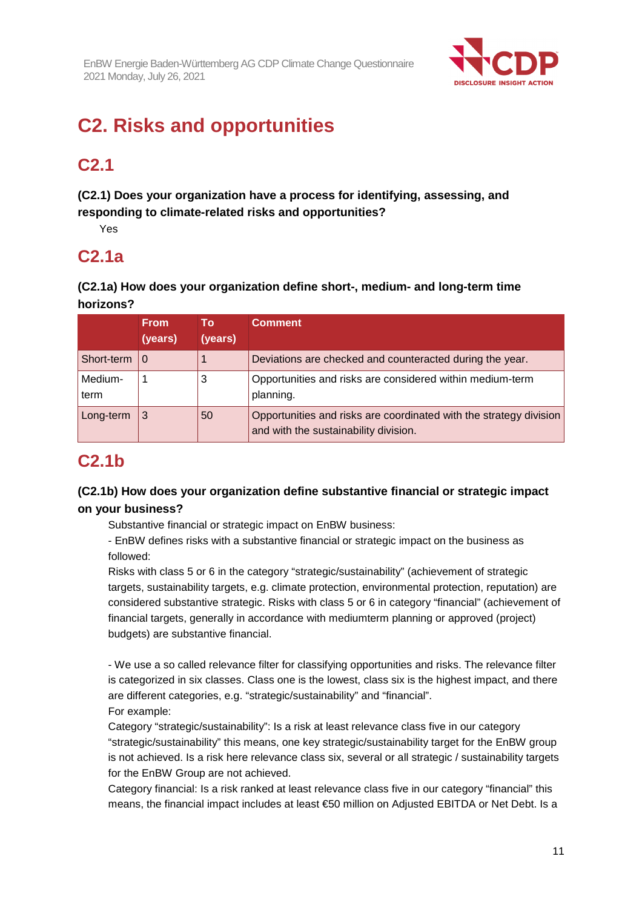

## **C2. Risks and opportunities**

## **C2.1**

**(C2.1) Does your organization have a process for identifying, assessing, and responding to climate-related risks and opportunities?** 

Yes

## **C2.1a**

**(C2.1a) How does your organization define short-, medium- and long-term time horizons?** 

|                 | From.<br>(years) | To:<br>(years) | <b>Comment</b>                                                                                              |
|-----------------|------------------|----------------|-------------------------------------------------------------------------------------------------------------|
| Short-term      | l 0              |                | Deviations are checked and counteracted during the year.                                                    |
| Medium-<br>term |                  | 3              | Opportunities and risks are considered within medium-term<br>planning.                                      |
| Long-term       | 3                | 50             | Opportunities and risks are coordinated with the strategy division<br>and with the sustainability division. |

## **C2.1b**

## **(C2.1b) How does your organization define substantive financial or strategic impact on your business?**

Substantive financial or strategic impact on EnBW business:

- EnBW defines risks with a substantive financial or strategic impact on the business as followed:

Risks with class 5 or 6 in the category "strategic/sustainability" (achievement of strategic targets, sustainability targets, e.g. climate protection, environmental protection, reputation) are considered substantive strategic. Risks with class 5 or 6 in category "financial" (achievement of financial targets, generally in accordance with mediumterm planning or approved (project) budgets) are substantive financial.

- We use a so called relevance filter for classifying opportunities and risks. The relevance filter is categorized in six classes. Class one is the lowest, class six is the highest impact, and there are different categories, e.g. "strategic/sustainability" and "financial". For example:

Category "strategic/sustainability": Is a risk at least relevance class five in our category "strategic/sustainability" this means, one key strategic/sustainability target for the EnBW group is not achieved. Is a risk here relevance class six, several or all strategic / sustainability targets for the EnBW Group are not achieved.

Category financial: Is a risk ranked at least relevance class five in our category "financial" this means, the financial impact includes at least €50 million on Adjusted EBITDA or Net Debt. Is a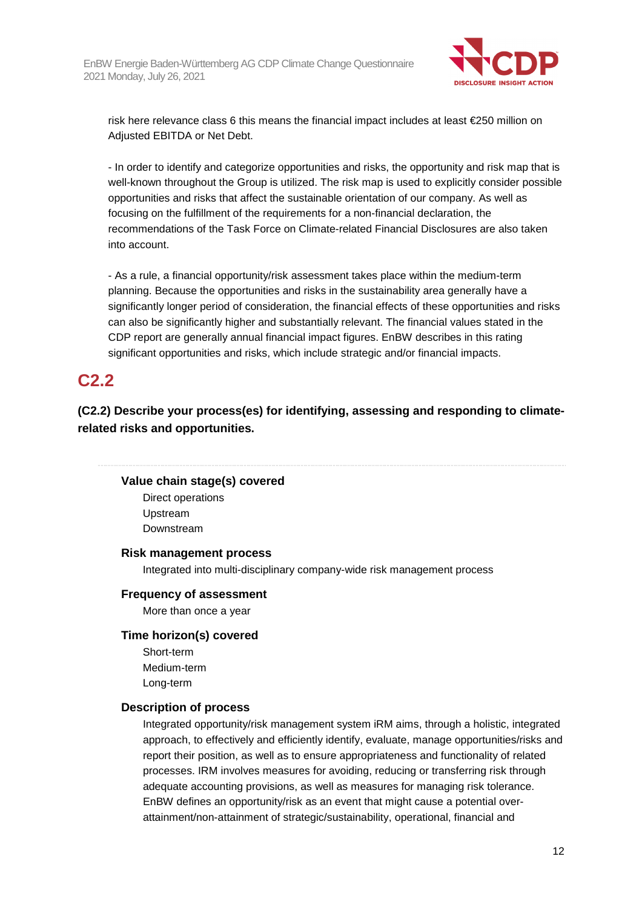

risk here relevance class 6 this means the financial impact includes at least €250 million on Adjusted EBITDA or Net Debt.

- In order to identify and categorize opportunities and risks, the opportunity and risk map that is well-known throughout the Group is utilized. The risk map is used to explicitly consider possible opportunities and risks that affect the sustainable orientation of our company. As well as focusing on the fulfillment of the requirements for a non-financial declaration, the recommendations of the Task Force on Climate-related Financial Disclosures are also taken into account.

- As a rule, a financial opportunity/risk assessment takes place within the medium-term planning. Because the opportunities and risks in the sustainability area generally have a significantly longer period of consideration, the financial effects of these opportunities and risks can also be significantly higher and substantially relevant. The financial values stated in the CDP report are generally annual financial impact figures. EnBW describes in this rating significant opportunities and risks, which include strategic and/or financial impacts.

## **C2.2**

**(C2.2) Describe your process(es) for identifying, assessing and responding to climaterelated risks and opportunities.** 

## **Value chain stage(s) covered**

Direct operations Upstream Downstream

#### **Risk management process**

Integrated into multi-disciplinary company-wide risk management process

#### **Frequency of assessment**

More than once a year

#### **Time horizon(s) covered**

Short-term Medium-term Long-term

## **Description of process**

Integrated opportunity/risk management system iRM aims, through a holistic, integrated approach, to effectively and efficiently identify, evaluate, manage opportunities/risks and report their position, as well as to ensure appropriateness and functionality of related processes. IRM involves measures for avoiding, reducing or transferring risk through adequate accounting provisions, as well as measures for managing risk tolerance. EnBW defines an opportunity/risk as an event that might cause a potential overattainment/non-attainment of strategic/sustainability, operational, financial and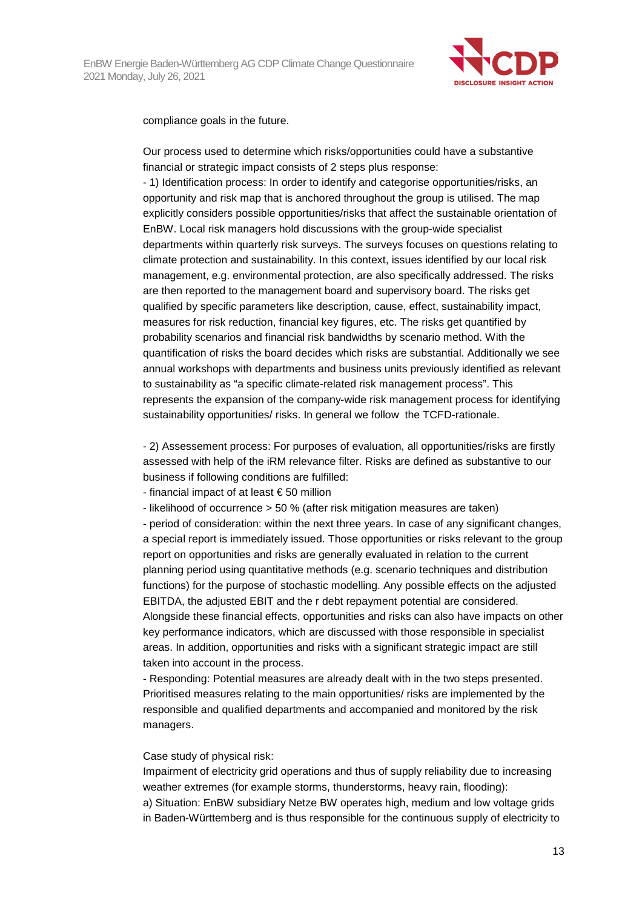

compliance goals in the future.

Our process used to determine which risks/opportunities could have a substantive financial or strategic impact consists of 2 steps plus response:

- 1) Identification process: In order to identify and categorise opportunities/risks, an opportunity and risk map that is anchored throughout the group is utilised. The map explicitly considers possible opportunities/risks that affect the sustainable orientation of EnBW. Local risk managers hold discussions with the group-wide specialist departments within quarterly risk surveys. The surveys focuses on questions relating to climate protection and sustainability. In this context, issues identified by our local risk management, e.g. environmental protection, are also specifically addressed. The risks are then reported to the management board and supervisory board. The risks get qualified by specific parameters like description, cause, effect, sustainability impact, measures for risk reduction, financial key figures, etc. The risks get quantified by probability scenarios and financial risk bandwidths by scenario method. With the quantification of risks the board decides which risks are substantial. Additionally we see annual workshops with departments and business units previously identified as relevant to sustainability as "a specific climate-related risk management process". This represents the expansion of the company-wide risk management process for identifying sustainability opportunities/ risks. In general we follow the TCFD-rationale.

- 2) Assessement process: For purposes of evaluation, all opportunities/risks are firstly assessed with help of the iRM relevance filter. Risks are defined as substantive to our business if following conditions are fulfilled:

- financial impact of at least € 50 million

- likelihood of occurrence > 50 % (after risk mitigation measures are taken)

- period of consideration: within the next three years. In case of any significant changes, a special report is immediately issued. Those opportunities or risks relevant to the group report on opportunities and risks are generally evaluated in relation to the current planning period using quantitative methods (e.g. scenario techniques and distribution functions) for the purpose of stochastic modelling. Any possible effects on the adjusted EBITDA, the adjusted EBIT and the r debt repayment potential are considered. Alongside these financial effects, opportunities and risks can also have impacts on other key performance indicators, which are discussed with those responsible in specialist areas. In addition, opportunities and risks with a significant strategic impact are still taken into account in the process.

- Responding: Potential measures are already dealt with in the two steps presented. Prioritised measures relating to the main opportunities/ risks are implemented by the responsible and qualified departments and accompanied and monitored by the risk managers.

#### Case study of physical risk:

Impairment of electricity grid operations and thus of supply reliability due to increasing weather extremes (for example storms, thunderstorms, heavy rain, flooding): a) Situation: EnBW subsidiary Netze BW operates high, medium and low voltage grids in Baden-Württemberg and is thus responsible for the continuous supply of electricity to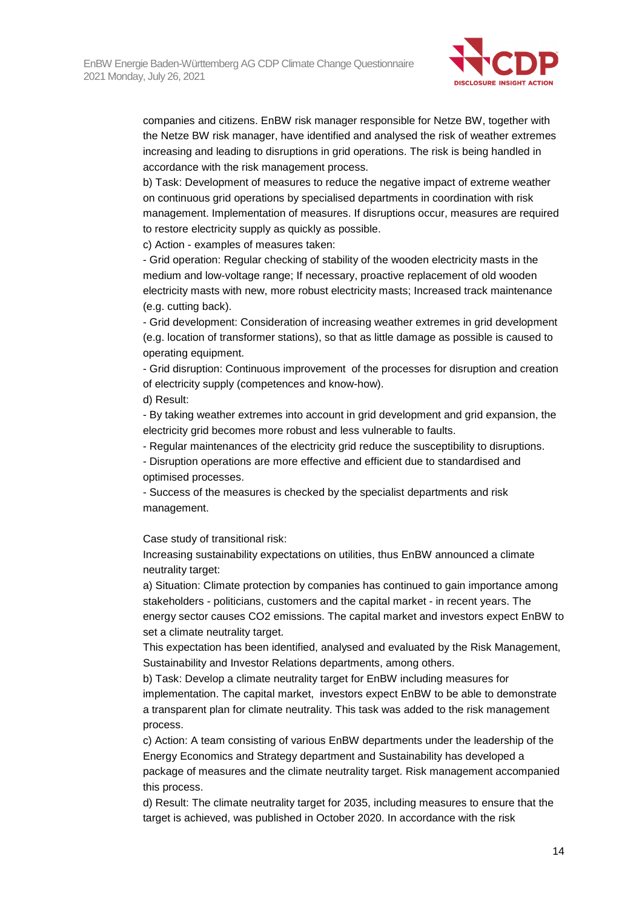

companies and citizens. EnBW risk manager responsible for Netze BW, together with the Netze BW risk manager, have identified and analysed the risk of weather extremes increasing and leading to disruptions in grid operations. The risk is being handled in accordance with the risk management process.

b) Task: Development of measures to reduce the negative impact of extreme weather on continuous grid operations by specialised departments in coordination with risk management. Implementation of measures. If disruptions occur, measures are required to restore electricity supply as quickly as possible.

c) Action - examples of measures taken:

- Grid operation: Regular checking of stability of the wooden electricity masts in the medium and low-voltage range; If necessary, proactive replacement of old wooden electricity masts with new, more robust electricity masts; Increased track maintenance (e.g. cutting back).

- Grid development: Consideration of increasing weather extremes in grid development (e.g. location of transformer stations), so that as little damage as possible is caused to operating equipment.

- Grid disruption: Continuous improvement of the processes for disruption and creation of electricity supply (competences and know-how). d) Result:

- By taking weather extremes into account in grid development and grid expansion, the electricity grid becomes more robust and less vulnerable to faults.

- Regular maintenances of the electricity grid reduce the susceptibility to disruptions.

- Disruption operations are more effective and efficient due to standardised and optimised processes.

- Success of the measures is checked by the specialist departments and risk management.

Case study of transitional risk:

Increasing sustainability expectations on utilities, thus EnBW announced a climate neutrality target:

a) Situation: Climate protection by companies has continued to gain importance among stakeholders - politicians, customers and the capital market - in recent years. The energy sector causes CO2 emissions. The capital market and investors expect EnBW to set a climate neutrality target.

This expectation has been identified, analysed and evaluated by the Risk Management, Sustainability and Investor Relations departments, among others.

b) Task: Develop a climate neutrality target for EnBW including measures for implementation. The capital market, investors expect EnBW to be able to demonstrate a transparent plan for climate neutrality. This task was added to the risk management process.

c) Action: A team consisting of various EnBW departments under the leadership of the Energy Economics and Strategy department and Sustainability has developed a package of measures and the climate neutrality target. Risk management accompanied this process.

d) Result: The climate neutrality target for 2035, including measures to ensure that the target is achieved, was published in October 2020. In accordance with the risk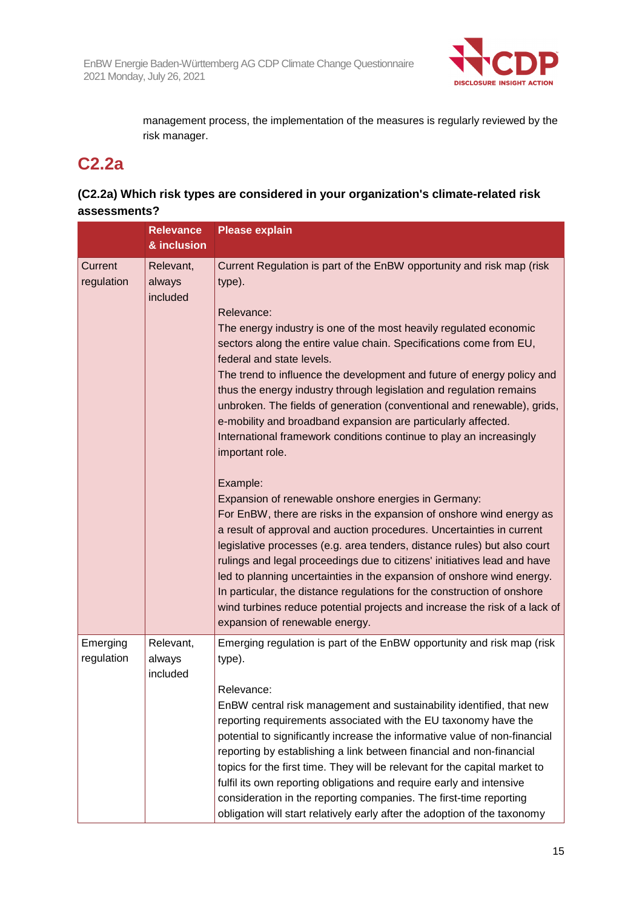

management process, the implementation of the measures is regularly reviewed by the risk manager.

## **C2.2a**

## **(C2.2a) Which risk types are considered in your organization's climate-related risk assessments?**

|                        | <b>Relevance</b>                | <b>Please explain</b>                                                                                                                                                                                                                                                                                                                                                                                                                                                                                                                                                                                                                         |
|------------------------|---------------------------------|-----------------------------------------------------------------------------------------------------------------------------------------------------------------------------------------------------------------------------------------------------------------------------------------------------------------------------------------------------------------------------------------------------------------------------------------------------------------------------------------------------------------------------------------------------------------------------------------------------------------------------------------------|
|                        | & inclusion                     |                                                                                                                                                                                                                                                                                                                                                                                                                                                                                                                                                                                                                                               |
| Current<br>regulation  | Relevant,<br>always<br>included | Current Regulation is part of the EnBW opportunity and risk map (risk<br>type).                                                                                                                                                                                                                                                                                                                                                                                                                                                                                                                                                               |
|                        |                                 | Relevance:<br>The energy industry is one of the most heavily regulated economic<br>sectors along the entire value chain. Specifications come from EU,<br>federal and state levels.<br>The trend to influence the development and future of energy policy and<br>thus the energy industry through legislation and regulation remains<br>unbroken. The fields of generation (conventional and renewable), grids,<br>e-mobility and broadband expansion are particularly affected.<br>International framework conditions continue to play an increasingly<br>important role.                                                                     |
|                        |                                 | Example:<br>Expansion of renewable onshore energies in Germany:<br>For EnBW, there are risks in the expansion of onshore wind energy as<br>a result of approval and auction procedures. Uncertainties in current<br>legislative processes (e.g. area tenders, distance rules) but also court<br>rulings and legal proceedings due to citizens' initiatives lead and have<br>led to planning uncertainties in the expansion of onshore wind energy.<br>In particular, the distance regulations for the construction of onshore<br>wind turbines reduce potential projects and increase the risk of a lack of<br>expansion of renewable energy. |
| Emerging<br>regulation | Relevant,<br>always<br>included | Emerging regulation is part of the EnBW opportunity and risk map (risk<br>type).<br>Relevance:                                                                                                                                                                                                                                                                                                                                                                                                                                                                                                                                                |
|                        |                                 | EnBW central risk management and sustainability identified, that new<br>reporting requirements associated with the EU taxonomy have the<br>potential to significantly increase the informative value of non-financial<br>reporting by establishing a link between financial and non-financial<br>topics for the first time. They will be relevant for the capital market to<br>fulfil its own reporting obligations and require early and intensive<br>consideration in the reporting companies. The first-time reporting<br>obligation will start relatively early after the adoption of the taxonomy                                        |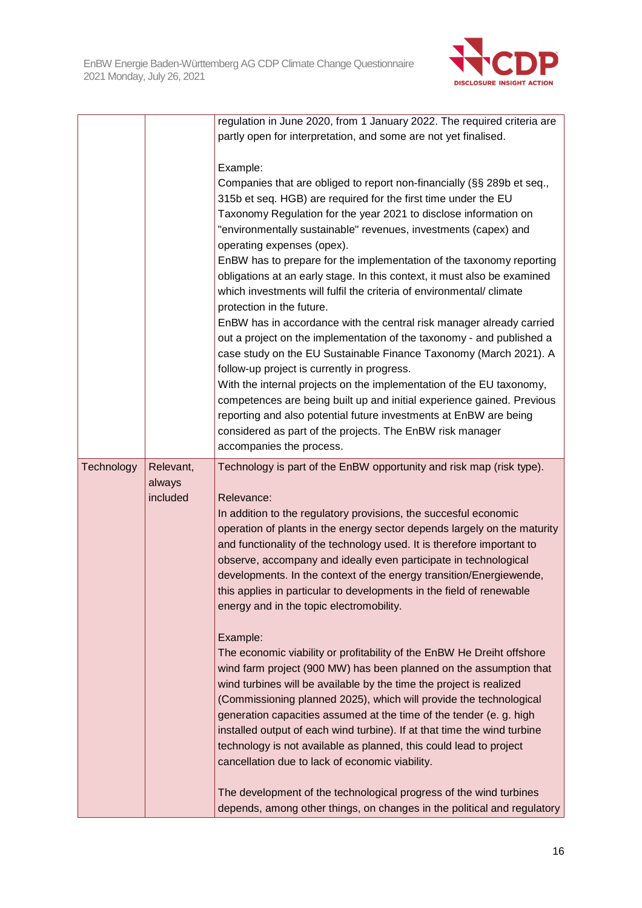

|            |           | regulation in June 2020, from 1 January 2022. The required criteria are  |
|------------|-----------|--------------------------------------------------------------------------|
|            |           | partly open for interpretation, and some are not yet finalised.          |
|            |           |                                                                          |
|            |           | Example:                                                                 |
|            |           | Companies that are obliged to report non-financially (§§ 289b et seq.,   |
|            |           | 315b et seq. HGB) are required for the first time under the EU           |
|            |           | Taxonomy Regulation for the year 2021 to disclose information on         |
|            |           | "environmentally sustainable" revenues, investments (capex) and          |
|            |           | operating expenses (opex).                                               |
|            |           | EnBW has to prepare for the implementation of the taxonomy reporting     |
|            |           | obligations at an early stage. In this context, it must also be examined |
|            |           | which investments will fulfil the criteria of environmental/ climate     |
|            |           |                                                                          |
|            |           | protection in the future.                                                |
|            |           | EnBW has in accordance with the central risk manager already carried     |
|            |           | out a project on the implementation of the taxonomy - and published a    |
|            |           | case study on the EU Sustainable Finance Taxonomy (March 2021). A        |
|            |           | follow-up project is currently in progress.                              |
|            |           | With the internal projects on the implementation of the EU taxonomy,     |
|            |           | competences are being built up and initial experience gained. Previous   |
|            |           | reporting and also potential future investments at EnBW are being        |
|            |           | considered as part of the projects. The EnBW risk manager                |
|            |           | accompanies the process.                                                 |
| Technology | Relevant, | Technology is part of the EnBW opportunity and risk map (risk type).     |
|            | always    |                                                                          |
|            | included  | Relevance:                                                               |
|            |           | In addition to the regulatory provisions, the succesful economic         |
|            |           | operation of plants in the energy sector depends largely on the maturity |
|            |           | and functionality of the technology used. It is therefore important to   |
|            |           | observe, accompany and ideally even participate in technological         |
|            |           | developments. In the context of the energy transition/Energiewende,      |
|            |           | this applies in particular to developments in the field of renewable     |
|            |           | energy and in the topic electromobility.                                 |
|            |           |                                                                          |
|            |           | Example:                                                                 |
|            |           | The economic viability or profitability of the EnBW He Dreiht offshore   |
|            |           | wind farm project (900 MW) has been planned on the assumption that       |
|            |           | wind turbines will be available by the time the project is realized      |
|            |           | (Commissioning planned 2025), which will provide the technological       |
|            |           | generation capacities assumed at the time of the tender (e. g. high      |
|            |           | installed output of each wind turbine). If at that time the wind turbine |
|            |           | technology is not available as planned, this could lead to project       |
|            |           |                                                                          |
|            |           | cancellation due to lack of economic viability.                          |
|            |           |                                                                          |
|            |           | The development of the technological progress of the wind turbines       |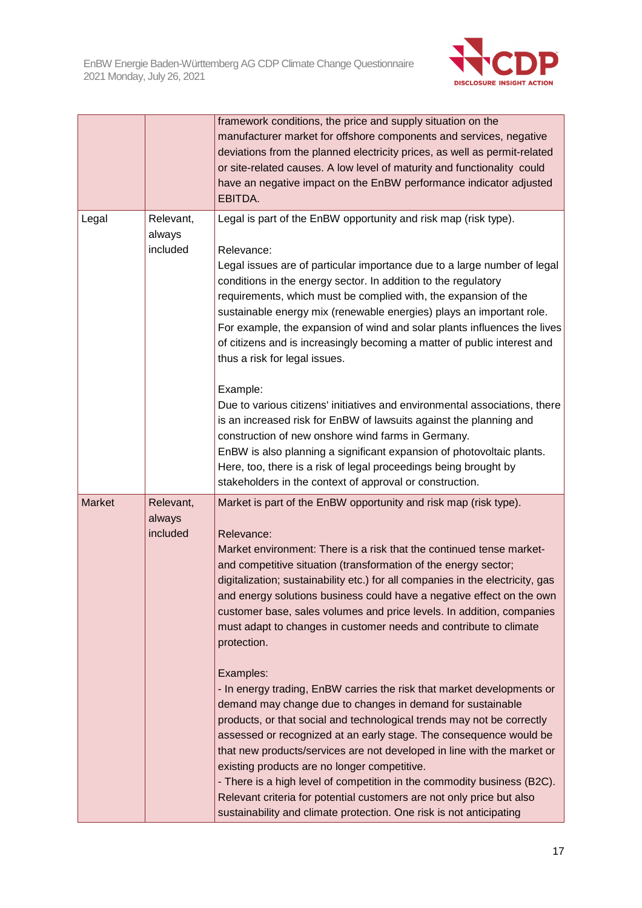

|               |                                 | framework conditions, the price and supply situation on the<br>manufacturer market for offshore components and services, negative<br>deviations from the planned electricity prices, as well as permit-related<br>or site-related causes. A low level of maturity and functionality could<br>have an negative impact on the EnBW performance indicator adjusted<br>EBITDA.                                                                                                                                                                                                                                                                                                                                                                                                                                                                                                                                                                                                                                                                                                                                                                                                                                   |
|---------------|---------------------------------|--------------------------------------------------------------------------------------------------------------------------------------------------------------------------------------------------------------------------------------------------------------------------------------------------------------------------------------------------------------------------------------------------------------------------------------------------------------------------------------------------------------------------------------------------------------------------------------------------------------------------------------------------------------------------------------------------------------------------------------------------------------------------------------------------------------------------------------------------------------------------------------------------------------------------------------------------------------------------------------------------------------------------------------------------------------------------------------------------------------------------------------------------------------------------------------------------------------|
| Legal         | Relevant,<br>always<br>included | Legal is part of the EnBW opportunity and risk map (risk type).<br>Relevance:<br>Legal issues are of particular importance due to a large number of legal<br>conditions in the energy sector. In addition to the regulatory<br>requirements, which must be complied with, the expansion of the<br>sustainable energy mix (renewable energies) plays an important role.<br>For example, the expansion of wind and solar plants influences the lives<br>of citizens and is increasingly becoming a matter of public interest and<br>thus a risk for legal issues.<br>Example:                                                                                                                                                                                                                                                                                                                                                                                                                                                                                                                                                                                                                                  |
|               |                                 | Due to various citizens' initiatives and environmental associations, there<br>is an increased risk for EnBW of lawsuits against the planning and<br>construction of new onshore wind farms in Germany.<br>EnBW is also planning a significant expansion of photovoltaic plants.<br>Here, too, there is a risk of legal proceedings being brought by<br>stakeholders in the context of approval or construction.                                                                                                                                                                                                                                                                                                                                                                                                                                                                                                                                                                                                                                                                                                                                                                                              |
| <b>Market</b> | Relevant,<br>always<br>included | Market is part of the EnBW opportunity and risk map (risk type).<br>Relevance:<br>Market environment: There is a risk that the continued tense market-<br>and competitive situation (transformation of the energy sector;<br>digitalization; sustainability etc.) for all companies in the electricity, gas<br>and energy solutions business could have a negative effect on the own<br>customer base, sales volumes and price levels. In addition, companies<br>must adapt to changes in customer needs and contribute to climate<br>protection.<br>Examples:<br>- In energy trading, EnBW carries the risk that market developments or<br>demand may change due to changes in demand for sustainable<br>products, or that social and technological trends may not be correctly<br>assessed or recognized at an early stage. The consequence would be<br>that new products/services are not developed in line with the market or<br>existing products are no longer competitive.<br>- There is a high level of competition in the commodity business (B2C).<br>Relevant criteria for potential customers are not only price but also<br>sustainability and climate protection. One risk is not anticipating |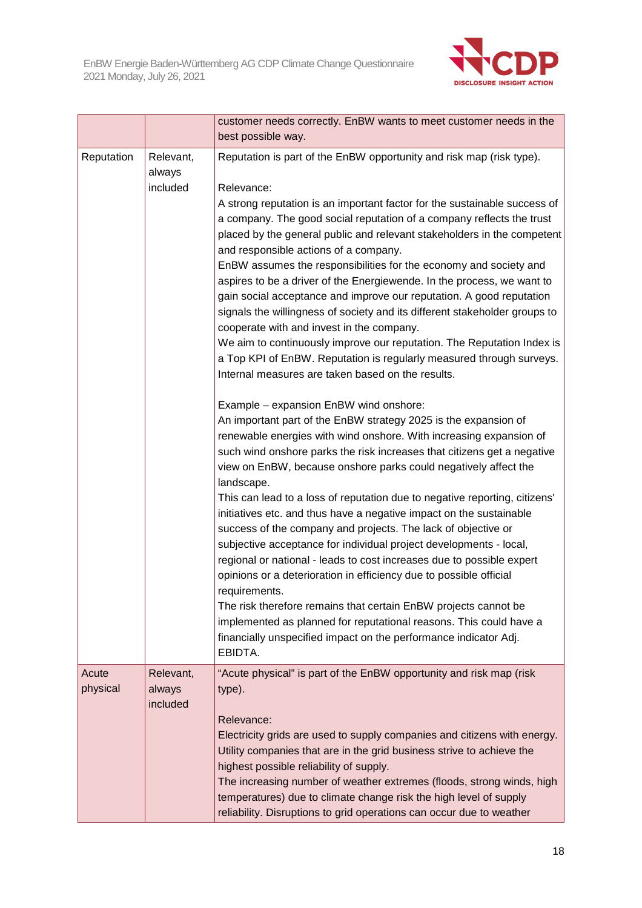

|                   |                                 | customer needs correctly. EnBW wants to meet customer needs in the<br>best possible way.                                                                                                                                                                                                                                                                                                                                                                                                                                                                                                                                                                                                                                                                                                                                                                                                                                                                                                                                                                                                                                                                                                                                                                                                                                                                                                                                                                                                                                                                                                                                                                                                                                                                                                                                                                                                                                                                 |
|-------------------|---------------------------------|----------------------------------------------------------------------------------------------------------------------------------------------------------------------------------------------------------------------------------------------------------------------------------------------------------------------------------------------------------------------------------------------------------------------------------------------------------------------------------------------------------------------------------------------------------------------------------------------------------------------------------------------------------------------------------------------------------------------------------------------------------------------------------------------------------------------------------------------------------------------------------------------------------------------------------------------------------------------------------------------------------------------------------------------------------------------------------------------------------------------------------------------------------------------------------------------------------------------------------------------------------------------------------------------------------------------------------------------------------------------------------------------------------------------------------------------------------------------------------------------------------------------------------------------------------------------------------------------------------------------------------------------------------------------------------------------------------------------------------------------------------------------------------------------------------------------------------------------------------------------------------------------------------------------------------------------------------|
| Reputation        | Relevant,<br>always<br>included | Reputation is part of the EnBW opportunity and risk map (risk type).<br>Relevance:<br>A strong reputation is an important factor for the sustainable success of<br>a company. The good social reputation of a company reflects the trust<br>placed by the general public and relevant stakeholders in the competent<br>and responsible actions of a company.<br>EnBW assumes the responsibilities for the economy and society and<br>aspires to be a driver of the Energiewende. In the process, we want to<br>gain social acceptance and improve our reputation. A good reputation<br>signals the willingness of society and its different stakeholder groups to<br>cooperate with and invest in the company.<br>We aim to continuously improve our reputation. The Reputation Index is<br>a Top KPI of EnBW. Reputation is regularly measured through surveys.<br>Internal measures are taken based on the results.<br>Example - expansion EnBW wind onshore:<br>An important part of the EnBW strategy 2025 is the expansion of<br>renewable energies with wind onshore. With increasing expansion of<br>such wind onshore parks the risk increases that citizens get a negative<br>view on EnBW, because onshore parks could negatively affect the<br>landscape.<br>This can lead to a loss of reputation due to negative reporting, citizens'<br>initiatives etc. and thus have a negative impact on the sustainable<br>success of the company and projects. The lack of objective or<br>subjective acceptance for individual project developments - local,<br>regional or national - leads to cost increases due to possible expert<br>opinions or a deterioration in efficiency due to possible official<br>requirements.<br>The risk therefore remains that certain EnBW projects cannot be<br>implemented as planned for reputational reasons. This could have a<br>financially unspecified impact on the performance indicator Adj.<br>EBIDTA. |
| Acute<br>physical | Relevant,<br>always<br>included | "Acute physical" is part of the EnBW opportunity and risk map (risk<br>type).<br>Relevance:<br>Electricity grids are used to supply companies and citizens with energy.<br>Utility companies that are in the grid business strive to achieve the<br>highest possible reliability of supply.<br>The increasing number of weather extremes (floods, strong winds, high<br>temperatures) due to climate change risk the high level of supply<br>reliability. Disruptions to grid operations can occur due to weather                                                                                                                                                                                                                                                                                                                                                                                                                                                                                                                                                                                                                                                                                                                                                                                                                                                                                                                                                                                                                                                                                                                                                                                                                                                                                                                                                                                                                                        |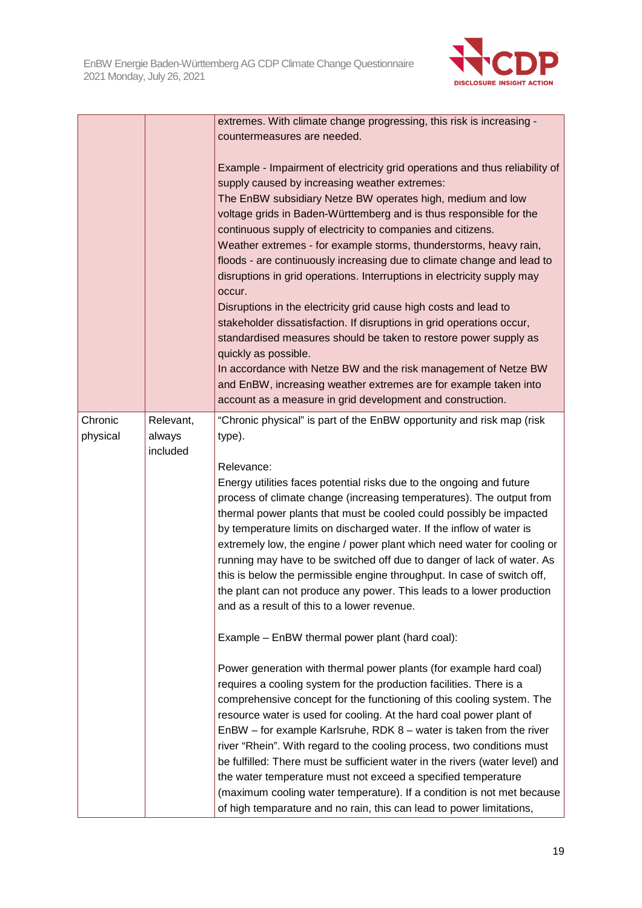

|                     |                                 | extremes. With climate change progressing, this risk is increasing -<br>countermeasures are needed.                                                                                                                                                                                                                                                                                                                                                                                                                                                                                                                                                                                                                                                                                                                                                                                                                                                                                                               |
|---------------------|---------------------------------|-------------------------------------------------------------------------------------------------------------------------------------------------------------------------------------------------------------------------------------------------------------------------------------------------------------------------------------------------------------------------------------------------------------------------------------------------------------------------------------------------------------------------------------------------------------------------------------------------------------------------------------------------------------------------------------------------------------------------------------------------------------------------------------------------------------------------------------------------------------------------------------------------------------------------------------------------------------------------------------------------------------------|
|                     |                                 | Example - Impairment of electricity grid operations and thus reliability of<br>supply caused by increasing weather extremes:<br>The EnBW subsidiary Netze BW operates high, medium and low<br>voltage grids in Baden-Württemberg and is thus responsible for the<br>continuous supply of electricity to companies and citizens.<br>Weather extremes - for example storms, thunderstorms, heavy rain,<br>floods - are continuously increasing due to climate change and lead to<br>disruptions in grid operations. Interruptions in electricity supply may<br>occur.<br>Disruptions in the electricity grid cause high costs and lead to<br>stakeholder dissatisfaction. If disruptions in grid operations occur,<br>standardised measures should be taken to restore power supply as<br>quickly as possible.<br>In accordance with Netze BW and the risk management of Netze BW<br>and EnBW, increasing weather extremes are for example taken into<br>account as a measure in grid development and construction. |
| Chronic<br>physical | Relevant,<br>always<br>included | "Chronic physical" is part of the EnBW opportunity and risk map (risk<br>type).<br>Relevance:<br>Energy utilities faces potential risks due to the ongoing and future<br>process of climate change (increasing temperatures). The output from<br>thermal power plants that must be cooled could possibly be impacted<br>by temperature limits on discharged water. If the inflow of water is<br>extremely low, the engine / power plant which need water for cooling or<br>running may have to be switched off due to danger of lack of water. As<br>this is below the permissible engine throughput. In case of switch off,<br>the plant can not produce any power. This leads to a lower production<br>and as a result of this to a lower revenue.<br>Example - EnBW thermal power plant (hard coal):                                                                                                                                                                                                           |
|                     |                                 | Power generation with thermal power plants (for example hard coal)<br>requires a cooling system for the production facilities. There is a<br>comprehensive concept for the functioning of this cooling system. The<br>resource water is used for cooling. At the hard coal power plant of<br>$EnBW - for example Karlsruhe, RDK 8 - water is taken from the river$<br>river "Rhein". With regard to the cooling process, two conditions must<br>be fulfilled: There must be sufficient water in the rivers (water level) and<br>the water temperature must not exceed a specified temperature<br>(maximum cooling water temperature). If a condition is not met because<br>of high temparature and no rain, this can lead to power limitations,                                                                                                                                                                                                                                                                   |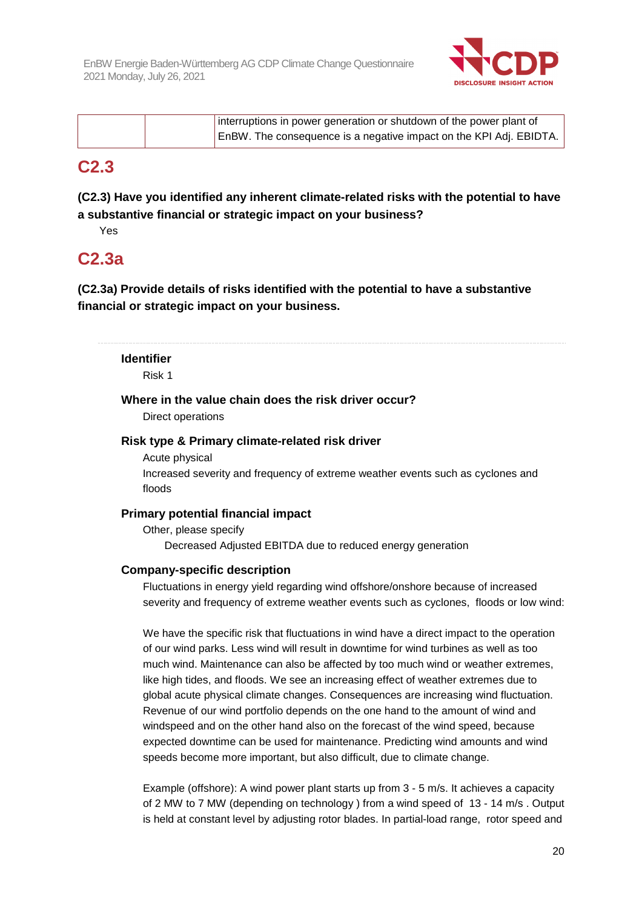

| interruptions in power generation or shutdown of the power plant of |
|---------------------------------------------------------------------|
| EnBW. The consequence is a negative impact on the KPI Adj. EBIDTA.  |

## **C2.3**

## **(C2.3) Have you identified any inherent climate-related risks with the potential to have a substantive financial or strategic impact on your business?**

Yes

## **C2.3a**

**(C2.3a) Provide details of risks identified with the potential to have a substantive financial or strategic impact on your business.** 

**Identifier** 

Risk 1

#### **Where in the value chain does the risk driver occur?**

Direct operations

#### **Risk type & Primary climate-related risk driver**

Acute physical

Increased severity and frequency of extreme weather events such as cyclones and floods

## **Primary potential financial impact**

Other, please specify Decreased Adjusted EBITDA due to reduced energy generation

## **Company-specific description**

Fluctuations in energy yield regarding wind offshore/onshore because of increased severity and frequency of extreme weather events such as cyclones, floods or low wind:

We have the specific risk that fluctuations in wind have a direct impact to the operation of our wind parks. Less wind will result in downtime for wind turbines as well as too much wind. Maintenance can also be affected by too much wind or weather extremes, like high tides, and floods. We see an increasing effect of weather extremes due to global acute physical climate changes. Consequences are increasing wind fluctuation. Revenue of our wind portfolio depends on the one hand to the amount of wind and windspeed and on the other hand also on the forecast of the wind speed, because expected downtime can be used for maintenance. Predicting wind amounts and wind speeds become more important, but also difficult, due to climate change.

Example (offshore): A wind power plant starts up from 3 - 5 m/s. It achieves a capacity of 2 MW to 7 MW (depending on technology ) from a wind speed of 13 - 14 m/s . Output is held at constant level by adjusting rotor blades. In partial-load range, rotor speed and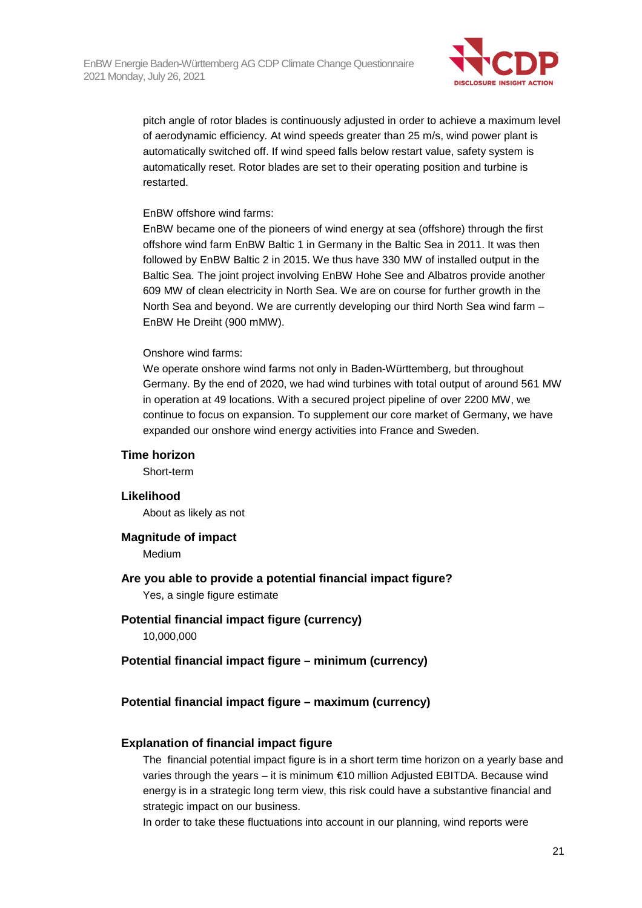

pitch angle of rotor blades is continuously adjusted in order to achieve a maximum level of aerodynamic efficiency. At wind speeds greater than 25 m/s, wind power plant is automatically switched off. If wind speed falls below restart value, safety system is automatically reset. Rotor blades are set to their operating position and turbine is restarted.

#### EnBW offshore wind farms:

EnBW became one of the pioneers of wind energy at sea (offshore) through the first offshore wind farm EnBW Baltic 1 in Germany in the Baltic Sea in 2011. It was then followed by EnBW Baltic 2 in 2015. We thus have 330 MW of installed output in the Baltic Sea. The joint project involving EnBW Hohe See and Albatros provide another 609 MW of clean electricity in North Sea. We are on course for further growth in the North Sea and beyond. We are currently developing our third North Sea wind farm – EnBW He Dreiht (900 mMW).

#### Onshore wind farms:

We operate onshore wind farms not only in Baden-Württemberg, but throughout Germany. By the end of 2020, we had wind turbines with total output of around 561 MW in operation at 49 locations. With a secured project pipeline of over 2200 MW, we continue to focus on expansion. To supplement our core market of Germany, we have expanded our onshore wind energy activities into France and Sweden.

#### **Time horizon**

Short-term

#### **Likelihood**

About as likely as not

## **Magnitude of impact**

Medium

## **Are you able to provide a potential financial impact figure?**

Yes, a single figure estimate

## **Potential financial impact figure (currency)**

10,000,000

## **Potential financial impact figure – minimum (currency)**

## **Potential financial impact figure – maximum (currency)**

## **Explanation of financial impact figure**

The financial potential impact figure is in a short term time horizon on a yearly base and varies through the years – it is minimum €10 million Adjusted EBITDA. Because wind energy is in a strategic long term view, this risk could have a substantive financial and strategic impact on our business.

In order to take these fluctuations into account in our planning, wind reports were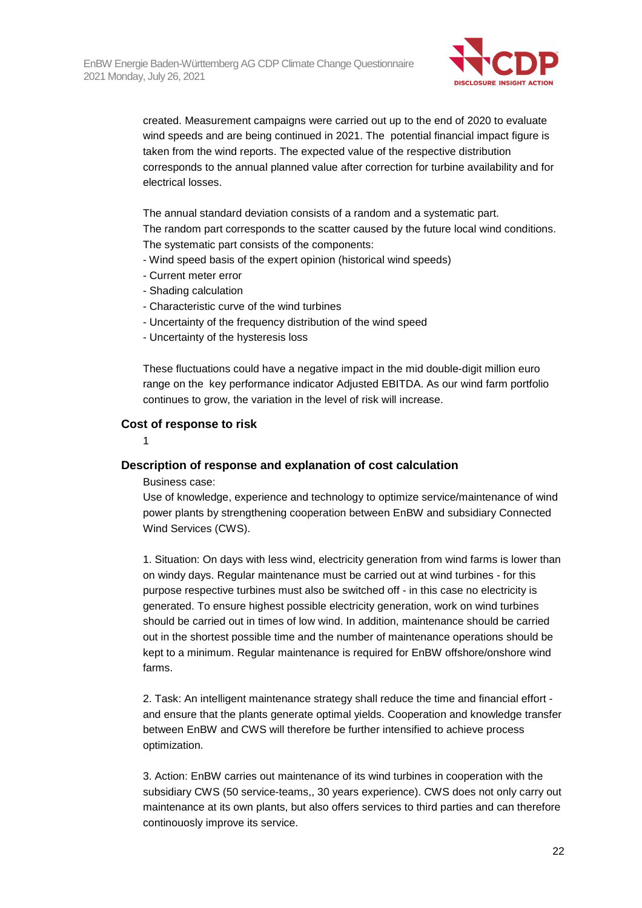

created. Measurement campaigns were carried out up to the end of 2020 to evaluate wind speeds and are being continued in 2021. The potential financial impact figure is taken from the wind reports. The expected value of the respective distribution corresponds to the annual planned value after correction for turbine availability and for electrical losses.

The annual standard deviation consists of a random and a systematic part. The random part corresponds to the scatter caused by the future local wind conditions. The systematic part consists of the components:

- Wind speed basis of the expert opinion (historical wind speeds)
- Current meter error
- Shading calculation
- Characteristic curve of the wind turbines
- Uncertainty of the frequency distribution of the wind speed
- Uncertainty of the hysteresis loss

These fluctuations could have a negative impact in the mid double-digit million euro range on the key performance indicator Adjusted EBITDA. As our wind farm portfolio continues to grow, the variation in the level of risk will increase.

#### **Cost of response to risk**

1

#### **Description of response and explanation of cost calculation**

Business case:

Use of knowledge, experience and technology to optimize service/maintenance of wind power plants by strengthening cooperation between EnBW and subsidiary Connected Wind Services (CWS).

1. Situation: On days with less wind, electricity generation from wind farms is lower than on windy days. Regular maintenance must be carried out at wind turbines - for this purpose respective turbines must also be switched off - in this case no electricity is generated. To ensure highest possible electricity generation, work on wind turbines should be carried out in times of low wind. In addition, maintenance should be carried out in the shortest possible time and the number of maintenance operations should be kept to a minimum. Regular maintenance is required for EnBW offshore/onshore wind farms.

2. Task: An intelligent maintenance strategy shall reduce the time and financial effort and ensure that the plants generate optimal yields. Cooperation and knowledge transfer between EnBW and CWS will therefore be further intensified to achieve process optimization.

3. Action: EnBW carries out maintenance of its wind turbines in cooperation with the subsidiary CWS (50 service-teams,, 30 years experience). CWS does not only carry out maintenance at its own plants, but also offers services to third parties and can therefore continouosly improve its service.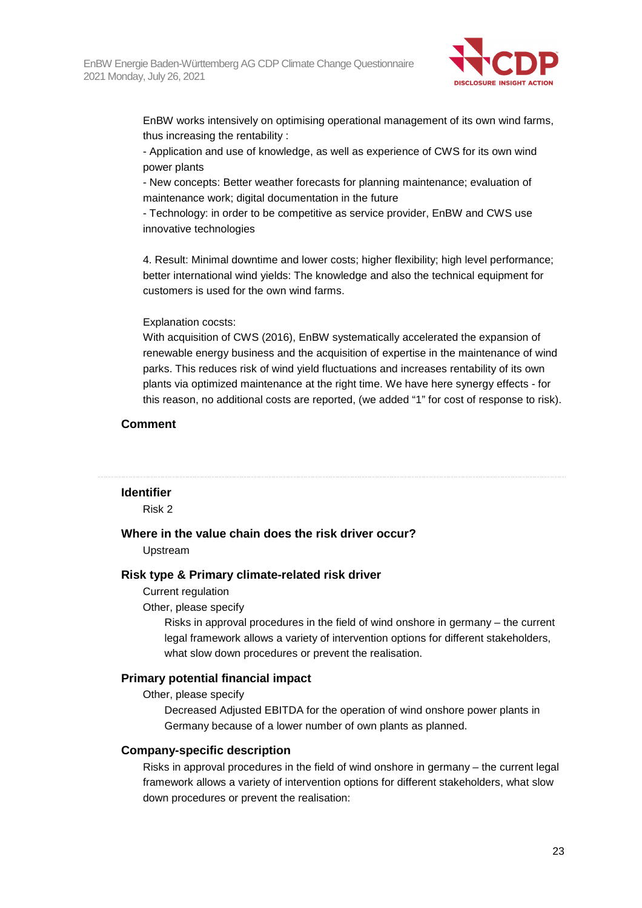

EnBW works intensively on optimising operational management of its own wind farms, thus increasing the rentability :

- Application and use of knowledge, as well as experience of CWS for its own wind power plants

- New concepts: Better weather forecasts for planning maintenance; evaluation of maintenance work; digital documentation in the future

- Technology: in order to be competitive as service provider, EnBW and CWS use innovative technologies

4. Result: Minimal downtime and lower costs; higher flexibility; high level performance; better international wind yields: The knowledge and also the technical equipment for customers is used for the own wind farms.

#### Explanation cocsts:

With acquisition of CWS (2016), EnBW systematically accelerated the expansion of renewable energy business and the acquisition of expertise in the maintenance of wind parks. This reduces risk of wind yield fluctuations and increases rentability of its own plants via optimized maintenance at the right time. We have here synergy effects - for this reason, no additional costs are reported, (we added "1" for cost of response to risk).

#### **Comment**

#### **Identifier**

Risk 2

#### **Where in the value chain does the risk driver occur?**

Upstream

#### **Risk type & Primary climate-related risk driver**

Current regulation

Other, please specify

Risks in approval procedures in the field of wind onshore in germany – the current legal framework allows a variety of intervention options for different stakeholders, what slow down procedures or prevent the realisation.

#### **Primary potential financial impact**

Other, please specify

Decreased Adjusted EBITDA for the operation of wind onshore power plants in Germany because of a lower number of own plants as planned.

#### **Company-specific description**

Risks in approval procedures in the field of wind onshore in germany – the current legal framework allows a variety of intervention options for different stakeholders, what slow down procedures or prevent the realisation: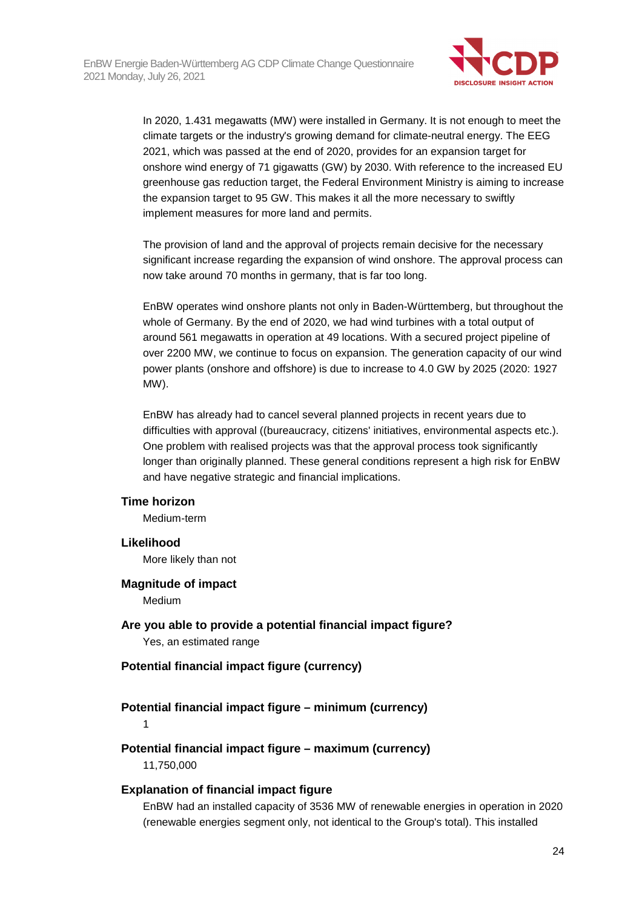

In 2020, 1.431 megawatts (MW) were installed in Germany. It is not enough to meet the climate targets or the industry's growing demand for climate-neutral energy. The EEG 2021, which was passed at the end of 2020, provides for an expansion target for onshore wind energy of 71 gigawatts (GW) by 2030. With reference to the increased EU greenhouse gas reduction target, the Federal Environment Ministry is aiming to increase the expansion target to 95 GW. This makes it all the more necessary to swiftly implement measures for more land and permits.

The provision of land and the approval of projects remain decisive for the necessary significant increase regarding the expansion of wind onshore. The approval process can now take around 70 months in germany, that is far too long.

EnBW operates wind onshore plants not only in Baden-Württemberg, but throughout the whole of Germany. By the end of 2020, we had wind turbines with a total output of around 561 megawatts in operation at 49 locations. With a secured project pipeline of over 2200 MW, we continue to focus on expansion. The generation capacity of our wind power plants (onshore and offshore) is due to increase to 4.0 GW by 2025 (2020: 1927 MW).

EnBW has already had to cancel several planned projects in recent years due to difficulties with approval ((bureaucracy, citizens' initiatives, environmental aspects etc.). One problem with realised projects was that the approval process took significantly longer than originally planned. These general conditions represent a high risk for EnBW and have negative strategic and financial implications.

#### **Time horizon**

Medium-term

#### **Likelihood**

More likely than not

## **Magnitude of impact**

Medium

**Are you able to provide a potential financial impact figure?**  Yes, an estimated range

## **Potential financial impact figure (currency)**

#### **Potential financial impact figure – minimum (currency)**

1

## **Potential financial impact figure – maximum (currency)**

11,750,000

#### **Explanation of financial impact figure**

EnBW had an installed capacity of 3536 MW of renewable energies in operation in 2020 (renewable energies segment only, not identical to the Group's total). This installed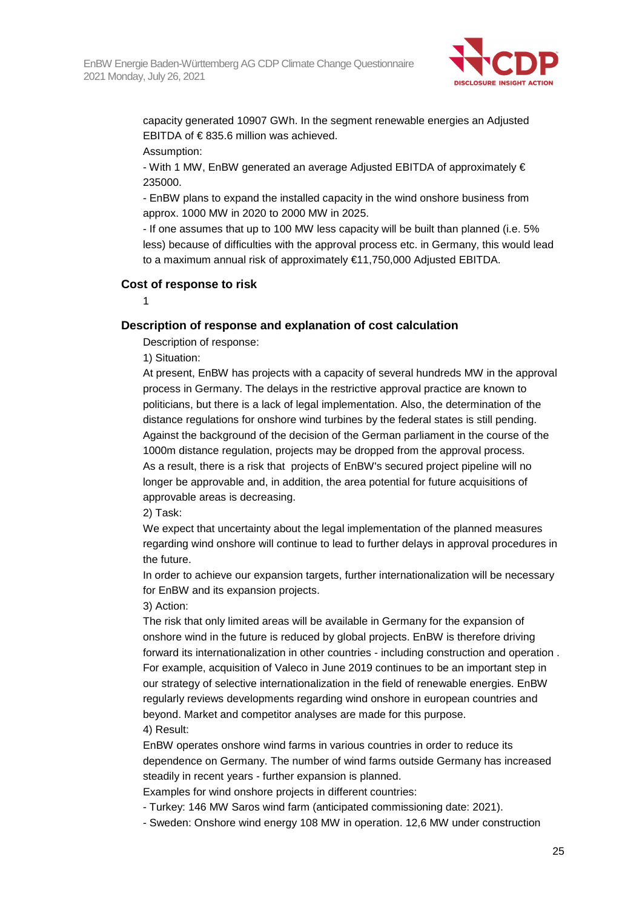

capacity generated 10907 GWh. In the segment renewable energies an Adjusted EBITDA of € 835.6 million was achieved.

Assumption:

- With 1 MW, EnBW generated an average Adjusted EBITDA of approximately € 235000.

- EnBW plans to expand the installed capacity in the wind onshore business from approx. 1000 MW in 2020 to 2000 MW in 2025.

- If one assumes that up to 100 MW less capacity will be built than planned (i.e. 5% less) because of difficulties with the approval process etc. in Germany, this would lead to a maximum annual risk of approximately €11,750,000 Adjusted EBITDA.

#### **Cost of response to risk**

1

## **Description of response and explanation of cost calculation**

Description of response:

1) Situation:

At present, EnBW has projects with a capacity of several hundreds MW in the approval process in Germany. The delays in the restrictive approval practice are known to politicians, but there is a lack of legal implementation. Also, the determination of the distance regulations for onshore wind turbines by the federal states is still pending. Against the background of the decision of the German parliament in the course of the 1000m distance regulation, projects may be dropped from the approval process. As a result, there is a risk that projects of EnBW's secured project pipeline will no longer be approvable and, in addition, the area potential for future acquisitions of approvable areas is decreasing.

2) Task:

We expect that uncertainty about the legal implementation of the planned measures regarding wind onshore will continue to lead to further delays in approval procedures in the future.

In order to achieve our expansion targets, further internationalization will be necessary for EnBW and its expansion projects.

3) Action:

The risk that only limited areas will be available in Germany for the expansion of onshore wind in the future is reduced by global projects. EnBW is therefore driving forward its internationalization in other countries - including construction and operation . For example, acquisition of Valeco in June 2019 continues to be an important step in our strategy of selective internationalization in the field of renewable energies. EnBW regularly reviews developments regarding wind onshore in european countries and beyond. Market and competitor analyses are made for this purpose. 4) Result:

EnBW operates onshore wind farms in various countries in order to reduce its dependence on Germany. The number of wind farms outside Germany has increased steadily in recent years - further expansion is planned.

Examples for wind onshore projects in different countries:

- Turkey: 146 MW Saros wind farm (anticipated commissioning date: 2021).

- Sweden: Onshore wind energy 108 MW in operation. 12,6 MW under construction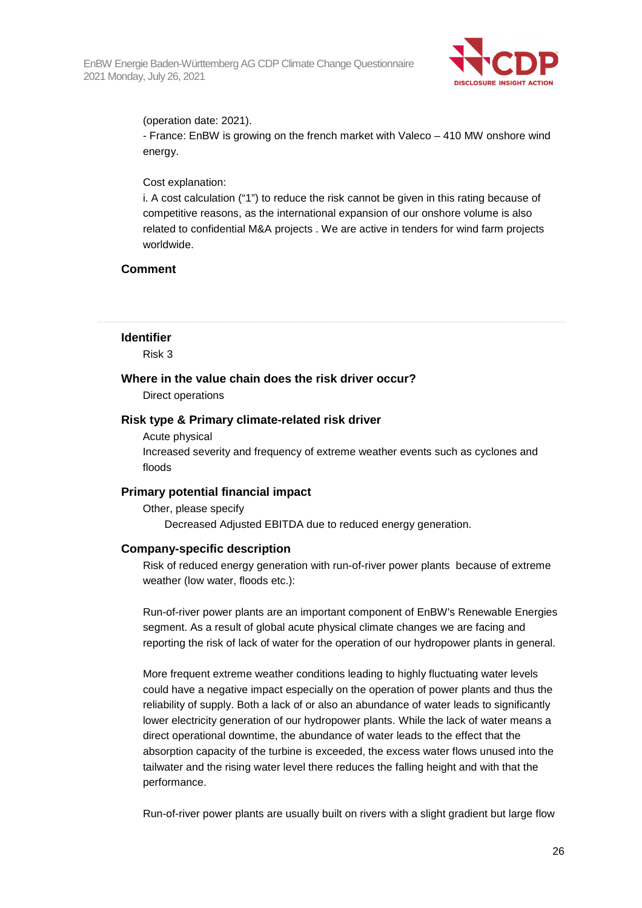

(operation date: 2021).

- France: EnBW is growing on the french market with Valeco – 410 MW onshore wind energy.

### Cost explanation:

i. A cost calculation ("1") to reduce the risk cannot be given in this rating because of competitive reasons, as the international expansion of our onshore volume is also related to confidential M&A projects . We are active in tenders for wind farm projects worldwide.

## **Comment**

## **Identifier**

Risk 3

#### **Where in the value chain does the risk driver occur?**

Direct operations

#### **Risk type & Primary climate-related risk driver**

#### Acute physical

Increased severity and frequency of extreme weather events such as cyclones and floods

## **Primary potential financial impact**

Other, please specify Decreased Adjusted EBITDA due to reduced energy generation.

## **Company-specific description**

Risk of reduced energy generation with run-of-river power plants because of extreme weather (low water, floods etc.):

Run-of-river power plants are an important component of EnBW's Renewable Energies segment. As a result of global acute physical climate changes we are facing and reporting the risk of lack of water for the operation of our hydropower plants in general.

More frequent extreme weather conditions leading to highly fluctuating water levels could have a negative impact especially on the operation of power plants and thus the reliability of supply. Both a lack of or also an abundance of water leads to significantly lower electricity generation of our hydropower plants. While the lack of water means a direct operational downtime, the abundance of water leads to the effect that the absorption capacity of the turbine is exceeded, the excess water flows unused into the tailwater and the rising water level there reduces the falling height and with that the performance.

Run-of-river power plants are usually built on rivers with a slight gradient but large flow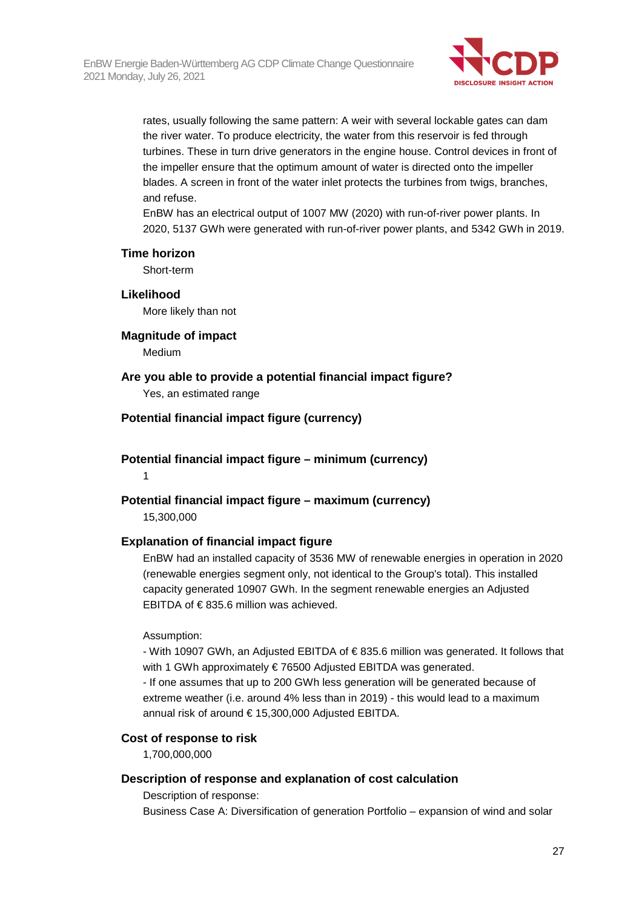

rates, usually following the same pattern: A weir with several lockable gates can dam the river water. To produce electricity, the water from this reservoir is fed through turbines. These in turn drive generators in the engine house. Control devices in front of the impeller ensure that the optimum amount of water is directed onto the impeller blades. A screen in front of the water inlet protects the turbines from twigs, branches, and refuse.

EnBW has an electrical output of 1007 MW (2020) with run-of-river power plants. In 2020, 5137 GWh were generated with run-of-river power plants, and 5342 GWh in 2019.

#### **Time horizon**

Short-term

**Likelihood**  More likely than not

## **Magnitude of impact**

Medium

## **Are you able to provide a potential financial impact figure?**

Yes, an estimated range

## **Potential financial impact figure (currency)**

**Potential financial impact figure – minimum (currency)**  1

## **Potential financial impact figure – maximum (currency)**

15,300,000

## **Explanation of financial impact figure**

EnBW had an installed capacity of 3536 MW of renewable energies in operation in 2020 (renewable energies segment only, not identical to the Group's total). This installed capacity generated 10907 GWh. In the segment renewable energies an Adjusted EBITDA of  $\in$  835.6 million was achieved.

#### Assumption:

- With 10907 GWh, an Adjusted EBITDA of € 835.6 million was generated. It follows that with 1 GWh approximately € 76500 Adjusted EBITDA was generated.

- If one assumes that up to 200 GWh less generation will be generated because of extreme weather (i.e. around 4% less than in 2019) - this would lead to a maximum annual risk of around € 15,300,000 Adjusted EBITDA.

## **Cost of response to risk**

1,700,000,000

## **Description of response and explanation of cost calculation**

Description of response:

Business Case A: Diversification of generation Portfolio – expansion of wind and solar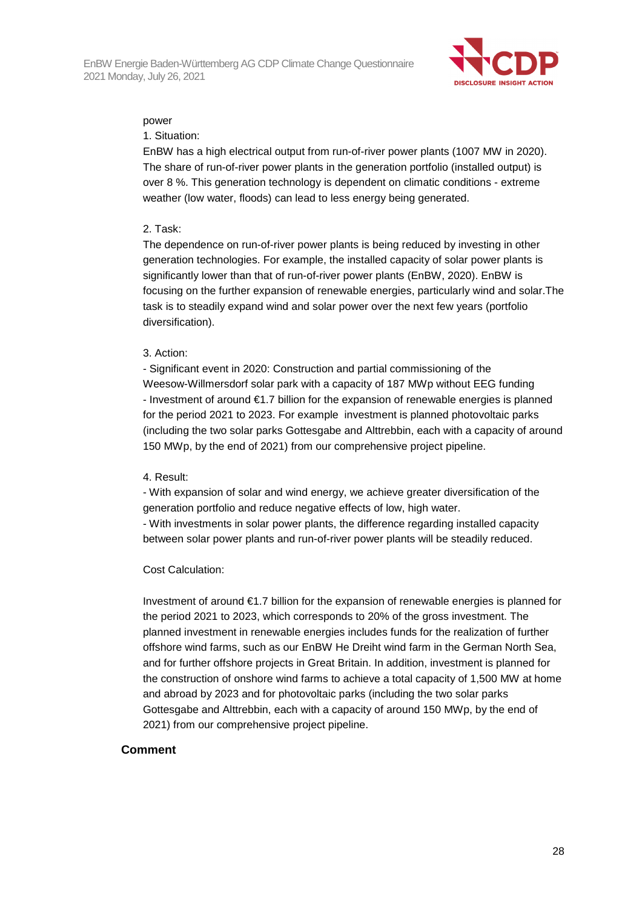

#### power

#### 1. Situation:

EnBW has a high electrical output from run-of-river power plants (1007 MW in 2020). The share of run-of-river power plants in the generation portfolio (installed output) is over 8 %. This generation technology is dependent on climatic conditions - extreme weather (low water, floods) can lead to less energy being generated.

#### 2. Task:

The dependence on run-of-river power plants is being reduced by investing in other generation technologies. For example, the installed capacity of solar power plants is significantly lower than that of run-of-river power plants (EnBW, 2020). EnBW is focusing on the further expansion of renewable energies, particularly wind and solar.The task is to steadily expand wind and solar power over the next few years (portfolio diversification).

#### 3. Action:

- Significant event in 2020: Construction and partial commissioning of the Weesow-Willmersdorf solar park with a capacity of 187 MWp without EEG funding - Investment of around €1.7 billion for the expansion of renewable energies is planned for the period 2021 to 2023. For example investment is planned photovoltaic parks (including the two solar parks Gottesgabe and Alttrebbin, each with a capacity of around 150 MWp, by the end of 2021) from our comprehensive project pipeline.

## 4. Result:

- With expansion of solar and wind energy, we achieve greater diversification of the generation portfolio and reduce negative effects of low, high water.

- With investments in solar power plants, the difference regarding installed capacity between solar power plants and run-of-river power plants will be steadily reduced.

## Cost Calculation:

Investment of around €1.7 billion for the expansion of renewable energies is planned for the period 2021 to 2023, which corresponds to 20% of the gross investment. The planned investment in renewable energies includes funds for the realization of further offshore wind farms, such as our EnBW He Dreiht wind farm in the German North Sea, and for further offshore projects in Great Britain. In addition, investment is planned for the construction of onshore wind farms to achieve a total capacity of 1,500 MW at home and abroad by 2023 and for photovoltaic parks (including the two solar parks Gottesgabe and Alttrebbin, each with a capacity of around 150 MWp, by the end of 2021) from our comprehensive project pipeline.

## **Comment**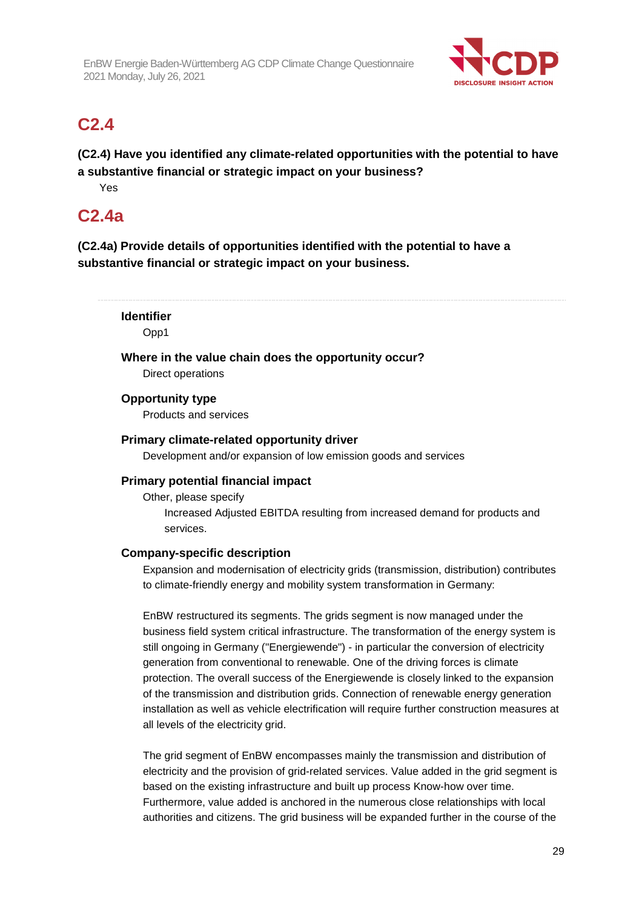

## **C2.4**

**(C2.4) Have you identified any climate-related opportunities with the potential to have a substantive financial or strategic impact on your business?** 

Yes

## **C2.4a**

**(C2.4a) Provide details of opportunities identified with the potential to have a substantive financial or strategic impact on your business.** 

#### **Identifier**

Opp1

**Where in the value chain does the opportunity occur?** 

Direct operations

## **Opportunity type**

Products and services

## **Primary climate-related opportunity driver**

Development and/or expansion of low emission goods and services

## **Primary potential financial impact**

Other, please specify Increased Adjusted EBITDA resulting from increased demand for products and services.

## **Company-specific description**

Expansion and modernisation of electricity grids (transmission, distribution) contributes to climate-friendly energy and mobility system transformation in Germany:

EnBW restructured its segments. The grids segment is now managed under the business field system critical infrastructure. The transformation of the energy system is still ongoing in Germany ("Energiewende") - in particular the conversion of electricity generation from conventional to renewable. One of the driving forces is climate protection. The overall success of the Energiewende is closely linked to the expansion of the transmission and distribution grids. Connection of renewable energy generation installation as well as vehicle electrification will require further construction measures at all levels of the electricity grid.

The grid segment of EnBW encompasses mainly the transmission and distribution of electricity and the provision of grid-related services. Value added in the grid segment is based on the existing infrastructure and built up process Know-how over time. Furthermore, value added is anchored in the numerous close relationships with local authorities and citizens. The grid business will be expanded further in the course of the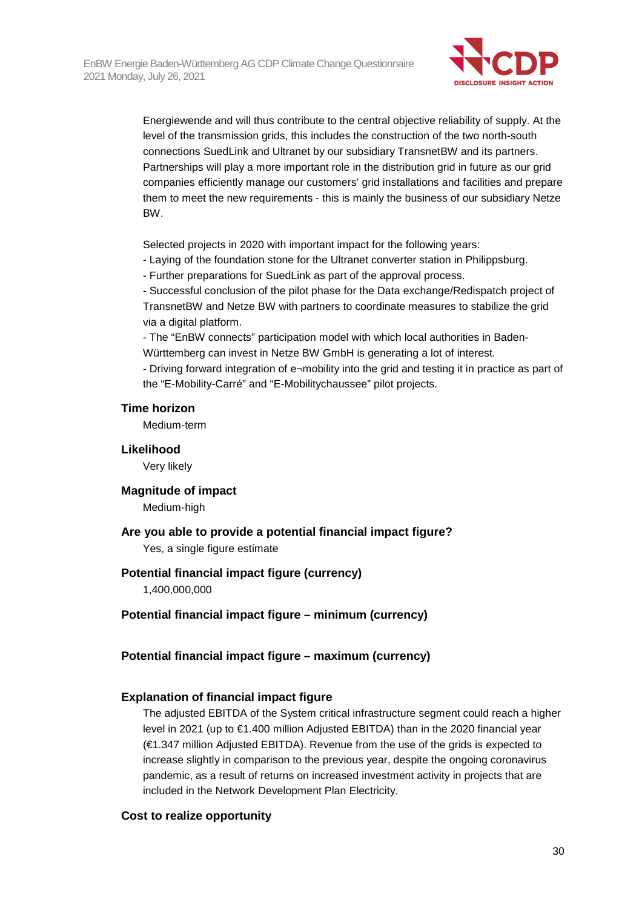

Energiewende and will thus contribute to the central objective reliability of supply. At the level of the transmission grids, this includes the construction of the two north-south connections SuedLink and Ultranet by our subsidiary TransnetBW and its partners. Partnerships will play a more important role in the distribution grid in future as our grid companies efficiently manage our customers' grid installations and facilities and prepare them to meet the new requirements - this is mainly the business of our subsidiary Netze BW.

Selected projects in 2020 with important impact for the following years:

- Laying of the foundation stone for the Ultranet converter station in Philippsburg.

- Further preparations for SuedLink as part of the approval process.

- Successful conclusion of the pilot phase for the Data exchange/Redispatch project of TransnetBW and Netze BW with partners to coordinate measures to stabilize the grid via a digital platform.

- The "EnBW connects" participation model with which local authorities in Baden-Württemberg can invest in Netze BW GmbH is generating a lot of interest.

- Driving forward integration of e¬mobility into the grid and testing it in practice as part of the "E-Mobility-Carré" and "E-Mobilitychaussee" pilot projects.

#### **Time horizon**

Medium-term

#### **Likelihood**

Very likely

#### **Magnitude of impact**

Medium-high

## **Are you able to provide a potential financial impact figure?**

Yes, a single figure estimate

#### **Potential financial impact figure (currency)**

1,400,000,000

#### **Potential financial impact figure – minimum (currency)**

## **Potential financial impact figure – maximum (currency)**

#### **Explanation of financial impact figure**

The adjusted EBITDA of the System critical infrastructure segment could reach a higher level in 2021 (up to €1.400 million Adjusted EBITDA) than in the 2020 financial year (€1.347 million Adjusted EBITDA). Revenue from the use of the grids is expected to increase slightly in comparison to the previous year, despite the ongoing coronavirus pandemic, as a result of returns on increased investment activity in projects that are included in the Network Development Plan Electricity.

## **Cost to realize opportunity**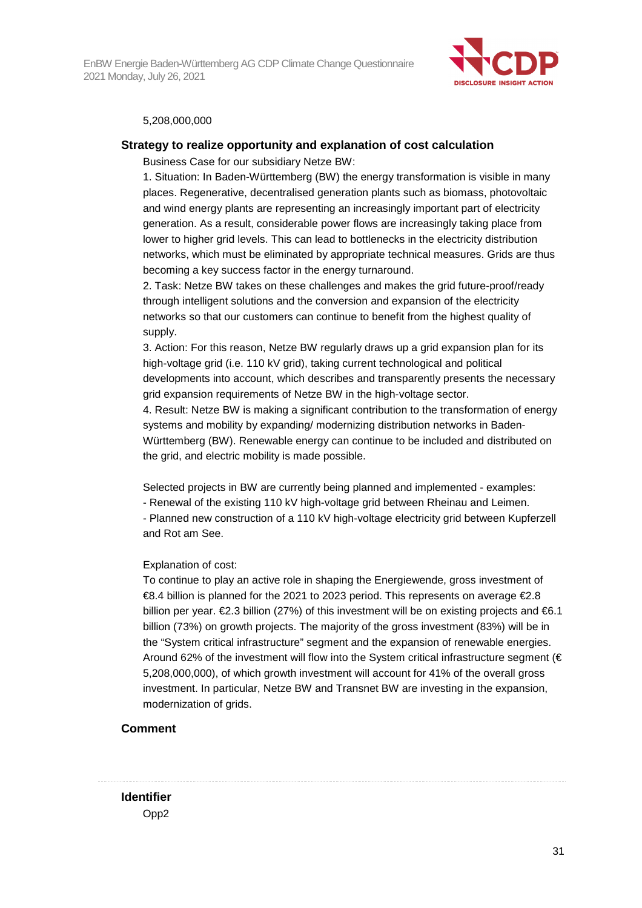EnBW Energie Baden-Württemberg AG CDP Climate Change Questionnaire 2021 Monday, July 26, 2021



#### 5,208,000,000

#### **Strategy to realize opportunity and explanation of cost calculation**

Business Case for our subsidiary Netze BW:

1. Situation: In Baden-Württemberg (BW) the energy transformation is visible in many places. Regenerative, decentralised generation plants such as biomass, photovoltaic and wind energy plants are representing an increasingly important part of electricity generation. As a result, considerable power flows are increasingly taking place from lower to higher grid levels. This can lead to bottlenecks in the electricity distribution networks, which must be eliminated by appropriate technical measures. Grids are thus becoming a key success factor in the energy turnaround.

2. Task: Netze BW takes on these challenges and makes the grid future-proof/ready through intelligent solutions and the conversion and expansion of the electricity networks so that our customers can continue to benefit from the highest quality of supply.

3. Action: For this reason, Netze BW regularly draws up a grid expansion plan for its high-voltage grid (i.e. 110 kV grid), taking current technological and political developments into account, which describes and transparently presents the necessary grid expansion requirements of Netze BW in the high-voltage sector.

4. Result: Netze BW is making a significant contribution to the transformation of energy systems and mobility by expanding/ modernizing distribution networks in Baden-Württemberg (BW). Renewable energy can continue to be included and distributed on the grid, and electric mobility is made possible.

Selected projects in BW are currently being planned and implemented - examples:

- Renewal of the existing 110 kV high-voltage grid between Rheinau and Leimen.

- Planned new construction of a 110 kV high-voltage electricity grid between Kupferzell and Rot am See.

#### Explanation of cost:

To continue to play an active role in shaping the Energiewende, gross investment of  $€8.4$  billion is planned for the 2021 to 2023 period. This represents on average  $€2.8$ billion per year.  $E2.3$  billion (27%) of this investment will be on existing projects and  $E6.1$ billion (73%) on growth projects. The majority of the gross investment (83%) will be in the "System critical infrastructure" segment and the expansion of renewable energies. Around 62% of the investment will flow into the System critical infrastructure segment ( $\in$ 5,208,000,000), of which growth investment will account for 41% of the overall gross investment. In particular, Netze BW and Transnet BW are investing in the expansion, modernization of grids.

#### **Comment**

**Identifier** 

Opp2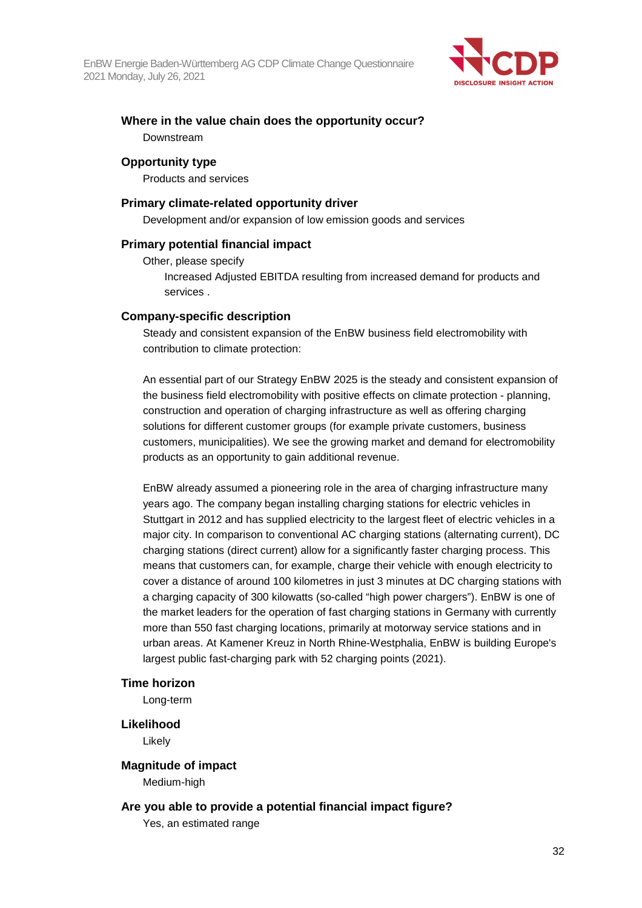

## **Where in the value chain does the opportunity occur?**  Downstream

## **Opportunity type**

Products and services

## **Primary climate-related opportunity driver**

Development and/or expansion of low emission goods and services

## **Primary potential financial impact**

Other, please specify

Increased Adjusted EBITDA resulting from increased demand for products and services .

#### **Company-specific description**

Steady and consistent expansion of the EnBW business field electromobility with contribution to climate protection:

An essential part of our Strategy EnBW 2025 is the steady and consistent expansion of the business field electromobility with positive effects on climate protection - planning, construction and operation of charging infrastructure as well as offering charging solutions for different customer groups (for example private customers, business customers, municipalities). We see the growing market and demand for electromobility products as an opportunity to gain additional revenue.

EnBW already assumed a pioneering role in the area of charging infrastructure many years ago. The company began installing charging stations for electric vehicles in Stuttgart in 2012 and has supplied electricity to the largest fleet of electric vehicles in a major city. In comparison to conventional AC charging stations (alternating current), DC charging stations (direct current) allow for a significantly faster charging process. This means that customers can, for example, charge their vehicle with enough electricity to cover a distance of around 100 kilometres in just 3 minutes at DC charging stations with a charging capacity of 300 kilowatts (so-called "high power chargers"). EnBW is one of the market leaders for the operation of fast charging stations in Germany with currently more than 550 fast charging locations, primarily at motorway service stations and in urban areas. At Kamener Kreuz in North Rhine-Westphalia, EnBW is building Europe's largest public fast-charging park with 52 charging points (2021).

#### **Time horizon**

Long-term

#### **Likelihood**

Likely

#### **Magnitude of impact**

Medium-high

## **Are you able to provide a potential financial impact figure?**

Yes, an estimated range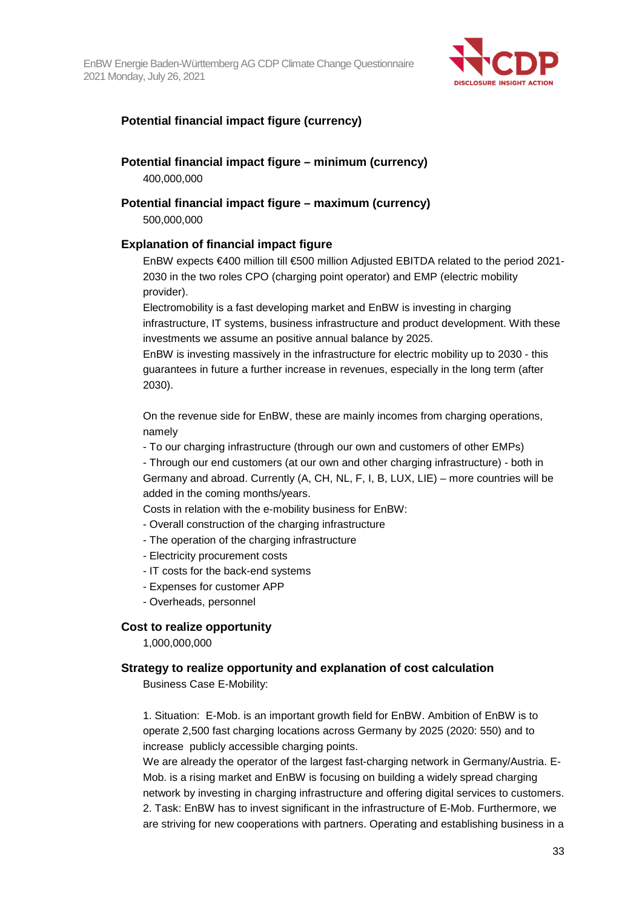

## **Potential financial impact figure (currency)**

## **Potential financial impact figure – minimum (currency)**

400,000,000

## **Potential financial impact figure – maximum (currency)**

500,000,000

## **Explanation of financial impact figure**

EnBW expects €400 million till €500 million Adjusted EBITDA related to the period 2021- 2030 in the two roles CPO (charging point operator) and EMP (electric mobility provider).

Electromobility is a fast developing market and EnBW is investing in charging infrastructure, IT systems, business infrastructure and product development. With these investments we assume an positive annual balance by 2025.

EnBW is investing massively in the infrastructure for electric mobility up to 2030 - this guarantees in future a further increase in revenues, especially in the long term (after 2030).

On the revenue side for EnBW, these are mainly incomes from charging operations, namely

- To our charging infrastructure (through our own and customers of other EMPs)

- Through our end customers (at our own and other charging infrastructure) - both in Germany and abroad. Currently (A, CH, NL, F, I, B, LUX, LIE) – more countries will be added in the coming months/years.

Costs in relation with the e-mobility business for EnBW:

- Overall construction of the charging infrastructure

- The operation of the charging infrastructure
- Electricity procurement costs
- IT costs for the back-end systems
- Expenses for customer APP
- Overheads, personnel

## **Cost to realize opportunity**

1,000,000,000

## **Strategy to realize opportunity and explanation of cost calculation**

Business Case E-Mobility:

1. Situation: E-Mob. is an important growth field for EnBW. Ambition of EnBW is to operate 2,500 fast charging locations across Germany by 2025 (2020: 550) and to increase publicly accessible charging points.

We are already the operator of the largest fast-charging network in Germany/Austria. E-Mob. is a rising market and EnBW is focusing on building a widely spread charging network by investing in charging infrastructure and offering digital services to customers. 2. Task: EnBW has to invest significant in the infrastructure of E-Mob. Furthermore, we are striving for new cooperations with partners. Operating and establishing business in a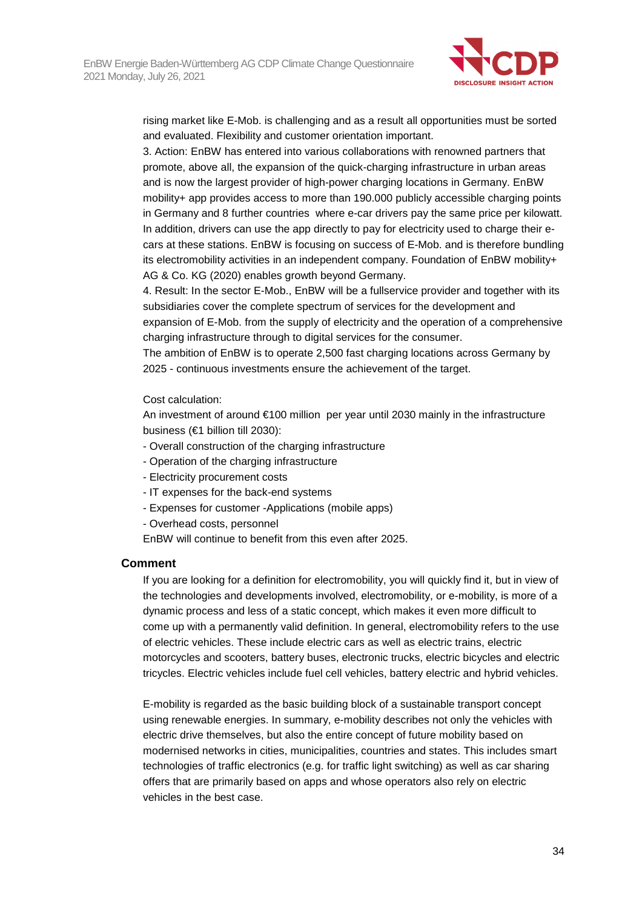

rising market like E-Mob. is challenging and as a result all opportunities must be sorted and evaluated. Flexibility and customer orientation important.

3. Action: EnBW has entered into various collaborations with renowned partners that promote, above all, the expansion of the quick-charging infrastructure in urban areas and is now the largest provider of high-power charging locations in Germany. EnBW mobility+ app provides access to more than 190.000 publicly accessible charging points in Germany and 8 further countries where e-car drivers pay the same price per kilowatt. In addition, drivers can use the app directly to pay for electricity used to charge their ecars at these stations. EnBW is focusing on success of E-Mob. and is therefore bundling its electromobility activities in an independent company. Foundation of EnBW mobility+ AG & Co. KG (2020) enables growth beyond Germany.

4. Result: In the sector E-Mob., EnBW will be a fullservice provider and together with its subsidiaries cover the complete spectrum of services for the development and expansion of E-Mob. from the supply of electricity and the operation of a comprehensive charging infrastructure through to digital services for the consumer.

The ambition of EnBW is to operate 2,500 fast charging locations across Germany by 2025 - continuous investments ensure the achievement of the target.

Cost calculation:

An investment of around €100 million per year until 2030 mainly in the infrastructure business (€1 billion till 2030):

- Overall construction of the charging infrastructure
- Operation of the charging infrastructure
- Electricity procurement costs
- IT expenses for the back-end systems
- Expenses for customer -Applications (mobile apps)
- Overhead costs, personnel

EnBW will continue to benefit from this even after 2025.

#### **Comment**

If you are looking for a definition for electromobility, you will quickly find it, but in view of the technologies and developments involved, electromobility, or e-mobility, is more of a dynamic process and less of a static concept, which makes it even more difficult to come up with a permanently valid definition. In general, electromobility refers to the use of electric vehicles. These include electric cars as well as electric trains, electric motorcycles and scooters, battery buses, electronic trucks, electric bicycles and electric tricycles. Electric vehicles include fuel cell vehicles, battery electric and hybrid vehicles.

E-mobility is regarded as the basic building block of a sustainable transport concept using renewable energies. In summary, e-mobility describes not only the vehicles with electric drive themselves, but also the entire concept of future mobility based on modernised networks in cities, municipalities, countries and states. This includes smart technologies of traffic electronics (e.g. for traffic light switching) as well as car sharing offers that are primarily based on apps and whose operators also rely on electric vehicles in the best case.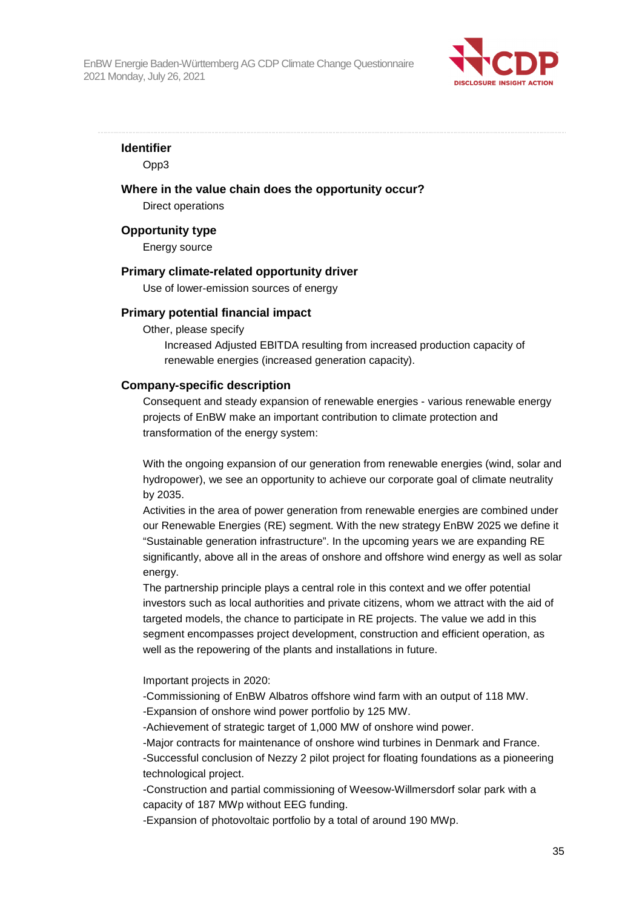

**Identifier** 

Opp3

### **Where in the value chain does the opportunity occur?**

Direct operations

#### **Opportunity type**

Energy source

#### **Primary climate-related opportunity driver**

Use of lower-emission sources of energy

#### **Primary potential financial impact**

Other, please specify

Increased Adjusted EBITDA resulting from increased production capacity of renewable energies (increased generation capacity).

#### **Company-specific description**

Consequent and steady expansion of renewable energies - various renewable energy projects of EnBW make an important contribution to climate protection and transformation of the energy system:

With the ongoing expansion of our generation from renewable energies (wind, solar and hydropower), we see an opportunity to achieve our corporate goal of climate neutrality by 2035.

Activities in the area of power generation from renewable energies are combined under our Renewable Energies (RE) segment. With the new strategy EnBW 2025 we define it "Sustainable generation infrastructure". In the upcoming years we are expanding RE significantly, above all in the areas of onshore and offshore wind energy as well as solar energy.

The partnership principle plays a central role in this context and we offer potential investors such as local authorities and private citizens, whom we attract with the aid of targeted models, the chance to participate in RE projects. The value we add in this segment encompasses project development, construction and efficient operation, as well as the repowering of the plants and installations in future.

Important projects in 2020:

-Commissioning of EnBW Albatros offshore wind farm with an output of 118 MW. -Expansion of onshore wind power portfolio by 125 MW.

-Achievement of strategic target of 1,000 MW of onshore wind power.

-Major contracts for maintenance of onshore wind turbines in Denmark and France. -Successful conclusion of Nezzy 2 pilot project for floating foundations as a pioneering technological project.

-Construction and partial commissioning of Weesow-Willmersdorf solar park with a capacity of 187 MWp without EEG funding.

-Expansion of photovoltaic portfolio by a total of around 190 MWp.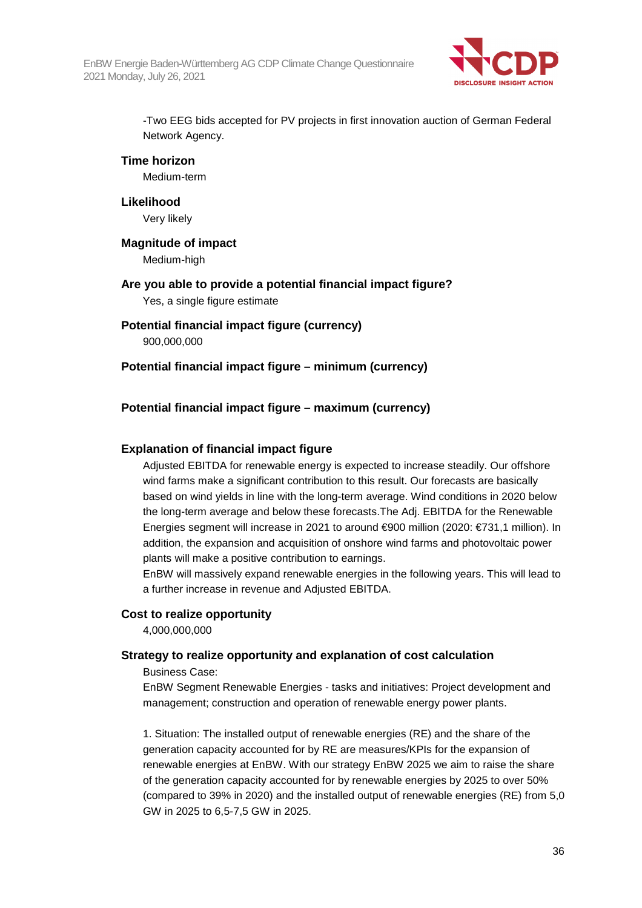

-Two EEG bids accepted for PV projects in first innovation auction of German Federal Network Agency.

#### **Time horizon**

Medium-term

#### **Likelihood**

Very likely

## **Magnitude of impact**

Medium-high

## **Are you able to provide a potential financial impact figure?**

Yes, a single figure estimate

## **Potential financial impact figure (currency)**

900,000,000

## **Potential financial impact figure – minimum (currency)**

## **Potential financial impact figure – maximum (currency)**

## **Explanation of financial impact figure**

Adjusted EBITDA for renewable energy is expected to increase steadily. Our offshore wind farms make a significant contribution to this result. Our forecasts are basically based on wind yields in line with the long-term average. Wind conditions in 2020 below the long-term average and below these forecasts.The Adj. EBITDA for the Renewable Energies segment will increase in 2021 to around €900 million (2020: €731,1 million). In addition, the expansion and acquisition of onshore wind farms and photovoltaic power plants will make a positive contribution to earnings.

EnBW will massively expand renewable energies in the following years. This will lead to a further increase in revenue and Adjusted EBITDA.

## **Cost to realize opportunity**

4,000,000,000

## **Strategy to realize opportunity and explanation of cost calculation**

Business Case:

EnBW Segment Renewable Energies - tasks and initiatives: Project development and management; construction and operation of renewable energy power plants.

1. Situation: The installed output of renewable energies (RE) and the share of the generation capacity accounted for by RE are measures/KPIs for the expansion of renewable energies at EnBW. With our strategy EnBW 2025 we aim to raise the share of the generation capacity accounted for by renewable energies by 2025 to over 50% (compared to 39% in 2020) and the installed output of renewable energies (RE) from 5,0 GW in 2025 to 6,5-7,5 GW in 2025.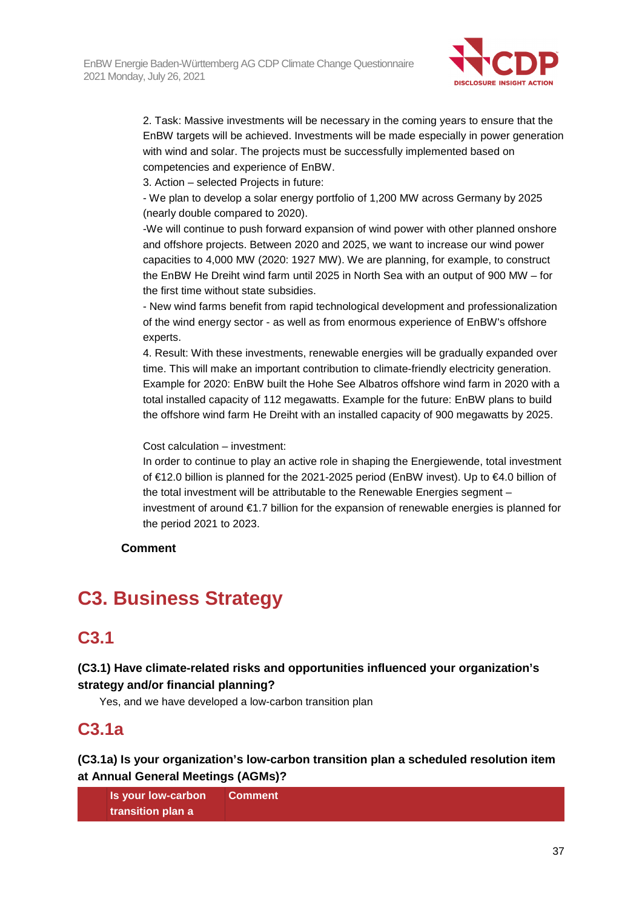

2. Task: Massive investments will be necessary in the coming years to ensure that the EnBW targets will be achieved. Investments will be made especially in power generation with wind and solar. The projects must be successfully implemented based on competencies and experience of EnBW.

3. Action – selected Projects in future:

- We plan to develop a solar energy portfolio of 1,200 MW across Germany by 2025 (nearly double compared to 2020).

-We will continue to push forward expansion of wind power with other planned onshore and offshore projects. Between 2020 and 2025, we want to increase our wind power capacities to 4,000 MW (2020: 1927 MW). We are planning, for example, to construct the EnBW He Dreiht wind farm until 2025 in North Sea with an output of 900 MW – for the first time without state subsidies.

- New wind farms benefit from rapid technological development and professionalization of the wind energy sector - as well as from enormous experience of EnBW's offshore experts.

4. Result: With these investments, renewable energies will be gradually expanded over time. This will make an important contribution to climate-friendly electricity generation. Example for 2020: EnBW built the Hohe See Albatros offshore wind farm in 2020 with a total installed capacity of 112 megawatts. Example for the future: EnBW plans to build the offshore wind farm He Dreiht with an installed capacity of 900 megawatts by 2025.

Cost calculation – investment:

In order to continue to play an active role in shaping the Energiewende, total investment of €12.0 billion is planned for the 2021-2025 period (EnBW invest). Up to €4.0 billion of the total investment will be attributable to the Renewable Energies segment – investment of around €1.7 billion for the expansion of renewable energies is planned for the period 2021 to 2023.

## **Comment**

# **C3. Business Strategy**

# **C3.1**

## **(C3.1) Have climate-related risks and opportunities influenced your organization's strategy and/or financial planning?**

Yes, and we have developed a low-carbon transition plan

# **C3.1a**

**(C3.1a) Is your organization's low-carbon transition plan a scheduled resolution item at Annual General Meetings (AGMs)?** 

| <b>Is your low-carbon</b> | Comment |
|---------------------------|---------|
| transition plan a         |         |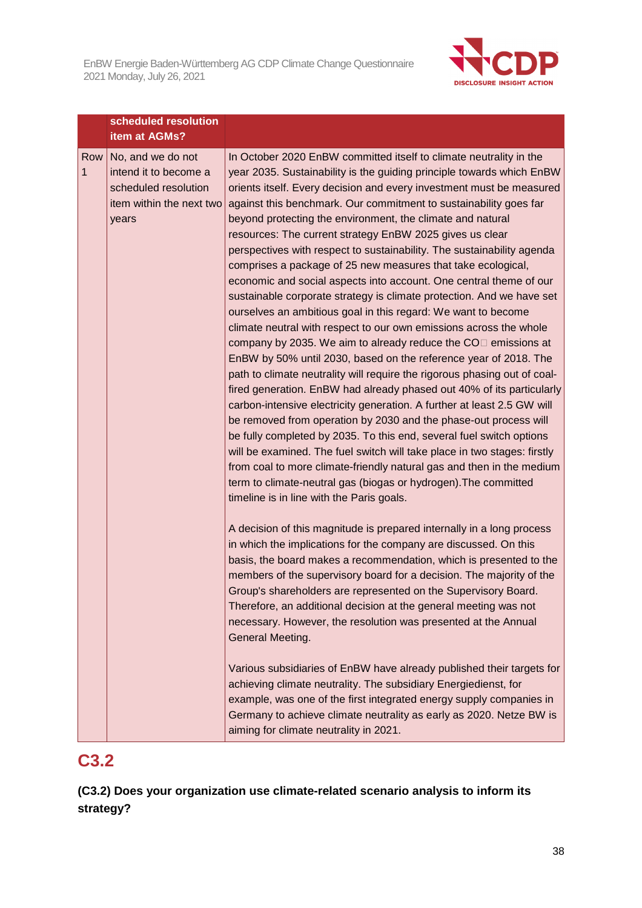**scheduled resolution** 



|   |     | scneauled resolution<br>item at AGMs?                                                                   |                                                                                                                                                                                                                                                                                                                                                                                                                                                                                                                                                                                                                                                                                                                                                                                                                                                                                                                                                                                                                                                                                                                                                                                                                                                                                                                                                                                                                                                                                                                                                                                                                                               |
|---|-----|---------------------------------------------------------------------------------------------------------|-----------------------------------------------------------------------------------------------------------------------------------------------------------------------------------------------------------------------------------------------------------------------------------------------------------------------------------------------------------------------------------------------------------------------------------------------------------------------------------------------------------------------------------------------------------------------------------------------------------------------------------------------------------------------------------------------------------------------------------------------------------------------------------------------------------------------------------------------------------------------------------------------------------------------------------------------------------------------------------------------------------------------------------------------------------------------------------------------------------------------------------------------------------------------------------------------------------------------------------------------------------------------------------------------------------------------------------------------------------------------------------------------------------------------------------------------------------------------------------------------------------------------------------------------------------------------------------------------------------------------------------------------|
| 1 | Row | No, and we do not<br>intend it to become a<br>scheduled resolution<br>item within the next two<br>years | In October 2020 EnBW committed itself to climate neutrality in the<br>year 2035. Sustainability is the guiding principle towards which EnBW<br>orients itself. Every decision and every investment must be measured<br>against this benchmark. Our commitment to sustainability goes far<br>beyond protecting the environment, the climate and natural<br>resources: The current strategy EnBW 2025 gives us clear<br>perspectives with respect to sustainability. The sustainability agenda<br>comprises a package of 25 new measures that take ecological,<br>economic and social aspects into account. One central theme of our<br>sustainable corporate strategy is climate protection. And we have set<br>ourselves an ambitious goal in this regard: We want to become<br>climate neutral with respect to our own emissions across the whole<br>company by 2035. We aim to already reduce the $COII$ emissions at<br>EnBW by 50% until 2030, based on the reference year of 2018. The<br>path to climate neutrality will require the rigorous phasing out of coal-<br>fired generation. EnBW had already phased out 40% of its particularly<br>carbon-intensive electricity generation. A further at least 2.5 GW will<br>be removed from operation by 2030 and the phase-out process will<br>be fully completed by 2035. To this end, several fuel switch options<br>will be examined. The fuel switch will take place in two stages: firstly<br>from coal to more climate-friendly natural gas and then in the medium<br>term to climate-neutral gas (biogas or hydrogen). The committed<br>timeline is in line with the Paris goals. |
|   |     |                                                                                                         | A decision of this magnitude is prepared internally in a long process<br>in which the implications for the company are discussed. On this<br>basis, the board makes a recommendation, which is presented to the<br>members of the supervisory board for a decision. The majority of the<br>Group's shareholders are represented on the Supervisory Board.<br>Therefore, an additional decision at the general meeting was not<br>necessary. However, the resolution was presented at the Annual<br>General Meeting.<br>Various subsidiaries of EnBW have already published their targets for<br>achieving climate neutrality. The subsidiary Energiedienst, for<br>example, was one of the first integrated energy supply companies in<br>Germany to achieve climate neutrality as early as 2020. Netze BW is<br>aiming for climate neutrality in 2021.                                                                                                                                                                                                                                                                                                                                                                                                                                                                                                                                                                                                                                                                                                                                                                                       |

# **C3.2**

**(C3.2) Does your organization use climate-related scenario analysis to inform its strategy?**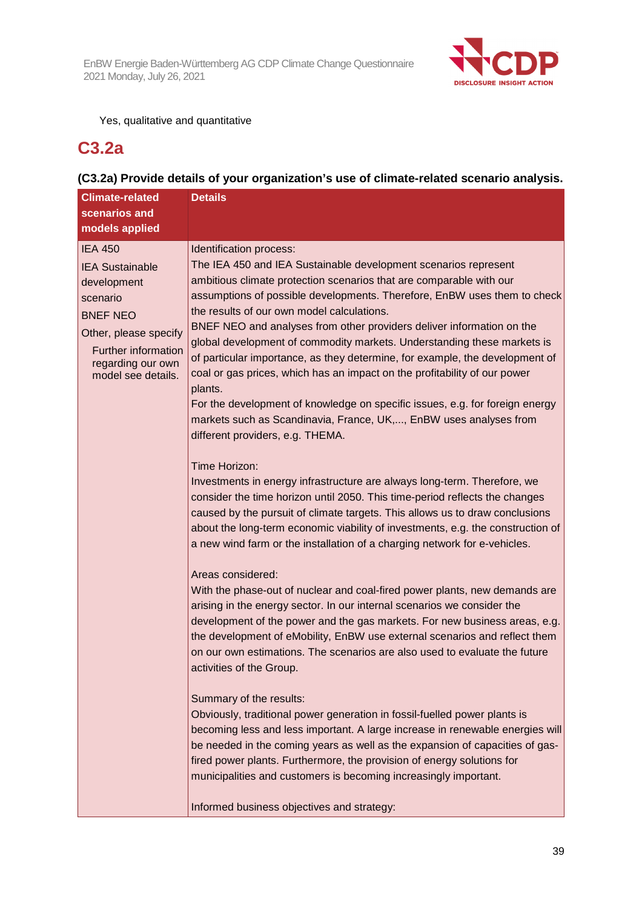

## Yes, qualitative and quantitative

## **C3.2a**

## **(C3.2a) Provide details of your organization's use of climate-related scenario analysis.**

| <b>Climate-related</b>                                                                                                                                                                   | <b>Details</b>                                                                                                                                                                                                                                                                                                                                                                                                                                                                                                                                                                                                                                                                                                                                                                                                                                                                                                                                                                                                                                                                                                                                                                                                                                                                                                                                  |
|------------------------------------------------------------------------------------------------------------------------------------------------------------------------------------------|-------------------------------------------------------------------------------------------------------------------------------------------------------------------------------------------------------------------------------------------------------------------------------------------------------------------------------------------------------------------------------------------------------------------------------------------------------------------------------------------------------------------------------------------------------------------------------------------------------------------------------------------------------------------------------------------------------------------------------------------------------------------------------------------------------------------------------------------------------------------------------------------------------------------------------------------------------------------------------------------------------------------------------------------------------------------------------------------------------------------------------------------------------------------------------------------------------------------------------------------------------------------------------------------------------------------------------------------------|
| scenarios and                                                                                                                                                                            |                                                                                                                                                                                                                                                                                                                                                                                                                                                                                                                                                                                                                                                                                                                                                                                                                                                                                                                                                                                                                                                                                                                                                                                                                                                                                                                                                 |
| models applied                                                                                                                                                                           |                                                                                                                                                                                                                                                                                                                                                                                                                                                                                                                                                                                                                                                                                                                                                                                                                                                                                                                                                                                                                                                                                                                                                                                                                                                                                                                                                 |
| <b>IEA 450</b><br><b>IEA Sustainable</b><br>development<br>scenario<br><b>BNEF NEO</b><br>Other, please specify<br><b>Further information</b><br>regarding our own<br>model see details. | Identification process:<br>The IEA 450 and IEA Sustainable development scenarios represent<br>ambitious climate protection scenarios that are comparable with our<br>assumptions of possible developments. Therefore, EnBW uses them to check<br>the results of our own model calculations.<br>BNEF NEO and analyses from other providers deliver information on the<br>global development of commodity markets. Understanding these markets is<br>of particular importance, as they determine, for example, the development of<br>coal or gas prices, which has an impact on the profitability of our power<br>plants.<br>For the development of knowledge on specific issues, e.g. for foreign energy<br>markets such as Scandinavia, France, UK,, EnBW uses analyses from<br>different providers, e.g. THEMA.<br>Time Horizon:<br>Investments in energy infrastructure are always long-term. Therefore, we<br>consider the time horizon until 2050. This time-period reflects the changes<br>caused by the pursuit of climate targets. This allows us to draw conclusions<br>about the long-term economic viability of investments, e.g. the construction of<br>a new wind farm or the installation of a charging network for e-vehicles.<br>Areas considered:<br>With the phase-out of nuclear and coal-fired power plants, new demands are |
|                                                                                                                                                                                          | arising in the energy sector. In our internal scenarios we consider the<br>development of the power and the gas markets. For new business areas, e.g.<br>the development of eMobility, EnBW use external scenarios and reflect them<br>on our own estimations. The scenarios are also used to evaluate the future<br>activities of the Group.                                                                                                                                                                                                                                                                                                                                                                                                                                                                                                                                                                                                                                                                                                                                                                                                                                                                                                                                                                                                   |
|                                                                                                                                                                                          | Summary of the results:<br>Obviously, traditional power generation in fossil-fuelled power plants is<br>becoming less and less important. A large increase in renewable energies will<br>be needed in the coming years as well as the expansion of capacities of gas-<br>fired power plants. Furthermore, the provision of energy solutions for<br>municipalities and customers is becoming increasingly important.<br>Informed business objectives and strategy:                                                                                                                                                                                                                                                                                                                                                                                                                                                                                                                                                                                                                                                                                                                                                                                                                                                                               |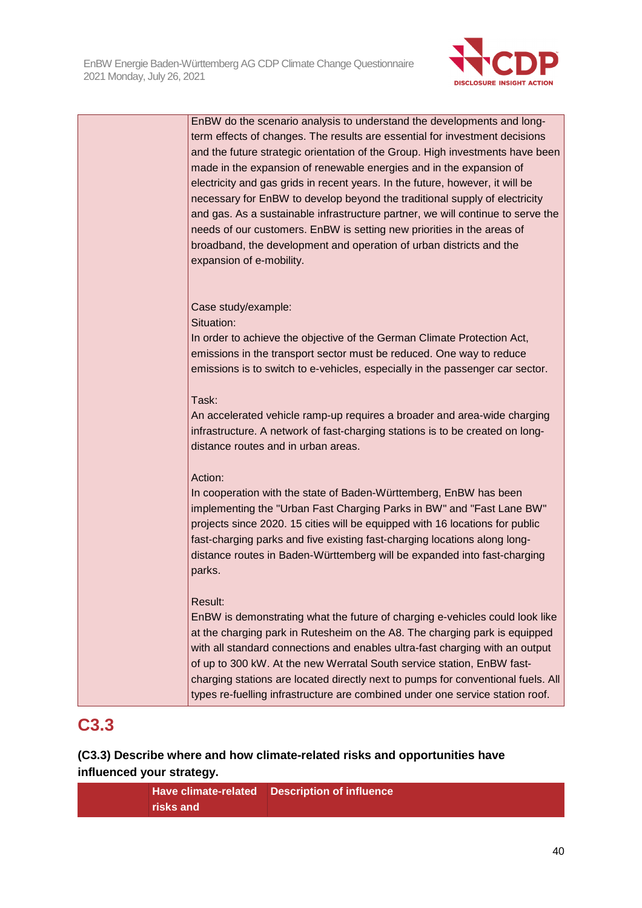

| EnBW do the scenario analysis to understand the developments and long-           |
|----------------------------------------------------------------------------------|
| term effects of changes. The results are essential for investment decisions      |
| and the future strategic orientation of the Group. High investments have been    |
| made in the expansion of renewable energies and in the expansion of              |
| electricity and gas grids in recent years. In the future, however, it will be    |
| necessary for EnBW to develop beyond the traditional supply of electricity       |
|                                                                                  |
| and gas. As a sustainable infrastructure partner, we will continue to serve the  |
| needs of our customers. EnBW is setting new priorities in the areas of           |
| broadband, the development and operation of urban districts and the              |
| expansion of e-mobility.                                                         |
|                                                                                  |
|                                                                                  |
| Case study/example:                                                              |
| Situation:                                                                       |
| In order to achieve the objective of the German Climate Protection Act,          |
| emissions in the transport sector must be reduced. One way to reduce             |
| emissions is to switch to e-vehicles, especially in the passenger car sector.    |
|                                                                                  |
| Task:                                                                            |
|                                                                                  |
| An accelerated vehicle ramp-up requires a broader and area-wide charging         |
| infrastructure. A network of fast-charging stations is to be created on long-    |
| distance routes and in urban areas.                                              |
|                                                                                  |
| Action:                                                                          |
| In cooperation with the state of Baden-Württemberg, EnBW has been                |
| implementing the "Urban Fast Charging Parks in BW" and "Fast Lane BW"            |
| projects since 2020. 15 cities will be equipped with 16 locations for public     |
| fast-charging parks and five existing fast-charging locations along long-        |
| distance routes in Baden-Württemberg will be expanded into fast-charging         |
| parks.                                                                           |
|                                                                                  |
| Result:                                                                          |
| EnBW is demonstrating what the future of charging e-vehicles could look like     |
| at the charging park in Rutesheim on the A8. The charging park is equipped       |
| with all standard connections and enables ultra-fast charging with an output     |
| of up to 300 kW. At the new Werratal South service station, EnBW fast-           |
| charging stations are located directly next to pumps for conventional fuels. All |
| types re-fuelling infrastructure are combined under one service station roof.    |
|                                                                                  |
|                                                                                  |

# **C3.3**

**(C3.3) Describe where and how climate-related risks and opportunities have influenced your strategy.** 

> **Have climate-related Description of influence risks and**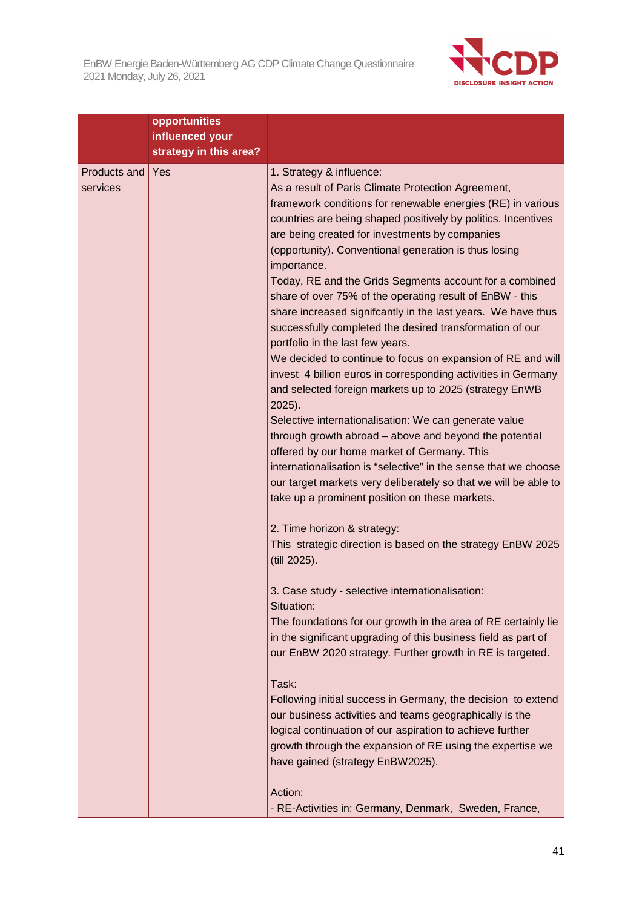

|                          | opportunities                             |                                                                                                                                                                                                                                                                                                                                                                                                                                                                                                                                                                                                                                                                                                                                                                                                                                                                                                                                                                                                                                                                                                                                                                                                  |
|--------------------------|-------------------------------------------|--------------------------------------------------------------------------------------------------------------------------------------------------------------------------------------------------------------------------------------------------------------------------------------------------------------------------------------------------------------------------------------------------------------------------------------------------------------------------------------------------------------------------------------------------------------------------------------------------------------------------------------------------------------------------------------------------------------------------------------------------------------------------------------------------------------------------------------------------------------------------------------------------------------------------------------------------------------------------------------------------------------------------------------------------------------------------------------------------------------------------------------------------------------------------------------------------|
|                          | influenced your<br>strategy in this area? |                                                                                                                                                                                                                                                                                                                                                                                                                                                                                                                                                                                                                                                                                                                                                                                                                                                                                                                                                                                                                                                                                                                                                                                                  |
| Products and<br>services | Yes                                       | 1. Strategy & influence:<br>As a result of Paris Climate Protection Agreement,<br>framework conditions for renewable energies (RE) in various<br>countries are being shaped positively by politics. Incentives<br>are being created for investments by companies<br>(opportunity). Conventional generation is thus losing<br>importance.<br>Today, RE and the Grids Segments account for a combined<br>share of over 75% of the operating result of EnBW - this<br>share increased signifcantly in the last years. We have thus<br>successfully completed the desired transformation of our<br>portfolio in the last few years.<br>We decided to continue to focus on expansion of RE and will<br>invest 4 billion euros in corresponding activities in Germany<br>and selected foreign markets up to 2025 (strategy EnWB<br>$2025$ ).<br>Selective internationalisation: We can generate value<br>through growth abroad - above and beyond the potential<br>offered by our home market of Germany. This<br>internationalisation is "selective" in the sense that we choose<br>our target markets very deliberately so that we will be able to<br>take up a prominent position on these markets. |
|                          |                                           | 2. Time horizon & strategy:<br>This strategic direction is based on the strategy EnBW 2025<br>(till 2025).<br>3. Case study - selective internationalisation:<br>Situation:<br>The foundations for our growth in the area of RE certainly lie<br>in the significant upgrading of this business field as part of<br>our EnBW 2020 strategy. Further growth in RE is targeted.<br>Task:<br>Following initial success in Germany, the decision to extend<br>our business activities and teams geographically is the<br>logical continuation of our aspiration to achieve further<br>growth through the expansion of RE using the expertise we<br>have gained (strategy EnBW2025).<br>Action:                                                                                                                                                                                                                                                                                                                                                                                                                                                                                                        |
|                          |                                           | - RE-Activities in: Germany, Denmark, Sweden, France,                                                                                                                                                                                                                                                                                                                                                                                                                                                                                                                                                                                                                                                                                                                                                                                                                                                                                                                                                                                                                                                                                                                                            |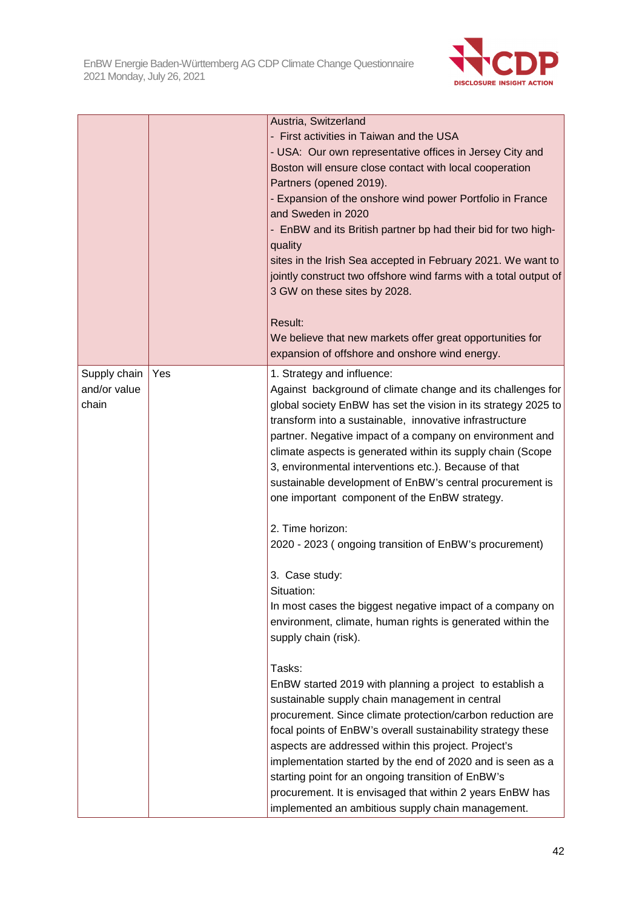

|                                       |     | Austria, Switzerland<br>- First activities in Taiwan and the USA<br>- USA: Our own representative offices in Jersey City and<br>Boston will ensure close contact with local cooperation<br>Partners (opened 2019).<br>- Expansion of the onshore wind power Portfolio in France<br>and Sweden in 2020<br>- EnBW and its British partner bp had their bid for two high-<br>quality<br>sites in the Irish Sea accepted in February 2021. We want to<br>jointly construct two offshore wind farms with a total output of<br>3 GW on these sites by 2028.<br>Result:<br>We believe that new markets offer great opportunities for<br>expansion of offshore and onshore wind energy. |
|---------------------------------------|-----|---------------------------------------------------------------------------------------------------------------------------------------------------------------------------------------------------------------------------------------------------------------------------------------------------------------------------------------------------------------------------------------------------------------------------------------------------------------------------------------------------------------------------------------------------------------------------------------------------------------------------------------------------------------------------------|
| Supply chain<br>and/or value<br>chain | Yes | 1. Strategy and influence:<br>Against background of climate change and its challenges for<br>global society EnBW has set the vision in its strategy 2025 to<br>transform into a sustainable, innovative infrastructure<br>partner. Negative impact of a company on environment and<br>climate aspects is generated within its supply chain (Scope<br>3, environmental interventions etc.). Because of that<br>sustainable development of EnBW's central procurement is<br>one important component of the EnBW strategy.<br>2. Time horizon:                                                                                                                                     |
|                                       |     | 2020 - 2023 (ongoing transition of EnBW's procurement)<br>3. Case study:<br>Situation:<br>In most cases the biggest negative impact of a company on<br>environment, climate, human rights is generated within the<br>supply chain (risk).                                                                                                                                                                                                                                                                                                                                                                                                                                       |
|                                       |     | Tasks:<br>EnBW started 2019 with planning a project to establish a<br>sustainable supply chain management in central<br>procurement. Since climate protection/carbon reduction are<br>focal points of EnBW's overall sustainability strategy these<br>aspects are addressed within this project. Project's<br>implementation started by the end of 2020 and is seen as a<br>starting point for an ongoing transition of EnBW's<br>procurement. It is envisaged that within 2 years EnBW has<br>implemented an ambitious supply chain management.                                                                                                                                |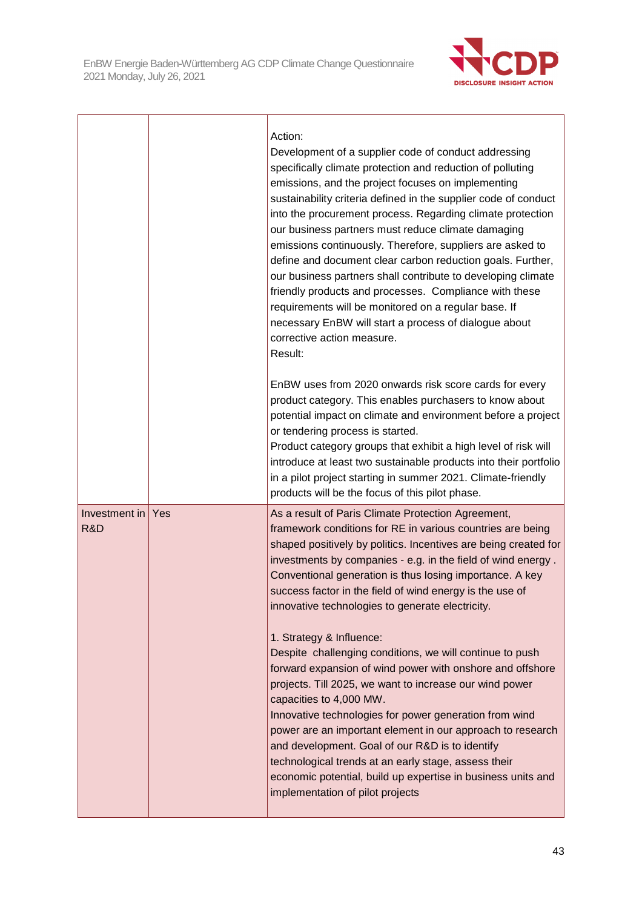

|                      |     | Action:<br>Development of a supplier code of conduct addressing<br>specifically climate protection and reduction of polluting<br>emissions, and the project focuses on implementing<br>sustainability criteria defined in the supplier code of conduct<br>into the procurement process. Regarding climate protection<br>our business partners must reduce climate damaging<br>emissions continuously. Therefore, suppliers are asked to<br>define and document clear carbon reduction goals. Further,<br>our business partners shall contribute to developing climate<br>friendly products and processes. Compliance with these<br>requirements will be monitored on a regular base. If<br>necessary EnBW will start a process of dialogue about<br>corrective action measure.<br>Result:                                                                                                                                                                                                                         |
|----------------------|-----|-------------------------------------------------------------------------------------------------------------------------------------------------------------------------------------------------------------------------------------------------------------------------------------------------------------------------------------------------------------------------------------------------------------------------------------------------------------------------------------------------------------------------------------------------------------------------------------------------------------------------------------------------------------------------------------------------------------------------------------------------------------------------------------------------------------------------------------------------------------------------------------------------------------------------------------------------------------------------------------------------------------------|
|                      |     | EnBW uses from 2020 onwards risk score cards for every<br>product category. This enables purchasers to know about<br>potential impact on climate and environment before a project<br>or tendering process is started.<br>Product category groups that exhibit a high level of risk will<br>introduce at least two sustainable products into their portfolio<br>in a pilot project starting in summer 2021. Climate-friendly<br>products will be the focus of this pilot phase.                                                                                                                                                                                                                                                                                                                                                                                                                                                                                                                                    |
| Investment in<br>R&D | Yes | As a result of Paris Climate Protection Agreement,<br>framework conditions for RE in various countries are being<br>shaped positively by politics. Incentives are being created for<br>investments by companies - e.g. in the field of wind energy.<br>Conventional generation is thus losing importance. A key<br>success factor in the field of wind energy is the use of<br>innovative technologies to generate electricity.<br>1. Strategy & Influence:<br>Despite challenging conditions, we will continue to push<br>forward expansion of wind power with onshore and offshore<br>projects. Till 2025, we want to increase our wind power<br>capacities to 4,000 MW.<br>Innovative technologies for power generation from wind<br>power are an important element in our approach to research<br>and development. Goal of our R&D is to identify<br>technological trends at an early stage, assess their<br>economic potential, build up expertise in business units and<br>implementation of pilot projects |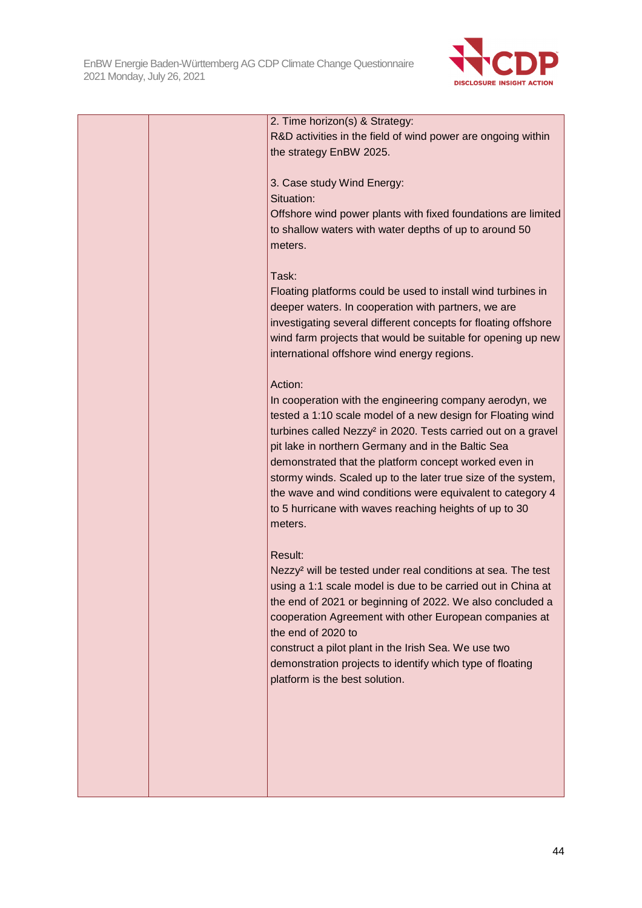

|  | 2. Time horizon(s) & Strategy:                                            |
|--|---------------------------------------------------------------------------|
|  | R&D activities in the field of wind power are ongoing within              |
|  | the strategy EnBW 2025.                                                   |
|  |                                                                           |
|  | 3. Case study Wind Energy:                                                |
|  | Situation:                                                                |
|  | Offshore wind power plants with fixed foundations are limited             |
|  | to shallow waters with water depths of up to around 50                    |
|  |                                                                           |
|  | meters.                                                                   |
|  |                                                                           |
|  | Task:                                                                     |
|  | Floating platforms could be used to install wind turbines in              |
|  | deeper waters. In cooperation with partners, we are                       |
|  | investigating several different concepts for floating offshore            |
|  | wind farm projects that would be suitable for opening up new              |
|  | international offshore wind energy regions.                               |
|  | Action:                                                                   |
|  |                                                                           |
|  | In cooperation with the engineering company aerodyn, we                   |
|  | tested a 1:10 scale model of a new design for Floating wind               |
|  | turbines called Nezzy <sup>2</sup> in 2020. Tests carried out on a gravel |
|  | pit lake in northern Germany and in the Baltic Sea                        |
|  | demonstrated that the platform concept worked even in                     |
|  | stormy winds. Scaled up to the later true size of the system,             |
|  | the wave and wind conditions were equivalent to category 4                |
|  | to 5 hurricane with waves reaching heights of up to 30                    |
|  | meters.                                                                   |
|  | Result:                                                                   |
|  |                                                                           |
|  | Nezzy <sup>2</sup> will be tested under real conditions at sea. The test  |
|  | using a 1:1 scale model is due to be carried out in China at              |
|  | the end of 2021 or beginning of 2022. We also concluded a                 |
|  | cooperation Agreement with other European companies at                    |
|  | the end of 2020 to                                                        |
|  | construct a pilot plant in the Irish Sea. We use two                      |
|  | demonstration projects to identify which type of floating                 |
|  | platform is the best solution.                                            |
|  |                                                                           |
|  |                                                                           |
|  |                                                                           |
|  |                                                                           |
|  |                                                                           |
|  |                                                                           |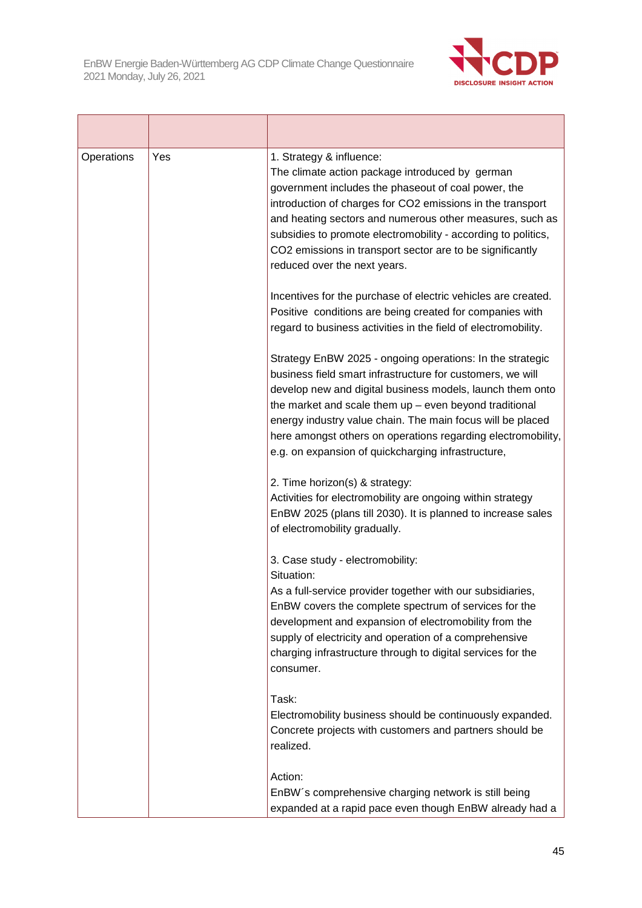

| Operations | Yes | 1. Strategy & influence:<br>The climate action package introduced by german<br>government includes the phaseout of coal power, the<br>introduction of charges for CO2 emissions in the transport<br>and heating sectors and numerous other measures, such as<br>subsidies to promote electromobility - according to politics,<br>CO2 emissions in transport sector are to be significantly<br>reduced over the next years.           |
|------------|-----|--------------------------------------------------------------------------------------------------------------------------------------------------------------------------------------------------------------------------------------------------------------------------------------------------------------------------------------------------------------------------------------------------------------------------------------|
|            |     | Incentives for the purchase of electric vehicles are created.<br>Positive conditions are being created for companies with<br>regard to business activities in the field of electromobility.                                                                                                                                                                                                                                          |
|            |     | Strategy EnBW 2025 - ongoing operations: In the strategic<br>business field smart infrastructure for customers, we will<br>develop new and digital business models, launch them onto<br>the market and scale them $up$ – even beyond traditional<br>energy industry value chain. The main focus will be placed<br>here amongst others on operations regarding electromobility,<br>e.g. on expansion of quickcharging infrastructure, |
|            |     | 2. Time horizon(s) & strategy:<br>Activities for electromobility are ongoing within strategy<br>EnBW 2025 (plans till 2030). It is planned to increase sales<br>of electromobility gradually.                                                                                                                                                                                                                                        |
|            |     | 3. Case study - electromobility:<br>Situation:<br>As a full-service provider together with our subsidiaries,<br>EnBW covers the complete spectrum of services for the<br>development and expansion of electromobility from the<br>supply of electricity and operation of a comprehensive<br>charging infrastructure through to digital services for the<br>consumer.                                                                 |
|            |     | Task:<br>Electromobility business should be continuously expanded.<br>Concrete projects with customers and partners should be<br>realized.                                                                                                                                                                                                                                                                                           |
|            |     | Action:<br>EnBW's comprehensive charging network is still being<br>expanded at a rapid pace even though EnBW already had a                                                                                                                                                                                                                                                                                                           |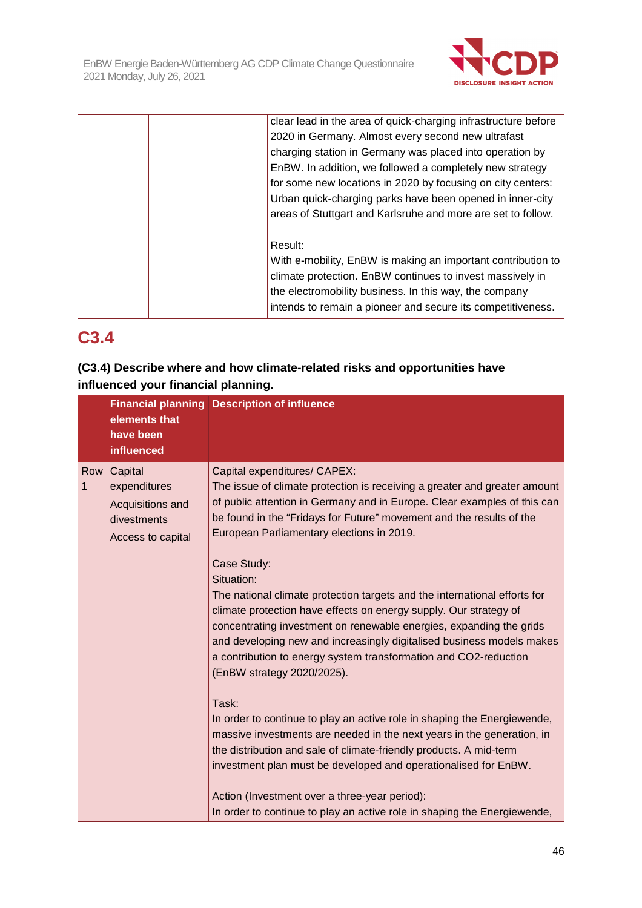

|  | clear lead in the area of quick-charging infrastructure before |
|--|----------------------------------------------------------------|
|  | 2020 in Germany. Almost every second new ultrafast             |
|  | charging station in Germany was placed into operation by       |
|  | EnBW. In addition, we followed a completely new strategy       |
|  | for some new locations in 2020 by focusing on city centers:    |
|  | Urban quick-charging parks have been opened in inner-city      |
|  | areas of Stuttgart and Karlsruhe and more are set to follow.   |
|  |                                                                |
|  | Result:                                                        |
|  | With e-mobility, EnBW is making an important contribution to   |
|  | climate protection. EnBW continues to invest massively in      |
|  | the electromobility business. In this way, the company         |
|  | intends to remain a pioneer and secure its competitiveness.    |
|  |                                                                |

# **C3.4**

## **(C3.4) Describe where and how climate-related risks and opportunities have influenced your financial planning.**

|   |     | elements that<br>have been<br>influenced                                        | <b>Financial planning Description of influence</b>                                                                                                                                                                                                                                                                                                                                                                                                                                                                                                                                                                                                                                                                                                                                                                                                                                                                                                                                                                                                                                                   |
|---|-----|---------------------------------------------------------------------------------|------------------------------------------------------------------------------------------------------------------------------------------------------------------------------------------------------------------------------------------------------------------------------------------------------------------------------------------------------------------------------------------------------------------------------------------------------------------------------------------------------------------------------------------------------------------------------------------------------------------------------------------------------------------------------------------------------------------------------------------------------------------------------------------------------------------------------------------------------------------------------------------------------------------------------------------------------------------------------------------------------------------------------------------------------------------------------------------------------|
| 1 | Row | Capital<br>expenditures<br>Acquisitions and<br>divestments<br>Access to capital | Capital expenditures/ CAPEX:<br>The issue of climate protection is receiving a greater and greater amount<br>of public attention in Germany and in Europe. Clear examples of this can<br>be found in the "Fridays for Future" movement and the results of the<br>European Parliamentary elections in 2019.<br>Case Study:<br>Situation:<br>The national climate protection targets and the international efforts for<br>climate protection have effects on energy supply. Our strategy of<br>concentrating investment on renewable energies, expanding the grids<br>and developing new and increasingly digitalised business models makes<br>a contribution to energy system transformation and CO2-reduction<br>(EnBW strategy 2020/2025).<br>Task:<br>In order to continue to play an active role in shaping the Energiewende,<br>massive investments are needed in the next years in the generation, in<br>the distribution and sale of climate-friendly products. A mid-term<br>investment plan must be developed and operationalised for EnBW.<br>Action (Investment over a three-year period): |
|   |     |                                                                                 | In order to continue to play an active role in shaping the Energiewende,                                                                                                                                                                                                                                                                                                                                                                                                                                                                                                                                                                                                                                                                                                                                                                                                                                                                                                                                                                                                                             |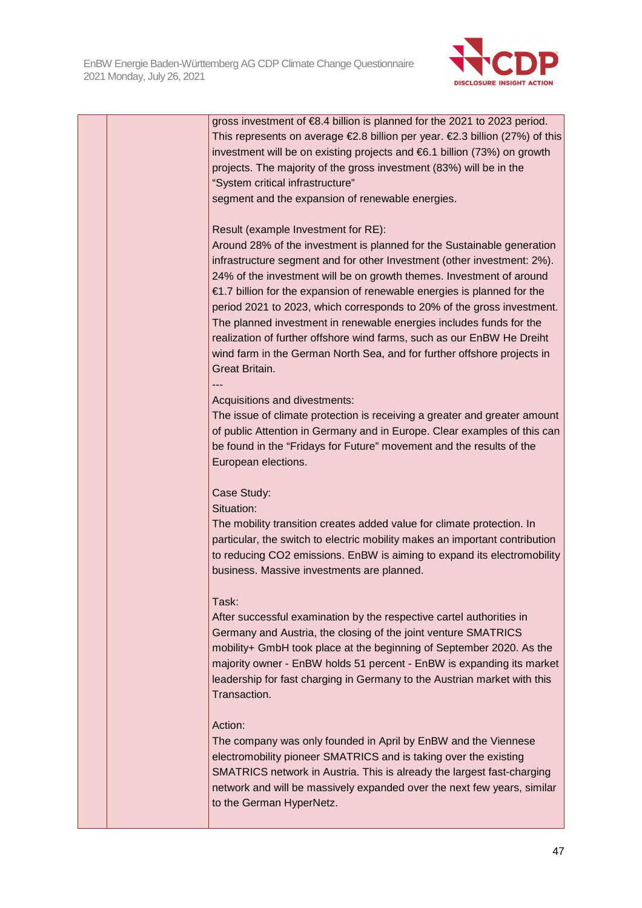

|  | gross investment of €8.4 billion is planned for the 2021 to 2023 period.     |
|--|------------------------------------------------------------------------------|
|  | This represents on average €2.8 billion per year. €2.3 billion (27%) of this |
|  | investment will be on existing projects and €6.1 billion (73%) on growth     |
|  | projects. The majority of the gross investment (83%) will be in the          |
|  | "System critical infrastructure"                                             |
|  | segment and the expansion of renewable energies.                             |
|  |                                                                              |
|  | Result (example Investment for RE):                                          |
|  | Around 28% of the investment is planned for the Sustainable generation       |
|  | infrastructure segment and for other Investment (other investment: 2%).      |
|  | 24% of the investment will be on growth themes. Investment of around         |
|  | €1.7 billion for the expansion of renewable energies is planned for the      |
|  | period 2021 to 2023, which corresponds to 20% of the gross investment.       |
|  | The planned investment in renewable energies includes funds for the          |
|  | realization of further offshore wind farms, such as our EnBW He Dreiht       |
|  | wind farm in the German North Sea, and for further offshore projects in      |
|  | Great Britain.                                                               |
|  |                                                                              |
|  | Acquisitions and divestments:                                                |
|  | The issue of climate protection is receiving a greater and greater amount    |
|  | of public Attention in Germany and in Europe. Clear examples of this can     |
|  | be found in the "Fridays for Future" movement and the results of the         |
|  | European elections.                                                          |
|  |                                                                              |
|  | Case Study:                                                                  |
|  | Situation:                                                                   |
|  | The mobility transition creates added value for climate protection. In       |
|  | particular, the switch to electric mobility makes an important contribution  |
|  | to reducing CO2 emissions. EnBW is aiming to expand its electromobility      |
|  | business. Massive investments are planned.                                   |
|  |                                                                              |
|  | Task:                                                                        |
|  | After successful examination by the respective cartel authorities in         |
|  | Germany and Austria, the closing of the joint venture SMATRICS               |
|  | mobility+ GmbH took place at the beginning of September 2020. As the         |
|  | majority owner - EnBW holds 51 percent - EnBW is expanding its market        |
|  | leadership for fast charging in Germany to the Austrian market with this     |
|  | Transaction.                                                                 |
|  |                                                                              |
|  | Action:                                                                      |
|  | The company was only founded in April by EnBW and the Viennese               |
|  | electromobility pioneer SMATRICS and is taking over the existing             |
|  | SMATRICS network in Austria. This is already the largest fast-charging       |
|  | network and will be massively expanded over the next few years, similar      |
|  | to the German HyperNetz.                                                     |
|  |                                                                              |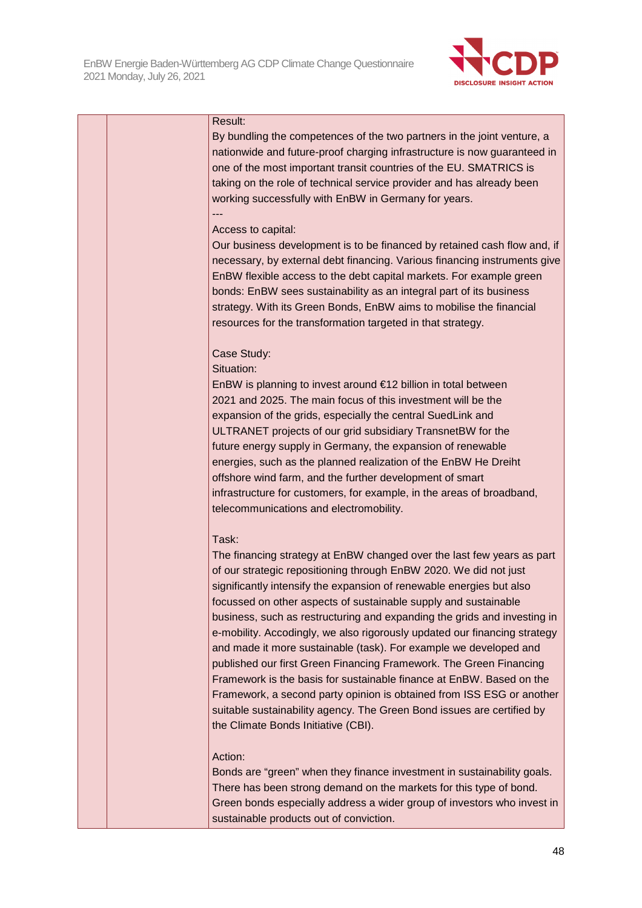

|  | Result:                                                                   |
|--|---------------------------------------------------------------------------|
|  | By bundling the competences of the two partners in the joint venture, a   |
|  | nationwide and future-proof charging infrastructure is now guaranteed in  |
|  | one of the most important transit countries of the EU. SMATRICS is        |
|  | taking on the role of technical service provider and has already been     |
|  | working successfully with EnBW in Germany for years.                      |
|  |                                                                           |
|  | Access to capital:                                                        |
|  | Our business development is to be financed by retained cash flow and, if  |
|  | necessary, by external debt financing. Various financing instruments give |
|  | EnBW flexible access to the debt capital markets. For example green       |
|  | bonds: EnBW sees sustainability as an integral part of its business       |
|  | strategy. With its Green Bonds, EnBW aims to mobilise the financial       |
|  | resources for the transformation targeted in that strategy.               |
|  |                                                                           |
|  | Case Study:                                                               |
|  | Situation:                                                                |
|  | EnBW is planning to invest around €12 billion in total between            |
|  | 2021 and 2025. The main focus of this investment will be the              |
|  | expansion of the grids, especially the central SuedLink and               |
|  | ULTRANET projects of our grid subsidiary TransnetBW for the               |
|  | future energy supply in Germany, the expansion of renewable               |
|  | energies, such as the planned realization of the EnBW He Dreiht           |
|  | offshore wind farm, and the further development of smart                  |
|  | infrastructure for customers, for example, in the areas of broadband,     |
|  | telecommunications and electromobility.                                   |
|  |                                                                           |
|  | Task:                                                                     |
|  | The financing strategy at EnBW changed over the last few years as part    |
|  | of our strategic repositioning through EnBW 2020. We did not just         |
|  | significantly intensify the expansion of renewable energies but also      |
|  | focussed on other aspects of sustainable supply and sustainable           |
|  | business, such as restructuring and expanding the grids and investing in  |
|  | e-mobility. Accodingly, we also rigorously updated our financing strategy |
|  | and made it more sustainable (task). For example we developed and         |
|  | published our first Green Financing Framework. The Green Financing        |
|  | Framework is the basis for sustainable finance at EnBW. Based on the      |
|  | Framework, a second party opinion is obtained from ISS ESG or another     |
|  | suitable sustainability agency. The Green Bond issues are certified by    |
|  | the Climate Bonds Initiative (CBI).                                       |
|  | Action:                                                                   |
|  | Bonds are "green" when they finance investment in sustainability goals.   |
|  | There has been strong demand on the markets for this type of bond.        |
|  | Green bonds especially address a wider group of investors who invest in   |

sustainable products out of conviction.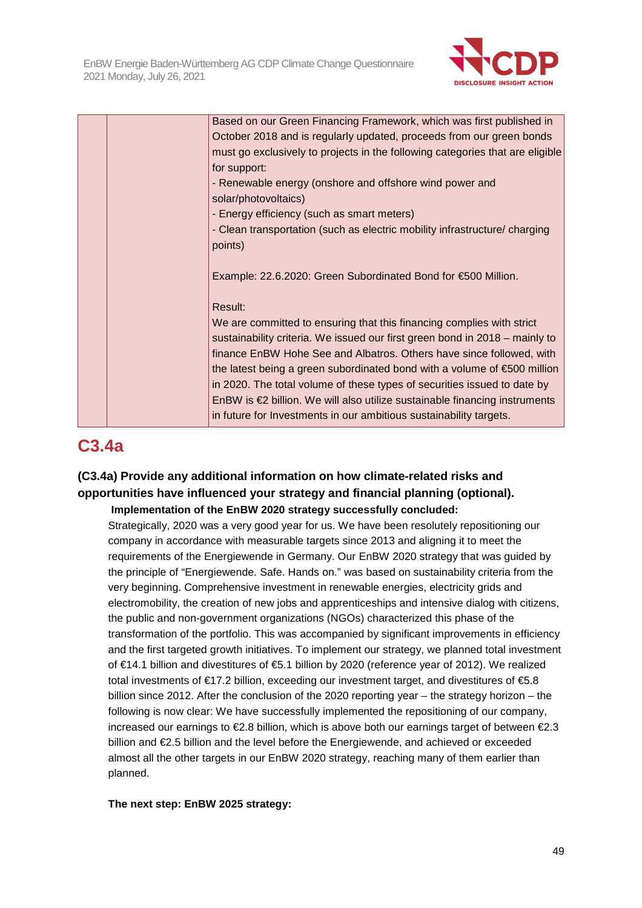

|  | Based on our Green Financing Framework, which was first published in                 |
|--|--------------------------------------------------------------------------------------|
|  | October 2018 and is regularly updated, proceeds from our green bonds                 |
|  | must go exclusively to projects in the following categories that are eligible        |
|  | for support:                                                                         |
|  | - Renewable energy (onshore and offshore wind power and                              |
|  | solar/photovoltaics)                                                                 |
|  | - Energy efficiency (such as smart meters)                                           |
|  | - Clean transportation (such as electric mobility infrastructure/ charging           |
|  | points)                                                                              |
|  |                                                                                      |
|  | Example: 22.6.2020: Green Subordinated Bond for €500 Million.                        |
|  |                                                                                      |
|  | Result:                                                                              |
|  | We are committed to ensuring that this financing complies with strict                |
|  | sustainability criteria. We issued our first green bond in 2018 – mainly to          |
|  | finance EnBW Hohe See and Albatros. Others have since followed, with                 |
|  | the latest being a green subordinated bond with a volume of $\epsilon$ 500 million   |
|  | in 2020. The total volume of these types of securities issued to date by             |
|  | EnBW is $\epsilon$ 2 billion. We will also utilize sustainable financing instruments |
|  | in future for Investments in our ambitious sustainability targets.                   |

# **C3.4a**

## **(C3.4a) Provide any additional information on how climate-related risks and opportunities have influenced your strategy and financial planning (optional). Implementation of the EnBW 2020 strategy successfully concluded:**

Strategically, 2020 was a very good year for us. We have been resolutely repositioning our company in accordance with measurable targets since 2013 and aligning it to meet the requirements of the Energiewende in Germany. Our EnBW 2020 strategy that was guided by the principle of "Energiewende. Safe. Hands on." was based on sustainability criteria from the very beginning. Comprehensive investment in renewable energies, electricity grids and electromobility, the creation of new jobs and apprenticeships and intensive dialog with citizens, the public and non-government organizations (NGOs) characterized this phase of the transformation of the portfolio. This was accompanied by significant improvements in efficiency and the first targeted growth initiatives. To implement our strategy, we planned total investment of €14.1 billion and divestitures of €5.1 billion by 2020 (reference year of 2012). We realized total investments of €17.2 billion, exceeding our investment target, and divestitures of €5.8 billion since 2012. After the conclusion of the 2020 reporting year – the strategy horizon – the following is now clear: We have successfully implemented the repositioning of our company, increased our earnings to €2.8 billion, which is above both our earnings target of between €2.3 billion and €2.5 billion and the level before the Energiewende, and achieved or exceeded almost all the other targets in our EnBW 2020 strategy, reaching many of them earlier than planned.

**The next step: EnBW 2025 strategy:**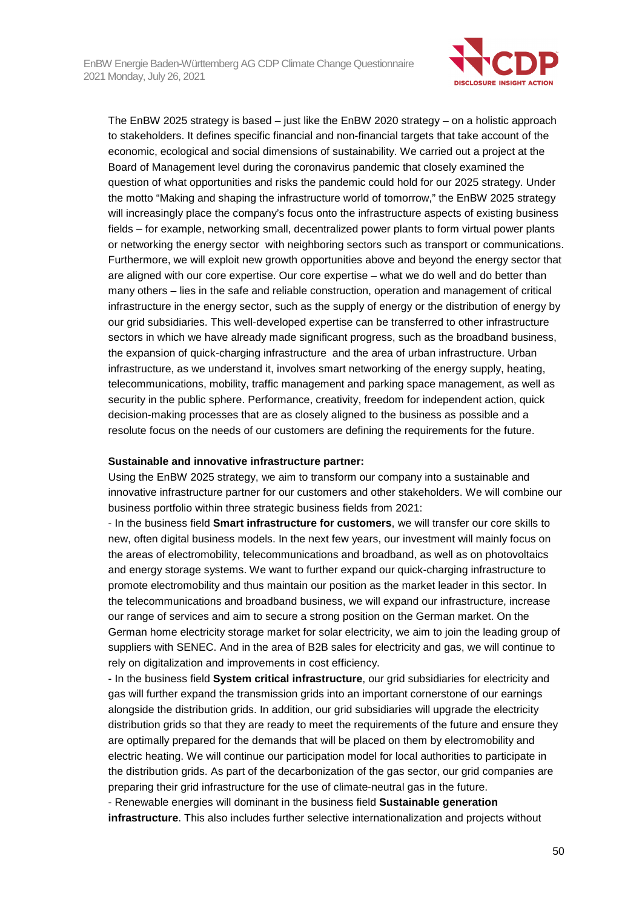

The EnBW 2025 strategy is based – just like the EnBW 2020 strategy – on a holistic approach to stakeholders. It defines specific financial and non-financial targets that take account of the economic, ecological and social dimensions of sustainability. We carried out a project at the Board of Management level during the coronavirus pandemic that closely examined the question of what opportunities and risks the pandemic could hold for our 2025 strategy. Under the motto "Making and shaping the infrastructure world of tomorrow," the EnBW 2025 strategy will increasingly place the company's focus onto the infrastructure aspects of existing business fields – for example, networking small, decentralized power plants to form virtual power plants or networking the energy sector with neighboring sectors such as transport or communications. Furthermore, we will exploit new growth opportunities above and beyond the energy sector that are aligned with our core expertise. Our core expertise – what we do well and do better than many others – lies in the safe and reliable construction, operation and management of critical infrastructure in the energy sector, such as the supply of energy or the distribution of energy by our grid subsidiaries. This well-developed expertise can be transferred to other infrastructure sectors in which we have already made significant progress, such as the broadband business, the expansion of quick-charging infrastructure and the area of urban infrastructure. Urban infrastructure, as we understand it, involves smart networking of the energy supply, heating, telecommunications, mobility, traffic management and parking space management, as well as security in the public sphere. Performance, creativity, freedom for independent action, quick decision-making processes that are as closely aligned to the business as possible and a resolute focus on the needs of our customers are defining the requirements for the future.

#### **Sustainable and innovative infrastructure partner:**

Using the EnBW 2025 strategy, we aim to transform our company into a sustainable and innovative infrastructure partner for our customers and other stakeholders. We will combine our business portfolio within three strategic business fields from 2021:

- In the business field **Smart infrastructure for customers**, we will transfer our core skills to new, often digital business models. In the next few years, our investment will mainly focus on the areas of electromobility, telecommunications and broadband, as well as on photovoltaics and energy storage systems. We want to further expand our quick-charging infrastructure to promote electromobility and thus maintain our position as the market leader in this sector. In the telecommunications and broadband business, we will expand our infrastructure, increase our range of services and aim to secure a strong position on the German market. On the German home electricity storage market for solar electricity, we aim to join the leading group of suppliers with SENEC. And in the area of B2B sales for electricity and gas, we will continue to rely on digitalization and improvements in cost efficiency.

- In the business field **System critical infrastructure**, our grid subsidiaries for electricity and gas will further expand the transmission grids into an important cornerstone of our earnings alongside the distribution grids. In addition, our grid subsidiaries will upgrade the electricity distribution grids so that they are ready to meet the requirements of the future and ensure they are optimally prepared for the demands that will be placed on them by electromobility and electric heating. We will continue our participation model for local authorities to participate in the distribution grids. As part of the decarbonization of the gas sector, our grid companies are preparing their grid infrastructure for the use of climate-neutral gas in the future.

- Renewable energies will dominant in the business field **Sustainable generation infrastructure**. This also includes further selective internationalization and projects without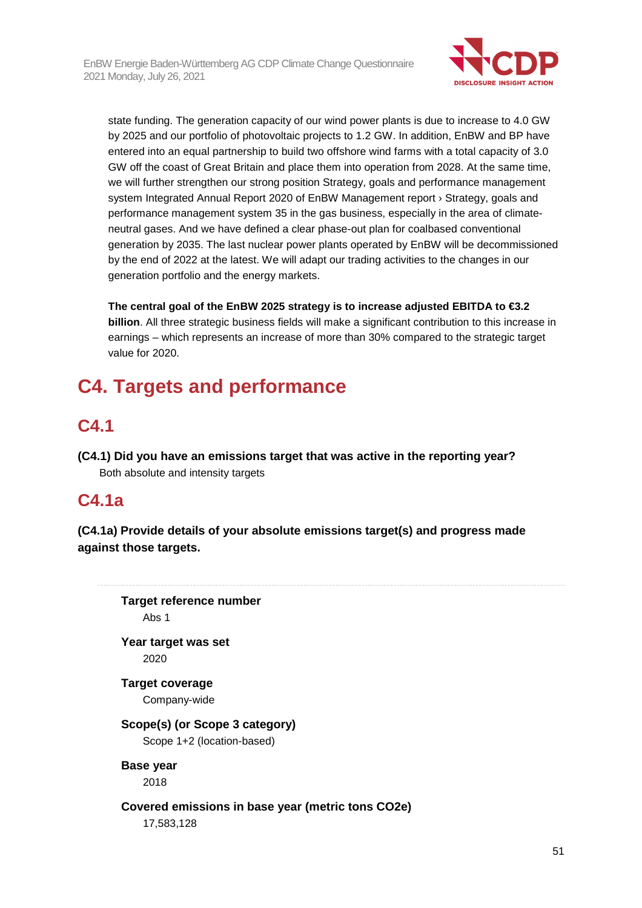

state funding. The generation capacity of our wind power plants is due to increase to 4.0 GW by 2025 and our portfolio of photovoltaic projects to 1.2 GW. In addition, EnBW and BP have entered into an equal partnership to build two offshore wind farms with a total capacity of 3.0 GW off the coast of Great Britain and place them into operation from 2028. At the same time, we will further strengthen our strong position Strategy, goals and performance management system Integrated Annual Report 2020 of EnBW Management report › Strategy, goals and performance management system 35 in the gas business, especially in the area of climateneutral gases. And we have defined a clear phase-out plan for coalbased conventional generation by 2035. The last nuclear power plants operated by EnBW will be decommissioned by the end of 2022 at the latest. We will adapt our trading activities to the changes in our generation portfolio and the energy markets.

**The central goal of the EnBW 2025 strategy is to increase adjusted EBITDA to €3.2 billion**. All three strategic business fields will make a significant contribution to this increase in earnings – which represents an increase of more than 30% compared to the strategic target value for 2020.

# **C4. Targets and performance**

# **C4.1**

**(C4.1) Did you have an emissions target that was active in the reporting year?**  Both absolute and intensity targets

# **C4.1a**

**(C4.1a) Provide details of your absolute emissions target(s) and progress made against those targets.** 

**Target reference number**  Abs 1 **Year target was set**  2020 **Target coverage**  Company-wide **Scope(s) (or Scope 3 category)**  Scope 1+2 (location-based) **Base year**  2018 **Covered emissions in base year (metric tons CO2e)**  17,583,128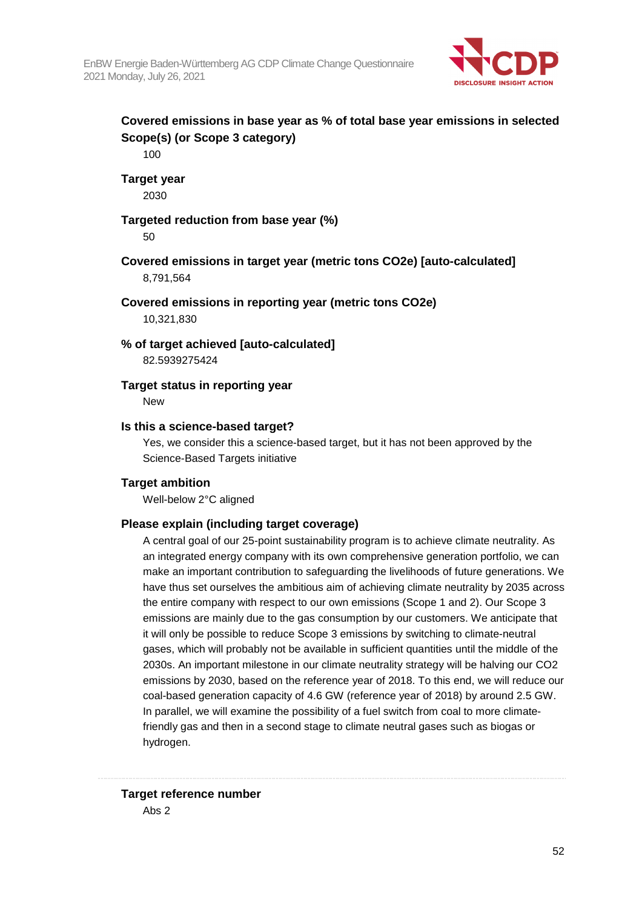

## **Covered emissions in base year as % of total base year emissions in selected Scope(s) (or Scope 3 category)**

100

### **Target year**

2030

## **Targeted reduction from base year (%)**

50

## **Covered emissions in target year (metric tons CO2e) [auto-calculated]**  8,791,564

### **Covered emissions in reporting year (metric tons CO2e)**

10,321,830

### **% of target achieved [auto-calculated]**

82.5939275424

## **Target status in reporting year**

New

### **Is this a science-based target?**

Yes, we consider this a science-based target, but it has not been approved by the Science-Based Targets initiative

## **Target ambition**

Well-below 2°C aligned

## **Please explain (including target coverage)**

A central goal of our 25-point sustainability program is to achieve climate neutrality. As an integrated energy company with its own comprehensive generation portfolio, we can make an important contribution to safeguarding the livelihoods of future generations. We have thus set ourselves the ambitious aim of achieving climate neutrality by 2035 across the entire company with respect to our own emissions (Scope 1 and 2). Our Scope 3 emissions are mainly due to the gas consumption by our customers. We anticipate that it will only be possible to reduce Scope 3 emissions by switching to climate-neutral gases, which will probably not be available in sufficient quantities until the middle of the 2030s. An important milestone in our climate neutrality strategy will be halving our CO2 emissions by 2030, based on the reference year of 2018. To this end, we will reduce our coal-based generation capacity of 4.6 GW (reference year of 2018) by around 2.5 GW. In parallel, we will examine the possibility of a fuel switch from coal to more climatefriendly gas and then in a second stage to climate neutral gases such as biogas or hydrogen.

## **Target reference number**

Abs 2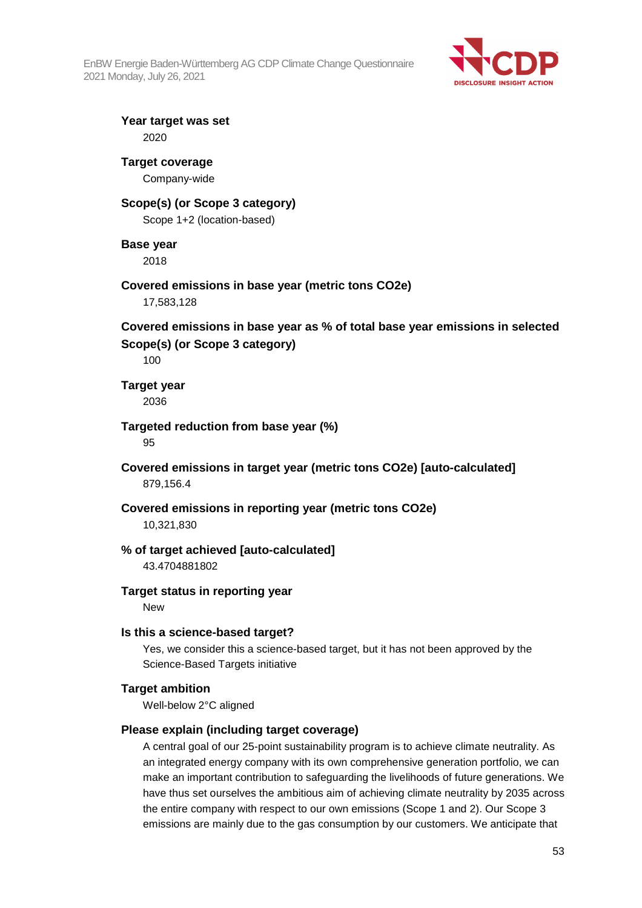

**Year target was set**  2020

## **Target coverage**

Company-wide

## **Scope(s) (or Scope 3 category)**

Scope 1+2 (location-based)

## **Base year**

2018

## **Covered emissions in base year (metric tons CO2e)**

17,583,128

## **Covered emissions in base year as % of total base year emissions in selected Scope(s) (or Scope 3 category)**

100

**Target year** 

2036

### **Targeted reduction from base year (%)**

95

## **Covered emissions in target year (metric tons CO2e) [auto-calculated]**  879,156.4

## **Covered emissions in reporting year (metric tons CO2e)**

10,321,830

## **% of target achieved [auto-calculated]**

43.4704881802

## **Target status in reporting year**

New

## **Is this a science-based target?**

Yes, we consider this a science-based target, but it has not been approved by the Science-Based Targets initiative

## **Target ambition**

Well-below 2°C aligned

## **Please explain (including target coverage)**

A central goal of our 25-point sustainability program is to achieve climate neutrality. As an integrated energy company with its own comprehensive generation portfolio, we can make an important contribution to safeguarding the livelihoods of future generations. We have thus set ourselves the ambitious aim of achieving climate neutrality by 2035 across the entire company with respect to our own emissions (Scope 1 and 2). Our Scope 3 emissions are mainly due to the gas consumption by our customers. We anticipate that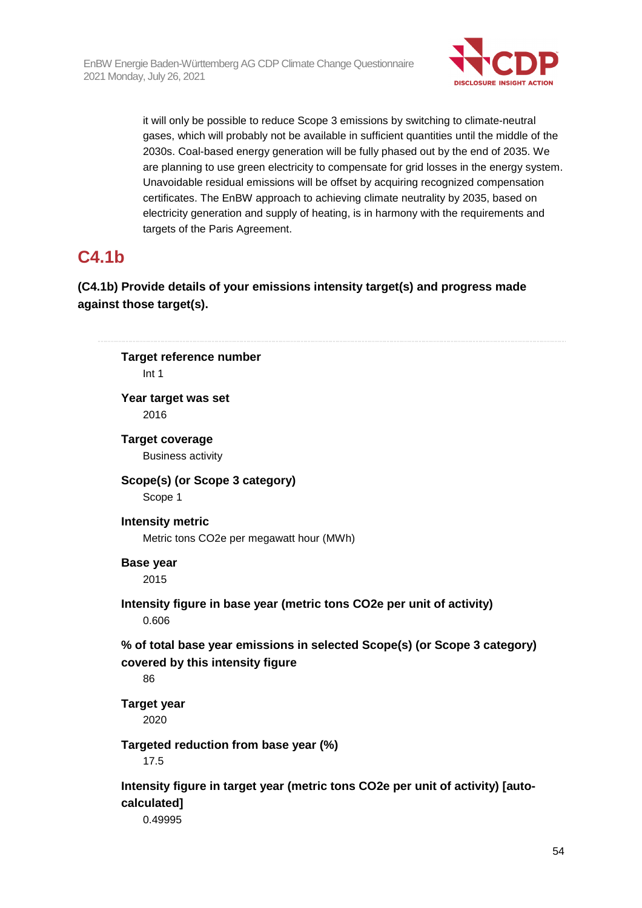

it will only be possible to reduce Scope 3 emissions by switching to climate-neutral gases, which will probably not be available in sufficient quantities until the middle of the 2030s. Coal-based energy generation will be fully phased out by the end of 2035. We are planning to use green electricity to compensate for grid losses in the energy system. Unavoidable residual emissions will be offset by acquiring recognized compensation certificates. The EnBW approach to achieving climate neutrality by 2035, based on electricity generation and supply of heating, is in harmony with the requirements and targets of the Paris Agreement.

# **C4.1b**

**(C4.1b) Provide details of your emissions intensity target(s) and progress made against those target(s).** 

```
Target reference number 
    Int 1 
Year target was set 
    2016 
Target coverage 
    Business activity 
Scope(s) (or Scope 3 category) 
    Scope 1 
Intensity metric 
    Metric tons CO2e per megawatt hour (MWh) 
Base year 
    2015 
Intensity figure in base year (metric tons CO2e per unit of activity) 
    0.606 
% of total base year emissions in selected Scope(s) (or Scope 3 category) 
covered by this intensity figure 
    86 
Target year 
    2020 
Targeted reduction from base year (%) 
    17.5 
Intensity figure in target year (metric tons CO2e per unit of activity) [auto-
calculated] 
    0.49995
```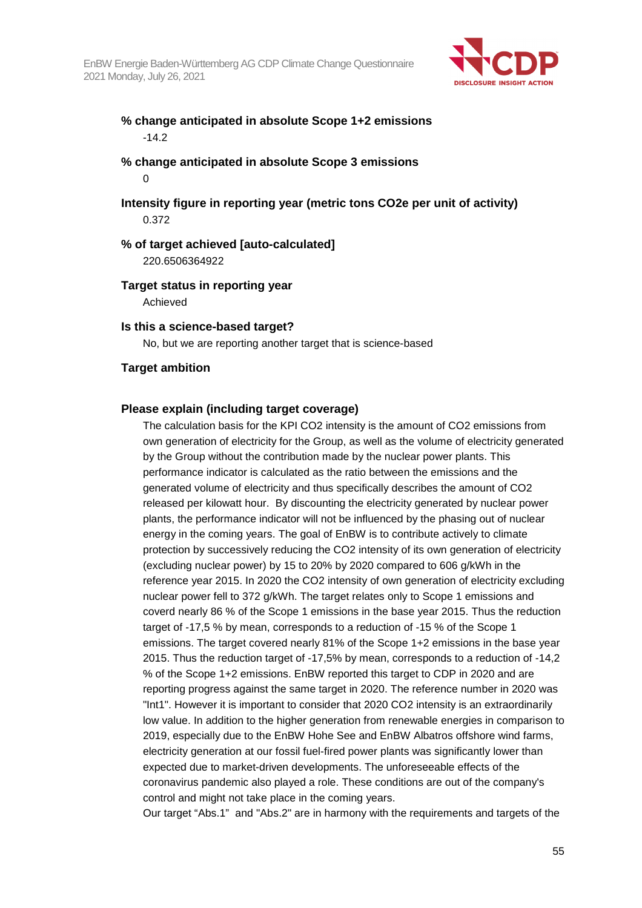

## **% change anticipated in absolute Scope 1+2 emissions**  -14.2

## **% change anticipated in absolute Scope 3 emissions**   $\Omega$

## **Intensity figure in reporting year (metric tons CO2e per unit of activity)**  0.372

#### **% of target achieved [auto-calculated]**  220.6506364922

### **Target status in reporting year**

Achieved

#### **Is this a science-based target?**

No, but we are reporting another target that is science-based

## **Target ambition**

### **Please explain (including target coverage)**

The calculation basis for the KPI CO2 intensity is the amount of CO2 emissions from own generation of electricity for the Group, as well as the volume of electricity generated by the Group without the contribution made by the nuclear power plants. This performance indicator is calculated as the ratio between the emissions and the generated volume of electricity and thus specifically describes the amount of CO2 released per kilowatt hour. By discounting the electricity generated by nuclear power plants, the performance indicator will not be influenced by the phasing out of nuclear energy in the coming years. The goal of EnBW is to contribute actively to climate protection by successively reducing the CO2 intensity of its own generation of electricity (excluding nuclear power) by 15 to 20% by 2020 compared to 606 g/kWh in the reference year 2015. In 2020 the CO2 intensity of own generation of electricity excluding nuclear power fell to 372 g/kWh. The target relates only to Scope 1 emissions and coverd nearly 86 % of the Scope 1 emissions in the base year 2015. Thus the reduction target of -17,5 % by mean, corresponds to a reduction of -15 % of the Scope 1 emissions. The target covered nearly 81% of the Scope 1+2 emissions in the base year 2015. Thus the reduction target of -17,5% by mean, corresponds to a reduction of -14,2 % of the Scope 1+2 emissions. EnBW reported this target to CDP in 2020 and are reporting progress against the same target in 2020. The reference number in 2020 was "Int1". However it is important to consider that 2020 CO2 intensity is an extraordinarily low value. In addition to the higher generation from renewable energies in comparison to 2019, especially due to the EnBW Hohe See and EnBW Albatros offshore wind farms, electricity generation at our fossil fuel-fired power plants was significantly lower than expected due to market-driven developments. The unforeseeable effects of the coronavirus pandemic also played a role. These conditions are out of the company's control and might not take place in the coming years.

Our target "Abs.1" and "Abs.2" are in harmony with the requirements and targets of the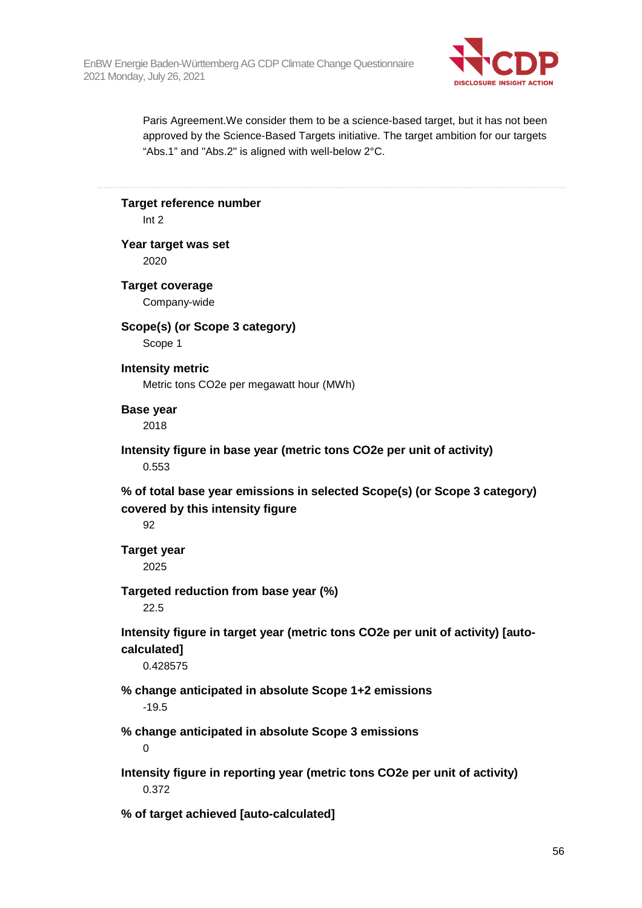

Paris Agreement.We consider them to be a science-based target, but it has not been approved by the Science-Based Targets initiative. The target ambition for our targets "Abs.1" and "Abs.2" is aligned with well-below 2°C.

**Target reference number** 

Int 2

#### **Year target was set**

2020

## **Target coverage**

Company-wide

## **Scope(s) (or Scope 3 category)**

Scope 1

### **Intensity metric**

Metric tons CO2e per megawatt hour (MWh)

### **Base year**

2018

## **Intensity figure in base year (metric tons CO2e per unit of activity)**  0.553

**% of total base year emissions in selected Scope(s) (or Scope 3 category) covered by this intensity figure** 

92

# **Target year**

2025

## **Targeted reduction from base year (%)**

22.5

**Intensity figure in target year (metric tons CO2e per unit of activity) [autocalculated]** 

0.428575

# **% change anticipated in absolute Scope 1+2 emissions**

-19.5

# **% change anticipated in absolute Scope 3 emissions**

0

## **Intensity figure in reporting year (metric tons CO2e per unit of activity)**  0.372

**% of target achieved [auto-calculated]**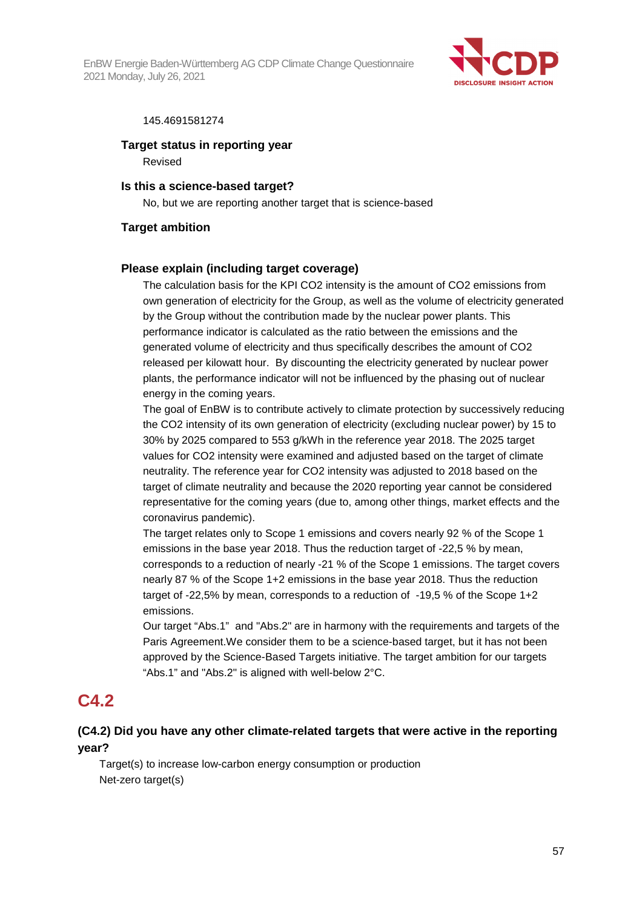

#### 145.4691581274

#### **Target status in reporting year**

Revised

### **Is this a science-based target?**

No, but we are reporting another target that is science-based

#### **Target ambition**

#### **Please explain (including target coverage)**

The calculation basis for the KPI CO2 intensity is the amount of CO2 emissions from own generation of electricity for the Group, as well as the volume of electricity generated by the Group without the contribution made by the nuclear power plants. This performance indicator is calculated as the ratio between the emissions and the generated volume of electricity and thus specifically describes the amount of CO2 released per kilowatt hour. By discounting the electricity generated by nuclear power plants, the performance indicator will not be influenced by the phasing out of nuclear energy in the coming years.

The goal of EnBW is to contribute actively to climate protection by successively reducing the CO2 intensity of its own generation of electricity (excluding nuclear power) by 15 to 30% by 2025 compared to 553 g/kWh in the reference year 2018. The 2025 target values for CO2 intensity were examined and adjusted based on the target of climate neutrality. The reference year for CO2 intensity was adjusted to 2018 based on the target of climate neutrality and because the 2020 reporting year cannot be considered representative for the coming years (due to, among other things, market effects and the coronavirus pandemic).

The target relates only to Scope 1 emissions and covers nearly 92 % of the Scope 1 emissions in the base year 2018. Thus the reduction target of -22,5 % by mean, corresponds to a reduction of nearly -21 % of the Scope 1 emissions. The target covers nearly 87 % of the Scope 1+2 emissions in the base year 2018. Thus the reduction target of -22,5% by mean, corresponds to a reduction of -19,5 % of the Scope 1+2 emissions.

Our target "Abs.1" and "Abs.2" are in harmony with the requirements and targets of the Paris Agreement.We consider them to be a science-based target, but it has not been approved by the Science-Based Targets initiative. The target ambition for our targets "Abs.1" and "Abs.2" is aligned with well-below 2°C.

## **C4.2**

## **(C4.2) Did you have any other climate-related targets that were active in the reporting year?**

Target(s) to increase low-carbon energy consumption or production Net-zero target(s)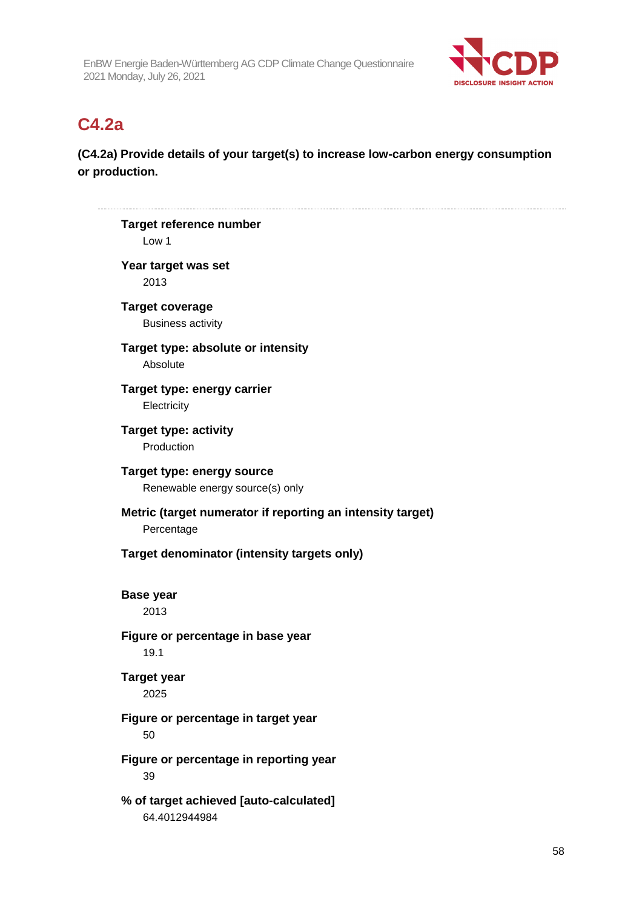

# **C4.2a**

**(C4.2a) Provide details of your target(s) to increase low-carbon energy consumption or production.** 

**Target reference number**  Low 1 **Year target was set**  2013 **Target coverage**  Business activity **Target type: absolute or intensity**  Absolute **Target type: energy carrier Electricity Target type: activity**  Production **Target type: energy source**  Renewable energy source(s) only **Metric (target numerator if reporting an intensity target)**  Percentage **Target denominator (intensity targets only) Base year**  2013 **Figure or percentage in base year**  19.1 **Target year**  2025 **Figure or percentage in target year**  50 **Figure or percentage in reporting year**  39 **% of target achieved [auto-calculated]**  64.4012944984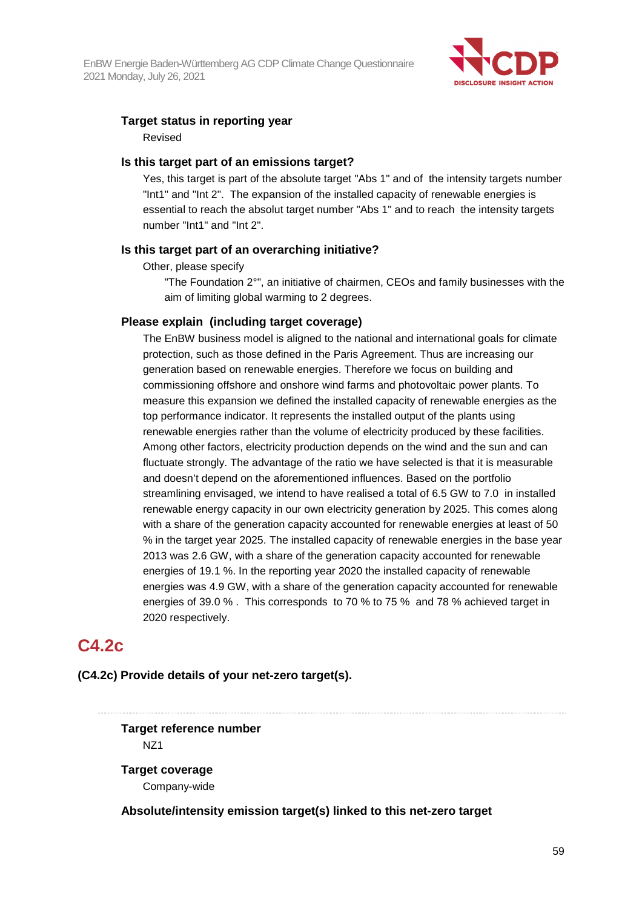

#### **Target status in reporting year**  Revised

### **Is this target part of an emissions target?**

Yes, this target is part of the absolute target "Abs 1" and of the intensity targets number "Int1" and "Int 2". The expansion of the installed capacity of renewable energies is essential to reach the absolut target number "Abs 1" and to reach the intensity targets number "Int1" and "Int 2".

### **Is this target part of an overarching initiative?**

Other, please specify

"The Foundation 2°", an initiative of chairmen, CEOs and family businesses with the aim of limiting global warming to 2 degrees.

### **Please explain (including target coverage)**

The EnBW business model is aligned to the national and international goals for climate protection, such as those defined in the Paris Agreement. Thus are increasing our generation based on renewable energies. Therefore we focus on building and commissioning offshore and onshore wind farms and photovoltaic power plants. To measure this expansion we defined the installed capacity of renewable energies as the top performance indicator. It represents the installed output of the plants using renewable energies rather than the volume of electricity produced by these facilities. Among other factors, electricity production depends on the wind and the sun and can fluctuate strongly. The advantage of the ratio we have selected is that it is measurable and doesn't depend on the aforementioned influences. Based on the portfolio streamlining envisaged, we intend to have realised a total of 6.5 GW to 7.0 in installed renewable energy capacity in our own electricity generation by 2025. This comes along with a share of the generation capacity accounted for renewable energies at least of 50 % in the target year 2025. The installed capacity of renewable energies in the base year 2013 was 2.6 GW, with a share of the generation capacity accounted for renewable energies of 19.1 %. In the reporting year 2020 the installed capacity of renewable energies was 4.9 GW, with a share of the generation capacity accounted for renewable energies of 39.0 % . This corresponds to 70 % to 75 % and 78 % achieved target in 2020 respectively.

## **C4.2c**

**(C4.2c) Provide details of your net-zero target(s).**

## **Target reference number**  NZ1

**Target coverage**  Company-wide

**Absolute/intensity emission target(s) linked to this net-zero target**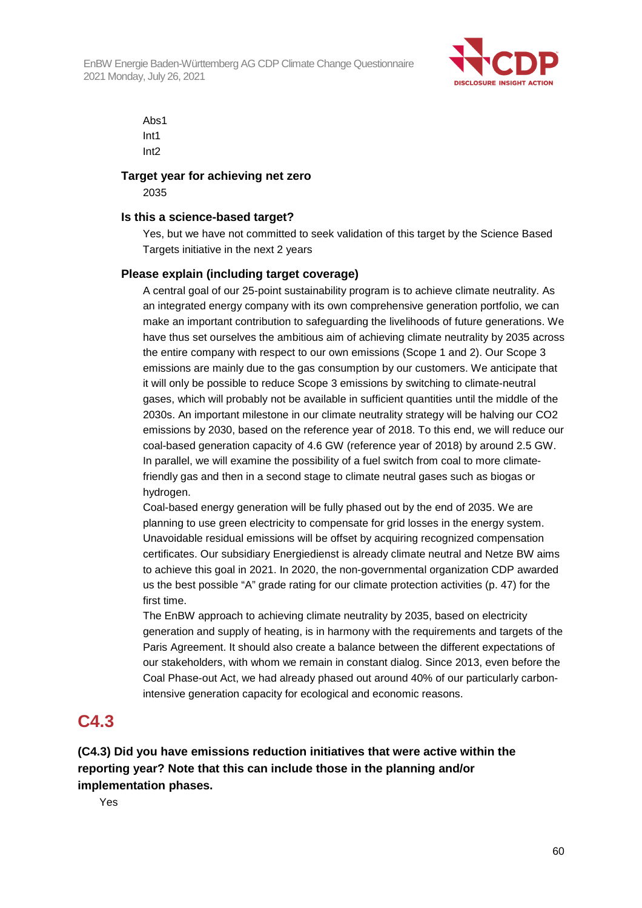

Abs1 Int1 Int2

## **Target year for achieving net zero**

2035

#### **Is this a science-based target?**

Yes, but we have not committed to seek validation of this target by the Science Based Targets initiative in the next 2 years

### **Please explain (including target coverage)**

A central goal of our 25-point sustainability program is to achieve climate neutrality. As an integrated energy company with its own comprehensive generation portfolio, we can make an important contribution to safeguarding the livelihoods of future generations. We have thus set ourselves the ambitious aim of achieving climate neutrality by 2035 across the entire company with respect to our own emissions (Scope 1 and 2). Our Scope 3 emissions are mainly due to the gas consumption by our customers. We anticipate that it will only be possible to reduce Scope 3 emissions by switching to climate-neutral gases, which will probably not be available in sufficient quantities until the middle of the 2030s. An important milestone in our climate neutrality strategy will be halving our CO2 emissions by 2030, based on the reference year of 2018. To this end, we will reduce our coal-based generation capacity of 4.6 GW (reference year of 2018) by around 2.5 GW. In parallel, we will examine the possibility of a fuel switch from coal to more climatefriendly gas and then in a second stage to climate neutral gases such as biogas or hydrogen.

Coal-based energy generation will be fully phased out by the end of 2035. We are planning to use green electricity to compensate for grid losses in the energy system. Unavoidable residual emissions will be offset by acquiring recognized compensation certificates. Our subsidiary Energiedienst is already climate neutral and Netze BW aims to achieve this goal in 2021. In 2020, the non-governmental organization CDP awarded us the best possible "A" grade rating for our climate protection activities (p. 47) for the first time.

The EnBW approach to achieving climate neutrality by 2035, based on electricity generation and supply of heating, is in harmony with the requirements and targets of the Paris Agreement. It should also create a balance between the different expectations of our stakeholders, with whom we remain in constant dialog. Since 2013, even before the Coal Phase-out Act, we had already phased out around 40% of our particularly carbonintensive generation capacity for ecological and economic reasons.

## **C4.3**

**(C4.3) Did you have emissions reduction initiatives that were active within the reporting year? Note that this can include those in the planning and/or implementation phases.** 

Yes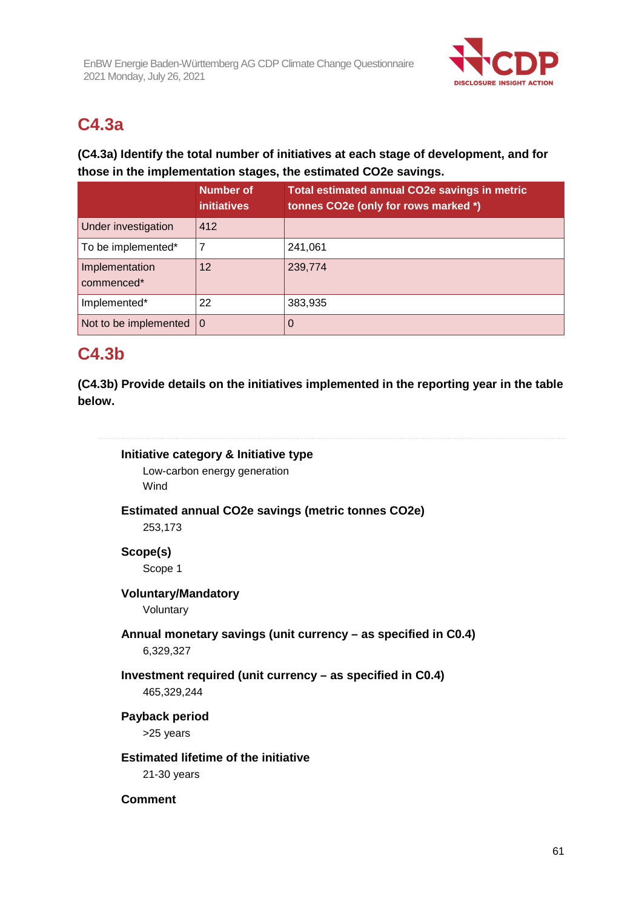

# **C4.3a**

## **(C4.3a) Identify the total number of initiatives at each stage of development, and for those in the implementation stages, the estimated CO2e savings.**

|                                   | <b>Number of</b><br><b>initiatives</b> | Total estimated annual CO2e savings in metric<br>tonnes CO2e (only for rows marked *) |
|-----------------------------------|----------------------------------------|---------------------------------------------------------------------------------------|
| Under investigation               | 412                                    |                                                                                       |
| To be implemented*                |                                        | 241,061                                                                               |
| Implementation<br>commenced*      | 12                                     | 239,774                                                                               |
| Implemented*                      | 22                                     | 383,935                                                                               |
| Not to be implemented $ 0\rangle$ |                                        | O                                                                                     |

# **C4.3b**

**(C4.3b) Provide details on the initiatives implemented in the reporting year in the table below.** 

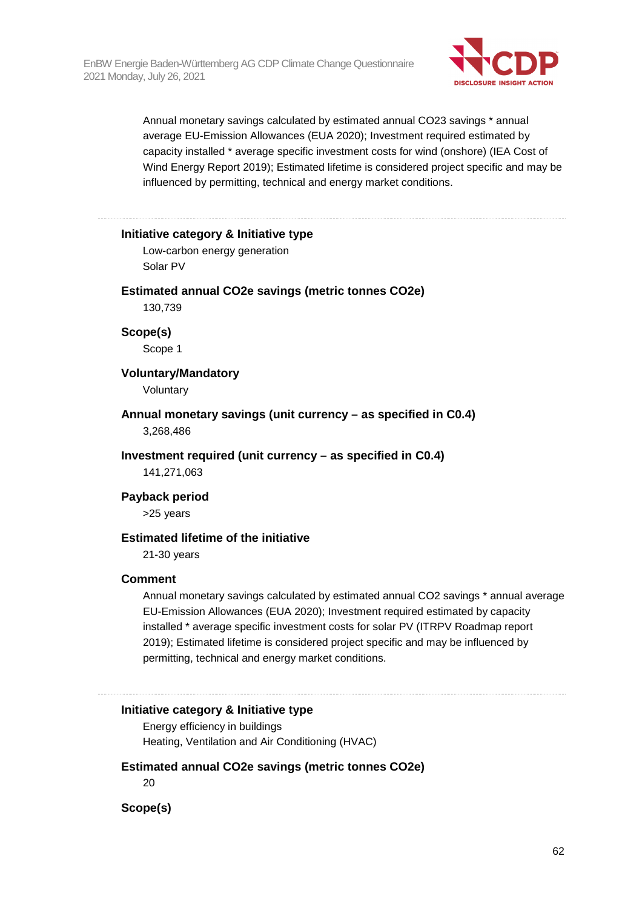

Annual monetary savings calculated by estimated annual CO23 savings \* annual average EU-Emission Allowances (EUA 2020); Investment required estimated by capacity installed \* average specific investment costs for wind (onshore) (IEA Cost of Wind Energy Report 2019); Estimated lifetime is considered project specific and may be influenced by permitting, technical and energy market conditions.

#### **Initiative category & Initiative type**

Low-carbon energy generation Solar PV

#### **Estimated annual CO2e savings (metric tonnes CO2e)**

130,739

**Scope(s)**  Scope 1

**Voluntary/Mandatory** 

Voluntary

**Annual monetary savings (unit currency – as specified in C0.4)**  3,268,486

**Investment required (unit currency – as specified in C0.4)** 

141,271,063

#### **Payback period**

>25 years

## **Estimated lifetime of the initiative**

21-30 years

#### **Comment**

Annual monetary savings calculated by estimated annual CO2 savings \* annual average EU-Emission Allowances (EUA 2020); Investment required estimated by capacity installed \* average specific investment costs for solar PV (ITRPV Roadmap report 2019); Estimated lifetime is considered project specific and may be influenced by permitting, technical and energy market conditions.

#### **Initiative category & Initiative type**

Energy efficiency in buildings Heating, Ventilation and Air Conditioning (HVAC)

#### **Estimated annual CO2e savings (metric tonnes CO2e)**

20

**Scope(s)**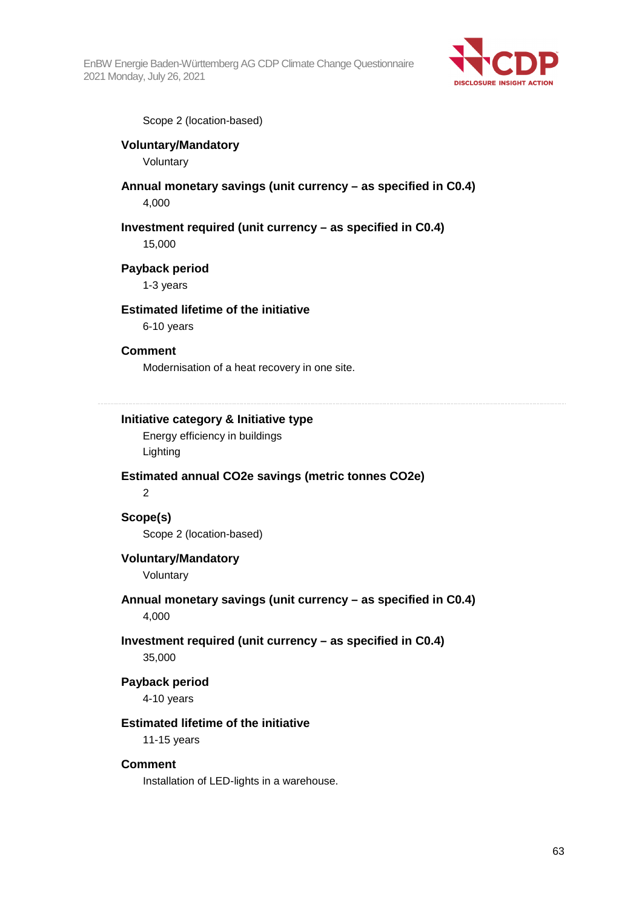

Scope 2 (location-based)

## **Voluntary/Mandatory**

Voluntary

## **Annual monetary savings (unit currency – as specified in C0.4)**

4,000

## **Investment required (unit currency – as specified in C0.4)**

15,000

### **Payback period**

1-3 years

#### **Estimated lifetime of the initiative**

6-10 years

### **Comment**

Modernisation of a heat recovery in one site.

## **Initiative category & Initiative type**

Energy efficiency in buildings Lighting

## **Estimated annual CO2e savings (metric tonnes CO2e)**

 $\overline{2}$ 

## **Scope(s)**  Scope 2 (location-based)

## **Voluntary/Mandatory**

Voluntary

## **Annual monetary savings (unit currency – as specified in C0.4)**

4,000

## **Investment required (unit currency – as specified in C0.4)**  35,000

#### **Payback period**

4-10 years

## **Estimated lifetime of the initiative**

11-15 years

#### **Comment**

Installation of LED-lights in a warehouse.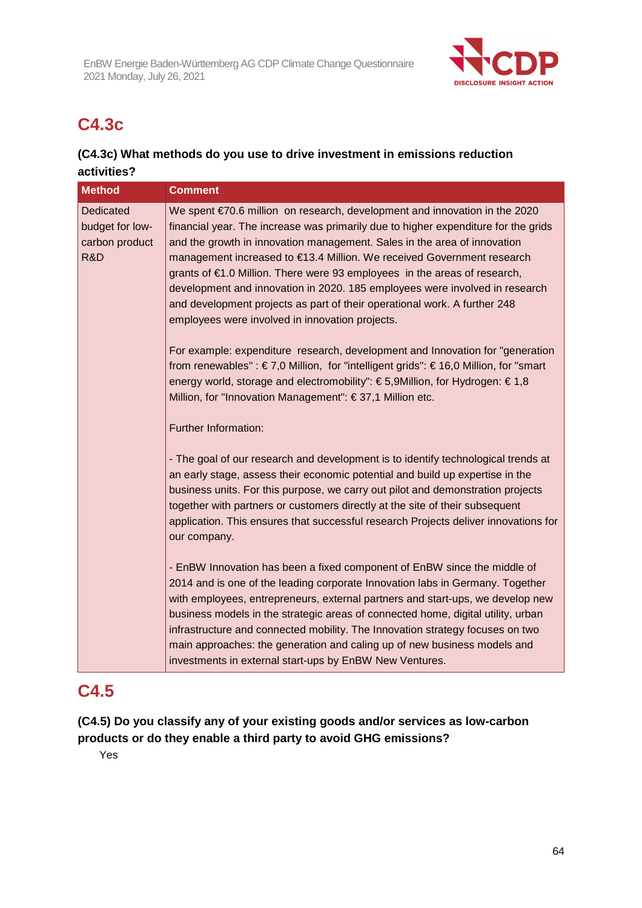

# **C4.3c**

## **(C4.3c) What methods do you use to drive investment in emissions reduction activities?**

| <b>Method</b>                                         | <b>Comment</b>                                                                                                                                                                                                                                                                                                                                                                                                                                                                                                                                                                                                     |
|-------------------------------------------------------|--------------------------------------------------------------------------------------------------------------------------------------------------------------------------------------------------------------------------------------------------------------------------------------------------------------------------------------------------------------------------------------------------------------------------------------------------------------------------------------------------------------------------------------------------------------------------------------------------------------------|
| Dedicated<br>budget for low-<br>carbon product<br>R&D | We spent €70.6 million on research, development and innovation in the 2020<br>financial year. The increase was primarily due to higher expenditure for the grids<br>and the growth in innovation management. Sales in the area of innovation<br>management increased to €13.4 Million. We received Government research<br>grants of €1.0 Million. There were 93 employees in the areas of research,<br>development and innovation in 2020. 185 employees were involved in research<br>and development projects as part of their operational work. A further 248<br>employees were involved in innovation projects. |
|                                                       | For example: expenditure research, development and Innovation for "generation"<br>from renewables": €7,0 Million, for "intelligent grids": €16,0 Million, for "smart<br>energy world, storage and electromobility": € 5,9Million, for Hydrogen: € 1,8<br>Million, for "Innovation Management": € 37,1 Million etc.                                                                                                                                                                                                                                                                                                 |
|                                                       | Further Information:                                                                                                                                                                                                                                                                                                                                                                                                                                                                                                                                                                                               |
|                                                       | - The goal of our research and development is to identify technological trends at<br>an early stage, assess their economic potential and build up expertise in the<br>business units. For this purpose, we carry out pilot and demonstration projects<br>together with partners or customers directly at the site of their subsequent<br>application. This ensures that successful research Projects deliver innovations for<br>our company.                                                                                                                                                                       |
|                                                       | - EnBW Innovation has been a fixed component of EnBW since the middle of<br>2014 and is one of the leading corporate Innovation labs in Germany. Together<br>with employees, entrepreneurs, external partners and start-ups, we develop new<br>business models in the strategic areas of connected home, digital utility, urban<br>infrastructure and connected mobility. The Innovation strategy focuses on two<br>main approaches: the generation and caling up of new business models and<br>investments in external start-ups by EnBW New Ventures.                                                            |

## **C4.5**

## **(C4.5) Do you classify any of your existing goods and/or services as low-carbon products or do they enable a third party to avoid GHG emissions?**

Yes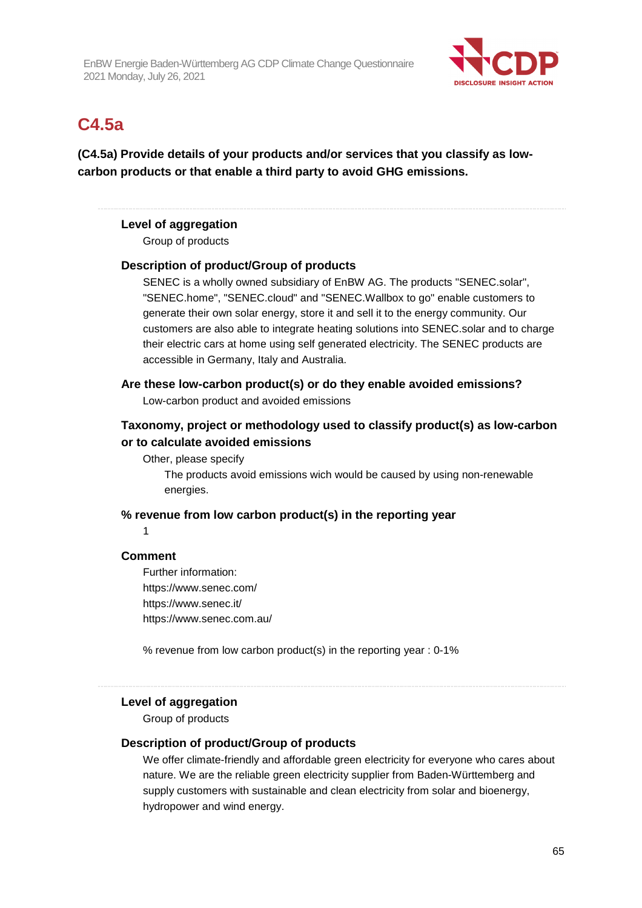

# **C4.5a**

**(C4.5a) Provide details of your products and/or services that you classify as lowcarbon products or that enable a third party to avoid GHG emissions.** 

## **Level of aggregation**

Group of products

#### **Description of product/Group of products**

SENEC is a wholly owned subsidiary of EnBW AG. The products "SENEC.solar", "SENEC.home", "SENEC.cloud" and "SENEC.Wallbox to go" enable customers to generate their own solar energy, store it and sell it to the energy community. Our customers are also able to integrate heating solutions into SENEC.solar and to charge their electric cars at home using self generated electricity. The SENEC products are accessible in Germany, Italy and Australia.

**Are these low-carbon product(s) or do they enable avoided emissions?**  Low-carbon product and avoided emissions

## **Taxonomy, project or methodology used to classify product(s) as low-carbon or to calculate avoided emissions**

Other, please specify

The products avoid emissions wich would be caused by using non-renewable energies.

### **% revenue from low carbon product(s) in the reporting year**

1

#### **Comment**

Further information: https://www.senec.com/ https://www.senec.it/ https://www.senec.com.au/

% revenue from low carbon product(s) in the reporting year : 0-1%

# **Level of aggregation**

Group of products

### **Description of product/Group of products**

We offer climate-friendly and affordable green electricity for everyone who cares about nature. We are the reliable green electricity supplier from Baden-Württemberg and supply customers with sustainable and clean electricity from solar and bioenergy, hydropower and wind energy.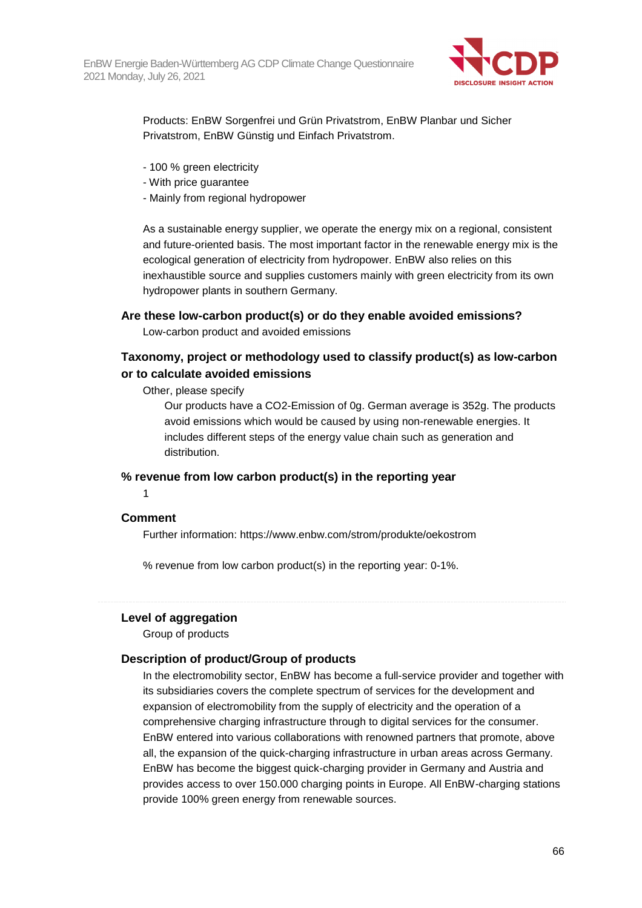

Products: EnBW Sorgenfrei und Grün Privatstrom, EnBW Planbar und Sicher Privatstrom, EnBW Günstig und Einfach Privatstrom.

- 100 % green electricity
- With price guarantee
- Mainly from regional hydropower

As a sustainable energy supplier, we operate the energy mix on a regional, consistent and future-oriented basis. The most important factor in the renewable energy mix is the ecological generation of electricity from hydropower. EnBW also relies on this inexhaustible source and supplies customers mainly with green electricity from its own hydropower plants in southern Germany.

### **Are these low-carbon product(s) or do they enable avoided emissions?**

Low-carbon product and avoided emissions

## **Taxonomy, project or methodology used to classify product(s) as low-carbon or to calculate avoided emissions**

Other, please specify

Our products have a CO2-Emission of 0g. German average is 352g. The products avoid emissions which would be caused by using non-renewable energies. It includes different steps of the energy value chain such as generation and distribution.

## **% revenue from low carbon product(s) in the reporting year**

1

#### **Comment**

Further information: https://www.enbw.com/strom/produkte/oekostrom

% revenue from low carbon product(s) in the reporting year: 0-1%.

#### **Level of aggregation**

Group of products

#### **Description of product/Group of products**

In the electromobility sector, EnBW has become a full-service provider and together with its subsidiaries covers the complete spectrum of services for the development and expansion of electromobility from the supply of electricity and the operation of a comprehensive charging infrastructure through to digital services for the consumer. EnBW entered into various collaborations with renowned partners that promote, above all, the expansion of the quick-charging infrastructure in urban areas across Germany. EnBW has become the biggest quick-charging provider in Germany and Austria and provides access to over 150.000 charging points in Europe. All EnBW-charging stations provide 100% green energy from renewable sources.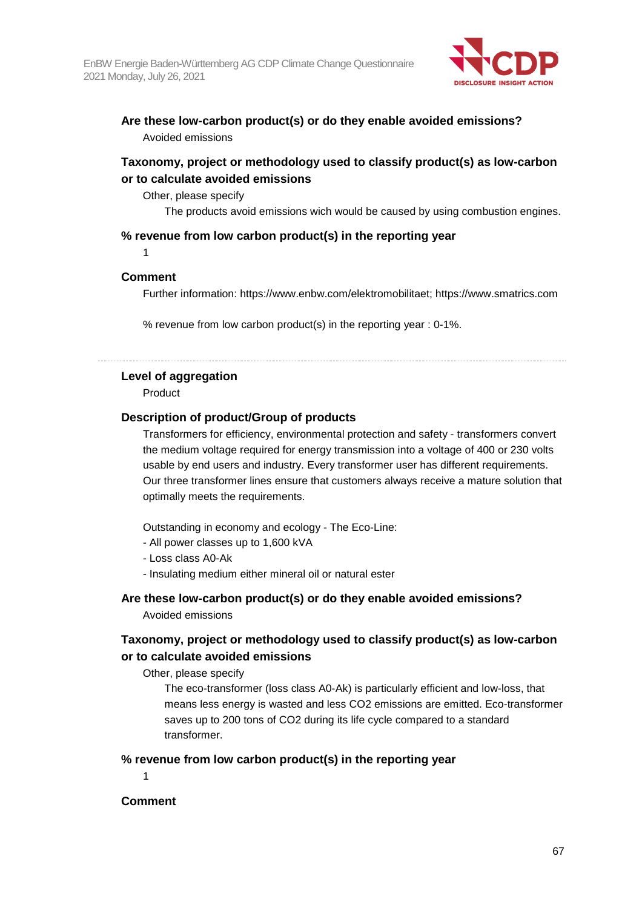

## **Are these low-carbon product(s) or do they enable avoided emissions?**  Avoided emissions

## **Taxonomy, project or methodology used to classify product(s) as low-carbon or to calculate avoided emissions**

#### Other, please specify

The products avoid emissions wich would be caused by using combustion engines.

#### **% revenue from low carbon product(s) in the reporting year**

1

## **Comment**

Further information: https://www.enbw.com/elektromobilitaet; https://www.smatrics.com

% revenue from low carbon product(s) in the reporting year : 0-1%.

## **Level of aggregation**

Product

### **Description of product/Group of products**

Transformers for efficiency, environmental protection and safety - transformers convert the medium voltage required for energy transmission into a voltage of 400 or 230 volts usable by end users and industry. Every transformer user has different requirements. Our three transformer lines ensure that customers always receive a mature solution that optimally meets the requirements.

Outstanding in economy and ecology - The Eco-Line:

- All power classes up to 1,600 kVA
- Loss class A0-Ak
- Insulating medium either mineral oil or natural ester

## **Are these low-carbon product(s) or do they enable avoided emissions?**

Avoided emissions

## **Taxonomy, project or methodology used to classify product(s) as low-carbon or to calculate avoided emissions**

Other, please specify

The eco-transformer (loss class A0-Ak) is particularly efficient and low-loss, that means less energy is wasted and less CO2 emissions are emitted. Eco-transformer saves up to 200 tons of CO2 during its life cycle compared to a standard transformer.

## **% revenue from low carbon product(s) in the reporting year**

1

## **Comment**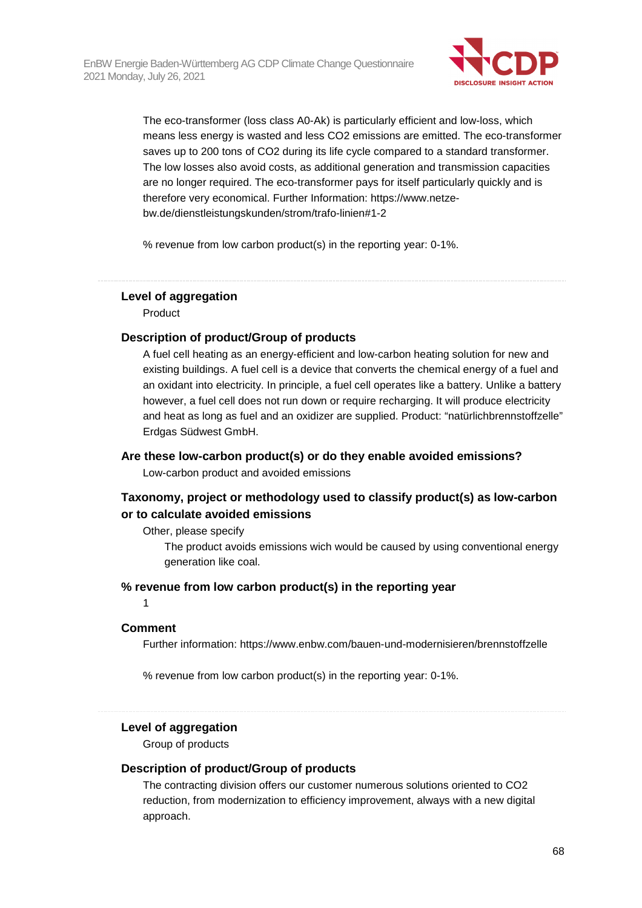

The eco-transformer (loss class A0-Ak) is particularly efficient and low-loss, which means less energy is wasted and less CO2 emissions are emitted. The eco-transformer saves up to 200 tons of CO2 during its life cycle compared to a standard transformer. The low losses also avoid costs, as additional generation and transmission capacities are no longer required. The eco-transformer pays for itself particularly quickly and is therefore very economical. Further Information: https://www.netzebw.de/dienstleistungskunden/strom/trafo-linien#1-2

% revenue from low carbon product(s) in the reporting year: 0-1%.

### **Level of aggregation**

Product

#### **Description of product/Group of products**

A fuel cell heating as an energy-efficient and low-carbon heating solution for new and existing buildings. A fuel cell is a device that converts the chemical energy of a fuel and an oxidant into electricity. In principle, a fuel cell operates like a battery. Unlike a battery however, a fuel cell does not run down or require recharging. It will produce electricity and heat as long as fuel and an oxidizer are supplied. Product: "natürlichbrennstoffzelle" Erdgas Südwest GmbH.

### **Are these low-carbon product(s) or do they enable avoided emissions?**

Low-carbon product and avoided emissions

## **Taxonomy, project or methodology used to classify product(s) as low-carbon or to calculate avoided emissions**

#### Other, please specify

The product avoids emissions wich would be caused by using conventional energy generation like coal.

#### **% revenue from low carbon product(s) in the reporting year**

1

#### **Comment**

Further information: https://www.enbw.com/bauen-und-modernisieren/brennstoffzelle

% revenue from low carbon product(s) in the reporting year: 0-1%.

## **Level of aggregation**

Group of products

#### **Description of product/Group of products**

The contracting division offers our customer numerous solutions oriented to CO2 reduction, from modernization to efficiency improvement, always with a new digital approach.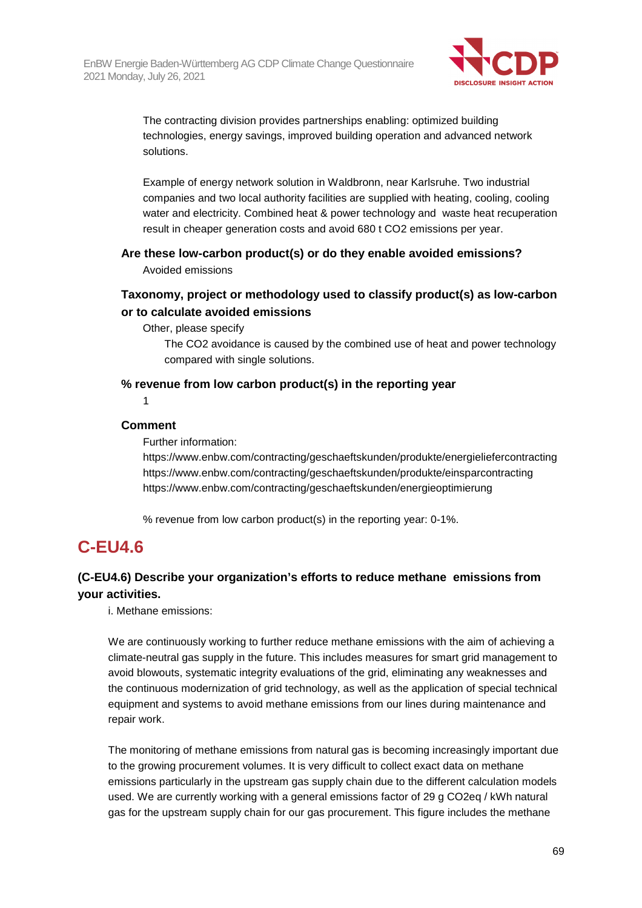

The contracting division provides partnerships enabling: optimized building technologies, energy savings, improved building operation and advanced network solutions.

Example of energy network solution in Waldbronn, near Karlsruhe. Two industrial companies and two local authority facilities are supplied with heating, cooling, cooling water and electricity. Combined heat & power technology and waste heat recuperation result in cheaper generation costs and avoid 680 t CO2 emissions per year.

**Are these low-carbon product(s) or do they enable avoided emissions?**  Avoided emissions

## **Taxonomy, project or methodology used to classify product(s) as low-carbon or to calculate avoided emissions**

Other, please specify

The CO2 avoidance is caused by the combined use of heat and power technology compared with single solutions.

### **% revenue from low carbon product(s) in the reporting year**

1

### **Comment**

Further information:

https://www.enbw.com/contracting/geschaeftskunden/produkte/energieliefercontracting https://www.enbw.com/contracting/geschaeftskunden/produkte/einsparcontracting https://www.enbw.com/contracting/geschaeftskunden/energieoptimierung

% revenue from low carbon product(s) in the reporting year: 0-1%.

# **C-EU4.6**

## **(C-EU4.6) Describe your organization's efforts to reduce methane emissions from your activities.**

i. Methane emissions:

We are continuously working to further reduce methane emissions with the aim of achieving a climate-neutral gas supply in the future. This includes measures for smart grid management to avoid blowouts, systematic integrity evaluations of the grid, eliminating any weaknesses and the continuous modernization of grid technology, as well as the application of special technical equipment and systems to avoid methane emissions from our lines during maintenance and repair work.

The monitoring of methane emissions from natural gas is becoming increasingly important due to the growing procurement volumes. It is very difficult to collect exact data on methane emissions particularly in the upstream gas supply chain due to the different calculation models used. We are currently working with a general emissions factor of 29 g CO2eq / kWh natural gas for the upstream supply chain for our gas procurement. This figure includes the methane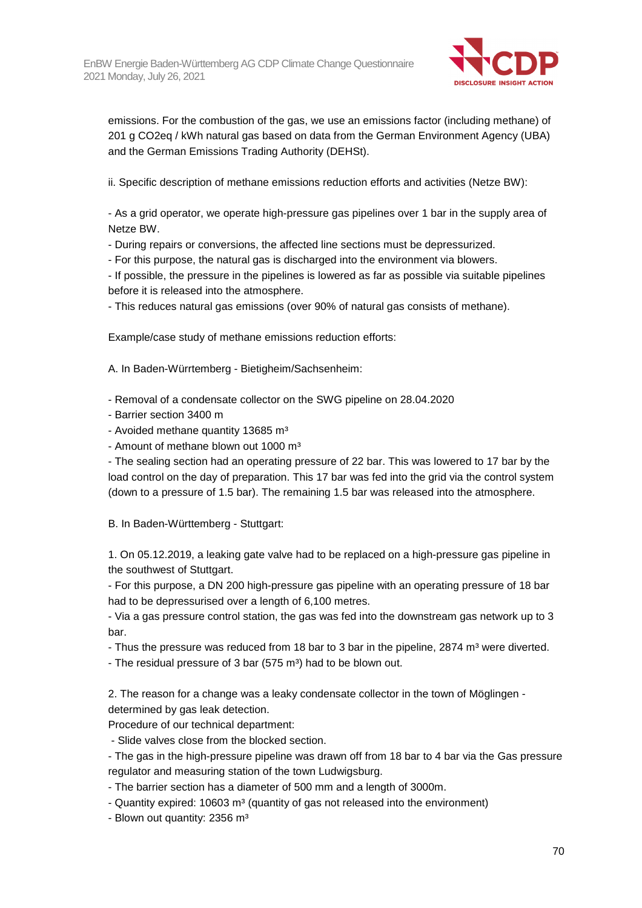

emissions. For the combustion of the gas, we use an emissions factor (including methane) of 201 g CO2eq / kWh natural gas based on data from the German Environment Agency (UBA) and the German Emissions Trading Authority (DEHSt).

ii. Specific description of methane emissions reduction efforts and activities (Netze BW):

- As a grid operator, we operate high-pressure gas pipelines over 1 bar in the supply area of Netze BW.

- During repairs or conversions, the affected line sections must be depressurized.

- For this purpose, the natural gas is discharged into the environment via blowers.

- If possible, the pressure in the pipelines is lowered as far as possible via suitable pipelines before it is released into the atmosphere.

- This reduces natural gas emissions (over 90% of natural gas consists of methane).

Example/case study of methane emissions reduction efforts:

A. In Baden-Würrtemberg - Bietigheim/Sachsenheim:

- Removal of a condensate collector on the SWG pipeline on 28.04.2020

- Barrier section 3400 m
- Avoided methane quantity 13685 m<sup>3</sup>
- Amount of methane blown out 1000 m<sup>3</sup>

- The sealing section had an operating pressure of 22 bar. This was lowered to 17 bar by the load control on the day of preparation. This 17 bar was fed into the grid via the control system (down to a pressure of 1.5 bar). The remaining 1.5 bar was released into the atmosphere.

B. In Baden-Württemberg - Stuttgart:

1. On 05.12.2019, a leaking gate valve had to be replaced on a high-pressure gas pipeline in the southwest of Stuttgart.

- For this purpose, a DN 200 high-pressure gas pipeline with an operating pressure of 18 bar had to be depressurised over a length of 6,100 metres.

- Via a gas pressure control station, the gas was fed into the downstream gas network up to 3 bar.

- Thus the pressure was reduced from 18 bar to 3 bar in the pipeline, 2874 m<sup>3</sup> were diverted.
- The residual pressure of 3 bar (575 m<sup>3</sup>) had to be blown out.

2. The reason for a change was a leaky condensate collector in the town of Möglingen determined by gas leak detection.

Procedure of our technical department:

- Slide valves close from the blocked section.

- The gas in the high-pressure pipeline was drawn off from 18 bar to 4 bar via the Gas pressure regulator and measuring station of the town Ludwigsburg.

- The barrier section has a diameter of 500 mm and a length of 3000m.

- Quantity expired: 10603 m<sup>3</sup> (quantity of gas not released into the environment)

- Blown out quantity: 2356 m<sup>3</sup>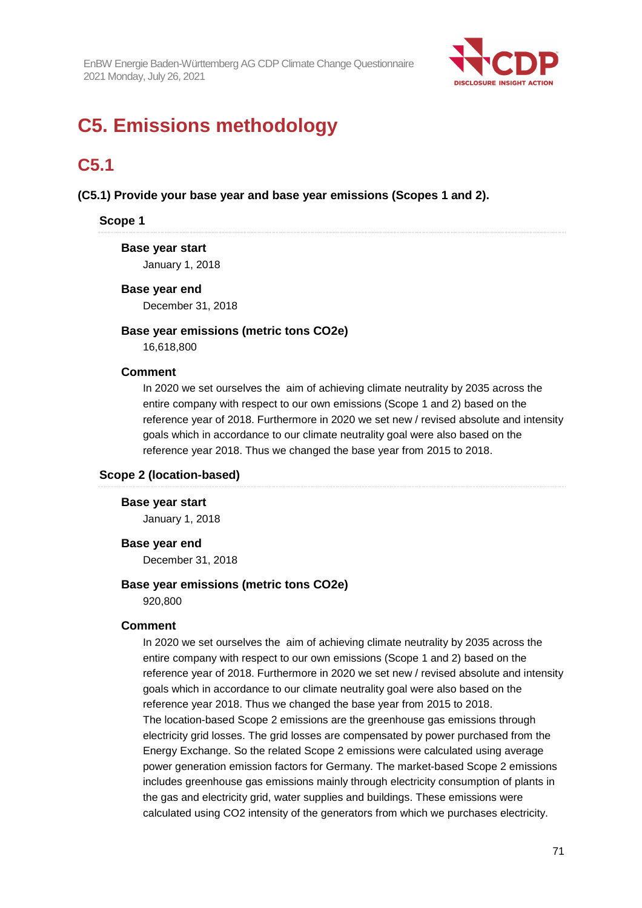

# **C5. Emissions methodology**

# **C5.1**

**(C5.1) Provide your base year and base year emissions (Scopes 1 and 2).** 

## **Scope 1**

## **Base year start**

January 1, 2018

#### **Base year end**

December 31, 2018

## **Base year emissions (metric tons CO2e)**

16,618,800

#### **Comment**

In 2020 we set ourselves the aim of achieving climate neutrality by 2035 across the entire company with respect to our own emissions (Scope 1 and 2) based on the reference year of 2018. Furthermore in 2020 we set new / revised absolute and intensity goals which in accordance to our climate neutrality goal were also based on the reference year 2018. Thus we changed the base year from 2015 to 2018.

#### **Scope 2 (location-based)**

## **Base year start**

January 1, 2018

#### **Base year end**

December 31, 2018

#### **Base year emissions (metric tons CO2e)**

920,800

#### **Comment**

In 2020 we set ourselves the aim of achieving climate neutrality by 2035 across the entire company with respect to our own emissions (Scope 1 and 2) based on the reference year of 2018. Furthermore in 2020 we set new / revised absolute and intensity goals which in accordance to our climate neutrality goal were also based on the reference year 2018. Thus we changed the base year from 2015 to 2018. The location-based Scope 2 emissions are the greenhouse gas emissions through electricity grid losses. The grid losses are compensated by power purchased from the Energy Exchange. So the related Scope 2 emissions were calculated using average power generation emission factors for Germany. The market-based Scope 2 emissions includes greenhouse gas emissions mainly through electricity consumption of plants in the gas and electricity grid, water supplies and buildings. These emissions were calculated using CO2 intensity of the generators from which we purchases electricity.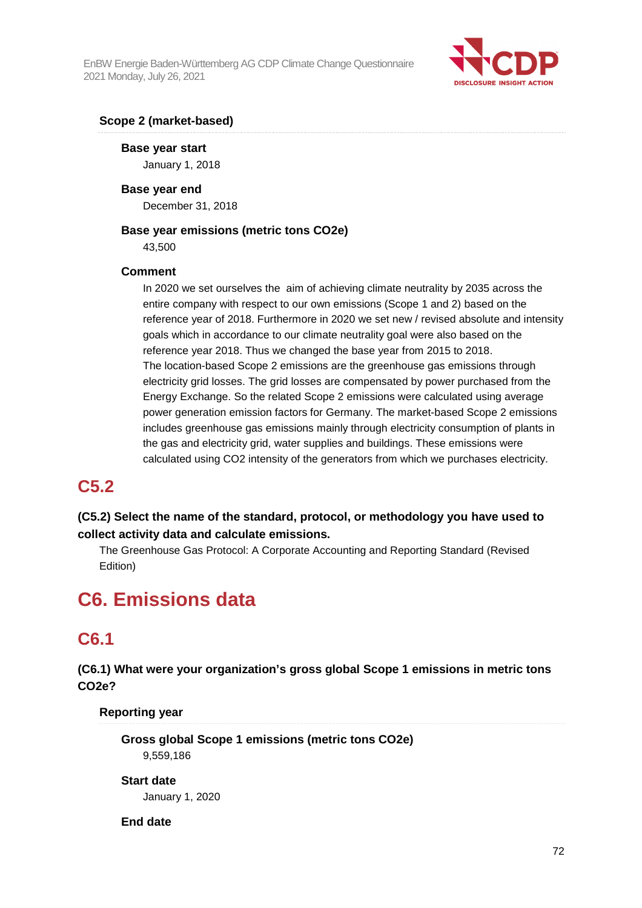

## **Scope 2 (market-based)**

**Base year start**  January 1, 2018

**Base year end**  December 31, 2018

### **Base year emissions (metric tons CO2e)**

43,500

## **Comment**

In 2020 we set ourselves the aim of achieving climate neutrality by 2035 across the entire company with respect to our own emissions (Scope 1 and 2) based on the reference year of 2018. Furthermore in 2020 we set new / revised absolute and intensity goals which in accordance to our climate neutrality goal were also based on the reference year 2018. Thus we changed the base year from 2015 to 2018. The location-based Scope 2 emissions are the greenhouse gas emissions through electricity grid losses. The grid losses are compensated by power purchased from the Energy Exchange. So the related Scope 2 emissions were calculated using average power generation emission factors for Germany. The market-based Scope 2 emissions includes greenhouse gas emissions mainly through electricity consumption of plants in the gas and electricity grid, water supplies and buildings. These emissions were calculated using CO2 intensity of the generators from which we purchases electricity.

## **C5.2**

**(C5.2) Select the name of the standard, protocol, or methodology you have used to collect activity data and calculate emissions.** 

The Greenhouse Gas Protocol: A Corporate Accounting and Reporting Standard (Revised Edition)

# **C6. Emissions data**

# **C6.1**

**(C6.1) What were your organization's gross global Scope 1 emissions in metric tons CO2e?** 

**Reporting year** 

**Gross global Scope 1 emissions (metric tons CO2e)**  9,559,186

## **Start date**

January 1, 2020

## **End date**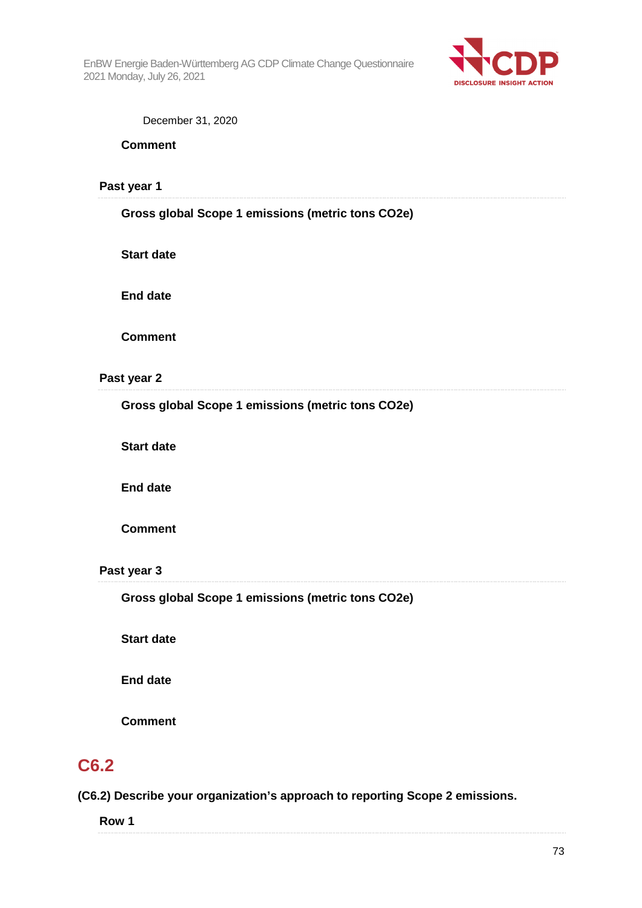

| December 31, 2020 |  |  |
|-------------------|--|--|
|-------------------|--|--|

**Comment** 

**Past year 1**  

#### **Gross global Scope 1 emissions (metric tons CO2e)**

**Start date** 

**End date** 

**Comment** 

#### **Past year 2**

**Gross global Scope 1 emissions (metric tons CO2e)** 

**Start date** 

**End date** 

**Comment** 

#### **Past year 3**

**Gross global Scope 1 emissions (metric tons CO2e)** 

**Start date** 

**End date** 

**Comment** 

### **C6.2**

**(C6.2) Describe your organization's approach to reporting Scope 2 emissions.** 

| <b>Row</b> |
|------------|
|            |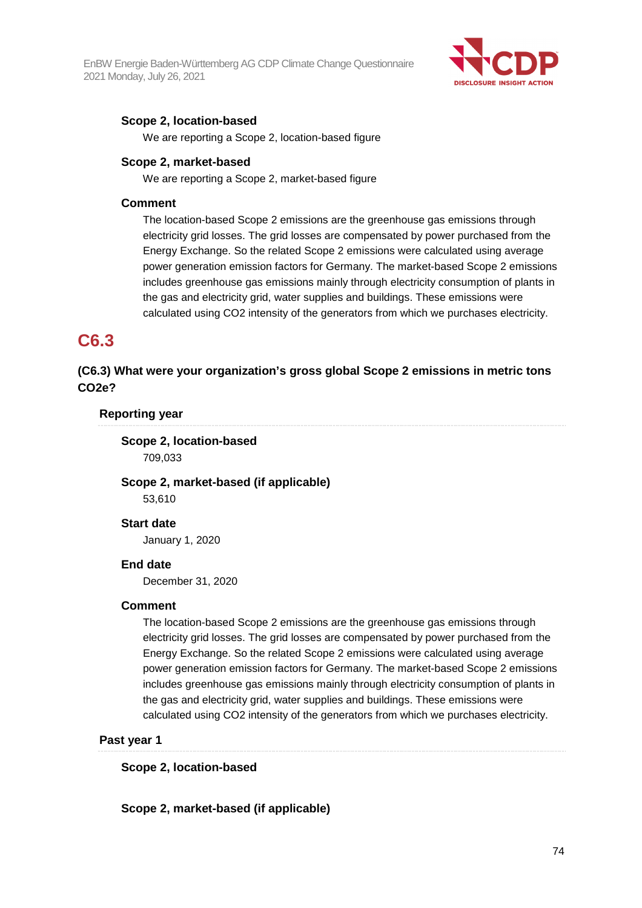

#### **Scope 2, location-based**

We are reporting a Scope 2, location-based figure

#### **Scope 2, market-based**

We are reporting a Scope 2, market-based figure

#### **Comment**

The location-based Scope 2 emissions are the greenhouse gas emissions through electricity grid losses. The grid losses are compensated by power purchased from the Energy Exchange. So the related Scope 2 emissions were calculated using average power generation emission factors for Germany. The market-based Scope 2 emissions includes greenhouse gas emissions mainly through electricity consumption of plants in the gas and electricity grid, water supplies and buildings. These emissions were calculated using CO2 intensity of the generators from which we purchases electricity.

### **C6.3**

**(C6.3) What were your organization's gross global Scope 2 emissions in metric tons CO2e?** 

#### **Reporting year**

#### **Scope 2, location-based**  709,033

**Scope 2, market-based (if applicable)**  53,610

#### **Start date**

January 1, 2020

#### **End date**

December 31, 2020

#### **Comment**

The location-based Scope 2 emissions are the greenhouse gas emissions through electricity grid losses. The grid losses are compensated by power purchased from the Energy Exchange. So the related Scope 2 emissions were calculated using average power generation emission factors for Germany. The market-based Scope 2 emissions includes greenhouse gas emissions mainly through electricity consumption of plants in the gas and electricity grid, water supplies and buildings. These emissions were calculated using CO2 intensity of the generators from which we purchases electricity.

#### **Past year 1**

**Scope 2, location-based** 

**Scope 2, market-based (if applicable)**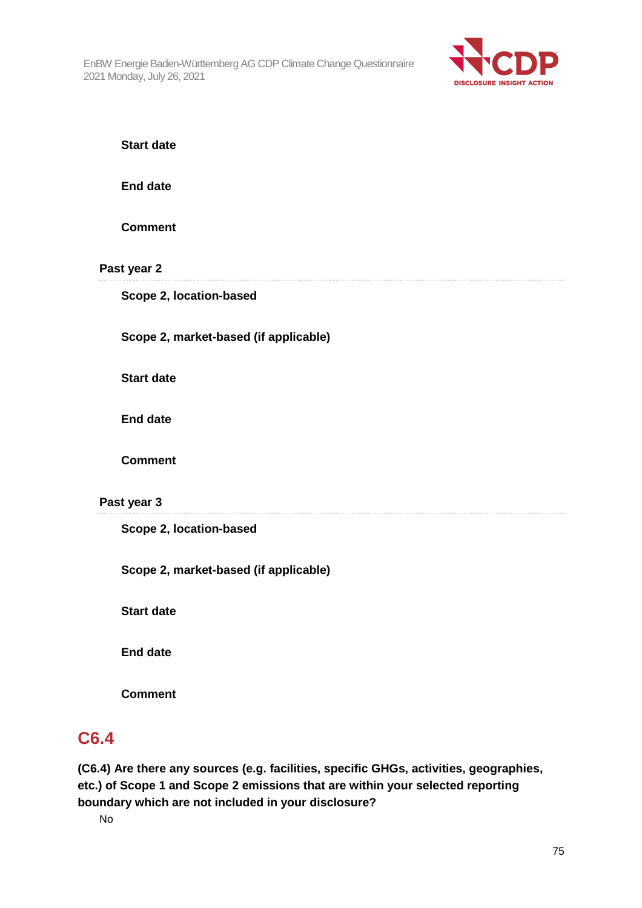

**Start date** 

**End date** 

**Comment** 

**Past year 2** 

**Scope 2, location-based** 

**Scope 2, market-based (if applicable)** 

**Start date** 

**End date** 

**Comment** 

#### **Past year 3**

**Scope 2, location-based** 

**Scope 2, market-based (if applicable)** 

**Start date** 

**End date** 

**Comment** 

### **C6.4**

**(C6.4) Are there any sources (e.g. facilities, specific GHGs, activities, geographies, etc.) of Scope 1 and Scope 2 emissions that are within your selected reporting boundary which are not included in your disclosure?**

No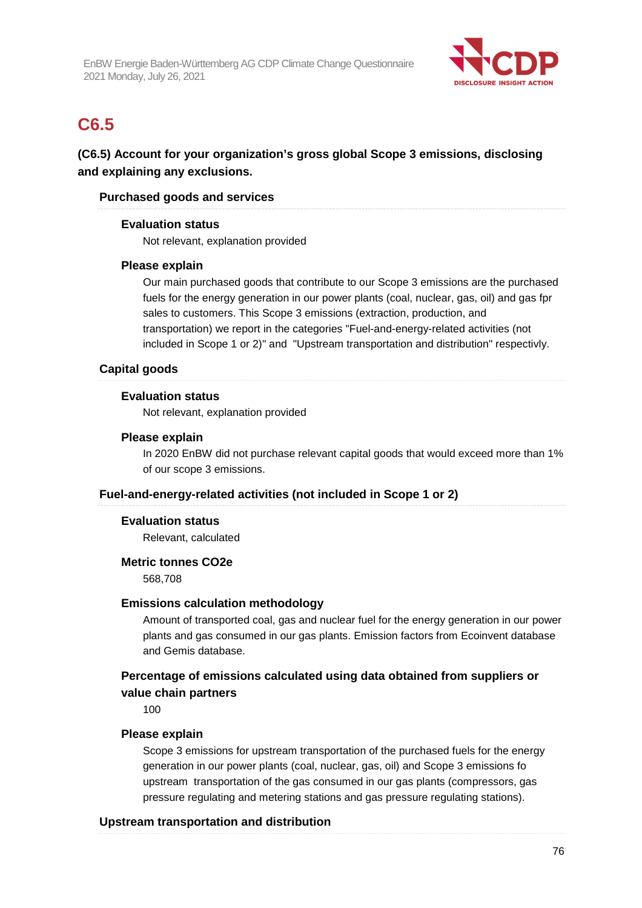

### **C6.5**

**(C6.5) Account for your organization's gross global Scope 3 emissions, disclosing and explaining any exclusions.** 

#### **Purchased goods and services**

#### **Evaluation status**

Not relevant, explanation provided

#### **Please explain**

Our main purchased goods that contribute to our Scope 3 emissions are the purchased fuels for the energy generation in our power plants (coal, nuclear, gas, oil) and gas fpr sales to customers. This Scope 3 emissions (extraction, production, and transportation) we report in the categories "Fuel-and-energy-related activities (not included in Scope 1 or 2)" and "Upstream transportation and distribution" respectivly.

#### **Capital goods**

#### **Evaluation status**

Not relevant, explanation provided

#### **Please explain**

In 2020 EnBW did not purchase relevant capital goods that would exceed more than 1% of our scope 3 emissions.

#### **Fuel-and-energy-related activities (not included in Scope 1 or 2)**

#### **Evaluation status**

Relevant, calculated

#### **Metric tonnes CO2e**

568,708

#### **Emissions calculation methodology**

Amount of transported coal, gas and nuclear fuel for the energy generation in our power plants and gas consumed in our gas plants. Emission factors from Ecoinvent database and Gemis database.

#### **Percentage of emissions calculated using data obtained from suppliers or value chain partners**

100

#### **Please explain**

Scope 3 emissions for upstream transportation of the purchased fuels for the energy generation in our power plants (coal, nuclear, gas, oil) and Scope 3 emissions fo upstream transportation of the gas consumed in our gas plants (compressors, gas pressure regulating and metering stations and gas pressure regulating stations).

#### **Upstream transportation and distribution**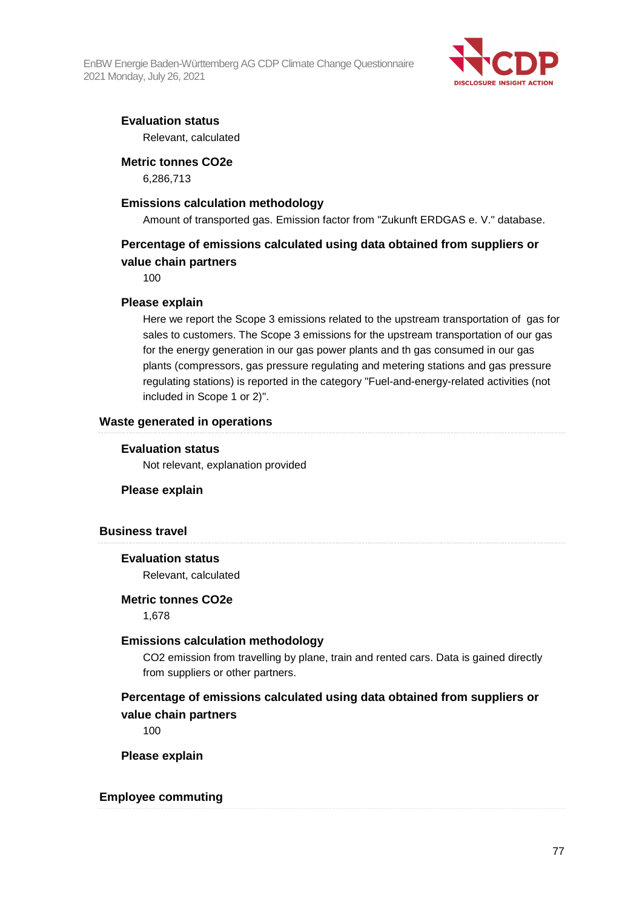

#### **Evaluation status**

Relevant, calculated

#### **Metric tonnes CO2e**

6,286,713

#### **Emissions calculation methodology**

Amount of transported gas. Emission factor from "Zukunft ERDGAS e. V." database.

#### **Percentage of emissions calculated using data obtained from suppliers or value chain partners**

100

#### **Please explain**

Here we report the Scope 3 emissions related to the upstream transportation of gas for sales to customers. The Scope 3 emissions for the upstream transportation of our gas for the energy generation in our gas power plants and th gas consumed in our gas plants (compressors, gas pressure regulating and metering stations and gas pressure regulating stations) is reported in the category "Fuel-and-energy-related activities (not included in Scope 1 or 2)".

#### **Waste generated in operations**

#### **Evaluation status**

Not relevant, explanation provided

#### **Please explain**

#### **Business travel**

#### **Evaluation status**

Relevant, calculated

#### **Metric tonnes CO2e**

1,678

#### **Emissions calculation methodology**

CO2 emission from travelling by plane, train and rented cars. Data is gained directly from suppliers or other partners.

#### **Percentage of emissions calculated using data obtained from suppliers or value chain partners**

100

**Please explain** 

#### **Employee commuting**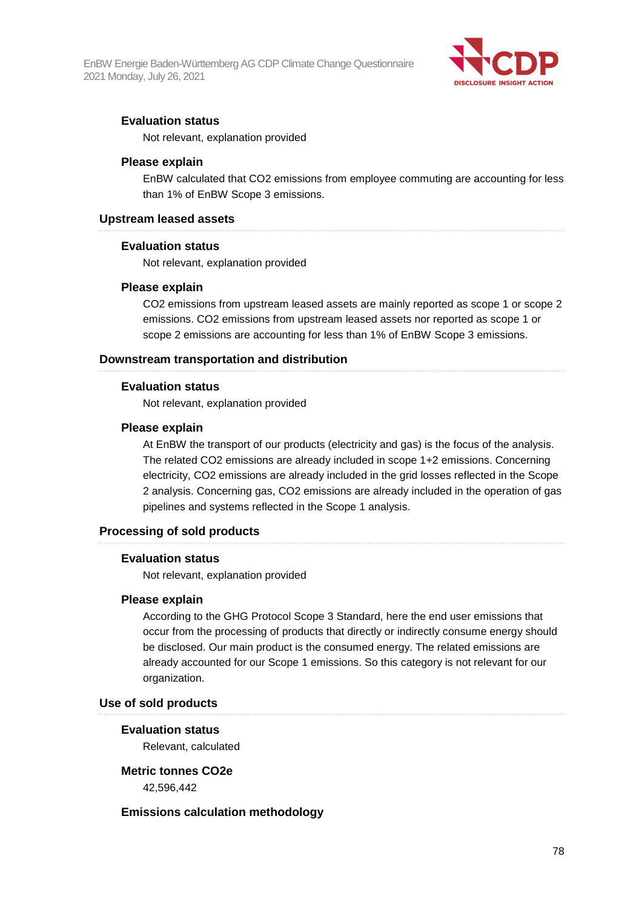

#### **Evaluation status**

Not relevant, explanation provided

#### **Please explain**

EnBW calculated that CO2 emissions from employee commuting are accounting for less than 1% of EnBW Scope 3 emissions.

#### **Upstream leased assets**

#### **Evaluation status**

Not relevant, explanation provided

#### **Please explain**

CO2 emissions from upstream leased assets are mainly reported as scope 1 or scope 2 emissions. CO2 emissions from upstream leased assets nor reported as scope 1 or scope 2 emissions are accounting for less than 1% of EnBW Scope 3 emissions.

#### **Downstream transportation and distribution**

#### **Evaluation status**

Not relevant, explanation provided

#### **Please explain**

At EnBW the transport of our products (electricity and gas) is the focus of the analysis. The related CO2 emissions are already included in scope 1+2 emissions. Concerning electricity, CO2 emissions are already included in the grid losses reflected in the Scope 2 analysis. Concerning gas, CO2 emissions are already included in the operation of gas pipelines and systems reflected in the Scope 1 analysis.

#### **Processing of sold products**

#### **Evaluation status**

Not relevant, explanation provided

#### **Please explain**

According to the GHG Protocol Scope 3 Standard, here the end user emissions that occur from the processing of products that directly or indirectly consume energy should be disclosed. Our main product is the consumed energy. The related emissions are already accounted for our Scope 1 emissions. So this category is not relevant for our organization.

#### **Use of sold products**

#### **Evaluation status**

Relevant, calculated

#### **Metric tonnes CO2e**

42,596,442

#### **Emissions calculation methodology**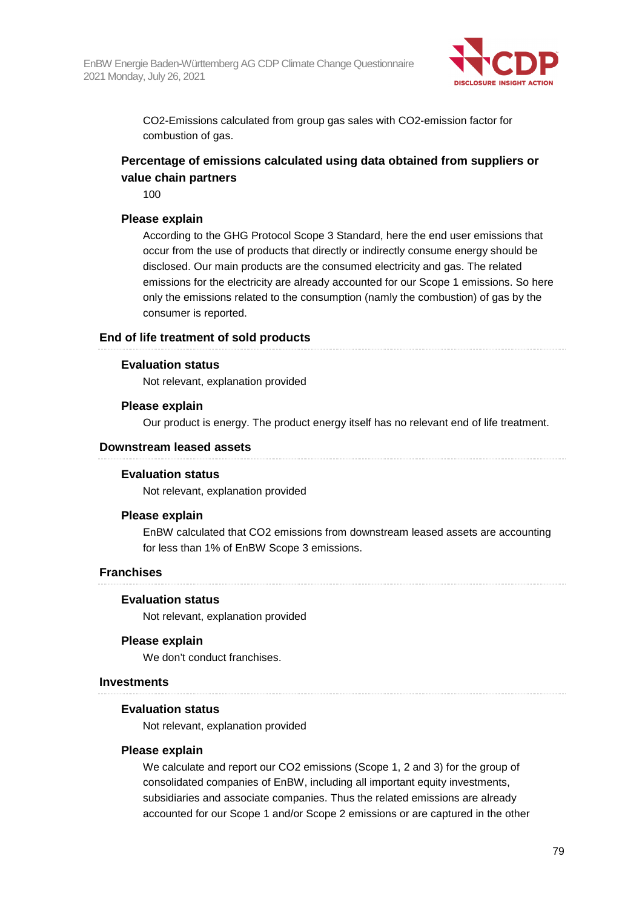

CO2-Emissions calculated from group gas sales with CO2-emission factor for combustion of gas.

#### **Percentage of emissions calculated using data obtained from suppliers or value chain partners**

100

#### **Please explain**

According to the GHG Protocol Scope 3 Standard, here the end user emissions that occur from the use of products that directly or indirectly consume energy should be disclosed. Our main products are the consumed electricity and gas. The related emissions for the electricity are already accounted for our Scope 1 emissions. So here only the emissions related to the consumption (namly the combustion) of gas by the consumer is reported.

#### **End of life treatment of sold products**

#### **Evaluation status**

Not relevant, explanation provided

#### **Please explain**

Our product is energy. The product energy itself has no relevant end of life treatment.

#### **Downstream leased assets**

#### **Evaluation status**

Not relevant, explanation provided

#### **Please explain**

EnBW calculated that CO2 emissions from downstream leased assets are accounting for less than 1% of EnBW Scope 3 emissions.

#### **Franchises**

#### **Evaluation status**

Not relevant, explanation provided

#### **Please explain**

We don't conduct franchises.

#### **Investments**

#### **Evaluation status**

Not relevant, explanation provided

#### **Please explain**

We calculate and report our CO2 emissions (Scope 1, 2 and 3) for the group of consolidated companies of EnBW, including all important equity investments, subsidiaries and associate companies. Thus the related emissions are already accounted for our Scope 1 and/or Scope 2 emissions or are captured in the other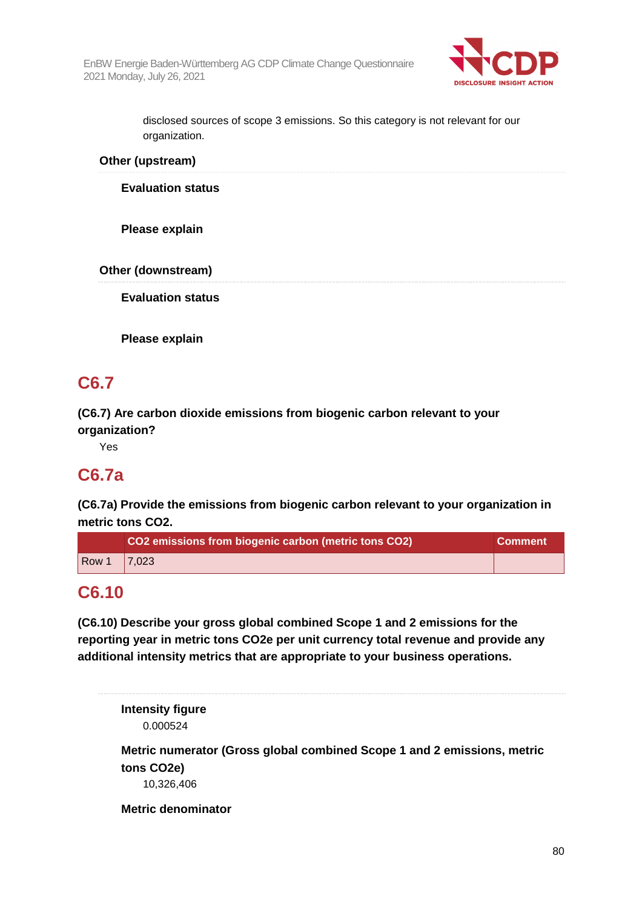

disclosed sources of scope 3 emissions. So this category is not relevant for our organization.

**Other (upstream)** 

**Evaluation status** 

**Please explain** 

**Other (downstream)** 

**Evaluation status** 

**Please explain** 

# **C6.7**

**(C6.7) Are carbon dioxide emissions from biogenic carbon relevant to your organization?** 

Yes

### **C6.7a**

**(C6.7a) Provide the emissions from biogenic carbon relevant to your organization in metric tons CO2.** 

|       | CO2 emissions from biogenic carbon (metric tons CO2) | <b>Comment</b> |
|-------|------------------------------------------------------|----------------|
| Row 1 | $\sqrt{7.023}$                                       |                |

### **C6.10**

**(C6.10) Describe your gross global combined Scope 1 and 2 emissions for the reporting year in metric tons CO2e per unit currency total revenue and provide any additional intensity metrics that are appropriate to your business operations.** 

**Intensity figure** 

0.000524

**Metric numerator (Gross global combined Scope 1 and 2 emissions, metric tons CO2e)** 

10,326,406

**Metric denominator**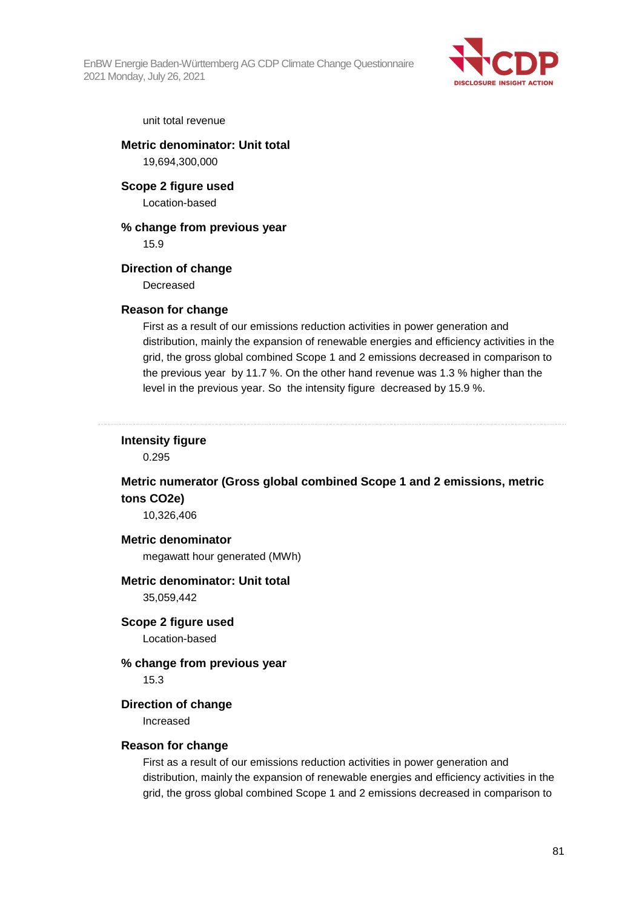

#### unit total revenue

**Metric denominator: Unit total** 

19,694,300,000

**Scope 2 figure used** 

Location-based

#### **% change from previous year**

15.9

#### **Direction of change**

Decreased

#### **Reason for change**

First as a result of our emissions reduction activities in power generation and distribution, mainly the expansion of renewable energies and efficiency activities in the grid, the gross global combined Scope 1 and 2 emissions decreased in comparison to the previous year by 11.7 %. On the other hand revenue was 1.3 % higher than the level in the previous year. So the intensity figure decreased by 15.9 %.

### **Intensity figure**

0.295

#### **Metric numerator (Gross global combined Scope 1 and 2 emissions, metric tons CO2e)**

10,326,406

#### **Metric denominator**

megawatt hour generated (MWh)

#### **Metric denominator: Unit total**

35,059,442

**Scope 2 figure used**  Location-based

#### **% change from previous year**

15.3

#### **Direction of change**

Increased

#### **Reason for change**

First as a result of our emissions reduction activities in power generation and distribution, mainly the expansion of renewable energies and efficiency activities in the grid, the gross global combined Scope 1 and 2 emissions decreased in comparison to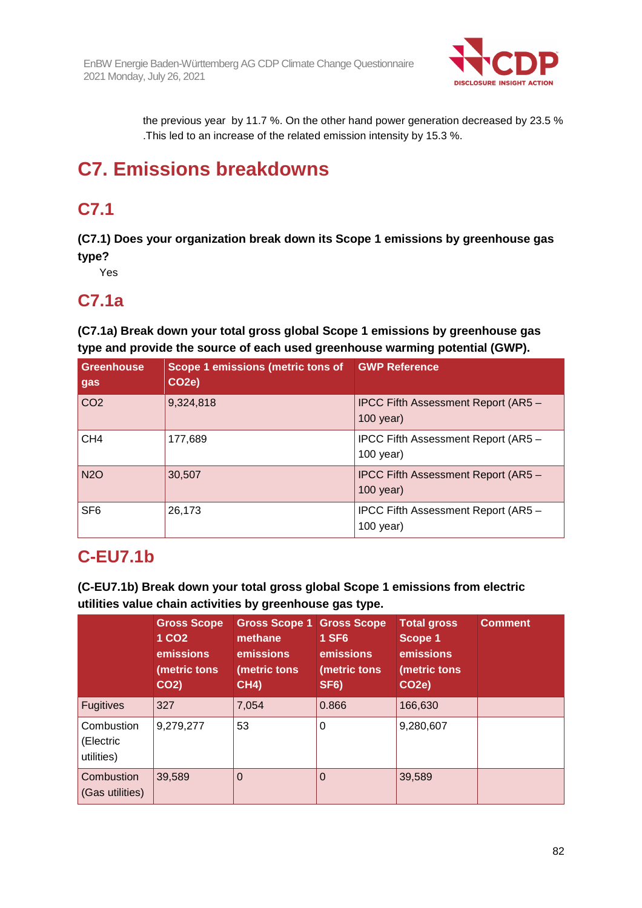

the previous year by 11.7 %. On the other hand power generation decreased by 23.5 % .This led to an increase of the related emission intensity by 15.3 %.

# **C7. Emissions breakdowns**

# **C7.1**

**(C7.1) Does your organization break down its Scope 1 emissions by greenhouse gas type?** 

Yes

### **C7.1a**

**(C7.1a) Break down your total gross global Scope 1 emissions by greenhouse gas type and provide the source of each used greenhouse warming potential (GWP).** 

| Greenhouse<br>gas | Scope 1 emissions (metric tons of<br>CO <sub>2</sub> e) | <b>GWP Reference</b>                               |
|-------------------|---------------------------------------------------------|----------------------------------------------------|
| CO <sub>2</sub>   | 9,324,818                                               | IPCC Fifth Assessment Report (AR5 -<br>$100$ year) |
| CH <sub>4</sub>   | 177,689                                                 | IPCC Fifth Assessment Report (AR5 -<br>$100$ year) |
| <b>N2O</b>        | 30,507                                                  | IPCC Fifth Assessment Report (AR5 -<br>$100$ year) |
| SF <sub>6</sub>   | 26,173                                                  | IPCC Fifth Assessment Report (AR5 -<br>$100$ year) |

# **C-EU7.1b**

**(C-EU7.1b) Break down your total gross global Scope 1 emissions from electric utilities value chain activities by greenhouse gas type.** 

|                                       | <b>Gross Scope</b><br>1 CO <sub>2</sub><br>emissions<br>(metric tons<br>CO <sub>2</sub> ) | <b>Gross Scope 1 Gross Scope</b><br>methane<br><b>emissions</b><br>(metric tons<br><b>CH4)</b> | <b>1 SF6</b><br>emissions<br>(metric tons)<br>SF <sub>6</sub> ) | <b>Total gross</b><br>Scope 1<br>emissions<br>(metric tons<br>CO <sub>2</sub> e) | <b>Comment</b> |
|---------------------------------------|-------------------------------------------------------------------------------------------|------------------------------------------------------------------------------------------------|-----------------------------------------------------------------|----------------------------------------------------------------------------------|----------------|
| <b>Fugitives</b>                      | 327                                                                                       | 7,054                                                                                          | 0.866                                                           | 166,630                                                                          |                |
| Combustion<br>(Electric<br>utilities) | 9,279,277                                                                                 | 53                                                                                             | 0                                                               | 9,280,607                                                                        |                |
| Combustion<br>(Gas utilities)         | 39,589                                                                                    | 0                                                                                              | 0                                                               | 39,589                                                                           |                |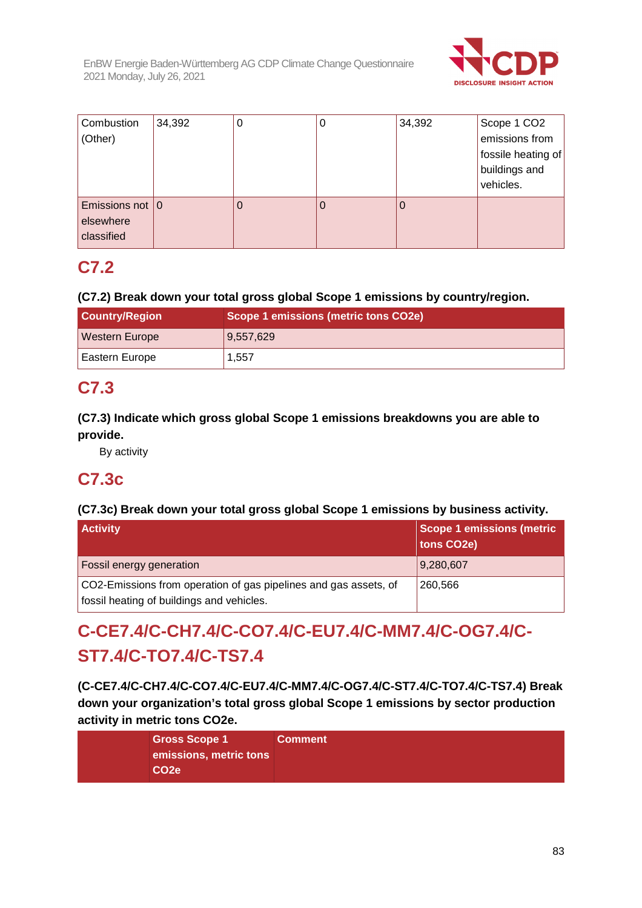

| Combustion<br>(Other)                         | 34,392 | 0 | 0 | 34,392 | Scope 1 CO <sub>2</sub><br>emissions from<br>fossile heating of<br>buildings and<br>vehicles. |
|-----------------------------------------------|--------|---|---|--------|-----------------------------------------------------------------------------------------------|
| Emissions not $ 0$<br>elsewhere<br>classified |        |   | Ü |        |                                                                                               |

# **C7.2**

#### **(C7.2) Break down your total gross global Scope 1 emissions by country/region.**

| <b>Country/Region</b> | Scope 1 emissions (metric tons CO2e) |  |  |
|-----------------------|--------------------------------------|--|--|
| <b>Western Europe</b> | 9,557,629                            |  |  |
| <b>Eastern Europe</b> | 1,557                                |  |  |

# **C7.3**

#### **(C7.3) Indicate which gross global Scope 1 emissions breakdowns you are able to provide.**

By activity

# **C7.3c**

#### **(C7.3c) Break down your total gross global Scope 1 emissions by business activity.**

| <b>Activity</b>                                                                                               | <b>Scope 1 emissions (metric</b><br>tons CO2e) |
|---------------------------------------------------------------------------------------------------------------|------------------------------------------------|
| <b>Fossil energy generation</b>                                                                               | 9,280,607                                      |
| CO2-Emissions from operation of gas pipelines and gas assets, of<br>fossil heating of buildings and vehicles. | 260.566                                        |

# **C-CE7.4/C-CH7.4/C-CO7.4/C-EU7.4/C-MM7.4/C-OG7.4/C-ST7.4/C-TO7.4/C-TS7.4**

**(C-CE7.4/C-CH7.4/C-CO7.4/C-EU7.4/C-MM7.4/C-OG7.4/C-ST7.4/C-TO7.4/C-TS7.4) Break down your organization's total gross global Scope 1 emissions by sector production activity in metric tons CO2e.** 

| <b>Gross Scope 1</b>   | <b>Comment</b> |
|------------------------|----------------|
| emissions, metric tons |                |
| <b>CO2e</b>            |                |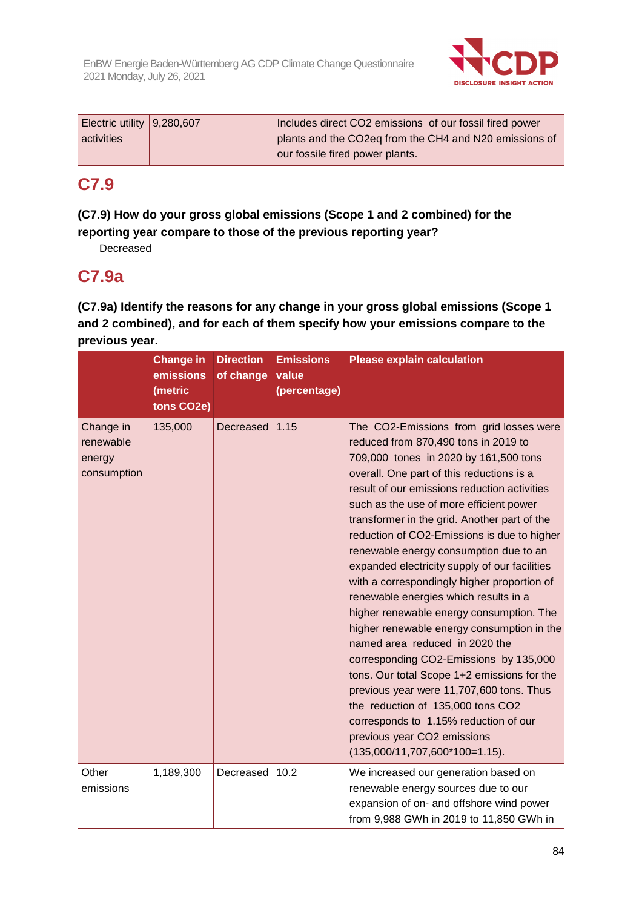

|            | Electric utility $9,280,607$ | Includes direct CO2 emissions of our fossil fired power |
|------------|------------------------------|---------------------------------------------------------|
| activities |                              | plants and the CO2eq from the CH4 and N20 emissions of  |
|            |                              | our fossile fired power plants.                         |

### **C7.9**

#### **(C7.9) How do your gross global emissions (Scope 1 and 2 combined) for the reporting year compare to those of the previous reporting year?**

Decreased

### **C7.9a**

**(C7.9a) Identify the reasons for any change in your gross global emissions (Scope 1 and 2 combined), and for each of them specify how your emissions compare to the previous year.** 

|                                                 | <b>Change in</b><br>emissions<br>(metric<br>tons CO2e) | <b>Direction</b><br>of change | <b>Emissions</b><br>value<br>(percentage) | <b>Please explain calculation</b>                                                                                                                                                                                                                                                                                                                                                                                                                                                                                                                                                                                                                                                                                                                                                                                                                                                                                                                                    |
|-------------------------------------------------|--------------------------------------------------------|-------------------------------|-------------------------------------------|----------------------------------------------------------------------------------------------------------------------------------------------------------------------------------------------------------------------------------------------------------------------------------------------------------------------------------------------------------------------------------------------------------------------------------------------------------------------------------------------------------------------------------------------------------------------------------------------------------------------------------------------------------------------------------------------------------------------------------------------------------------------------------------------------------------------------------------------------------------------------------------------------------------------------------------------------------------------|
| Change in<br>renewable<br>energy<br>consumption | 135,000                                                | Decreased                     | 1.15                                      | The CO2-Emissions from grid losses were<br>reduced from 870,490 tons in 2019 to<br>709,000 tones in 2020 by 161,500 tons<br>overall. One part of this reductions is a<br>result of our emissions reduction activities<br>such as the use of more efficient power<br>transformer in the grid. Another part of the<br>reduction of CO2-Emissions is due to higher<br>renewable energy consumption due to an<br>expanded electricity supply of our facilities<br>with a correspondingly higher proportion of<br>renewable energies which results in a<br>higher renewable energy consumption. The<br>higher renewable energy consumption in the<br>named area reduced in 2020 the<br>corresponding CO2-Emissions by 135,000<br>tons. Our total Scope 1+2 emissions for the<br>previous year were 11,707,600 tons. Thus<br>the reduction of 135,000 tons CO2<br>corresponds to 1.15% reduction of our<br>previous year CO2 emissions<br>$(135,000/11,707,600*100=1.15).$ |
| Other<br>emissions                              | 1,189,300                                              | Decreased                     | 10.2                                      | We increased our generation based on<br>renewable energy sources due to our<br>expansion of on- and offshore wind power<br>from 9,988 GWh in 2019 to 11,850 GWh in                                                                                                                                                                                                                                                                                                                                                                                                                                                                                                                                                                                                                                                                                                                                                                                                   |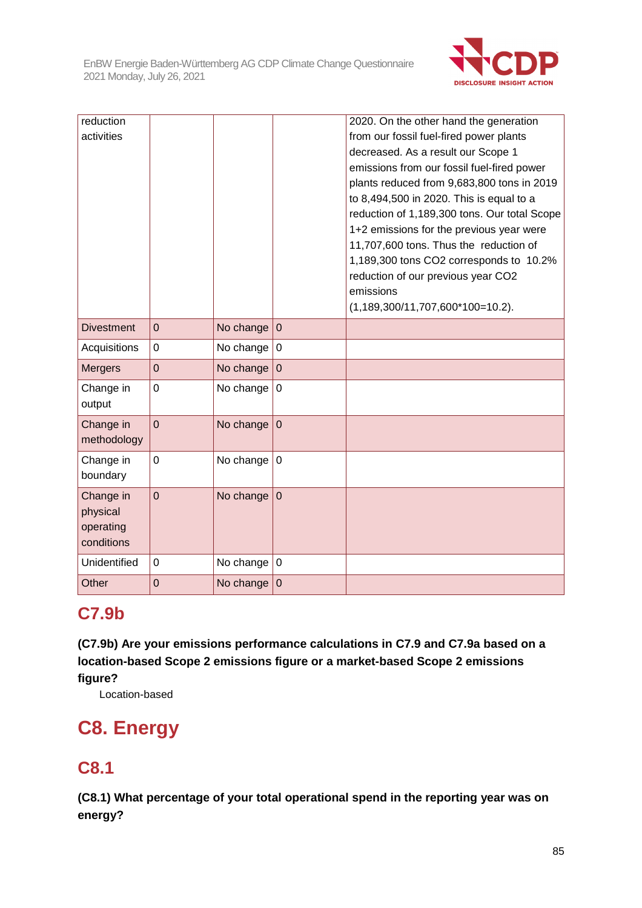

| reduction         |                |           |                  | 2020. On the other hand the generation       |
|-------------------|----------------|-----------|------------------|----------------------------------------------|
| activities        |                |           |                  | from our fossil fuel-fired power plants      |
|                   |                |           |                  | decreased. As a result our Scope 1           |
|                   |                |           |                  | emissions from our fossil fuel-fired power   |
|                   |                |           |                  | plants reduced from 9,683,800 tons in 2019   |
|                   |                |           |                  | to 8,494,500 in 2020. This is equal to a     |
|                   |                |           |                  | reduction of 1,189,300 tons. Our total Scope |
|                   |                |           |                  | 1+2 emissions for the previous year were     |
|                   |                |           |                  | 11,707,600 tons. Thus the reduction of       |
|                   |                |           |                  | 1,189,300 tons CO2 corresponds to 10.2%      |
|                   |                |           |                  | reduction of our previous year CO2           |
|                   |                |           |                  | emissions                                    |
|                   |                |           |                  | $(1, 189, 300/11, 707, 600*100=10.2)$ .      |
| <b>Divestment</b> | $\overline{0}$ | No change | $\mathbf 0$      |                                              |
| Acquisitions      | 0              | No change | $\mathbf 0$      |                                              |
| <b>Mergers</b>    | $\overline{0}$ | No change | $\overline{0}$   |                                              |
| Change in         | $\overline{0}$ | No change | $\mathbf 0$      |                                              |
| output            |                |           |                  |                                              |
| Change in         | $\overline{0}$ | No change | $\mathbf 0$      |                                              |
| methodology       |                |           |                  |                                              |
| Change in         | 0              | No change | $\mathbf 0$      |                                              |
| boundary          |                |           |                  |                                              |
| Change in         | $\overline{0}$ | No change | $\overline{0}$   |                                              |
| physical          |                |           |                  |                                              |
| operating         |                |           |                  |                                              |
| conditions        |                |           |                  |                                              |
| Unidentified      | $\mathbf 0$    | No change | $\boldsymbol{0}$ |                                              |
| Other             | $\mathbf 0$    | No change | $\mathbf 0$      |                                              |

# **C7.9b**

**(C7.9b) Are your emissions performance calculations in C7.9 and C7.9a based on a location-based Scope 2 emissions figure or a market-based Scope 2 emissions figure?** 

Location-based

# **C8. Energy**

# **C8.1**

**(C8.1) What percentage of your total operational spend in the reporting year was on energy?**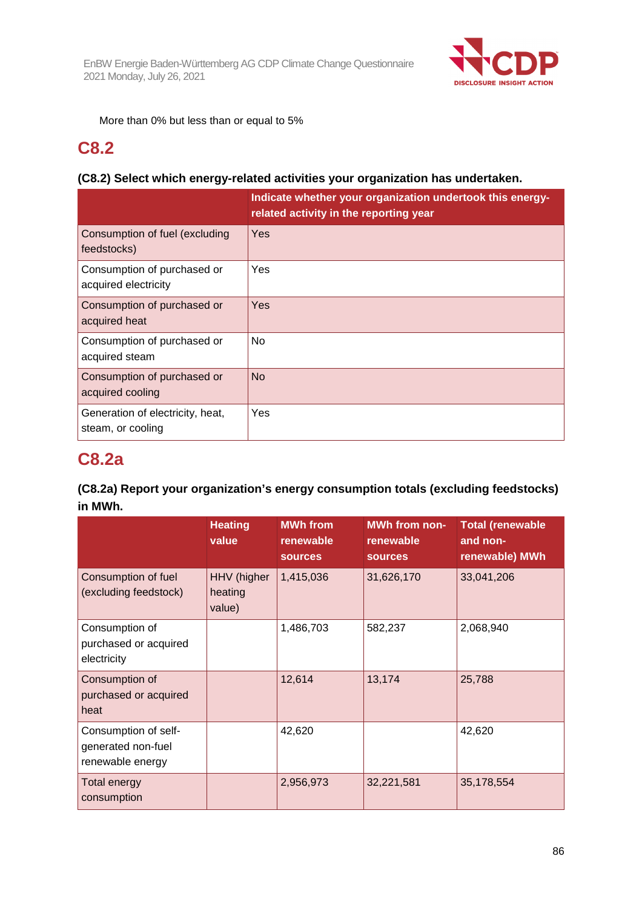

More than 0% but less than or equal to 5%

### **C8.2**

#### **(C8.2) Select which energy-related activities your organization has undertaken.**

|                                                       | Indicate whether your organization undertook this energy-<br>related activity in the reporting year |
|-------------------------------------------------------|-----------------------------------------------------------------------------------------------------|
| Consumption of fuel (excluding<br>feedstocks)         | Yes                                                                                                 |
| Consumption of purchased or<br>acquired electricity   | Yes                                                                                                 |
| Consumption of purchased or<br>acquired heat          | Yes                                                                                                 |
| Consumption of purchased or<br>acquired steam         | <b>No</b>                                                                                           |
| Consumption of purchased or<br>acquired cooling       | <b>No</b>                                                                                           |
| Generation of electricity, heat,<br>steam, or cooling | Yes                                                                                                 |

# **C8.2a**

#### **(C8.2a) Report your organization's energy consumption totals (excluding feedstocks) in MWh.**

|                                                                | <b>Heating</b><br>value          | <b>MWh from</b><br>renewable<br><b>sources</b> | <b>MWh from non-</b><br>renewable<br><b>sources</b> | <b>Total (renewable</b><br>and non-<br>renewable) MWh |
|----------------------------------------------------------------|----------------------------------|------------------------------------------------|-----------------------------------------------------|-------------------------------------------------------|
| Consumption of fuel<br>(excluding feedstock)                   | HHV (higher<br>heating<br>value) | 1,415,036                                      | 31,626,170                                          | 33,041,206                                            |
| Consumption of<br>purchased or acquired<br>electricity         |                                  | 1,486,703                                      | 582,237                                             | 2,068,940                                             |
| Consumption of<br>purchased or acquired<br>heat                |                                  | 12,614                                         | 13,174                                              | 25,788                                                |
| Consumption of self-<br>generated non-fuel<br>renewable energy |                                  | 42,620                                         |                                                     | 42,620                                                |
| <b>Total energy</b><br>consumption                             |                                  | 2,956,973                                      | 32,221,581                                          | 35,178,554                                            |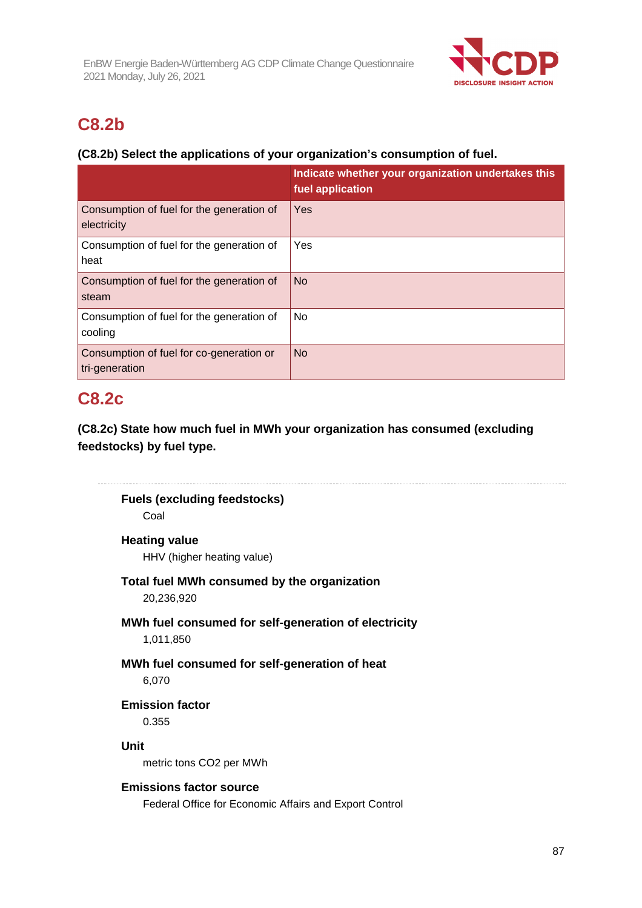

# **C8.2b**

#### **(C8.2b) Select the applications of your organization's consumption of fuel.**

|                                                            | Indicate whether your organization undertakes this<br>fuel application |
|------------------------------------------------------------|------------------------------------------------------------------------|
| Consumption of fuel for the generation of<br>electricity   | Yes                                                                    |
| Consumption of fuel for the generation of<br>heat          | Yes                                                                    |
| Consumption of fuel for the generation of<br>steam         | <b>No</b>                                                              |
| Consumption of fuel for the generation of<br>cooling       | No                                                                     |
| Consumption of fuel for co-generation or<br>tri-generation | <b>No</b>                                                              |

### **C8.2c**

**(C8.2c) State how much fuel in MWh your organization has consumed (excluding feedstocks) by fuel type.** 

**Fuels (excluding feedstocks)** 

Coal

#### **Heating value**

HHV (higher heating value)

# **Total fuel MWh consumed by the organization**

20,236,920

# **MWh fuel consumed for self-generation of electricity**

1,011,850

# **MWh fuel consumed for self-generation of heat**

6,070

#### **Emission factor**  0.355

**Unit** 

metric tons CO2 per MWh

#### **Emissions factor source**

Federal Office for Economic Affairs and Export Control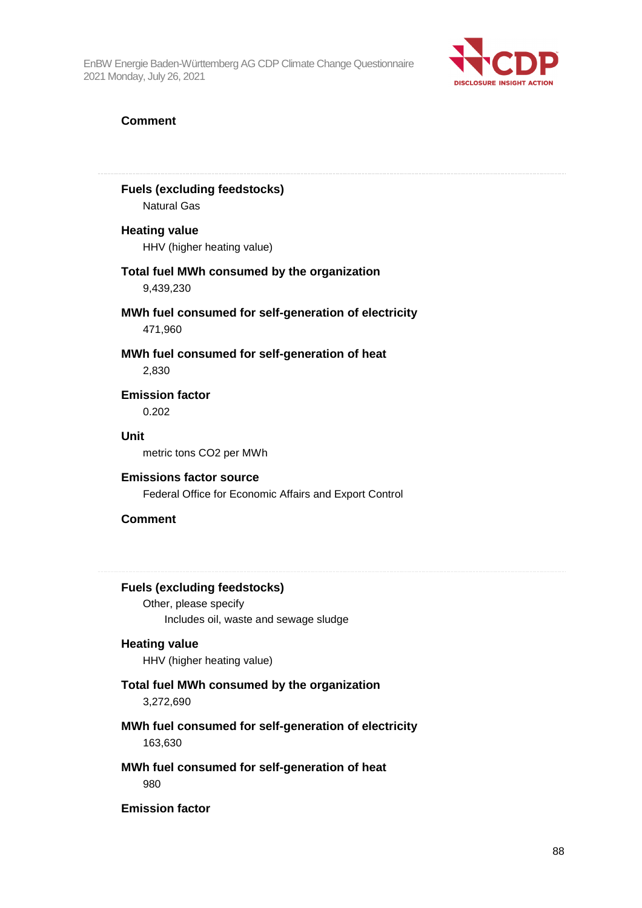

#### **Comment**

#### **Fuels (excluding feedstocks)**

Natural Gas

#### **Heating value**

HHV (higher heating value)

#### **Total fuel MWh consumed by the organization**  9,439,230

#### **MWh fuel consumed for self-generation of electricity**  471,960

#### **MWh fuel consumed for self-generation of heat**  2,830

**Emission factor**  0.202

#### **Unit**

metric tons CO2 per MWh

#### **Emissions factor source**

Federal Office for Economic Affairs and Export Control

#### **Comment**

#### **Fuels (excluding feedstocks)**

Other, please specify Includes oil, waste and sewage sludge

#### **Heating value**

HHV (higher heating value)

#### **Total fuel MWh consumed by the organization**

3,272,690

#### **MWh fuel consumed for self-generation of electricity**  163,630

### **MWh fuel consumed for self-generation of heat**

980

#### **Emission factor**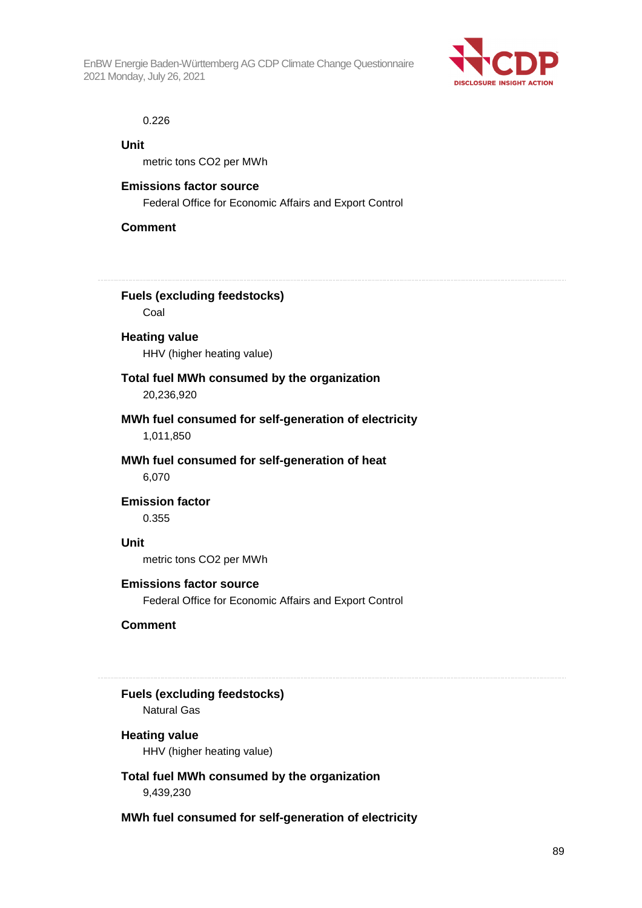

#### 0.226

#### **Unit**

metric tons CO2 per MWh

#### **Emissions factor source**

Federal Office for Economic Affairs and Export Control

#### **Comment**

**Fuels (excluding feedstocks)**  Coal

# **Heating value**

HHV (higher heating value)

#### **Total fuel MWh consumed by the organization**

20,236,920

# **MWh fuel consumed for self-generation of electricity**

1,011,850

#### **MWh fuel consumed for self-generation of heat**  6,070

**Emission factor** 

0.355

#### **Unit**

metric tons CO2 per MWh

#### **Emissions factor source**

Federal Office for Economic Affairs and Export Control

#### **Comment**

### **Fuels (excluding feedstocks)**

Natural Gas

#### **Heating value**

HHV (higher heating value)

#### **Total fuel MWh consumed by the organization**

9,439,230

#### **MWh fuel consumed for self-generation of electricity**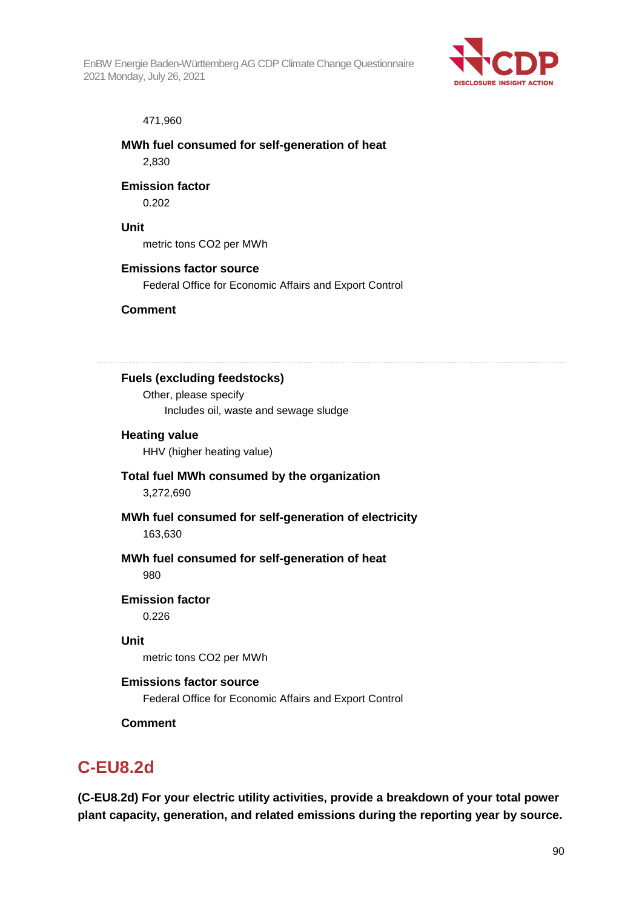

#### 471,960

#### **MWh fuel consumed for self-generation of heat**  2,830

#### **Emission factor**

0.202

#### **Unit**

metric tons CO2 per MWh

#### **Emissions factor source**

Federal Office for Economic Affairs and Export Control

#### **Comment**

#### **Fuels (excluding feedstocks)**

Other, please specify Includes oil, waste and sewage sludge

#### **Heating value**

HHV (higher heating value)

#### **Total fuel MWh consumed by the organization**  3,272,690

#### **MWh fuel consumed for self-generation of electricity**  163,630

#### **MWh fuel consumed for self-generation of heat**  980

**Emission factor** 

0.226

#### **Unit**

metric tons CO2 per MWh

#### **Emissions factor source**

Federal Office for Economic Affairs and Export Control

#### **Comment**

### **C-EU8.2d**

**(C-EU8.2d) For your electric utility activities, provide a breakdown of your total power plant capacity, generation, and related emissions during the reporting year by source.**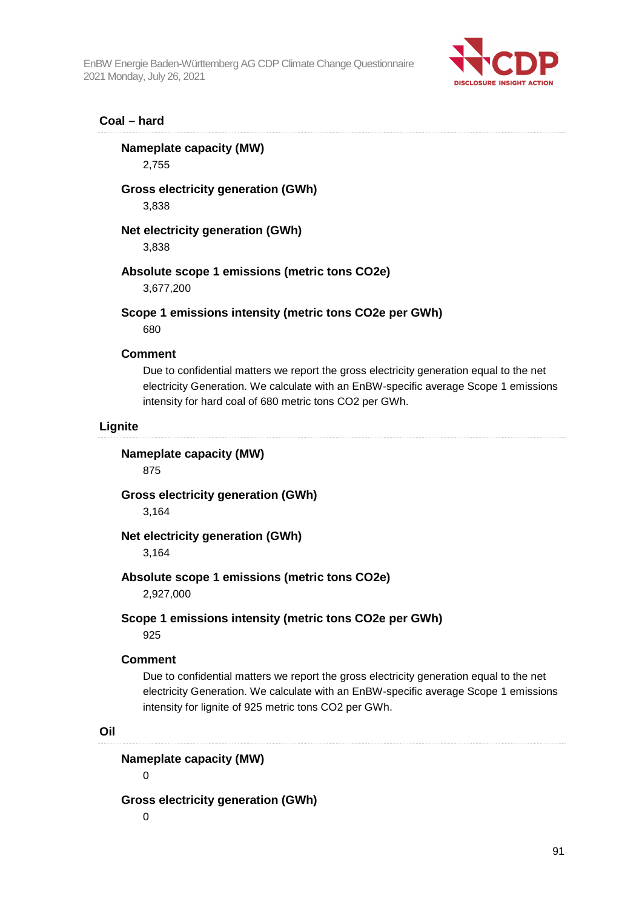

#### **Coal – hard**

#### **Nameplate capacity (MW)**

2,755

#### **Gross electricity generation (GWh)**

3,838

#### **Net electricity generation (GWh)**

3,838

#### **Absolute scope 1 emissions (metric tons CO2e)**

3,677,200

#### **Scope 1 emissions intensity (metric tons CO2e per GWh)**

680

#### **Comment**

Due to confidential matters we report the gross electricity generation equal to the net electricity Generation. We calculate with an EnBW-specific average Scope 1 emissions intensity for hard coal of 680 metric tons CO2 per GWh.

#### **Lignite**

#### **Nameplate capacity (MW)**

875

#### **Gross electricity generation (GWh)**

3,164

#### **Net electricity generation (GWh)**

3,164

#### **Absolute scope 1 emissions (metric tons CO2e)**

2,927,000

# **Scope 1 emissions intensity (metric tons CO2e per GWh)**

925

#### **Comment**

Due to confidential matters we report the gross electricity generation equal to the net electricity Generation. We calculate with an EnBW-specific average Scope 1 emissions intensity for lignite of 925 metric tons CO2 per GWh.

#### **Oil**

#### **Nameplate capacity (MW)**

 $\Omega$ 

#### **Gross electricity generation (GWh)**

 $\overline{0}$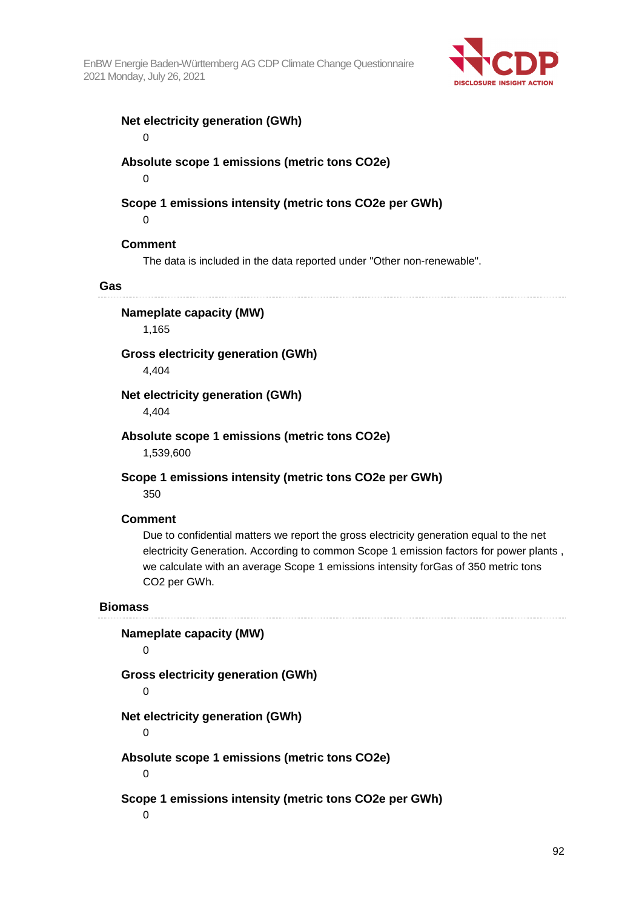

#### **Net electricity generation (GWh)**

 $\overline{0}$ 

#### **Absolute scope 1 emissions (metric tons CO2e)**

 $\Omega$ 

#### **Scope 1 emissions intensity (metric tons CO2e per GWh)**

 $\Omega$ 

#### **Comment**

The data is included in the data reported under "Other non-renewable".

#### **Gas**

#### **Nameplate capacity (MW)**

1,165

#### **Gross electricity generation (GWh)**

4,404

#### **Net electricity generation (GWh)**

4,404

#### **Absolute scope 1 emissions (metric tons CO2e)**

1,539,600

#### **Scope 1 emissions intensity (metric tons CO2e per GWh)**

350

#### **Comment**

Due to confidential matters we report the gross electricity generation equal to the net electricity Generation. According to common Scope 1 emission factors for power plants , we calculate with an average Scope 1 emissions intensity forGas of 350 metric tons CO2 per GWh.

#### **Biomass**

**Nameplate capacity (MW)**   $\Omega$ **Gross electricity generation (GWh)**  0 **Net electricity generation (GWh)**   $\overline{0}$ **Absolute scope 1 emissions (metric tons CO2e)**  0 **Scope 1 emissions intensity (metric tons CO2e per GWh)**   $\Omega$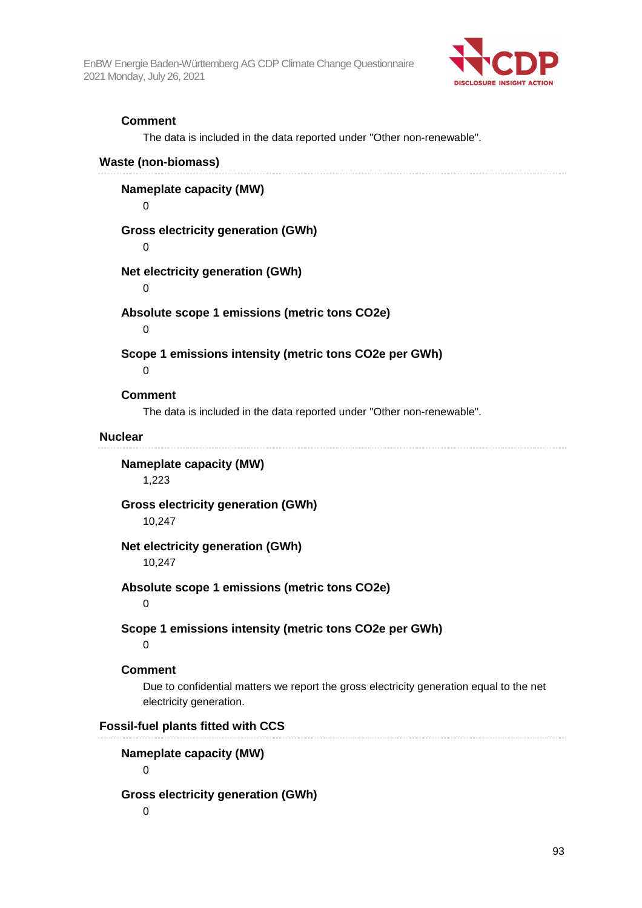

#### **Comment**

The data is included in the data reported under "Other non-renewable".

#### **Waste (non-biomass)**

**Nameplate capacity (MW)** 

 $\overline{0}$ 

#### **Gross electricity generation (GWh)**

 $\Omega$ 

#### **Net electricity generation (GWh)**

 $\Omega$ 

#### **Absolute scope 1 emissions (metric tons CO2e)**

 $\Omega$ 

#### **Scope 1 emissions intensity (metric tons CO2e per GWh)**

 $\Omega$ 

#### **Comment**

The data is included in the data reported under "Other non-renewable".

#### **Nuclear**

#### **Nameplate capacity (MW)**

1,223

#### **Gross electricity generation (GWh)**

10,247

#### **Net electricity generation (GWh)**

10,247

#### **Absolute scope 1 emissions (metric tons CO2e)**

0

#### **Scope 1 emissions intensity (metric tons CO2e per GWh)**

 $\Omega$ 

#### **Comment**

Due to confidential matters we report the gross electricity generation equal to the net electricity generation.

#### **Fossil-fuel plants fitted with CCS**

#### **Nameplate capacity (MW)**

 $\Omega$ 

#### **Gross electricity generation (GWh)**

 $\Omega$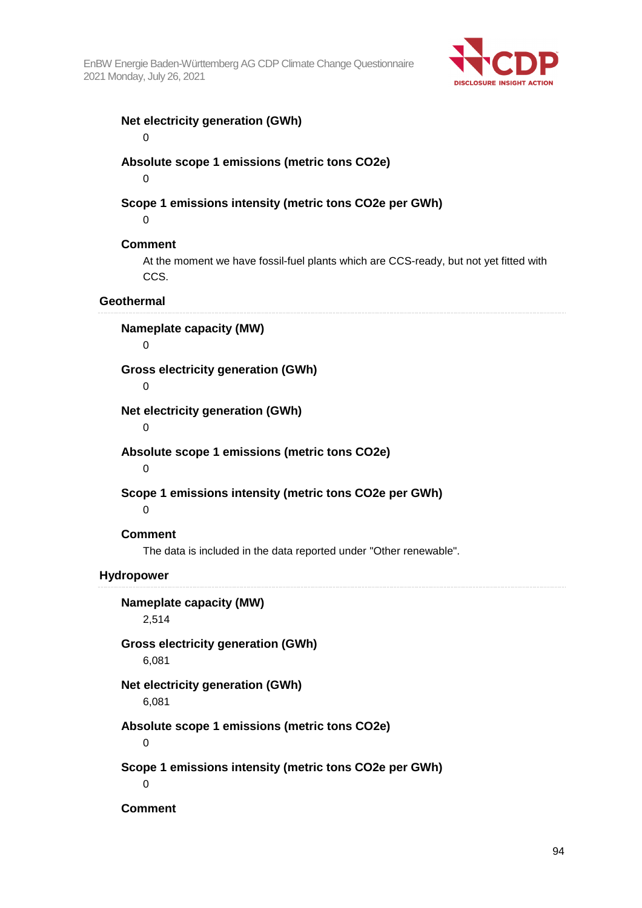

#### **Net electricity generation (GWh)**

 $\overline{0}$ 

#### **Absolute scope 1 emissions (metric tons CO2e)**

 $\Omega$ 

#### **Scope 1 emissions intensity (metric tons CO2e per GWh)**

0

#### **Comment**

At the moment we have fossil-fuel plants which are CCS-ready, but not yet fitted with CCS.

#### **Geothermal**

#### **Nameplate capacity (MW)**

 $\Omega$ 

#### **Gross electricity generation (GWh)**

 $\Omega$ 

#### **Net electricity generation (GWh)**

 $\Omega$ 

#### **Absolute scope 1 emissions (metric tons CO2e)**

 $\Omega$ 

#### **Scope 1 emissions intensity (metric tons CO2e per GWh)**

 $\Omega$ 

#### **Comment**

The data is included in the data reported under "Other renewable".

#### **Hydropower**

**Nameplate capacity (MW)** 

2,514

#### **Gross electricity generation (GWh)**

6,081

#### **Net electricity generation (GWh)**

6,081

#### **Absolute scope 1 emissions (metric tons CO2e)**

 $\Omega$ 

#### **Scope 1 emissions intensity (metric tons CO2e per GWh)**

 $\Omega$ 

**Comment**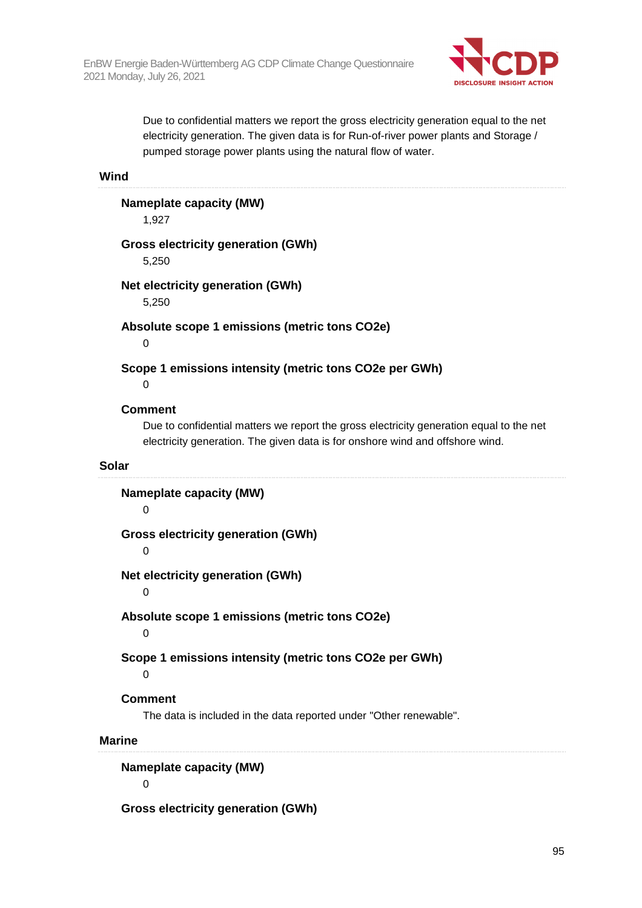

Due to confidential matters we report the gross electricity generation equal to the net electricity generation. The given data is for Run-of-river power plants and Storage / pumped storage power plants using the natural flow of water.

**Wind** 

#### **Nameplate capacity (MW)**

1,927

#### **Gross electricity generation (GWh)**

5,250

#### **Net electricity generation (GWh)**

5,250

#### **Absolute scope 1 emissions (metric tons CO2e)**

 $\Omega$ 

#### **Scope 1 emissions intensity (metric tons CO2e per GWh)**

 $\Omega$ 

#### **Comment**

Due to confidential matters we report the gross electricity generation equal to the net electricity generation. The given data is for onshore wind and offshore wind.

#### **Solar**

**Nameplate capacity (MW)**   $\Omega$ **Gross electricity generation (GWh)**   $\Omega$ **Net electricity generation (GWh)**  0 **Absolute scope 1 emissions (metric tons CO2e)**   $\Omega$ **Scope 1 emissions intensity (metric tons CO2e per GWh)**   $\Omega$ **Comment**  The data is included in the data reported under "Other renewable". **Marine Nameplate capacity (MW)**  0

**Gross electricity generation (GWh)**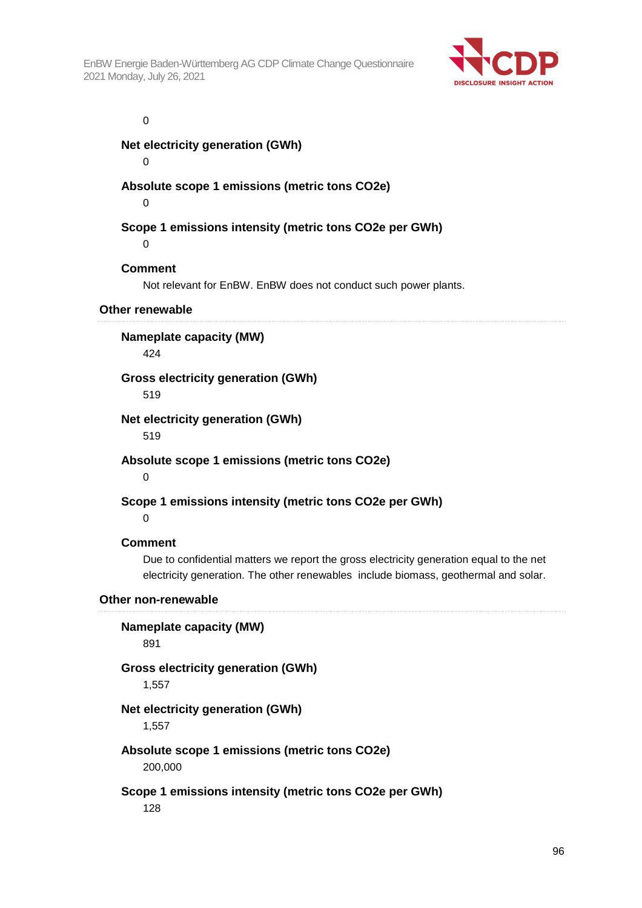

0

**Net electricity generation (GWh)** 

 $\Omega$ 

#### **Absolute scope 1 emissions (metric tons CO2e)**

 $\Omega$ 

#### **Scope 1 emissions intensity (metric tons CO2e per GWh)**

 $\Omega$ 

#### **Comment**

Not relevant for EnBW. EnBW does not conduct such power plants.

#### **Other renewable**

**Nameplate capacity (MW)**  424

#### **Gross electricity generation (GWh)**

519

#### **Net electricity generation (GWh)**

519

**Absolute scope 1 emissions (metric tons CO2e)** 

 $\Omega$ 

#### **Scope 1 emissions intensity (metric tons CO2e per GWh)**

 $\Omega$ 

#### **Comment**

Due to confidential matters we report the gross electricity generation equal to the net electricity generation. The other renewables include biomass, geothermal and solar.

#### **Other non-renewable**

**Nameplate capacity (MW)**  891

#### **Gross electricity generation (GWh)**

1,557

#### **Net electricity generation (GWh)**

1,557

#### **Absolute scope 1 emissions (metric tons CO2e)**  200,000

# **Scope 1 emissions intensity (metric tons CO2e per GWh)**

128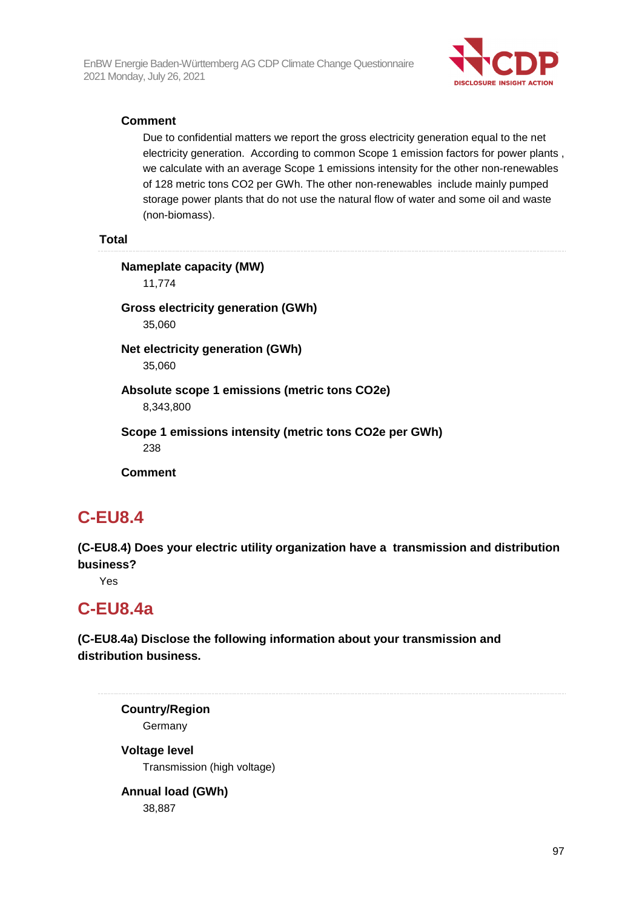

#### **Comment**

Due to confidential matters we report the gross electricity generation equal to the net electricity generation. According to common Scope 1 emission factors for power plants , we calculate with an average Scope 1 emissions intensity for the other non-renewables of 128 metric tons CO2 per GWh. The other non-renewables include mainly pumped storage power plants that do not use the natural flow of water and some oil and waste (non-biomass).

#### **Total**

#### **Nameplate capacity (MW)**

11,774

**Gross electricity generation (GWh)**  35,060

**Net electricity generation (GWh)**  35,060

#### **Absolute scope 1 emissions (metric tons CO2e)**  8,343,800

# **Scope 1 emissions intensity (metric tons CO2e per GWh)**

238

**Comment** 

### **C-EU8.4**

**(C-EU8.4) Does your electric utility organization have a transmission and distribution business?** 

Yes

### **C-EU8.4a**

**(C-EU8.4a) Disclose the following information about your transmission and distribution business.** 

**Country/Region Germany** 

**Voltage level**  Transmission (high voltage)

# **Annual load (GWh)**

38,887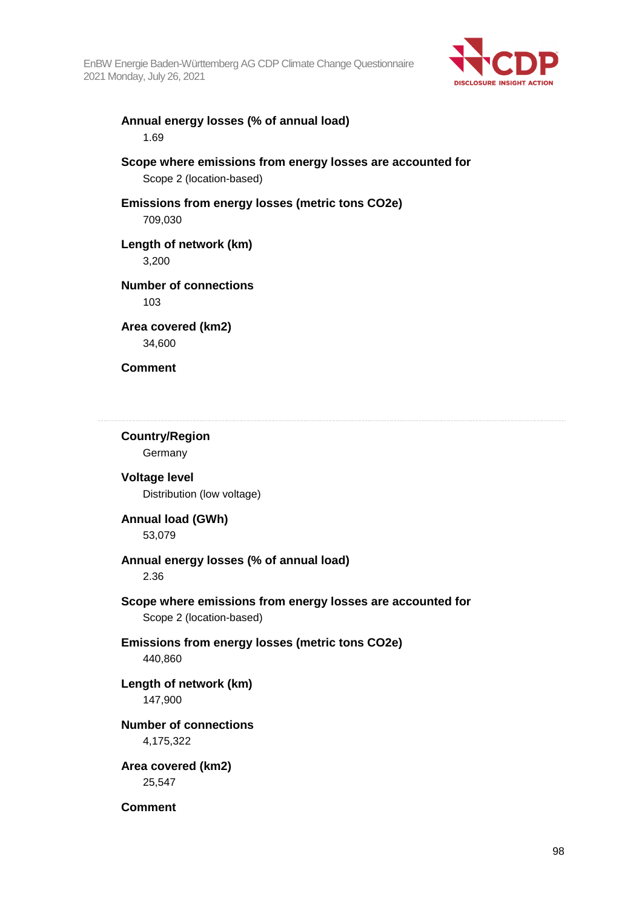

#### **Annual energy losses (% of annual load)**  1.69

#### **Scope where emissions from energy losses are accounted for**  Scope 2 (location-based)

#### **Emissions from energy losses (metric tons CO2e)**  709,030

#### **Length of network (km)**

3,200

### **Number of connections**

103

#### **Area covered (km2)**  34,600

#### **Comment**

#### **Country/Region**

**Germany** 

#### **Voltage level**  Distribution (low voltage)

#### **Annual load (GWh)**  53,079

#### **Annual energy losses (% of annual load)**

2.36

#### **Scope where emissions from energy losses are accounted for**  Scope 2 (location-based)

# **Emissions from energy losses (metric tons CO2e)**

440,860

### **Length of network (km)**

147,900

#### **Number of connections**

4,175,322

#### **Area covered (km2)**  25,547

**Comment**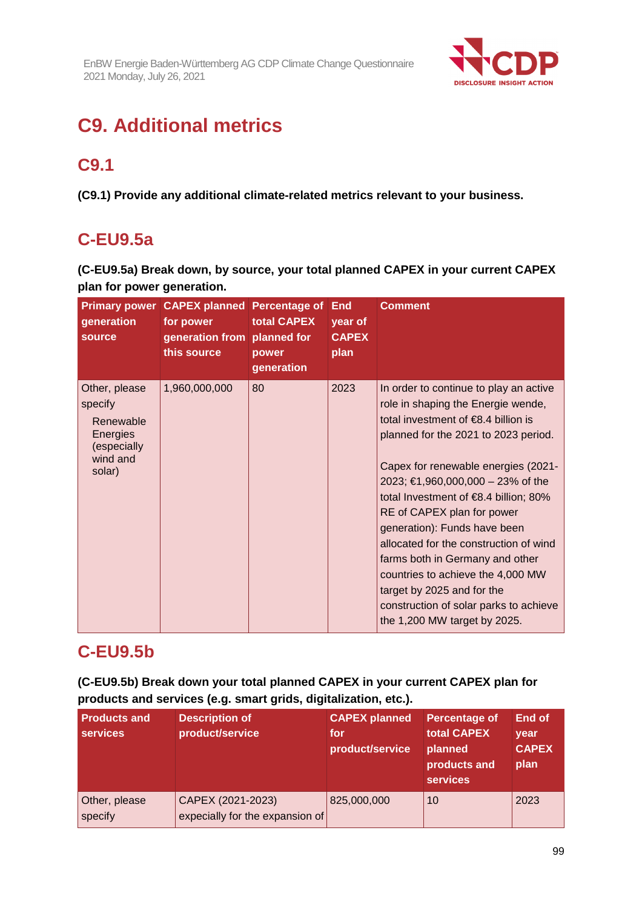

# **C9. Additional metrics**

# **C9.1**

**(C9.1) Provide any additional climate-related metrics relevant to your business.** 

# **C-EU9.5a**

**(C-EU9.5a) Break down, by source, your total planned CAPEX in your current CAPEX plan for power generation.** 

| generation<br>source                                                                   | <b>Primary power CAPEX planned Percentage of</b><br>for power<br>generation from planned for<br>this source | total CAPEX<br>power<br>generation | <b>End</b><br>year of<br><b>CAPEX</b><br>plan | <b>Comment</b>                                                                                                                                                                                                                                                                                                                                                                                                                                                                                                                                                                               |
|----------------------------------------------------------------------------------------|-------------------------------------------------------------------------------------------------------------|------------------------------------|-----------------------------------------------|----------------------------------------------------------------------------------------------------------------------------------------------------------------------------------------------------------------------------------------------------------------------------------------------------------------------------------------------------------------------------------------------------------------------------------------------------------------------------------------------------------------------------------------------------------------------------------------------|
| Other, please<br>specify<br>Renewable<br>Energies<br>(especially<br>wind and<br>solar) | 1,960,000,000                                                                                               | 80                                 | 2023                                          | In order to continue to play an active<br>role in shaping the Energie wende,<br>total investment of $\epsilon$ 8.4 billion is<br>planned for the 2021 to 2023 period.<br>Capex for renewable energies (2021-<br>2023; €1,960,000,000 – 23% of the<br>total Investment of $\epsilon$ 8.4 billion; 80%<br>RE of CAPEX plan for power<br>generation): Funds have been<br>allocated for the construction of wind<br>farms both in Germany and other<br>countries to achieve the 4,000 MW<br>target by 2025 and for the<br>construction of solar parks to achieve<br>the 1,200 MW target by 2025. |

# **C-EU9.5b**

**(C-EU9.5b) Break down your total planned CAPEX in your current CAPEX plan for products and services (e.g. smart grids, digitalization, etc.).** 

| <b>Products and</b><br><b>services</b> | <b>Description of</b><br>product/service             | <b>CAPEX planned</b><br>for<br>product/service | <b>Percentage of</b><br>total CAPEX<br>planned<br>products and<br><b>services</b> | <b>End of</b><br>year<br><b>CAPEX</b><br>plan |
|----------------------------------------|------------------------------------------------------|------------------------------------------------|-----------------------------------------------------------------------------------|-----------------------------------------------|
| Other, please<br>specify               | CAPEX (2021-2023)<br>expecially for the expansion of | 825,000,000                                    | 10                                                                                | 2023                                          |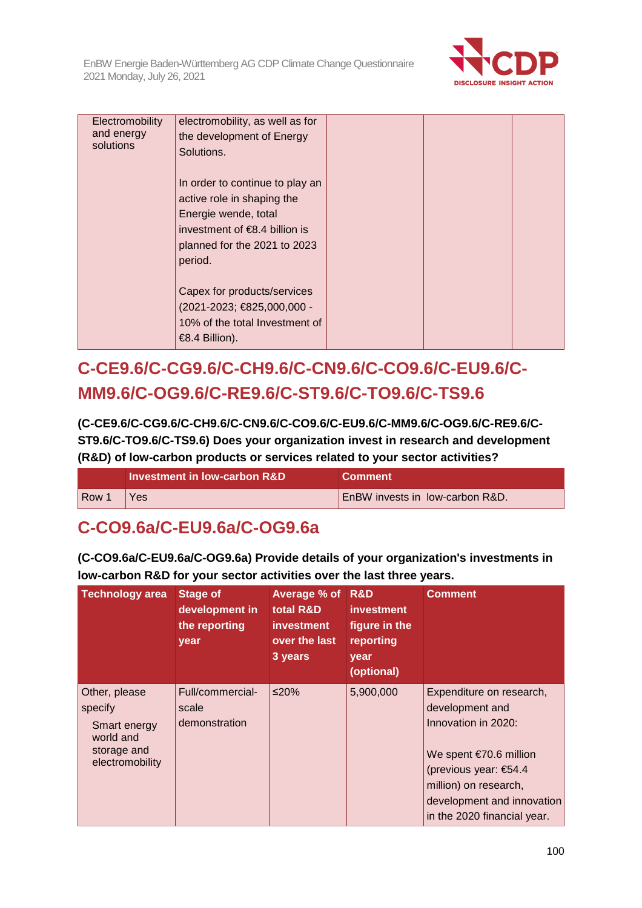

| Electromobility<br>and energy<br>solutions | electromobility, as well as for<br>the development of Energy<br>Solutions.                                                                                          |  |  |
|--------------------------------------------|---------------------------------------------------------------------------------------------------------------------------------------------------------------------|--|--|
|                                            | In order to continue to play an<br>active role in shaping the<br>Energie wende, total<br>investment of $€8.4$ billion is<br>planned for the 2021 to 2023<br>period. |  |  |
|                                            | Capex for products/services<br>(2021-2023; €825,000,000 -<br>10% of the total Investment of<br>€8.4 Billion).                                                       |  |  |

# **C-CE9.6/C-CG9.6/C-CH9.6/C-CN9.6/C-CO9.6/C-EU9.6/C-MM9.6/C-OG9.6/C-RE9.6/C-ST9.6/C-TO9.6/C-TS9.6**

**(C-CE9.6/C-CG9.6/C-CH9.6/C-CN9.6/C-CO9.6/C-EU9.6/C-MM9.6/C-OG9.6/C-RE9.6/C-ST9.6/C-TO9.6/C-TS9.6) Does your organization invest in research and development (R&D) of low-carbon products or services related to your sector activities?** 

|       | Investment in Tow-carbon R&D | <b>Comment</b>                         |
|-------|------------------------------|----------------------------------------|
| Row 1 | Yes.                         | <b>EnBW</b> invests in low-carbon R&D. |

**C-CO9.6a/C-EU9.6a/C-OG9.6a** 

**(C-CO9.6a/C-EU9.6a/C-OG9.6a) Provide details of your organization's investments in low-carbon R&D for your sector activities over the last three years.** 

| <b>Technology area</b>                                                                  | <b>Stage of</b><br>development in<br>the reporting<br>year | Average % of<br>total R&D<br><b>investment</b><br>over the last<br>3 years | R&D<br><b>investment</b><br>figure in the<br>reporting<br>year<br>(optional) | <b>Comment</b>                                                                                                                                                                                                |
|-----------------------------------------------------------------------------------------|------------------------------------------------------------|----------------------------------------------------------------------------|------------------------------------------------------------------------------|---------------------------------------------------------------------------------------------------------------------------------------------------------------------------------------------------------------|
| Other, please<br>specify<br>Smart energy<br>world and<br>storage and<br>electromobility | Full/commercial-<br>scale<br>demonstration                 | ≤20%                                                                       | 5,900,000                                                                    | Expenditure on research,<br>development and<br>Innovation in 2020:<br>We spent $€70.6$ million<br>(previous year: €54.4<br>million) on research,<br>development and innovation<br>in the 2020 financial year. |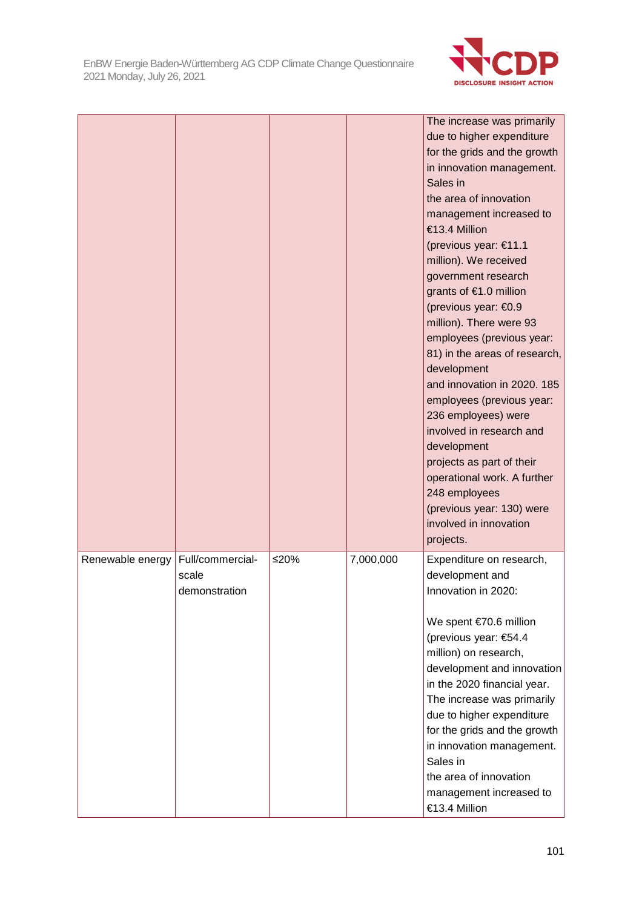

|                  |                                            |        |           | The increase was primarily<br>due to higher expenditure<br>for the grids and the growth<br>in innovation management.<br>Sales in<br>the area of innovation<br>management increased to<br>€13.4 Million<br>(previous year: €11.1<br>million). We received<br>government research<br>grants of €1.0 million<br>(previous year: €0.9<br>million). There were 93<br>employees (previous year:<br>81) in the areas of research,<br>development<br>and innovation in 2020. 185<br>employees (previous year:<br>236 employees) were<br>involved in research and<br>development<br>projects as part of their<br>operational work. A further<br>248 employees<br>(previous year: 130) were<br>involved in innovation<br>projects. |
|------------------|--------------------------------------------|--------|-----------|--------------------------------------------------------------------------------------------------------------------------------------------------------------------------------------------------------------------------------------------------------------------------------------------------------------------------------------------------------------------------------------------------------------------------------------------------------------------------------------------------------------------------------------------------------------------------------------------------------------------------------------------------------------------------------------------------------------------------|
| Renewable energy | Full/commercial-<br>scale<br>demonstration | $≤20%$ | 7,000,000 | Expenditure on research,<br>development and<br>Innovation in 2020:<br>We spent €70.6 million<br>(previous year: €54.4<br>million) on research,<br>development and innovation<br>in the 2020 financial year.<br>The increase was primarily<br>due to higher expenditure<br>for the grids and the growth<br>in innovation management.<br>Sales in<br>the area of innovation<br>management increased to<br>€13.4 Million                                                                                                                                                                                                                                                                                                    |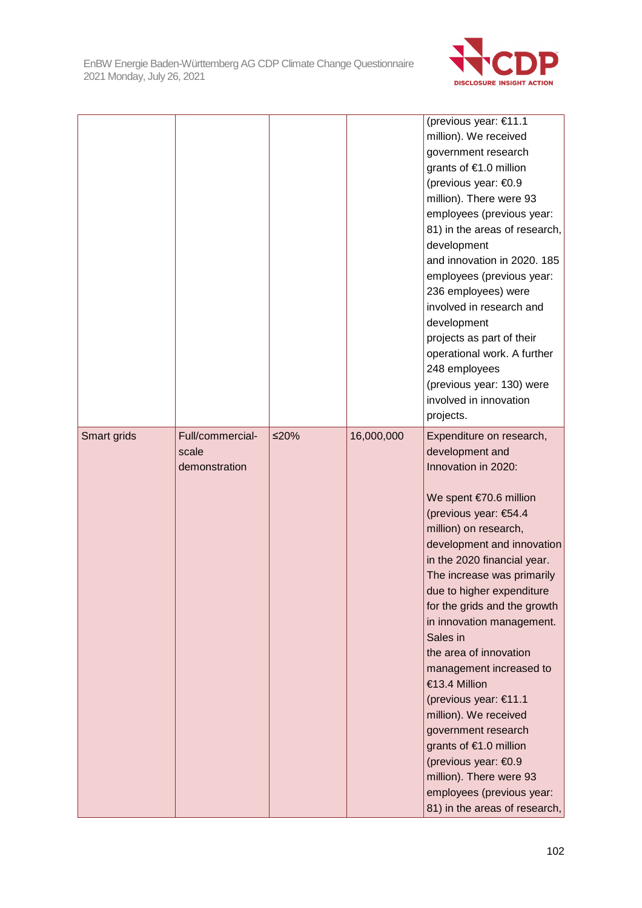

|             |                                            |      |            | (previous year: €11.1<br>million). We received<br>government research<br>grants of €1.0 million<br>(previous year: €0.9<br>million). There were 93<br>employees (previous year:<br>81) in the areas of research,<br>development<br>and innovation in 2020. 185<br>employees (previous year:<br>236 employees) were<br>involved in research and<br>development<br>projects as part of their<br>operational work. A further<br>248 employees<br>(previous year: 130) were<br>involved in innovation<br>projects.                                                                                                                            |
|-------------|--------------------------------------------|------|------------|-------------------------------------------------------------------------------------------------------------------------------------------------------------------------------------------------------------------------------------------------------------------------------------------------------------------------------------------------------------------------------------------------------------------------------------------------------------------------------------------------------------------------------------------------------------------------------------------------------------------------------------------|
| Smart grids | Full/commercial-<br>scale<br>demonstration | ≤20% | 16,000,000 | Expenditure on research,<br>development and<br>Innovation in 2020:<br>We spent €70.6 million<br>(previous year: €54.4<br>million) on research,<br>development and innovation<br>in the 2020 financial year.<br>The increase was primarily<br>due to higher expenditure<br>for the grids and the growth<br>in innovation management.<br>Sales in<br>the area of innovation<br>management increased to<br>€13.4 Million<br>(previous year: €11.1<br>million). We received<br>government research<br>grants of €1.0 million<br>(previous year: €0.9<br>million). There were 93<br>employees (previous year:<br>81) in the areas of research, |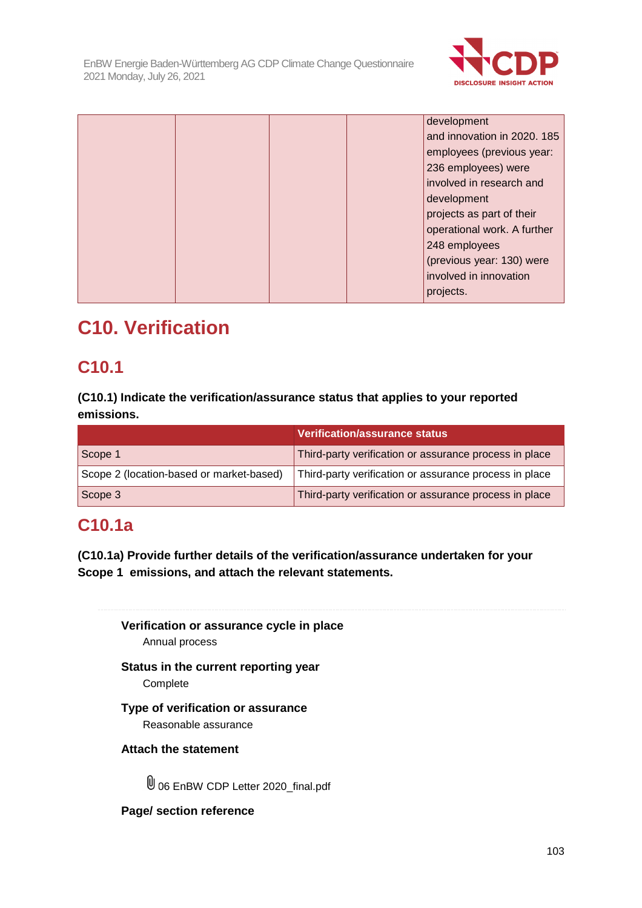

|  |  | development                 |
|--|--|-----------------------------|
|  |  | and innovation in 2020. 185 |
|  |  | employees (previous year:   |
|  |  | 236 employees) were         |
|  |  | involved in research and    |
|  |  | development                 |
|  |  | projects as part of their   |
|  |  | operational work. A further |
|  |  | 248 employees               |
|  |  | (previous year: 130) were   |
|  |  | involved in innovation      |
|  |  | projects.                   |

# **C10. Verification**

# **C10.1**

**(C10.1) Indicate the verification/assurance status that applies to your reported emissions.** 

|                                          | Verification/assurance status                          |
|------------------------------------------|--------------------------------------------------------|
| Scope 1                                  | Third-party verification or assurance process in place |
| Scope 2 (location-based or market-based) | Third-party verification or assurance process in place |
| Scope 3                                  | Third-party verification or assurance process in place |

# **C10.1a**

**(C10.1a) Provide further details of the verification/assurance undertaken for your Scope 1 emissions, and attach the relevant statements.** 

**Verification or assurance cycle in place**  Annual process

**Status in the current reporting year Complete** 

**Type of verification or assurance**  Reasonable assurance

**Attach the statement** 

U 06 EnBW CDP Letter 2020 final.pdf

**Page/ section reference**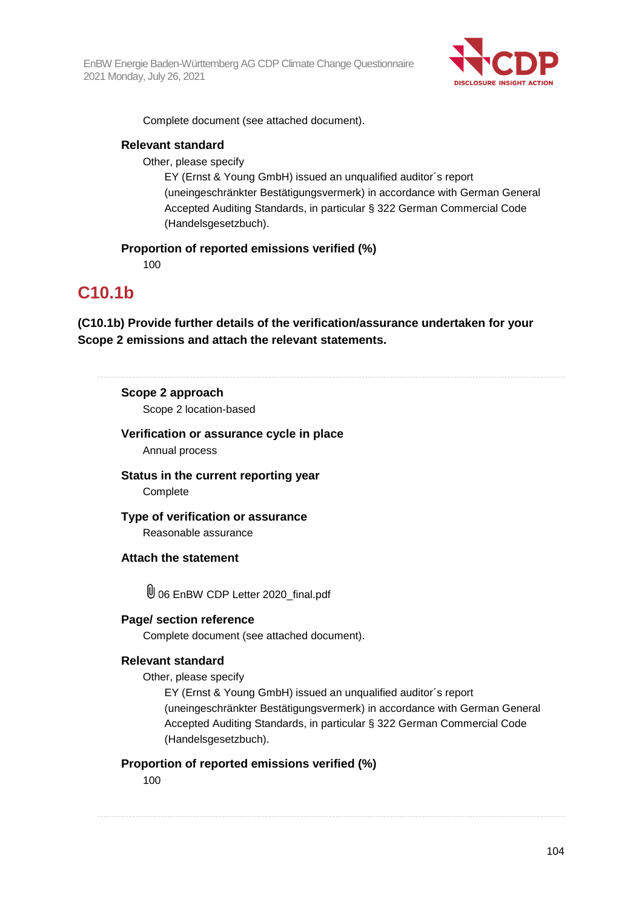

Complete document (see attached document).

#### **Relevant standard**

Other, please specify

EY (Ernst & Young GmbH) issued an unqualified auditor´s report (uneingeschränkter Bestätigungsvermerk) in accordance with German General Accepted Auditing Standards, in particular § 322 German Commercial Code (Handelsgesetzbuch).

#### **Proportion of reported emissions verified (%)**

100

### **C10.1b**

**(C10.1b) Provide further details of the verification/assurance undertaken for your Scope 2 emissions and attach the relevant statements.** 

### **Scope 2 approach**

Scope 2 location-based

#### **Verification or assurance cycle in place**

Annual process

**Status in the current reporting year Complete** 

**Type of verification or assurance**  Reasonable assurance

**Attach the statement** 

 $\overline{\mathbb{U}}$  06 EnBW CDP Letter 2020 final.pdf

#### **Page/ section reference**

Complete document (see attached document).

#### **Relevant standard**

Other, please specify

EY (Ernst & Young GmbH) issued an unqualified auditor´s report (uneingeschränkter Bestätigungsvermerk) in accordance with German General Accepted Auditing Standards, in particular § 322 German Commercial Code (Handelsgesetzbuch).

#### **Proportion of reported emissions verified (%)**

100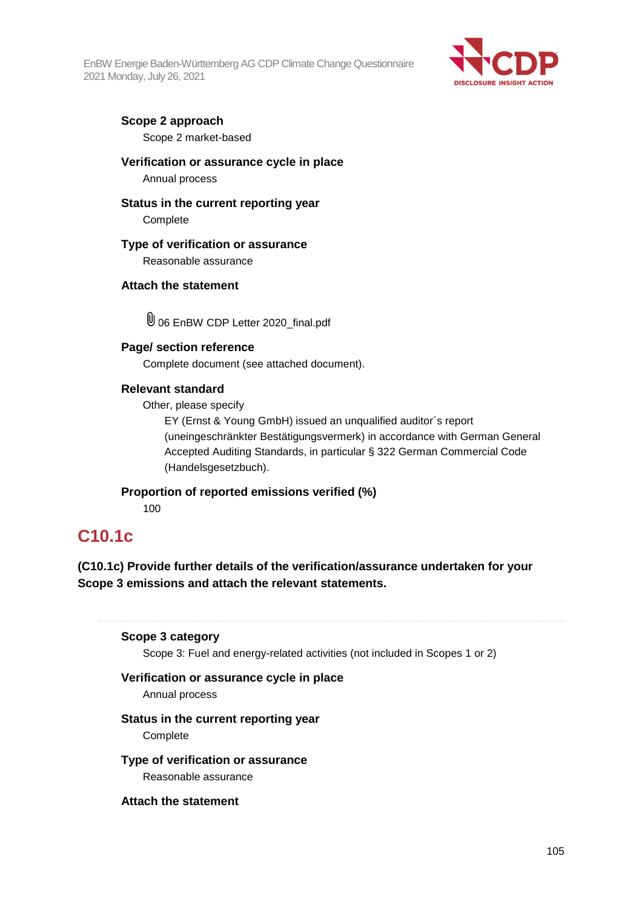

#### **Scope 2 approach**

Scope 2 market-based

#### **Verification or assurance cycle in place**

Annual process

#### **Status in the current reporting year**

**Complete** 

#### **Type of verification or assurance**

Reasonable assurance

#### **Attach the statement**

06 EnBW CDP Letter 2020\_final.pdf

#### **Page/ section reference**

Complete document (see attached document).

#### **Relevant standard**

Other, please specify

EY (Ernst & Young GmbH) issued an unqualified auditor´s report (uneingeschränkter Bestätigungsvermerk) in accordance with German General Accepted Auditing Standards, in particular § 322 German Commercial Code (Handelsgesetzbuch).

#### **Proportion of reported emissions verified (%)**

100

### **C10.1c**

**(C10.1c) Provide further details of the verification/assurance undertaken for your Scope 3 emissions and attach the relevant statements.** 

#### **Scope 3 category**

Scope 3: Fuel and energy-related activities (not included in Scopes 1 or 2)

#### **Verification or assurance cycle in place**

Annual process

#### **Status in the current reporting year**

**Complete** 

#### **Type of verification or assurance**

Reasonable assurance

#### **Attach the statement**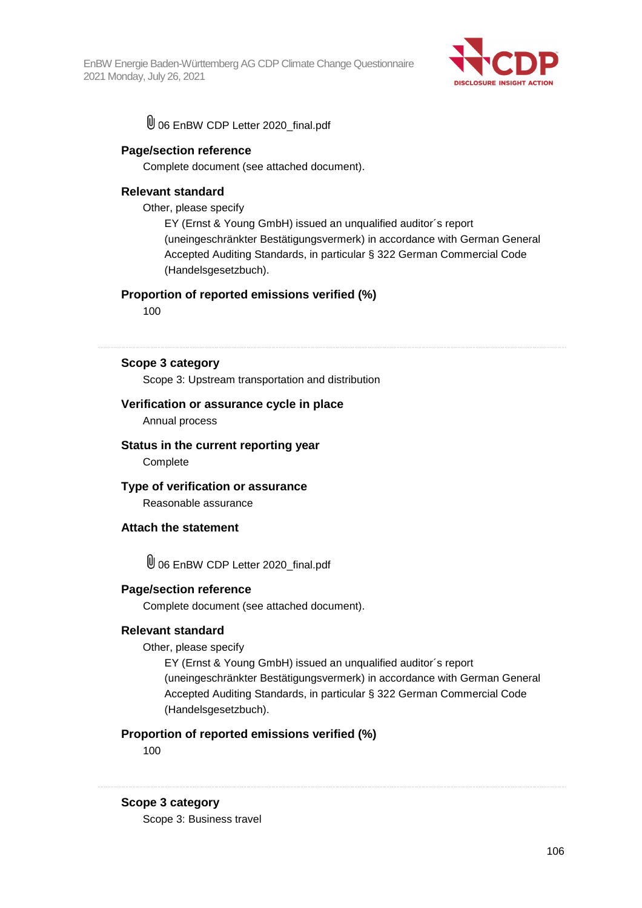

06 EnBW CDP Letter 2020\_final.pdf

#### **Page/section reference**

Complete document (see attached document).

#### **Relevant standard**

Other, please specify

EY (Ernst & Young GmbH) issued an unqualified auditor´s report (uneingeschränkter Bestätigungsvermerk) in accordance with German General Accepted Auditing Standards, in particular § 322 German Commercial Code (Handelsgesetzbuch).

#### **Proportion of reported emissions verified (%)**

100

**Scope 3 category** 

Scope 3: Upstream transportation and distribution

#### **Verification or assurance cycle in place**

Annual process

### **Status in the current reporting year**

**Complete** 

#### **Type of verification or assurance**

Reasonable assurance

#### **Attach the statement**

06 EnBW CDP Letter 2020\_final.pdf

#### **Page/section reference**

Complete document (see attached document).

#### **Relevant standard**

Other, please specify

EY (Ernst & Young GmbH) issued an unqualified auditor´s report (uneingeschränkter Bestätigungsvermerk) in accordance with German General Accepted Auditing Standards, in particular § 322 German Commercial Code (Handelsgesetzbuch).

#### **Proportion of reported emissions verified (%)**

100

#### **Scope 3 category**

Scope 3: Business travel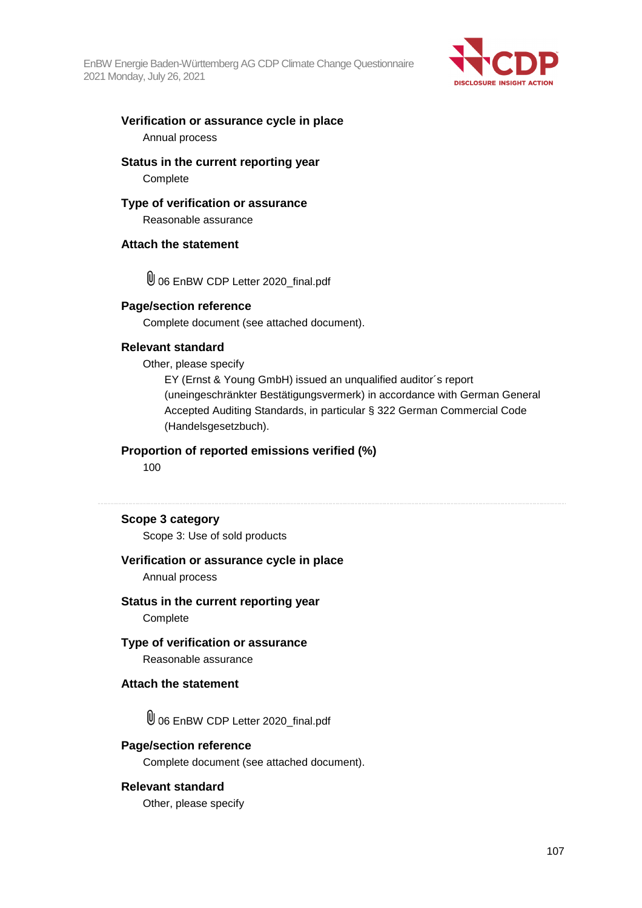

#### **Verification or assurance cycle in place**  Annual process

#### **Status in the current reporting year Complete**

#### **Type of verification or assurance**

Reasonable assurance

#### **Attach the statement**

06 EnBW CDP Letter 2020\_final.pdf

#### **Page/section reference**

Complete document (see attached document).

#### **Relevant standard**

Other, please specify

EY (Ernst & Young GmbH) issued an unqualified auditor´s report (uneingeschränkter Bestätigungsvermerk) in accordance with German General Accepted Auditing Standards, in particular § 322 German Commercial Code (Handelsgesetzbuch).

#### **Proportion of reported emissions verified (%)**

100

#### **Scope 3 category**

Scope 3: Use of sold products

#### **Verification or assurance cycle in place**

Annual process

#### **Status in the current reporting year**

**Complete** 

#### **Type of verification or assurance**

Reasonable assurance

#### **Attach the statement**

06 EnBW CDP Letter 2020\_final.pdf

#### **Page/section reference**

Complete document (see attached document).

#### **Relevant standard**

Other, please specify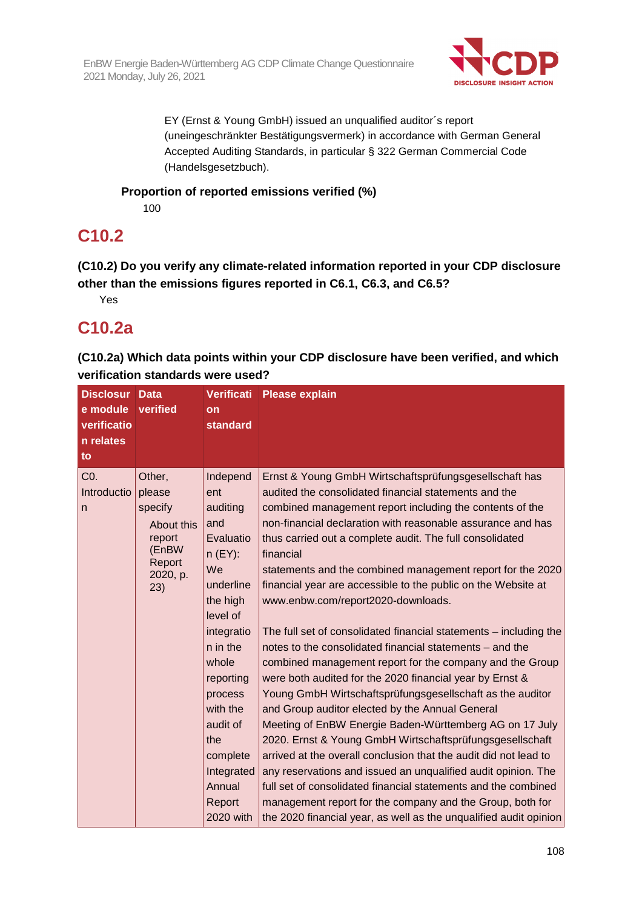

EY (Ernst & Young GmbH) issued an unqualified auditor´s report (uneingeschränkter Bestätigungsvermerk) in accordance with German General Accepted Auditing Standards, in particular § 322 German Commercial Code (Handelsgesetzbuch).

### **Proportion of reported emissions verified (%)**

100

# **C10.2**

**(C10.2) Do you verify any climate-related information reported in your CDP disclosure other than the emissions figures reported in C6.1, C6.3, and C6.5?** 

Yes

# **C10.2a**

**(C10.2a) Which data points within your CDP disclosure have been verified, and which verification standards were used?** 

| <b>Disclosur</b><br>e module<br>verificatio<br>n relates<br>to | <b>Data</b><br>verified                                                                   | <b>Verificati</b><br>on<br><b>standard</b>                                                                                                                                                                                                                   | <b>Please explain</b>                                                                                                                                                                                                                                                                                                                                                                                                                                                                                                                                                                                                                                                                                                                                                                                                                                                                                                                                                                                                                                                                                                                                                                                                                                                                                                             |
|----------------------------------------------------------------|-------------------------------------------------------------------------------------------|--------------------------------------------------------------------------------------------------------------------------------------------------------------------------------------------------------------------------------------------------------------|-----------------------------------------------------------------------------------------------------------------------------------------------------------------------------------------------------------------------------------------------------------------------------------------------------------------------------------------------------------------------------------------------------------------------------------------------------------------------------------------------------------------------------------------------------------------------------------------------------------------------------------------------------------------------------------------------------------------------------------------------------------------------------------------------------------------------------------------------------------------------------------------------------------------------------------------------------------------------------------------------------------------------------------------------------------------------------------------------------------------------------------------------------------------------------------------------------------------------------------------------------------------------------------------------------------------------------------|
| C <sub>0</sub> .<br>Introductio<br>$\mathsf{n}$                | Other,<br>please<br>specify<br>About this<br>report<br>(EnBW<br>Report<br>2020, p.<br>23) | Independ<br>ent<br>auditing<br>and<br>Evaluatio<br>$n$ (EY):<br>We<br>underline<br>the high<br>level of<br>integratio<br>n in the<br>whole<br>reporting<br>process<br>with the<br>audit of<br>the<br>complete<br>Integrated<br>Annual<br>Report<br>2020 with | Ernst & Young GmbH Wirtschaftsprüfungsgesellschaft has<br>audited the consolidated financial statements and the<br>combined management report including the contents of the<br>non-financial declaration with reasonable assurance and has<br>thus carried out a complete audit. The full consolidated<br>financial<br>statements and the combined management report for the 2020<br>financial year are accessible to the public on the Website at<br>www.enbw.com/report2020-downloads.<br>The full set of consolidated financial statements – including the<br>notes to the consolidated financial statements - and the<br>combined management report for the company and the Group<br>were both audited for the 2020 financial year by Ernst &<br>Young GmbH Wirtschaftsprüfungsgesellschaft as the auditor<br>and Group auditor elected by the Annual General<br>Meeting of EnBW Energie Baden-Württemberg AG on 17 July<br>2020. Ernst & Young GmbH Wirtschaftsprüfungsgesellschaft<br>arrived at the overall conclusion that the audit did not lead to<br>any reservations and issued an unqualified audit opinion. The<br>full set of consolidated financial statements and the combined<br>management report for the company and the Group, both for<br>the 2020 financial year, as well as the unqualified audit opinion |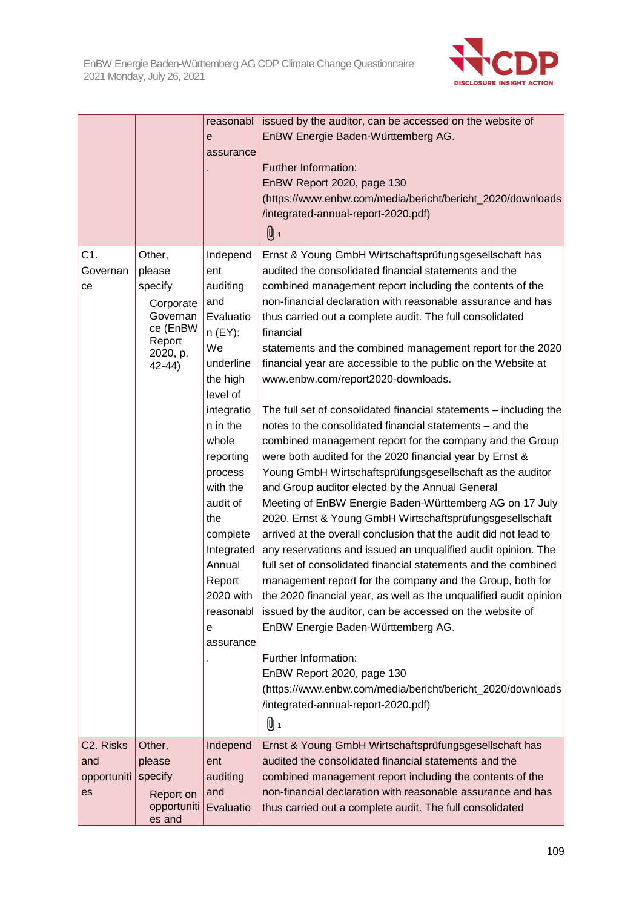

|                                                    |                                                                                                  | reasonabl<br>е<br>assurance                                                                                                                                                                                                                                                                 | issued by the auditor, can be accessed on the website of<br>EnBW Energie Baden-Württemberg AG.<br>Further Information:<br>EnBW Report 2020, page 130                                                                                                                                                                                                                                                                                                                                                                                                                                                                                                                                                                                                                                                                                                                                                                                                                                                                                                                                                                                                                                                                                                                                                                                                                                                                                                                                                                                                                                                  |
|----------------------------------------------------|--------------------------------------------------------------------------------------------------|---------------------------------------------------------------------------------------------------------------------------------------------------------------------------------------------------------------------------------------------------------------------------------------------|-------------------------------------------------------------------------------------------------------------------------------------------------------------------------------------------------------------------------------------------------------------------------------------------------------------------------------------------------------------------------------------------------------------------------------------------------------------------------------------------------------------------------------------------------------------------------------------------------------------------------------------------------------------------------------------------------------------------------------------------------------------------------------------------------------------------------------------------------------------------------------------------------------------------------------------------------------------------------------------------------------------------------------------------------------------------------------------------------------------------------------------------------------------------------------------------------------------------------------------------------------------------------------------------------------------------------------------------------------------------------------------------------------------------------------------------------------------------------------------------------------------------------------------------------------------------------------------------------------|
|                                                    |                                                                                                  |                                                                                                                                                                                                                                                                                             | (https://www.enbw.com/media/bericht/bericht_2020/downloads<br>/integrated-annual-report-2020.pdf)<br>0 1                                                                                                                                                                                                                                                                                                                                                                                                                                                                                                                                                                                                                                                                                                                                                                                                                                                                                                                                                                                                                                                                                                                                                                                                                                                                                                                                                                                                                                                                                              |
| C1.<br>Governan<br>ce                              | Other,<br>please<br>specify<br>Corporate<br>Governan<br>ce (EnBW<br>Report<br>2020, p.<br>42-44) | Independ<br>ent<br>auditing<br>and<br>Evaluatio<br>$n$ (EY):<br>We<br>underline<br>the high<br>level of<br>integratio<br>n in the<br>whole<br>reporting<br>process<br>with the<br>audit of<br>the<br>complete<br>Integrated<br>Annual<br>Report<br>2020 with<br>reasonabl<br>е<br>assurance | Ernst & Young GmbH Wirtschaftsprüfungsgesellschaft has<br>audited the consolidated financial statements and the<br>combined management report including the contents of the<br>non-financial declaration with reasonable assurance and has<br>thus carried out a complete audit. The full consolidated<br>financial<br>statements and the combined management report for the 2020<br>financial year are accessible to the public on the Website at<br>www.enbw.com/report2020-downloads.<br>The full set of consolidated financial statements - including the<br>notes to the consolidated financial statements - and the<br>combined management report for the company and the Group<br>were both audited for the 2020 financial year by Ernst &<br>Young GmbH Wirtschaftsprüfungsgesellschaft as the auditor<br>and Group auditor elected by the Annual General<br>Meeting of EnBW Energie Baden-Württemberg AG on 17 July<br>2020. Ernst & Young GmbH Wirtschaftsprüfungsgesellschaft<br>arrived at the overall conclusion that the audit did not lead to<br>any reservations and issued an unqualified audit opinion. The<br>full set of consolidated financial statements and the combined<br>management report for the company and the Group, both for<br>the 2020 financial year, as well as the unqualified audit opinion<br>issued by the auditor, can be accessed on the website of<br>EnBW Energie Baden-Württemberg AG.<br>Further Information:<br>EnBW Report 2020, page 130<br>(https://www.enbw.com/media/bericht/bericht_2020/downloads<br>/integrated-annual-report-2020.pdf)<br>0 1 |
| C <sub>2</sub> . Risks<br>and<br>opportuniti<br>es | Other,<br>please<br>specify<br>Report on<br>opportuniti<br>es and                                | Independ<br>ent<br>auditing<br>and<br>Evaluatio                                                                                                                                                                                                                                             | Ernst & Young GmbH Wirtschaftsprüfungsgesellschaft has<br>audited the consolidated financial statements and the<br>combined management report including the contents of the<br>non-financial declaration with reasonable assurance and has<br>thus carried out a complete audit. The full consolidated                                                                                                                                                                                                                                                                                                                                                                                                                                                                                                                                                                                                                                                                                                                                                                                                                                                                                                                                                                                                                                                                                                                                                                                                                                                                                                |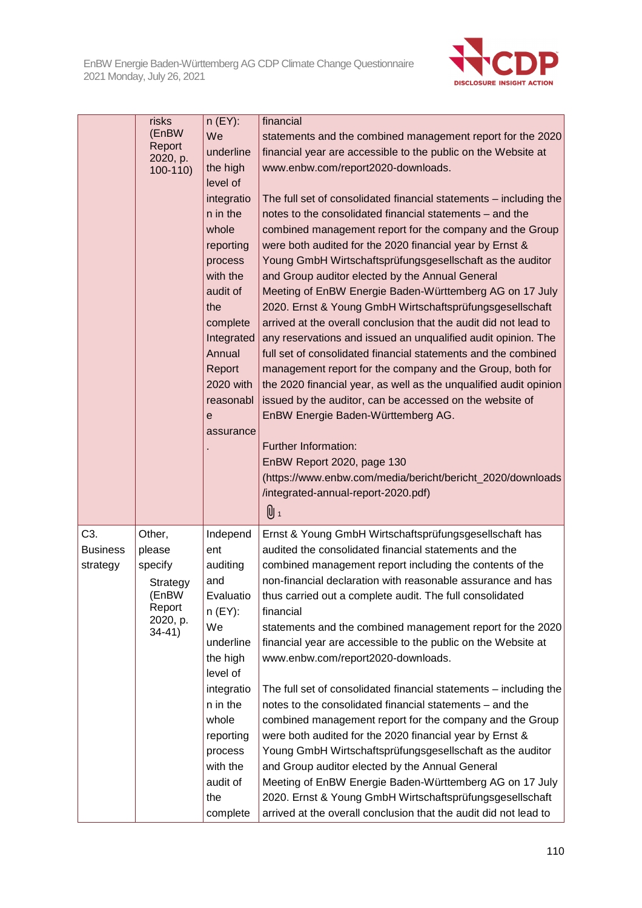

|                                    | risks<br>(EnBW<br>Report<br>2020, p.<br>$100-110$                                  | $n$ (EY):<br>We<br>underline<br>the high<br>level of<br>integratio<br>n in the<br>whole<br>reporting<br>process<br>with the<br>audit of<br>the<br>complete<br>Integrated<br>Annual<br>Report<br>2020 with<br>reasonabl<br>e<br>assurance | financial<br>statements and the combined management report for the 2020<br>financial year are accessible to the public on the Website at<br>www.enbw.com/report2020-downloads.<br>The full set of consolidated financial statements – including the<br>notes to the consolidated financial statements - and the<br>combined management report for the company and the Group<br>were both audited for the 2020 financial year by Ernst &<br>Young GmbH Wirtschaftsprüfungsgesellschaft as the auditor<br>and Group auditor elected by the Annual General<br>Meeting of EnBW Energie Baden-Württemberg AG on 17 July<br>2020. Ernst & Young GmbH Wirtschaftsprüfungsgesellschaft<br>arrived at the overall conclusion that the audit did not lead to<br>any reservations and issued an unqualified audit opinion. The<br>full set of consolidated financial statements and the combined<br>management report for the company and the Group, both for<br>the 2020 financial year, as well as the unqualified audit opinion<br>issued by the auditor, can be accessed on the website of<br>EnBW Energie Baden-Württemberg AG.<br>Further Information:<br>EnBW Report 2020, page 130<br>(https://www.enbw.com/media/bericht/bericht_2020/downloads<br>/integrated-annual-report-2020.pdf)<br>0 1 |
|------------------------------------|------------------------------------------------------------------------------------|------------------------------------------------------------------------------------------------------------------------------------------------------------------------------------------------------------------------------------------|---------------------------------------------------------------------------------------------------------------------------------------------------------------------------------------------------------------------------------------------------------------------------------------------------------------------------------------------------------------------------------------------------------------------------------------------------------------------------------------------------------------------------------------------------------------------------------------------------------------------------------------------------------------------------------------------------------------------------------------------------------------------------------------------------------------------------------------------------------------------------------------------------------------------------------------------------------------------------------------------------------------------------------------------------------------------------------------------------------------------------------------------------------------------------------------------------------------------------------------------------------------------------------------------|
| C3.<br><b>Business</b><br>strategy | Other,<br>please<br>specify<br>Strategy<br>(EnBW<br>Report<br>2020, p.<br>$34-41)$ | Independ<br>ent<br>auditing<br>and<br>Evaluatio<br>$n$ (EY):<br>We<br>underline<br>the high<br>level of<br>integratio<br>n in the<br>whole<br>reporting<br>process<br>with the<br>audit of<br>the<br>complete                            | Ernst & Young GmbH Wirtschaftsprüfungsgesellschaft has<br>audited the consolidated financial statements and the<br>combined management report including the contents of the<br>non-financial declaration with reasonable assurance and has<br>thus carried out a complete audit. The full consolidated<br>financial<br>statements and the combined management report for the 2020<br>financial year are accessible to the public on the Website at<br>www.enbw.com/report2020-downloads.<br>The full set of consolidated financial statements - including the<br>notes to the consolidated financial statements - and the<br>combined management report for the company and the Group<br>were both audited for the 2020 financial year by Ernst &<br>Young GmbH Wirtschaftsprüfungsgesellschaft as the auditor<br>and Group auditor elected by the Annual General<br>Meeting of EnBW Energie Baden-Württemberg AG on 17 July<br>2020. Ernst & Young GmbH Wirtschaftsprüfungsgesellschaft<br>arrived at the overall conclusion that the audit did not lead to                                                                                                                                                                                                                                |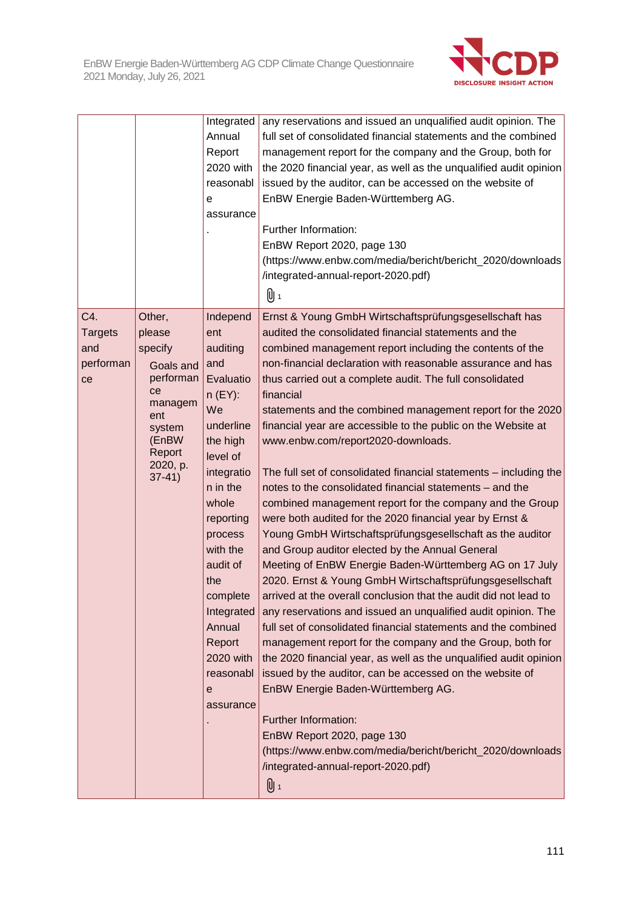

|                                                 |                                                                                                                                    | Integrated<br>Annual<br>Report<br>2020 with<br>reasonabl<br>е<br>assurance                                                                                                                                                                                                                  | any reservations and issued an unqualified audit opinion. The<br>full set of consolidated financial statements and the combined<br>management report for the company and the Group, both for<br>the 2020 financial year, as well as the unqualified audit opinion<br>issued by the auditor, can be accessed on the website of<br>EnBW Energie Baden-Württemberg AG.<br>Further Information:<br>EnBW Report 2020, page 130<br>(https://www.enbw.com/media/bericht/bericht_2020/downloads<br>/integrated-annual-report-2020.pdf)<br>0 1                                                                                                                                                                                                                                                                                                                                                                                                                                                                                                                                                                                                                                                                                                                                                                                                                                                                                                                                                                                                                                                                 |
|-------------------------------------------------|------------------------------------------------------------------------------------------------------------------------------------|---------------------------------------------------------------------------------------------------------------------------------------------------------------------------------------------------------------------------------------------------------------------------------------------|-------------------------------------------------------------------------------------------------------------------------------------------------------------------------------------------------------------------------------------------------------------------------------------------------------------------------------------------------------------------------------------------------------------------------------------------------------------------------------------------------------------------------------------------------------------------------------------------------------------------------------------------------------------------------------------------------------------------------------------------------------------------------------------------------------------------------------------------------------------------------------------------------------------------------------------------------------------------------------------------------------------------------------------------------------------------------------------------------------------------------------------------------------------------------------------------------------------------------------------------------------------------------------------------------------------------------------------------------------------------------------------------------------------------------------------------------------------------------------------------------------------------------------------------------------------------------------------------------------|
| C4.<br><b>Targets</b><br>and<br>performan<br>ce | Other,<br>please<br>specify<br>Goals and<br>performan<br>ce<br>managem<br>ent<br>system<br>(EnBW<br>Report<br>2020, p.<br>$37-41)$ | Independ<br>ent<br>auditing<br>and<br>Evaluatio<br>$n$ (EY):<br>We<br>underline<br>the high<br>level of<br>integratio<br>n in the<br>whole<br>reporting<br>process<br>with the<br>audit of<br>the<br>complete<br>Integrated<br>Annual<br>Report<br>2020 with<br>reasonabl<br>е<br>assurance | Ernst & Young GmbH Wirtschaftsprüfungsgesellschaft has<br>audited the consolidated financial statements and the<br>combined management report including the contents of the<br>non-financial declaration with reasonable assurance and has<br>thus carried out a complete audit. The full consolidated<br>financial<br>statements and the combined management report for the 2020<br>financial year are accessible to the public on the Website at<br>www.enbw.com/report2020-downloads.<br>The full set of consolidated financial statements - including the<br>notes to the consolidated financial statements – and the<br>combined management report for the company and the Group<br>were both audited for the 2020 financial year by Ernst &<br>Young GmbH Wirtschaftsprüfungsgesellschaft as the auditor<br>and Group auditor elected by the Annual General<br>Meeting of EnBW Energie Baden-Württemberg AG on 17 July<br>2020. Ernst & Young GmbH Wirtschaftsprüfungsgesellschaft<br>arrived at the overall conclusion that the audit did not lead to<br>any reservations and issued an unqualified audit opinion. The<br>full set of consolidated financial statements and the combined<br>management report for the company and the Group, both for<br>the 2020 financial year, as well as the unqualified audit opinion<br>issued by the auditor, can be accessed on the website of<br>EnBW Energie Baden-Württemberg AG.<br>Further Information:<br>EnBW Report 2020, page 130<br>(https://www.enbw.com/media/bericht/bericht_2020/downloads<br>/integrated-annual-report-2020.pdf)<br>U 1 |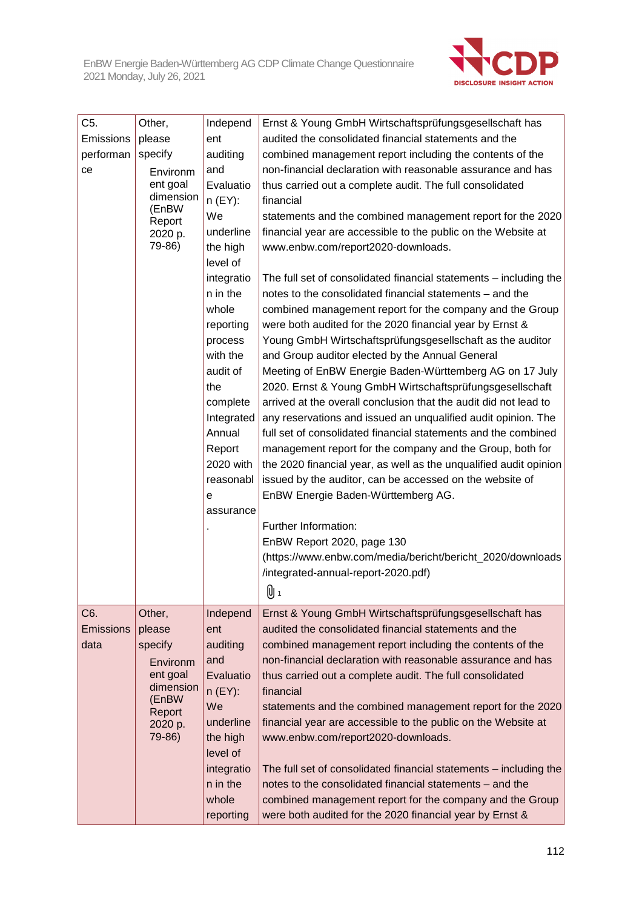

| C <sub>5</sub> .<br>Other,<br>Independ<br>Ernst & Young GmbH Wirtschaftsprüfungsgesellschaft has<br>Emissions<br>audited the consolidated financial statements and the<br>please<br>ent<br>auditing<br>performan<br>specify<br>combined management report including the contents of the<br>non-financial declaration with reasonable assurance and has<br>and<br>ce<br>Environm<br>ent goal<br>Evaluatio<br>thus carried out a complete audit. The full consolidated<br>dimension<br>$n$ (EY):<br>financial<br>(EnBW<br>We<br>statements and the combined management report for the 2020<br>Report<br>underline<br>financial year are accessible to the public on the Website at<br>2020 p.<br>79-86)<br>the high<br>www.enbw.com/report2020-downloads.<br>level of<br>integratio<br>The full set of consolidated financial statements - including the<br>n in the<br>notes to the consolidated financial statements – and the<br>whole<br>combined management report for the company and the Group<br>were both audited for the 2020 financial year by Ernst &<br>reporting<br>Young GmbH Wirtschaftsprüfungsgesellschaft as the auditor<br>process<br>with the<br>and Group auditor elected by the Annual General<br>Meeting of EnBW Energie Baden-Württemberg AG on 17 July<br>audit of<br>the<br>2020. Ernst & Young GmbH Wirtschaftsprüfungsgesellschaft<br>arrived at the overall conclusion that the audit did not lead to<br>complete<br>Integrated<br>any reservations and issued an unqualified audit opinion. The<br>Annual<br>full set of consolidated financial statements and the combined<br>Report<br>management report for the company and the Group, both for<br>2020 with<br>the 2020 financial year, as well as the unqualified audit opinion<br>issued by the auditor, can be accessed on the website of<br>reasonabl<br>EnBW Energie Baden-Württemberg AG.<br>е<br>assurance<br>Further Information:<br>EnBW Report 2020, page 130<br>(https://www.enbw.com/media/bericht/bericht_2020/downloads<br>/integrated-annual-report-2020.pdf)<br>$\mathbf{0}$<br>C6.<br>Ernst & Young GmbH Wirtschaftsprüfungsgesellschaft has<br>Other,<br>Independ<br>audited the consolidated financial statements and the<br><b>Emissions</b><br>please<br>ent<br>auditing<br>combined management report including the contents of the<br>data<br>specify<br>and<br>non-financial declaration with reasonable assurance and has<br>Environm<br>ent goal<br>Evaluatio<br>thus carried out a complete audit. The full consolidated<br>dimension<br>n (EY):<br>financial<br>(EnBW<br>We<br>statements and the combined management report for the 2020<br>Report<br>underline<br>financial year are accessible to the public on the Website at<br>2020 p.<br>79-86)<br>the high<br>www.enbw.com/report2020-downloads.<br>level of<br>integratio<br>The full set of consolidated financial statements - including the<br>notes to the consolidated financial statements - and the<br>n in the<br>whole<br>combined management report for the company and the Group |  |  |           |                                                          |  |  |  |
|-------------------------------------------------------------------------------------------------------------------------------------------------------------------------------------------------------------------------------------------------------------------------------------------------------------------------------------------------------------------------------------------------------------------------------------------------------------------------------------------------------------------------------------------------------------------------------------------------------------------------------------------------------------------------------------------------------------------------------------------------------------------------------------------------------------------------------------------------------------------------------------------------------------------------------------------------------------------------------------------------------------------------------------------------------------------------------------------------------------------------------------------------------------------------------------------------------------------------------------------------------------------------------------------------------------------------------------------------------------------------------------------------------------------------------------------------------------------------------------------------------------------------------------------------------------------------------------------------------------------------------------------------------------------------------------------------------------------------------------------------------------------------------------------------------------------------------------------------------------------------------------------------------------------------------------------------------------------------------------------------------------------------------------------------------------------------------------------------------------------------------------------------------------------------------------------------------------------------------------------------------------------------------------------------------------------------------------------------------------------------------------------------------------------------------------------------------------------------------------------------------------------------------------------------------------------------------------------------------------------------------------------------------------------------------------------------------------------------------------------------------------------------------------------------------------------------------------------------------------------------------------------------------------------------------------------------------------------------------------------------------------------------------------------------------------------|--|--|-----------|----------------------------------------------------------|--|--|--|
|                                                                                                                                                                                                                                                                                                                                                                                                                                                                                                                                                                                                                                                                                                                                                                                                                                                                                                                                                                                                                                                                                                                                                                                                                                                                                                                                                                                                                                                                                                                                                                                                                                                                                                                                                                                                                                                                                                                                                                                                                                                                                                                                                                                                                                                                                                                                                                                                                                                                                                                                                                                                                                                                                                                                                                                                                                                                                                                                                                                                                                                                   |  |  |           |                                                          |  |  |  |
|                                                                                                                                                                                                                                                                                                                                                                                                                                                                                                                                                                                                                                                                                                                                                                                                                                                                                                                                                                                                                                                                                                                                                                                                                                                                                                                                                                                                                                                                                                                                                                                                                                                                                                                                                                                                                                                                                                                                                                                                                                                                                                                                                                                                                                                                                                                                                                                                                                                                                                                                                                                                                                                                                                                                                                                                                                                                                                                                                                                                                                                                   |  |  |           |                                                          |  |  |  |
|                                                                                                                                                                                                                                                                                                                                                                                                                                                                                                                                                                                                                                                                                                                                                                                                                                                                                                                                                                                                                                                                                                                                                                                                                                                                                                                                                                                                                                                                                                                                                                                                                                                                                                                                                                                                                                                                                                                                                                                                                                                                                                                                                                                                                                                                                                                                                                                                                                                                                                                                                                                                                                                                                                                                                                                                                                                                                                                                                                                                                                                                   |  |  |           |                                                          |  |  |  |
|                                                                                                                                                                                                                                                                                                                                                                                                                                                                                                                                                                                                                                                                                                                                                                                                                                                                                                                                                                                                                                                                                                                                                                                                                                                                                                                                                                                                                                                                                                                                                                                                                                                                                                                                                                                                                                                                                                                                                                                                                                                                                                                                                                                                                                                                                                                                                                                                                                                                                                                                                                                                                                                                                                                                                                                                                                                                                                                                                                                                                                                                   |  |  |           |                                                          |  |  |  |
|                                                                                                                                                                                                                                                                                                                                                                                                                                                                                                                                                                                                                                                                                                                                                                                                                                                                                                                                                                                                                                                                                                                                                                                                                                                                                                                                                                                                                                                                                                                                                                                                                                                                                                                                                                                                                                                                                                                                                                                                                                                                                                                                                                                                                                                                                                                                                                                                                                                                                                                                                                                                                                                                                                                                                                                                                                                                                                                                                                                                                                                                   |  |  |           |                                                          |  |  |  |
|                                                                                                                                                                                                                                                                                                                                                                                                                                                                                                                                                                                                                                                                                                                                                                                                                                                                                                                                                                                                                                                                                                                                                                                                                                                                                                                                                                                                                                                                                                                                                                                                                                                                                                                                                                                                                                                                                                                                                                                                                                                                                                                                                                                                                                                                                                                                                                                                                                                                                                                                                                                                                                                                                                                                                                                                                                                                                                                                                                                                                                                                   |  |  |           |                                                          |  |  |  |
|                                                                                                                                                                                                                                                                                                                                                                                                                                                                                                                                                                                                                                                                                                                                                                                                                                                                                                                                                                                                                                                                                                                                                                                                                                                                                                                                                                                                                                                                                                                                                                                                                                                                                                                                                                                                                                                                                                                                                                                                                                                                                                                                                                                                                                                                                                                                                                                                                                                                                                                                                                                                                                                                                                                                                                                                                                                                                                                                                                                                                                                                   |  |  |           |                                                          |  |  |  |
|                                                                                                                                                                                                                                                                                                                                                                                                                                                                                                                                                                                                                                                                                                                                                                                                                                                                                                                                                                                                                                                                                                                                                                                                                                                                                                                                                                                                                                                                                                                                                                                                                                                                                                                                                                                                                                                                                                                                                                                                                                                                                                                                                                                                                                                                                                                                                                                                                                                                                                                                                                                                                                                                                                                                                                                                                                                                                                                                                                                                                                                                   |  |  |           |                                                          |  |  |  |
|                                                                                                                                                                                                                                                                                                                                                                                                                                                                                                                                                                                                                                                                                                                                                                                                                                                                                                                                                                                                                                                                                                                                                                                                                                                                                                                                                                                                                                                                                                                                                                                                                                                                                                                                                                                                                                                                                                                                                                                                                                                                                                                                                                                                                                                                                                                                                                                                                                                                                                                                                                                                                                                                                                                                                                                                                                                                                                                                                                                                                                                                   |  |  |           |                                                          |  |  |  |
|                                                                                                                                                                                                                                                                                                                                                                                                                                                                                                                                                                                                                                                                                                                                                                                                                                                                                                                                                                                                                                                                                                                                                                                                                                                                                                                                                                                                                                                                                                                                                                                                                                                                                                                                                                                                                                                                                                                                                                                                                                                                                                                                                                                                                                                                                                                                                                                                                                                                                                                                                                                                                                                                                                                                                                                                                                                                                                                                                                                                                                                                   |  |  |           |                                                          |  |  |  |
|                                                                                                                                                                                                                                                                                                                                                                                                                                                                                                                                                                                                                                                                                                                                                                                                                                                                                                                                                                                                                                                                                                                                                                                                                                                                                                                                                                                                                                                                                                                                                                                                                                                                                                                                                                                                                                                                                                                                                                                                                                                                                                                                                                                                                                                                                                                                                                                                                                                                                                                                                                                                                                                                                                                                                                                                                                                                                                                                                                                                                                                                   |  |  |           |                                                          |  |  |  |
|                                                                                                                                                                                                                                                                                                                                                                                                                                                                                                                                                                                                                                                                                                                                                                                                                                                                                                                                                                                                                                                                                                                                                                                                                                                                                                                                                                                                                                                                                                                                                                                                                                                                                                                                                                                                                                                                                                                                                                                                                                                                                                                                                                                                                                                                                                                                                                                                                                                                                                                                                                                                                                                                                                                                                                                                                                                                                                                                                                                                                                                                   |  |  |           |                                                          |  |  |  |
|                                                                                                                                                                                                                                                                                                                                                                                                                                                                                                                                                                                                                                                                                                                                                                                                                                                                                                                                                                                                                                                                                                                                                                                                                                                                                                                                                                                                                                                                                                                                                                                                                                                                                                                                                                                                                                                                                                                                                                                                                                                                                                                                                                                                                                                                                                                                                                                                                                                                                                                                                                                                                                                                                                                                                                                                                                                                                                                                                                                                                                                                   |  |  |           |                                                          |  |  |  |
|                                                                                                                                                                                                                                                                                                                                                                                                                                                                                                                                                                                                                                                                                                                                                                                                                                                                                                                                                                                                                                                                                                                                                                                                                                                                                                                                                                                                                                                                                                                                                                                                                                                                                                                                                                                                                                                                                                                                                                                                                                                                                                                                                                                                                                                                                                                                                                                                                                                                                                                                                                                                                                                                                                                                                                                                                                                                                                                                                                                                                                                                   |  |  |           |                                                          |  |  |  |
|                                                                                                                                                                                                                                                                                                                                                                                                                                                                                                                                                                                                                                                                                                                                                                                                                                                                                                                                                                                                                                                                                                                                                                                                                                                                                                                                                                                                                                                                                                                                                                                                                                                                                                                                                                                                                                                                                                                                                                                                                                                                                                                                                                                                                                                                                                                                                                                                                                                                                                                                                                                                                                                                                                                                                                                                                                                                                                                                                                                                                                                                   |  |  |           |                                                          |  |  |  |
|                                                                                                                                                                                                                                                                                                                                                                                                                                                                                                                                                                                                                                                                                                                                                                                                                                                                                                                                                                                                                                                                                                                                                                                                                                                                                                                                                                                                                                                                                                                                                                                                                                                                                                                                                                                                                                                                                                                                                                                                                                                                                                                                                                                                                                                                                                                                                                                                                                                                                                                                                                                                                                                                                                                                                                                                                                                                                                                                                                                                                                                                   |  |  |           |                                                          |  |  |  |
|                                                                                                                                                                                                                                                                                                                                                                                                                                                                                                                                                                                                                                                                                                                                                                                                                                                                                                                                                                                                                                                                                                                                                                                                                                                                                                                                                                                                                                                                                                                                                                                                                                                                                                                                                                                                                                                                                                                                                                                                                                                                                                                                                                                                                                                                                                                                                                                                                                                                                                                                                                                                                                                                                                                                                                                                                                                                                                                                                                                                                                                                   |  |  |           |                                                          |  |  |  |
|                                                                                                                                                                                                                                                                                                                                                                                                                                                                                                                                                                                                                                                                                                                                                                                                                                                                                                                                                                                                                                                                                                                                                                                                                                                                                                                                                                                                                                                                                                                                                                                                                                                                                                                                                                                                                                                                                                                                                                                                                                                                                                                                                                                                                                                                                                                                                                                                                                                                                                                                                                                                                                                                                                                                                                                                                                                                                                                                                                                                                                                                   |  |  |           |                                                          |  |  |  |
|                                                                                                                                                                                                                                                                                                                                                                                                                                                                                                                                                                                                                                                                                                                                                                                                                                                                                                                                                                                                                                                                                                                                                                                                                                                                                                                                                                                                                                                                                                                                                                                                                                                                                                                                                                                                                                                                                                                                                                                                                                                                                                                                                                                                                                                                                                                                                                                                                                                                                                                                                                                                                                                                                                                                                                                                                                                                                                                                                                                                                                                                   |  |  |           |                                                          |  |  |  |
|                                                                                                                                                                                                                                                                                                                                                                                                                                                                                                                                                                                                                                                                                                                                                                                                                                                                                                                                                                                                                                                                                                                                                                                                                                                                                                                                                                                                                                                                                                                                                                                                                                                                                                                                                                                                                                                                                                                                                                                                                                                                                                                                                                                                                                                                                                                                                                                                                                                                                                                                                                                                                                                                                                                                                                                                                                                                                                                                                                                                                                                                   |  |  |           |                                                          |  |  |  |
|                                                                                                                                                                                                                                                                                                                                                                                                                                                                                                                                                                                                                                                                                                                                                                                                                                                                                                                                                                                                                                                                                                                                                                                                                                                                                                                                                                                                                                                                                                                                                                                                                                                                                                                                                                                                                                                                                                                                                                                                                                                                                                                                                                                                                                                                                                                                                                                                                                                                                                                                                                                                                                                                                                                                                                                                                                                                                                                                                                                                                                                                   |  |  |           |                                                          |  |  |  |
|                                                                                                                                                                                                                                                                                                                                                                                                                                                                                                                                                                                                                                                                                                                                                                                                                                                                                                                                                                                                                                                                                                                                                                                                                                                                                                                                                                                                                                                                                                                                                                                                                                                                                                                                                                                                                                                                                                                                                                                                                                                                                                                                                                                                                                                                                                                                                                                                                                                                                                                                                                                                                                                                                                                                                                                                                                                                                                                                                                                                                                                                   |  |  |           |                                                          |  |  |  |
|                                                                                                                                                                                                                                                                                                                                                                                                                                                                                                                                                                                                                                                                                                                                                                                                                                                                                                                                                                                                                                                                                                                                                                                                                                                                                                                                                                                                                                                                                                                                                                                                                                                                                                                                                                                                                                                                                                                                                                                                                                                                                                                                                                                                                                                                                                                                                                                                                                                                                                                                                                                                                                                                                                                                                                                                                                                                                                                                                                                                                                                                   |  |  |           |                                                          |  |  |  |
|                                                                                                                                                                                                                                                                                                                                                                                                                                                                                                                                                                                                                                                                                                                                                                                                                                                                                                                                                                                                                                                                                                                                                                                                                                                                                                                                                                                                                                                                                                                                                                                                                                                                                                                                                                                                                                                                                                                                                                                                                                                                                                                                                                                                                                                                                                                                                                                                                                                                                                                                                                                                                                                                                                                                                                                                                                                                                                                                                                                                                                                                   |  |  |           |                                                          |  |  |  |
|                                                                                                                                                                                                                                                                                                                                                                                                                                                                                                                                                                                                                                                                                                                                                                                                                                                                                                                                                                                                                                                                                                                                                                                                                                                                                                                                                                                                                                                                                                                                                                                                                                                                                                                                                                                                                                                                                                                                                                                                                                                                                                                                                                                                                                                                                                                                                                                                                                                                                                                                                                                                                                                                                                                                                                                                                                                                                                                                                                                                                                                                   |  |  |           |                                                          |  |  |  |
|                                                                                                                                                                                                                                                                                                                                                                                                                                                                                                                                                                                                                                                                                                                                                                                                                                                                                                                                                                                                                                                                                                                                                                                                                                                                                                                                                                                                                                                                                                                                                                                                                                                                                                                                                                                                                                                                                                                                                                                                                                                                                                                                                                                                                                                                                                                                                                                                                                                                                                                                                                                                                                                                                                                                                                                                                                                                                                                                                                                                                                                                   |  |  |           |                                                          |  |  |  |
|                                                                                                                                                                                                                                                                                                                                                                                                                                                                                                                                                                                                                                                                                                                                                                                                                                                                                                                                                                                                                                                                                                                                                                                                                                                                                                                                                                                                                                                                                                                                                                                                                                                                                                                                                                                                                                                                                                                                                                                                                                                                                                                                                                                                                                                                                                                                                                                                                                                                                                                                                                                                                                                                                                                                                                                                                                                                                                                                                                                                                                                                   |  |  |           |                                                          |  |  |  |
|                                                                                                                                                                                                                                                                                                                                                                                                                                                                                                                                                                                                                                                                                                                                                                                                                                                                                                                                                                                                                                                                                                                                                                                                                                                                                                                                                                                                                                                                                                                                                                                                                                                                                                                                                                                                                                                                                                                                                                                                                                                                                                                                                                                                                                                                                                                                                                                                                                                                                                                                                                                                                                                                                                                                                                                                                                                                                                                                                                                                                                                                   |  |  |           |                                                          |  |  |  |
|                                                                                                                                                                                                                                                                                                                                                                                                                                                                                                                                                                                                                                                                                                                                                                                                                                                                                                                                                                                                                                                                                                                                                                                                                                                                                                                                                                                                                                                                                                                                                                                                                                                                                                                                                                                                                                                                                                                                                                                                                                                                                                                                                                                                                                                                                                                                                                                                                                                                                                                                                                                                                                                                                                                                                                                                                                                                                                                                                                                                                                                                   |  |  |           |                                                          |  |  |  |
|                                                                                                                                                                                                                                                                                                                                                                                                                                                                                                                                                                                                                                                                                                                                                                                                                                                                                                                                                                                                                                                                                                                                                                                                                                                                                                                                                                                                                                                                                                                                                                                                                                                                                                                                                                                                                                                                                                                                                                                                                                                                                                                                                                                                                                                                                                                                                                                                                                                                                                                                                                                                                                                                                                                                                                                                                                                                                                                                                                                                                                                                   |  |  |           |                                                          |  |  |  |
|                                                                                                                                                                                                                                                                                                                                                                                                                                                                                                                                                                                                                                                                                                                                                                                                                                                                                                                                                                                                                                                                                                                                                                                                                                                                                                                                                                                                                                                                                                                                                                                                                                                                                                                                                                                                                                                                                                                                                                                                                                                                                                                                                                                                                                                                                                                                                                                                                                                                                                                                                                                                                                                                                                                                                                                                                                                                                                                                                                                                                                                                   |  |  |           |                                                          |  |  |  |
|                                                                                                                                                                                                                                                                                                                                                                                                                                                                                                                                                                                                                                                                                                                                                                                                                                                                                                                                                                                                                                                                                                                                                                                                                                                                                                                                                                                                                                                                                                                                                                                                                                                                                                                                                                                                                                                                                                                                                                                                                                                                                                                                                                                                                                                                                                                                                                                                                                                                                                                                                                                                                                                                                                                                                                                                                                                                                                                                                                                                                                                                   |  |  |           |                                                          |  |  |  |
|                                                                                                                                                                                                                                                                                                                                                                                                                                                                                                                                                                                                                                                                                                                                                                                                                                                                                                                                                                                                                                                                                                                                                                                                                                                                                                                                                                                                                                                                                                                                                                                                                                                                                                                                                                                                                                                                                                                                                                                                                                                                                                                                                                                                                                                                                                                                                                                                                                                                                                                                                                                                                                                                                                                                                                                                                                                                                                                                                                                                                                                                   |  |  |           |                                                          |  |  |  |
|                                                                                                                                                                                                                                                                                                                                                                                                                                                                                                                                                                                                                                                                                                                                                                                                                                                                                                                                                                                                                                                                                                                                                                                                                                                                                                                                                                                                                                                                                                                                                                                                                                                                                                                                                                                                                                                                                                                                                                                                                                                                                                                                                                                                                                                                                                                                                                                                                                                                                                                                                                                                                                                                                                                                                                                                                                                                                                                                                                                                                                                                   |  |  |           |                                                          |  |  |  |
|                                                                                                                                                                                                                                                                                                                                                                                                                                                                                                                                                                                                                                                                                                                                                                                                                                                                                                                                                                                                                                                                                                                                                                                                                                                                                                                                                                                                                                                                                                                                                                                                                                                                                                                                                                                                                                                                                                                                                                                                                                                                                                                                                                                                                                                                                                                                                                                                                                                                                                                                                                                                                                                                                                                                                                                                                                                                                                                                                                                                                                                                   |  |  |           |                                                          |  |  |  |
|                                                                                                                                                                                                                                                                                                                                                                                                                                                                                                                                                                                                                                                                                                                                                                                                                                                                                                                                                                                                                                                                                                                                                                                                                                                                                                                                                                                                                                                                                                                                                                                                                                                                                                                                                                                                                                                                                                                                                                                                                                                                                                                                                                                                                                                                                                                                                                                                                                                                                                                                                                                                                                                                                                                                                                                                                                                                                                                                                                                                                                                                   |  |  |           |                                                          |  |  |  |
|                                                                                                                                                                                                                                                                                                                                                                                                                                                                                                                                                                                                                                                                                                                                                                                                                                                                                                                                                                                                                                                                                                                                                                                                                                                                                                                                                                                                                                                                                                                                                                                                                                                                                                                                                                                                                                                                                                                                                                                                                                                                                                                                                                                                                                                                                                                                                                                                                                                                                                                                                                                                                                                                                                                                                                                                                                                                                                                                                                                                                                                                   |  |  |           |                                                          |  |  |  |
|                                                                                                                                                                                                                                                                                                                                                                                                                                                                                                                                                                                                                                                                                                                                                                                                                                                                                                                                                                                                                                                                                                                                                                                                                                                                                                                                                                                                                                                                                                                                                                                                                                                                                                                                                                                                                                                                                                                                                                                                                                                                                                                                                                                                                                                                                                                                                                                                                                                                                                                                                                                                                                                                                                                                                                                                                                                                                                                                                                                                                                                                   |  |  |           |                                                          |  |  |  |
|                                                                                                                                                                                                                                                                                                                                                                                                                                                                                                                                                                                                                                                                                                                                                                                                                                                                                                                                                                                                                                                                                                                                                                                                                                                                                                                                                                                                                                                                                                                                                                                                                                                                                                                                                                                                                                                                                                                                                                                                                                                                                                                                                                                                                                                                                                                                                                                                                                                                                                                                                                                                                                                                                                                                                                                                                                                                                                                                                                                                                                                                   |  |  |           |                                                          |  |  |  |
|                                                                                                                                                                                                                                                                                                                                                                                                                                                                                                                                                                                                                                                                                                                                                                                                                                                                                                                                                                                                                                                                                                                                                                                                                                                                                                                                                                                                                                                                                                                                                                                                                                                                                                                                                                                                                                                                                                                                                                                                                                                                                                                                                                                                                                                                                                                                                                                                                                                                                                                                                                                                                                                                                                                                                                                                                                                                                                                                                                                                                                                                   |  |  |           |                                                          |  |  |  |
|                                                                                                                                                                                                                                                                                                                                                                                                                                                                                                                                                                                                                                                                                                                                                                                                                                                                                                                                                                                                                                                                                                                                                                                                                                                                                                                                                                                                                                                                                                                                                                                                                                                                                                                                                                                                                                                                                                                                                                                                                                                                                                                                                                                                                                                                                                                                                                                                                                                                                                                                                                                                                                                                                                                                                                                                                                                                                                                                                                                                                                                                   |  |  |           |                                                          |  |  |  |
|                                                                                                                                                                                                                                                                                                                                                                                                                                                                                                                                                                                                                                                                                                                                                                                                                                                                                                                                                                                                                                                                                                                                                                                                                                                                                                                                                                                                                                                                                                                                                                                                                                                                                                                                                                                                                                                                                                                                                                                                                                                                                                                                                                                                                                                                                                                                                                                                                                                                                                                                                                                                                                                                                                                                                                                                                                                                                                                                                                                                                                                                   |  |  |           |                                                          |  |  |  |
|                                                                                                                                                                                                                                                                                                                                                                                                                                                                                                                                                                                                                                                                                                                                                                                                                                                                                                                                                                                                                                                                                                                                                                                                                                                                                                                                                                                                                                                                                                                                                                                                                                                                                                                                                                                                                                                                                                                                                                                                                                                                                                                                                                                                                                                                                                                                                                                                                                                                                                                                                                                                                                                                                                                                                                                                                                                                                                                                                                                                                                                                   |  |  |           |                                                          |  |  |  |
|                                                                                                                                                                                                                                                                                                                                                                                                                                                                                                                                                                                                                                                                                                                                                                                                                                                                                                                                                                                                                                                                                                                                                                                                                                                                                                                                                                                                                                                                                                                                                                                                                                                                                                                                                                                                                                                                                                                                                                                                                                                                                                                                                                                                                                                                                                                                                                                                                                                                                                                                                                                                                                                                                                                                                                                                                                                                                                                                                                                                                                                                   |  |  |           |                                                          |  |  |  |
|                                                                                                                                                                                                                                                                                                                                                                                                                                                                                                                                                                                                                                                                                                                                                                                                                                                                                                                                                                                                                                                                                                                                                                                                                                                                                                                                                                                                                                                                                                                                                                                                                                                                                                                                                                                                                                                                                                                                                                                                                                                                                                                                                                                                                                                                                                                                                                                                                                                                                                                                                                                                                                                                                                                                                                                                                                                                                                                                                                                                                                                                   |  |  | reporting | were both audited for the 2020 financial year by Ernst & |  |  |  |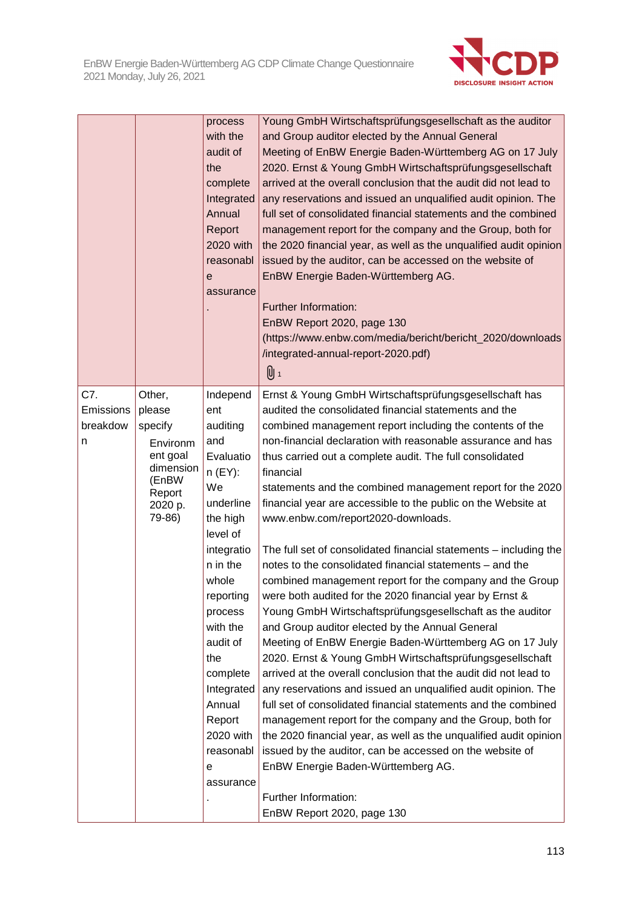

|                                   |                                                                                                          | process<br>with the<br>audit of<br>the<br>complete<br>Integrated<br>Annual<br>Report<br>2020 with<br>reasonabl<br>е<br>assurance                                                                                                                                                            | Young GmbH Wirtschaftsprüfungsgesellschaft as the auditor<br>and Group auditor elected by the Annual General<br>Meeting of EnBW Energie Baden-Württemberg AG on 17 July<br>2020. Ernst & Young GmbH Wirtschaftsprüfungsgesellschaft<br>arrived at the overall conclusion that the audit did not lead to<br>any reservations and issued an unqualified audit opinion. The<br>full set of consolidated financial statements and the combined<br>management report for the company and the Group, both for<br>the 2020 financial year, as well as the unqualified audit opinion<br>issued by the auditor, can be accessed on the website of<br>EnBW Energie Baden-Württemberg AG.<br>Further Information:<br>EnBW Report 2020, page 130<br>(https://www.enbw.com/media/bericht/bericht_2020/downloads<br>/integrated-annual-report-2020.pdf)<br>Ս 1                                                                                                                                                                                                                                                                                                                                                                                                                                                                                                                                                                                                                                          |
|-----------------------------------|----------------------------------------------------------------------------------------------------------|---------------------------------------------------------------------------------------------------------------------------------------------------------------------------------------------------------------------------------------------------------------------------------------------|-------------------------------------------------------------------------------------------------------------------------------------------------------------------------------------------------------------------------------------------------------------------------------------------------------------------------------------------------------------------------------------------------------------------------------------------------------------------------------------------------------------------------------------------------------------------------------------------------------------------------------------------------------------------------------------------------------------------------------------------------------------------------------------------------------------------------------------------------------------------------------------------------------------------------------------------------------------------------------------------------------------------------------------------------------------------------------------------------------------------------------------------------------------------------------------------------------------------------------------------------------------------------------------------------------------------------------------------------------------------------------------------------------------------------------------------------------------------------------------------|
| C7.<br>Emissions<br>breakdow<br>n | Other,<br>please<br>specify<br>Environm<br>ent goal<br>dimension<br>(EnBW<br>Report<br>2020 p.<br>79-86) | Independ<br>ent<br>auditing<br>and<br>Evaluatio<br>$n$ (EY):<br>We<br>underline<br>the high<br>level of<br>integratio<br>n in the<br>whole<br>reporting<br>process<br>with the<br>audit of<br>the<br>complete<br>Integrated<br>Annual<br>Report<br>2020 with<br>reasonabl<br>е<br>assurance | Ernst & Young GmbH Wirtschaftsprüfungsgesellschaft has<br>audited the consolidated financial statements and the<br>combined management report including the contents of the<br>non-financial declaration with reasonable assurance and has<br>thus carried out a complete audit. The full consolidated<br>financial<br>statements and the combined management report for the 2020<br>financial year are accessible to the public on the Website at<br>www.enbw.com/report2020-downloads.<br>The full set of consolidated financial statements - including the<br>notes to the consolidated financial statements - and the<br>combined management report for the company and the Group<br>were both audited for the 2020 financial year by Ernst &<br>Young GmbH Wirtschaftsprüfungsgesellschaft as the auditor<br>and Group auditor elected by the Annual General<br>Meeting of EnBW Energie Baden-Württemberg AG on 17 July<br>2020. Ernst & Young GmbH Wirtschaftsprüfungsgesellschaft<br>arrived at the overall conclusion that the audit did not lead to<br>any reservations and issued an unqualified audit opinion. The<br>full set of consolidated financial statements and the combined<br>management report for the company and the Group, both for<br>the 2020 financial year, as well as the unqualified audit opinion<br>issued by the auditor, can be accessed on the website of<br>EnBW Energie Baden-Württemberg AG.<br>Further Information:<br>EnBW Report 2020, page 130 |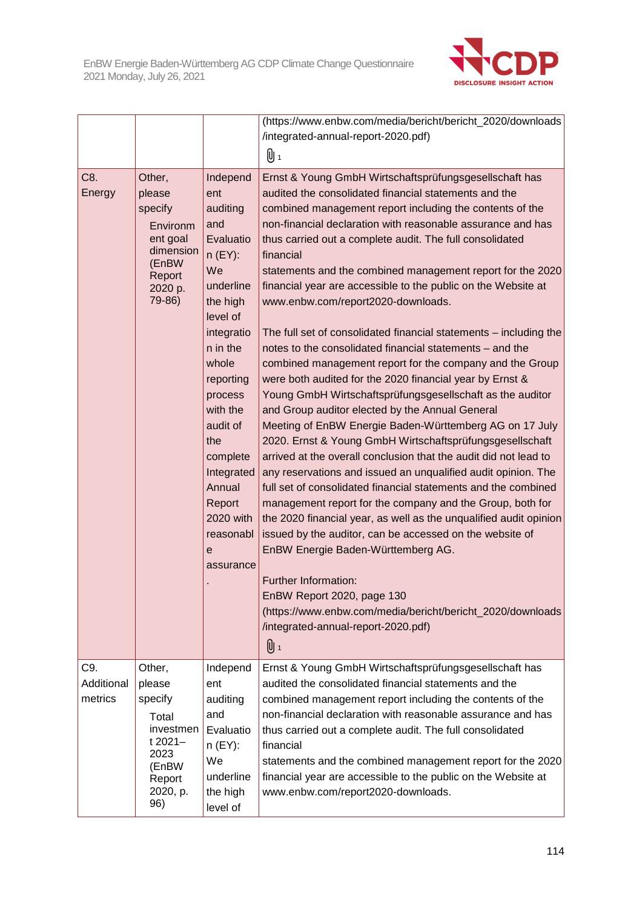

|               |                                                                                                          |                                                                                                                                                                                                                                                                                                       | (https://www.enbw.com/media/bericht/bericht_2020/downloads                                                                                                                                                                                                                                                                                                                                                                                                                                                                                                                                                                                                                                                                                                                                                                                                                                                                                                                                                                                                                                                                                                                                                                                                                                                                                                                                                                                                                                                                                                                                            |
|---------------|----------------------------------------------------------------------------------------------------------|-------------------------------------------------------------------------------------------------------------------------------------------------------------------------------------------------------------------------------------------------------------------------------------------------------|-------------------------------------------------------------------------------------------------------------------------------------------------------------------------------------------------------------------------------------------------------------------------------------------------------------------------------------------------------------------------------------------------------------------------------------------------------------------------------------------------------------------------------------------------------------------------------------------------------------------------------------------------------------------------------------------------------------------------------------------------------------------------------------------------------------------------------------------------------------------------------------------------------------------------------------------------------------------------------------------------------------------------------------------------------------------------------------------------------------------------------------------------------------------------------------------------------------------------------------------------------------------------------------------------------------------------------------------------------------------------------------------------------------------------------------------------------------------------------------------------------------------------------------------------------------------------------------------------------|
|               |                                                                                                          |                                                                                                                                                                                                                                                                                                       | /integrated-annual-report-2020.pdf)                                                                                                                                                                                                                                                                                                                                                                                                                                                                                                                                                                                                                                                                                                                                                                                                                                                                                                                                                                                                                                                                                                                                                                                                                                                                                                                                                                                                                                                                                                                                                                   |
|               |                                                                                                          |                                                                                                                                                                                                                                                                                                       | [U⊣                                                                                                                                                                                                                                                                                                                                                                                                                                                                                                                                                                                                                                                                                                                                                                                                                                                                                                                                                                                                                                                                                                                                                                                                                                                                                                                                                                                                                                                                                                                                                                                                   |
| C8.<br>Energy | Other,<br>please<br>specify<br>Environm<br>ent goal<br>dimension<br>(EnBW<br>Report<br>2020 p.<br>79-86) | Independ<br>ent<br>auditing<br>and<br>Evaluatio<br>$n$ (EY):<br>We<br>underline<br>the high<br>level of<br>integratio<br>n in the<br>whole<br>reporting<br>process<br>with the<br>audit of<br>the<br>complete<br>Integrated<br>Annual<br>Report<br>2020 with<br>reasonabl<br>$\mathbf e$<br>assurance | Ernst & Young GmbH Wirtschaftsprüfungsgesellschaft has<br>audited the consolidated financial statements and the<br>combined management report including the contents of the<br>non-financial declaration with reasonable assurance and has<br>thus carried out a complete audit. The full consolidated<br>financial<br>statements and the combined management report for the 2020<br>financial year are accessible to the public on the Website at<br>www.enbw.com/report2020-downloads.<br>The full set of consolidated financial statements - including the<br>notes to the consolidated financial statements - and the<br>combined management report for the company and the Group<br>were both audited for the 2020 financial year by Ernst &<br>Young GmbH Wirtschaftsprüfungsgesellschaft as the auditor<br>and Group auditor elected by the Annual General<br>Meeting of EnBW Energie Baden-Württemberg AG on 17 July<br>2020. Ernst & Young GmbH Wirtschaftsprüfungsgesellschaft<br>arrived at the overall conclusion that the audit did not lead to<br>any reservations and issued an unqualified audit opinion. The<br>full set of consolidated financial statements and the combined<br>management report for the company and the Group, both for<br>the 2020 financial year, as well as the unqualified audit opinion<br>issued by the auditor, can be accessed on the website of<br>EnBW Energie Baden-Württemberg AG.<br>Further Information:<br>EnBW Report 2020, page 130<br>(https://www.enbw.com/media/bericht/bericht_2020/downloads<br>/integrated-annual-report-2020.pdf)<br>U 1 |
| C9.           | Other,                                                                                                   | Independ                                                                                                                                                                                                                                                                                              | Ernst & Young GmbH Wirtschaftsprüfungsgesellschaft has                                                                                                                                                                                                                                                                                                                                                                                                                                                                                                                                                                                                                                                                                                                                                                                                                                                                                                                                                                                                                                                                                                                                                                                                                                                                                                                                                                                                                                                                                                                                                |
| Additional    | please                                                                                                   | ent                                                                                                                                                                                                                                                                                                   | audited the consolidated financial statements and the                                                                                                                                                                                                                                                                                                                                                                                                                                                                                                                                                                                                                                                                                                                                                                                                                                                                                                                                                                                                                                                                                                                                                                                                                                                                                                                                                                                                                                                                                                                                                 |
| metrics       | specify                                                                                                  | auditing                                                                                                                                                                                                                                                                                              | combined management report including the contents of the                                                                                                                                                                                                                                                                                                                                                                                                                                                                                                                                                                                                                                                                                                                                                                                                                                                                                                                                                                                                                                                                                                                                                                                                                                                                                                                                                                                                                                                                                                                                              |
|               | Total                                                                                                    | and                                                                                                                                                                                                                                                                                                   | non-financial declaration with reasonable assurance and has                                                                                                                                                                                                                                                                                                                                                                                                                                                                                                                                                                                                                                                                                                                                                                                                                                                                                                                                                                                                                                                                                                                                                                                                                                                                                                                                                                                                                                                                                                                                           |
|               | investmen                                                                                                | Evaluatio                                                                                                                                                                                                                                                                                             | thus carried out a complete audit. The full consolidated                                                                                                                                                                                                                                                                                                                                                                                                                                                                                                                                                                                                                                                                                                                                                                                                                                                                                                                                                                                                                                                                                                                                                                                                                                                                                                                                                                                                                                                                                                                                              |
|               | t 2021-<br>2023                                                                                          | $n$ (EY):                                                                                                                                                                                                                                                                                             | financial                                                                                                                                                                                                                                                                                                                                                                                                                                                                                                                                                                                                                                                                                                                                                                                                                                                                                                                                                                                                                                                                                                                                                                                                                                                                                                                                                                                                                                                                                                                                                                                             |
|               | (EnBW                                                                                                    | We                                                                                                                                                                                                                                                                                                    | statements and the combined management report for the 2020                                                                                                                                                                                                                                                                                                                                                                                                                                                                                                                                                                                                                                                                                                                                                                                                                                                                                                                                                                                                                                                                                                                                                                                                                                                                                                                                                                                                                                                                                                                                            |
|               | Report                                                                                                   | underline                                                                                                                                                                                                                                                                                             | financial year are accessible to the public on the Website at                                                                                                                                                                                                                                                                                                                                                                                                                                                                                                                                                                                                                                                                                                                                                                                                                                                                                                                                                                                                                                                                                                                                                                                                                                                                                                                                                                                                                                                                                                                                         |
|               | 2020, p.<br>96)                                                                                          | the high<br>level of                                                                                                                                                                                                                                                                                  | www.enbw.com/report2020-downloads.                                                                                                                                                                                                                                                                                                                                                                                                                                                                                                                                                                                                                                                                                                                                                                                                                                                                                                                                                                                                                                                                                                                                                                                                                                                                                                                                                                                                                                                                                                                                                                    |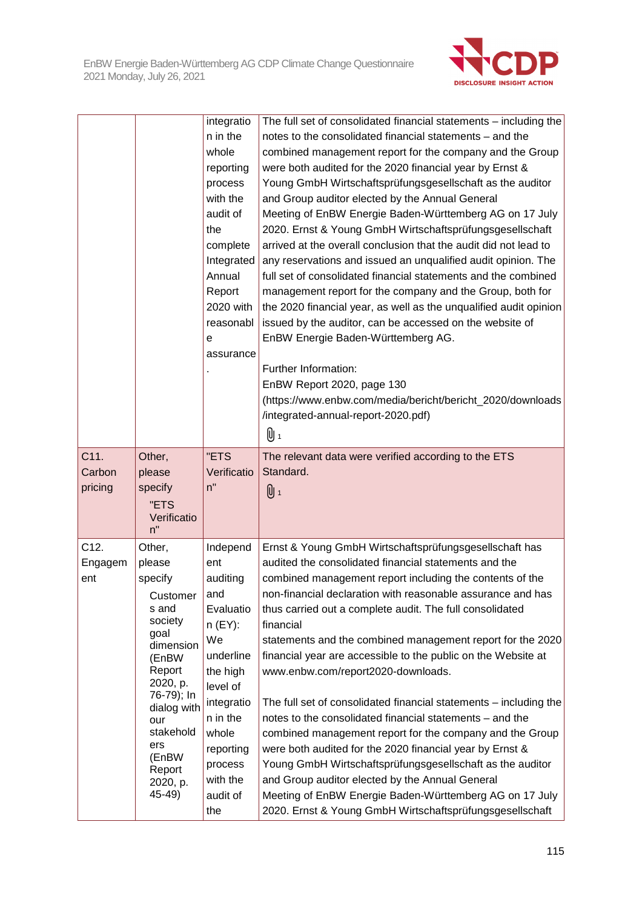

|                           |                                                                                                                                                                                                                  | integratio<br>n in the<br>whole<br>reporting<br>process<br>with the<br>audit of<br>the<br>complete<br>Integrated<br>Annual<br>Report<br>2020 with<br>reasonabl<br>е<br>assurance                  | The full set of consolidated financial statements - including the<br>notes to the consolidated financial statements – and the<br>combined management report for the company and the Group<br>were both audited for the 2020 financial year by Ernst &<br>Young GmbH Wirtschaftsprüfungsgesellschaft as the auditor<br>and Group auditor elected by the Annual General<br>Meeting of EnBW Energie Baden-Württemberg AG on 17 July<br>2020. Ernst & Young GmbH Wirtschaftsprüfungsgesellschaft<br>arrived at the overall conclusion that the audit did not lead to<br>any reservations and issued an unqualified audit opinion. The<br>full set of consolidated financial statements and the combined<br>management report for the company and the Group, both for<br>the 2020 financial year, as well as the unqualified audit opinion<br>issued by the auditor, can be accessed on the website of<br>EnBW Energie Baden-Württemberg AG.<br>Further Information:<br>EnBW Report 2020, page 130<br>(https://www.enbw.com/media/bericht/bericht_2020/downloads<br>/integrated-annual-report-2020.pdf)<br>0 1 |
|---------------------------|------------------------------------------------------------------------------------------------------------------------------------------------------------------------------------------------------------------|---------------------------------------------------------------------------------------------------------------------------------------------------------------------------------------------------|-----------------------------------------------------------------------------------------------------------------------------------------------------------------------------------------------------------------------------------------------------------------------------------------------------------------------------------------------------------------------------------------------------------------------------------------------------------------------------------------------------------------------------------------------------------------------------------------------------------------------------------------------------------------------------------------------------------------------------------------------------------------------------------------------------------------------------------------------------------------------------------------------------------------------------------------------------------------------------------------------------------------------------------------------------------------------------------------------------------|
| C11.<br>Carbon<br>pricing | Other,<br>please<br>specify<br>"ETS<br>Verificatio<br>n"                                                                                                                                                         | "ETS<br>Verificatio<br>n"                                                                                                                                                                         | The relevant data were verified according to the ETS<br>Standard.<br>U 1                                                                                                                                                                                                                                                                                                                                                                                                                                                                                                                                                                                                                                                                                                                                                                                                                                                                                                                                                                                                                                  |
| C12.<br>Engagem<br>ent    | Other,<br>please<br>specify<br>Customer<br>s and<br>society<br>goal<br>dimension<br>(EnBW<br>Report<br>2020, p.<br>76-79); In<br>dialog with<br>our<br>stakehold<br>ers<br>(EnBW<br>Report<br>2020, p.<br>45-49) | Independ<br>ent<br>auditing<br>and<br>Evaluatio<br>$n$ (EY):<br>We<br>underline<br>the high<br>level of<br>integratio<br>n in the<br>whole<br>reporting<br>process<br>with the<br>audit of<br>the | Ernst & Young GmbH Wirtschaftsprüfungsgesellschaft has<br>audited the consolidated financial statements and the<br>combined management report including the contents of the<br>non-financial declaration with reasonable assurance and has<br>thus carried out a complete audit. The full consolidated<br>financial<br>statements and the combined management report for the 2020<br>financial year are accessible to the public on the Website at<br>www.enbw.com/report2020-downloads.<br>The full set of consolidated financial statements - including the<br>notes to the consolidated financial statements - and the<br>combined management report for the company and the Group<br>were both audited for the 2020 financial year by Ernst &<br>Young GmbH Wirtschaftsprüfungsgesellschaft as the auditor<br>and Group auditor elected by the Annual General<br>Meeting of EnBW Energie Baden-Württemberg AG on 17 July<br>2020. Ernst & Young GmbH Wirtschaftsprüfungsgesellschaft                                                                                                                  |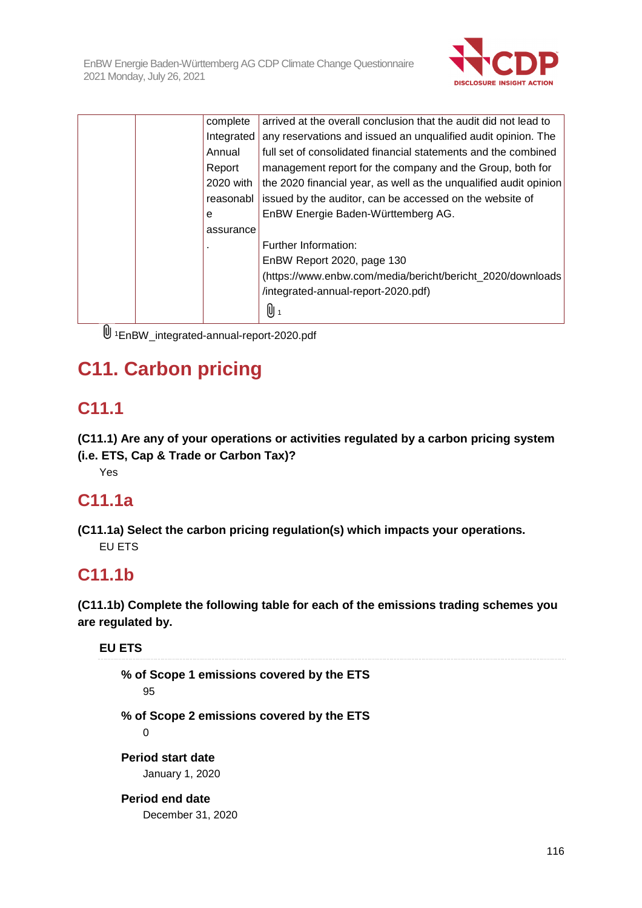

|   | complete   | arrived at the overall conclusion that the audit did not lead to  |
|---|------------|-------------------------------------------------------------------|
|   | Integrated | any reservations and issued an unqualified audit opinion. The     |
|   | Annual     | full set of consolidated financial statements and the combined    |
|   | Report     | management report for the company and the Group, both for         |
|   | 2020 with  | the 2020 financial year, as well as the unqualified audit opinion |
|   | reasonabl  | issued by the auditor, can be accessed on the website of          |
| e |            | EnBW Energie Baden-Württemberg AG.                                |
|   | assurance  |                                                                   |
|   |            | Further Information:                                              |
|   |            | EnBW Report 2020, page 130                                        |
|   |            | (https://www.enbw.com/media/bericht/bericht_2020/downloads)       |
|   |            | /integrated-annual-report-2020.pdf)                               |
|   |            | Q 1                                                               |
|   |            |                                                                   |

<sup>1</sup>EnBW\_integrated-annual-report-2020.pdf

# **C11. Carbon pricing**

# **C11.1**

**(C11.1) Are any of your operations or activities regulated by a carbon pricing system (i.e. ETS, Cap & Trade or Carbon Tax)?** 

Yes

# **C11.1a**

**(C11.1a) Select the carbon pricing regulation(s) which impacts your operations.**  EU ETS

# **C11.1b**

**(C11.1b) Complete the following table for each of the emissions trading schemes you are regulated by.** 

**EU ETS** 

**% of Scope 1 emissions covered by the ETS**  95 **% of Scope 2 emissions covered by the ETS**   $\Omega$ **Period start date**  January 1, 2020 **Period end date**  December 31, 2020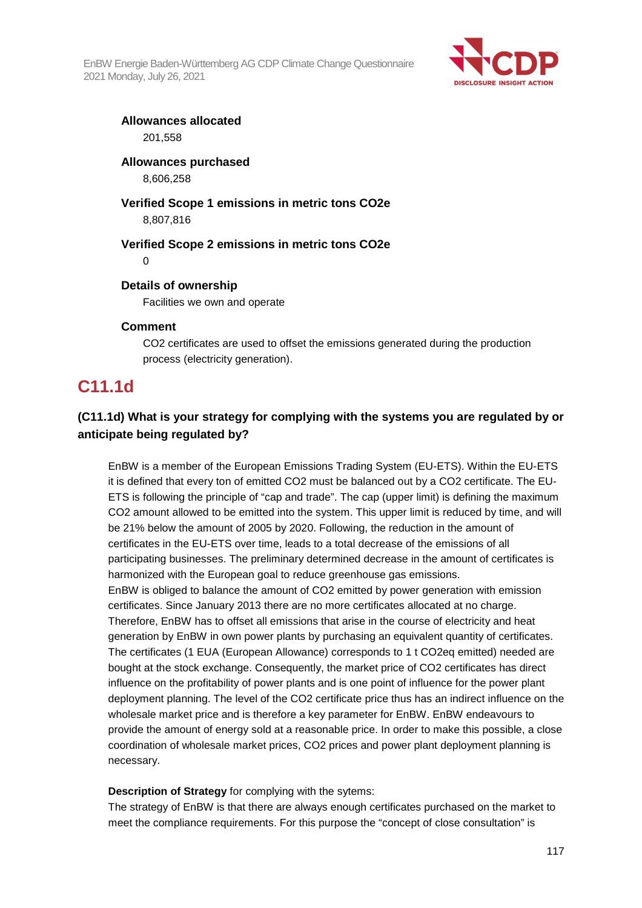EnBW Energie Baden-Württemberg AG CDP Climate Change Questionnaire 2021 Monday, July 26, 2021



**Allowances allocated**  201,558

# **Allowances purchased**

8,606,258

# **Verified Scope 1 emissions in metric tons CO2e**

8,807,816

### **Verified Scope 2 emissions in metric tons CO2e**

 $\Omega$ 

### **Details of ownership**

Facilities we own and operate

### **Comment**

CO2 certificates are used to offset the emissions generated during the production process (electricity generation).

# **C11.1d**

## **(C11.1d) What is your strategy for complying with the systems you are regulated by or anticipate being regulated by?**

EnBW is a member of the European Emissions Trading System (EU-ETS). Within the EU-ETS it is defined that every ton of emitted CO2 must be balanced out by a CO2 certificate. The EU-ETS is following the principle of "cap and trade". The cap (upper limit) is defining the maximum CO2 amount allowed to be emitted into the system. This upper limit is reduced by time, and will be 21% below the amount of 2005 by 2020. Following, the reduction in the amount of certificates in the EU-ETS over time, leads to a total decrease of the emissions of all participating businesses. The preliminary determined decrease in the amount of certificates is harmonized with the European goal to reduce greenhouse gas emissions. EnBW is obliged to balance the amount of CO2 emitted by power generation with emission certificates. Since January 2013 there are no more certificates allocated at no charge. Therefore, EnBW has to offset all emissions that arise in the course of electricity and heat generation by EnBW in own power plants by purchasing an equivalent quantity of certificates. The certificates (1 EUA (European Allowance) corresponds to 1 t CO2eq emitted) needed are bought at the stock exchange. Consequently, the market price of CO2 certificates has direct influence on the profitability of power plants and is one point of influence for the power plant deployment planning. The level of the CO2 certificate price thus has an indirect influence on the wholesale market price and is therefore a key parameter for EnBW. EnBW endeavours to provide the amount of energy sold at a reasonable price. In order to make this possible, a close coordination of wholesale market prices, CO2 prices and power plant deployment planning is necessary.

### **Description of Strategy** for complying with the sytems:

The strategy of EnBW is that there are always enough certificates purchased on the market to meet the compliance requirements. For this purpose the "concept of close consultation" is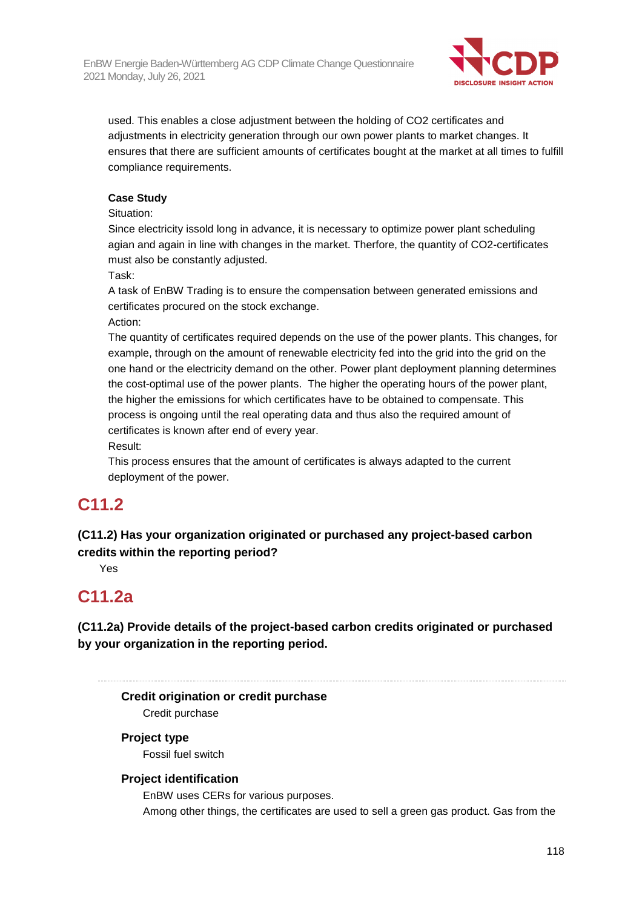

used. This enables a close adjustment between the holding of CO2 certificates and adjustments in electricity generation through our own power plants to market changes. It ensures that there are sufficient amounts of certificates bought at the market at all times to fulfill compliance requirements.

### **Case Study**

Situation:

Since electricity issold long in advance, it is necessary to optimize power plant scheduling agian and again in line with changes in the market. Therfore, the quantity of CO2-certificates must also be constantly adjusted.

Task:

A task of EnBW Trading is to ensure the compensation between generated emissions and certificates procured on the stock exchange.

Action:

The quantity of certificates required depends on the use of the power plants. This changes, for example, through on the amount of renewable electricity fed into the grid into the grid on the one hand or the electricity demand on the other. Power plant deployment planning determines the cost-optimal use of the power plants. The higher the operating hours of the power plant, the higher the emissions for which certificates have to be obtained to compensate. This process is ongoing until the real operating data and thus also the required amount of certificates is known after end of every year.

Result:

This process ensures that the amount of certificates is always adapted to the current deployment of the power.

# **C11.2**

## **(C11.2) Has your organization originated or purchased any project-based carbon credits within the reporting period?**

Yes

# **C11.2a**

**(C11.2a) Provide details of the project-based carbon credits originated or purchased by your organization in the reporting period.** 

**Credit origination or credit purchase** 

Credit purchase

### **Project type**

Fossil fuel switch

### **Project identification**

EnBW uses CERs for various purposes.

Among other things, the certificates are used to sell a green gas product. Gas from the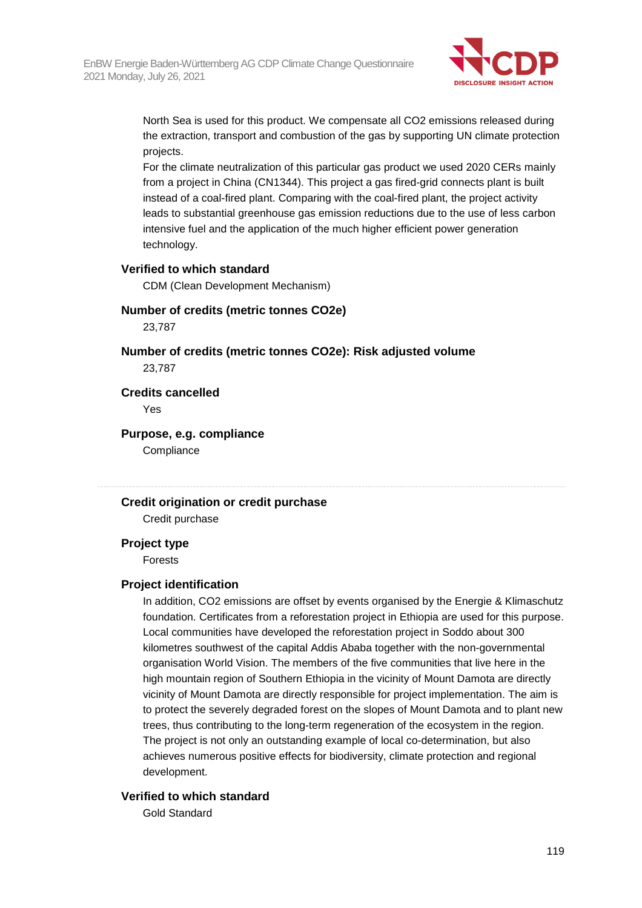

North Sea is used for this product. We compensate all CO2 emissions released during the extraction, transport and combustion of the gas by supporting UN climate protection projects.

For the climate neutralization of this particular gas product we used 2020 CERs mainly from a project in China (CN1344). This project a gas fired-grid connects plant is built instead of a coal-fired plant. Comparing with the coal-fired plant, the project activity leads to substantial greenhouse gas emission reductions due to the use of less carbon intensive fuel and the application of the much higher efficient power generation technology.

#### **Verified to which standard**

CDM (Clean Development Mechanism)

#### **Number of credits (metric tonnes CO2e)**

23,787

# **Number of credits (metric tonnes CO2e): Risk adjusted volume**

23,787

### **Credits cancelled**

Yes

### **Purpose, e.g. compliance**

**Compliance** 

### **Credit origination or credit purchase**

Credit purchase

#### **Project type**

Forests

#### **Project identification**

In addition, CO2 emissions are offset by events organised by the Energie & Klimaschutz foundation. Certificates from a reforestation project in Ethiopia are used for this purpose. Local communities have developed the reforestation project in Soddo about 300 kilometres southwest of the capital Addis Ababa together with the non-governmental organisation World Vision. The members of the five communities that live here in the high mountain region of Southern Ethiopia in the vicinity of Mount Damota are directly vicinity of Mount Damota are directly responsible for project implementation. The aim is to protect the severely degraded forest on the slopes of Mount Damota and to plant new trees, thus contributing to the long-term regeneration of the ecosystem in the region. The project is not only an outstanding example of local co-determination, but also achieves numerous positive effects for biodiversity, climate protection and regional development.

#### **Verified to which standard**

Gold Standard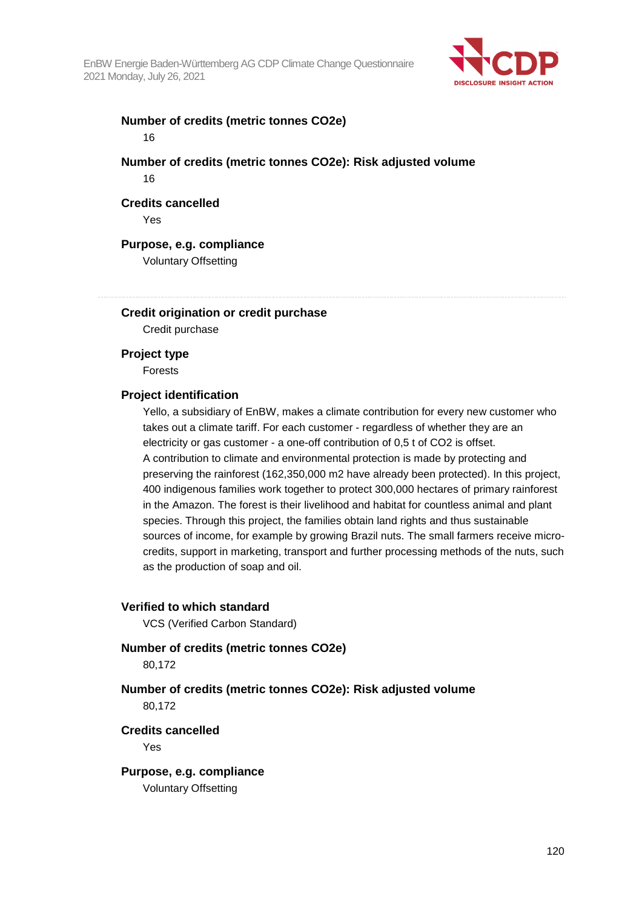

### **Number of credits (metric tonnes CO2e)**  16

### **Number of credits (metric tonnes CO2e): Risk adjusted volume**  16

#### **Credits cancelled**

Yes

#### **Purpose, e.g. compliance**

Voluntary Offsetting

### **Credit origination or credit purchase**

Credit purchase

#### **Project type**

Forests

### **Project identification**

Yello, a subsidiary of EnBW, makes a climate contribution for every new customer who takes out a climate tariff. For each customer - regardless of whether they are an electricity or gas customer - a one-off contribution of 0,5 t of CO2 is offset. A contribution to climate and environmental protection is made by protecting and preserving the rainforest (162,350,000 m2 have already been protected). In this project, 400 indigenous families work together to protect 300,000 hectares of primary rainforest in the Amazon. The forest is their livelihood and habitat for countless animal and plant species. Through this project, the families obtain land rights and thus sustainable sources of income, for example by growing Brazil nuts. The small farmers receive microcredits, support in marketing, transport and further processing methods of the nuts, such as the production of soap and oil.

#### **Verified to which standard**

VCS (Verified Carbon Standard)

### **Number of credits (metric tonnes CO2e)**

80,172

### **Number of credits (metric tonnes CO2e): Risk adjusted volume**  80,172

#### **Credits cancelled**

Yes

**Purpose, e.g. compliance**  Voluntary Offsetting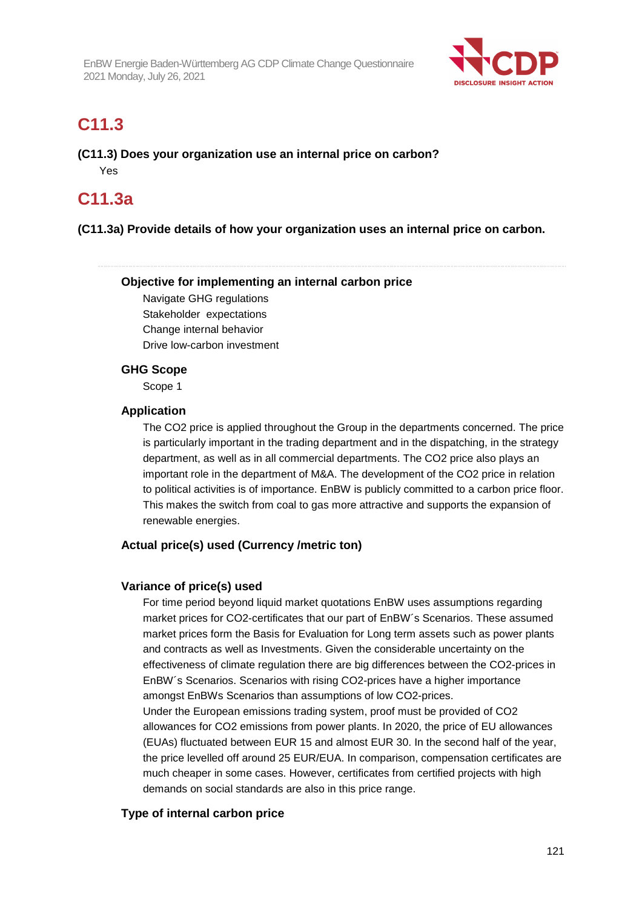

# **C11.3**

**(C11.3) Does your organization use an internal price on carbon?**  Yes

# **C11.3a**

### **(C11.3a) Provide details of how your organization uses an internal price on carbon.**

### **Objective for implementing an internal carbon price**

Navigate GHG regulations Stakeholder expectations Change internal behavior Drive low-carbon investment

### **GHG Scope**

Scope 1

### **Application**

The CO2 price is applied throughout the Group in the departments concerned. The price is particularly important in the trading department and in the dispatching, in the strategy department, as well as in all commercial departments. The CO2 price also plays an important role in the department of M&A. The development of the CO2 price in relation to political activities is of importance. EnBW is publicly committed to a carbon price floor. This makes the switch from coal to gas more attractive and supports the expansion of renewable energies.

### **Actual price(s) used (Currency /metric ton)**

### **Variance of price(s) used**

For time period beyond liquid market quotations EnBW uses assumptions regarding market prices for CO2-certificates that our part of EnBW´s Scenarios. These assumed market prices form the Basis for Evaluation for Long term assets such as power plants and contracts as well as Investments. Given the considerable uncertainty on the effectiveness of climate regulation there are big differences between the CO2-prices in EnBW´s Scenarios. Scenarios with rising CO2-prices have a higher importance amongst EnBWs Scenarios than assumptions of low CO2-prices. Under the European emissions trading system, proof must be provided of CO2 allowances for CO2 emissions from power plants. In 2020, the price of EU allowances (EUAs) fluctuated between EUR 15 and almost EUR 30. In the second half of the year, the price levelled off around 25 EUR/EUA. In comparison, compensation certificates are much cheaper in some cases. However, certificates from certified projects with high demands on social standards are also in this price range.

### **Type of internal carbon price**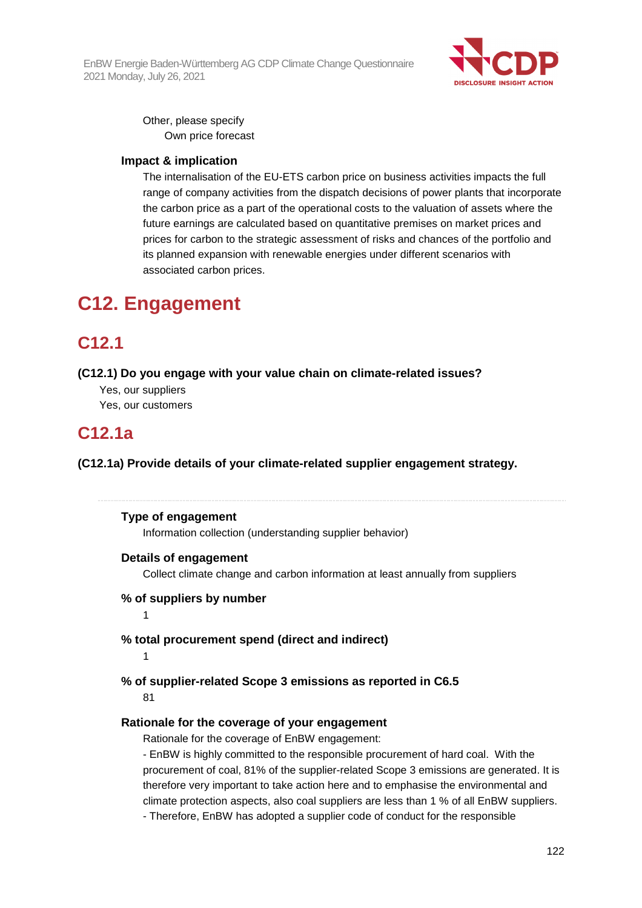EnBW Energie Baden-Württemberg AG CDP Climate Change Questionnaire 2021 Monday, July 26, 2021



Other, please specify Own price forecast

### **Impact & implication**

The internalisation of the EU-ETS carbon price on business activities impacts the full range of company activities from the dispatch decisions of power plants that incorporate the carbon price as a part of the operational costs to the valuation of assets where the future earnings are calculated based on quantitative premises on market prices and prices for carbon to the strategic assessment of risks and chances of the portfolio and its planned expansion with renewable energies under different scenarios with associated carbon prices.

# **C12. Engagement**

# **C12.1**

#### **(C12.1) Do you engage with your value chain on climate-related issues?**

Yes, our suppliers Yes, our customers

# **C12.1a**

**(C12.1a) Provide details of your climate-related supplier engagement strategy.** 

#### **Type of engagement**

Information collection (understanding supplier behavior)

#### **Details of engagement**

Collect climate change and carbon information at least annually from suppliers

#### **% of suppliers by number**

1

### **% total procurement spend (direct and indirect)**

#### 1

### **% of supplier-related Scope 3 emissions as reported in C6.5**

81

### **Rationale for the coverage of your engagement**

Rationale for the coverage of EnBW engagement:

- EnBW is highly committed to the responsible procurement of hard coal. With the procurement of coal, 81% of the supplier-related Scope 3 emissions are generated. It is therefore very important to take action here and to emphasise the environmental and climate protection aspects, also coal suppliers are less than 1 % of all EnBW suppliers.

- Therefore, EnBW has adopted a supplier code of conduct for the responsible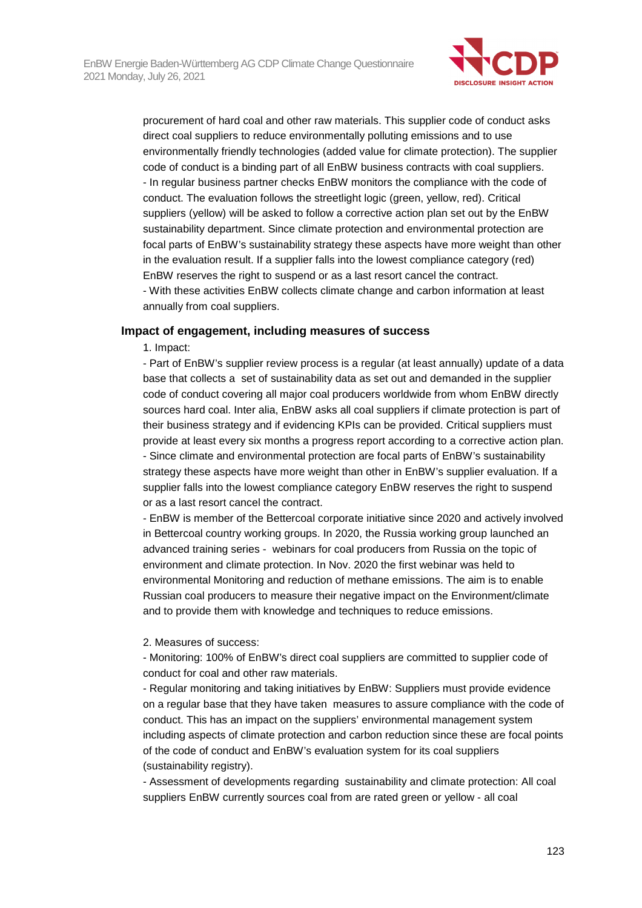

procurement of hard coal and other raw materials. This supplier code of conduct asks direct coal suppliers to reduce environmentally polluting emissions and to use environmentally friendly technologies (added value for climate protection). The supplier code of conduct is a binding part of all EnBW business contracts with coal suppliers. - In regular business partner checks EnBW monitors the compliance with the code of conduct. The evaluation follows the streetlight logic (green, yellow, red). Critical suppliers (yellow) will be asked to follow a corrective action plan set out by the EnBW sustainability department. Since climate protection and environmental protection are focal parts of EnBW's sustainability strategy these aspects have more weight than other in the evaluation result. If a supplier falls into the lowest compliance category (red) EnBW reserves the right to suspend or as a last resort cancel the contract. - With these activities EnBW collects climate change and carbon information at least annually from coal suppliers.

#### **Impact of engagement, including measures of success**

1. Impact:

- Part of EnBW's supplier review process is a regular (at least annually) update of a data base that collects a set of sustainability data as set out and demanded in the supplier code of conduct covering all major coal producers worldwide from whom EnBW directly sources hard coal. Inter alia, EnBW asks all coal suppliers if climate protection is part of their business strategy and if evidencing KPIs can be provided. Critical suppliers must provide at least every six months a progress report according to a corrective action plan. - Since climate and environmental protection are focal parts of EnBW's sustainability strategy these aspects have more weight than other in EnBW's supplier evaluation. If a supplier falls into the lowest compliance category EnBW reserves the right to suspend or as a last resort cancel the contract.

- EnBW is member of the Bettercoal corporate initiative since 2020 and actively involved in Bettercoal country working groups. In 2020, the Russia working group launched an advanced training series - webinars for coal producers from Russia on the topic of environment and climate protection. In Nov. 2020 the first webinar was held to environmental Monitoring and reduction of methane emissions. The aim is to enable Russian coal producers to measure their negative impact on the Environment/climate and to provide them with knowledge and techniques to reduce emissions.

2. Measures of success:

- Monitoring: 100% of EnBW's direct coal suppliers are committed to supplier code of conduct for coal and other raw materials.

- Regular monitoring and taking initiatives by EnBW: Suppliers must provide evidence on a regular base that they have taken measures to assure compliance with the code of conduct. This has an impact on the suppliers' environmental management system including aspects of climate protection and carbon reduction since these are focal points of the code of conduct and EnBW's evaluation system for its coal suppliers (sustainability registry).

- Assessment of developments regarding sustainability and climate protection: All coal suppliers EnBW currently sources coal from are rated green or yellow - all coal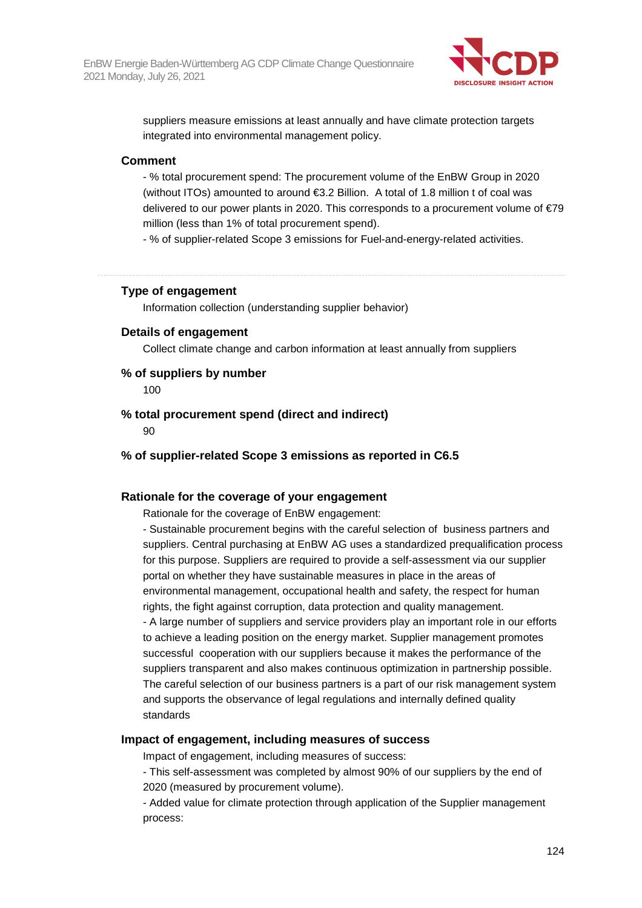

suppliers measure emissions at least annually and have climate protection targets integrated into environmental management policy.

#### **Comment**

- % total procurement spend: The procurement volume of the EnBW Group in 2020 (without ITOs) amounted to around €3.2 Billion. A total of 1.8 million t of coal was delivered to our power plants in 2020. This corresponds to a procurement volume of €79 million (less than 1% of total procurement spend).

- % of supplier-related Scope 3 emissions for Fuel-and-energy-related activities.

#### **Type of engagement**

Information collection (understanding supplier behavior)

#### **Details of engagement**

Collect climate change and carbon information at least annually from suppliers

#### **% of suppliers by number**

100

**% total procurement spend (direct and indirect)** 

90

**% of supplier-related Scope 3 emissions as reported in C6.5** 

### **Rationale for the coverage of your engagement**

Rationale for the coverage of EnBW engagement:

- Sustainable procurement begins with the careful selection of business partners and suppliers. Central purchasing at EnBW AG uses a standardized prequalification process for this purpose. Suppliers are required to provide a self-assessment via our supplier portal on whether they have sustainable measures in place in the areas of environmental management, occupational health and safety, the respect for human rights, the fight against corruption, data protection and quality management. - A large number of suppliers and service providers play an important role in our efforts to achieve a leading position on the energy market. Supplier management promotes successful cooperation with our suppliers because it makes the performance of the suppliers transparent and also makes continuous optimization in partnership possible. The careful selection of our business partners is a part of our risk management system and supports the observance of legal regulations and internally defined quality standards

#### **Impact of engagement, including measures of success**

Impact of engagement, including measures of success:

- This self-assessment was completed by almost 90% of our suppliers by the end of 2020 (measured by procurement volume).

- Added value for climate protection through application of the Supplier management process: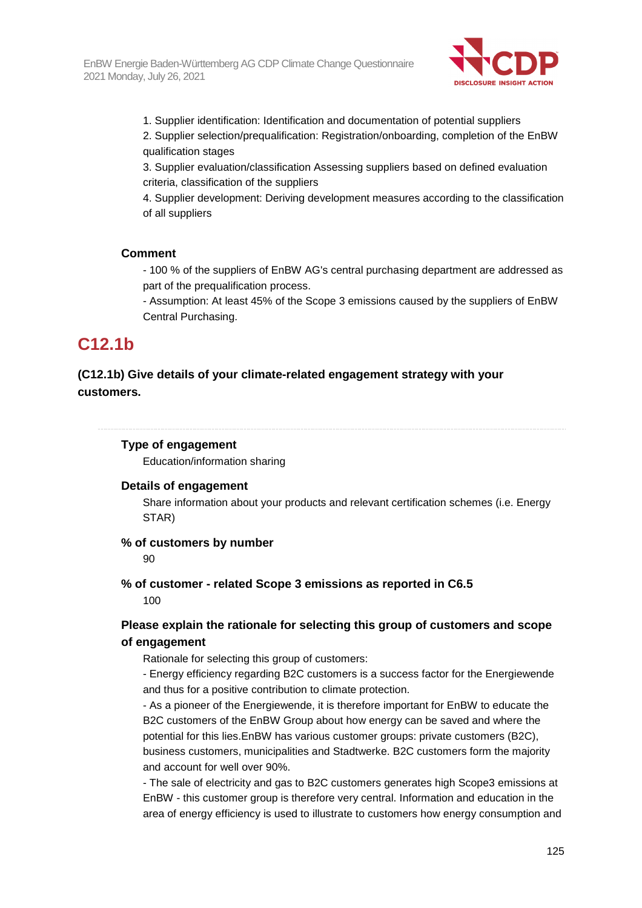

- 1. Supplier identification: Identification and documentation of potential suppliers
- 2. Supplier selection/prequalification: Registration/onboarding, completion of the EnBW qualification stages
- 3. Supplier evaluation/classification Assessing suppliers based on defined evaluation criteria, classification of the suppliers

4. Supplier development: Deriving development measures according to the classification of all suppliers

#### **Comment**

- 100 % of the suppliers of EnBW AG's central purchasing department are addressed as part of the prequalification process.

- Assumption: At least 45% of the Scope 3 emissions caused by the suppliers of EnBW Central Purchasing.

# **C12.1b**

### **(C12.1b) Give details of your climate-related engagement strategy with your customers.**

#### **Type of engagement**

Education/information sharing

#### **Details of engagement**

Share information about your products and relevant certification schemes (i.e. Energy STAR)

#### **% of customers by number**

90

**% of customer - related Scope 3 emissions as reported in C6.5**  100

### **Please explain the rationale for selecting this group of customers and scope of engagement**

Rationale for selecting this group of customers:

- Energy efficiency regarding B2C customers is a success factor for the Energiewende and thus for a positive contribution to climate protection.

- As a pioneer of the Energiewende, it is therefore important for EnBW to educate the B2C customers of the EnBW Group about how energy can be saved and where the potential for this lies.EnBW has various customer groups: private customers (B2C), business customers, municipalities and Stadtwerke. B2C customers form the majority and account for well over 90%.

- The sale of electricity and gas to B2C customers generates high Scope3 emissions at EnBW - this customer group is therefore very central. Information and education in the area of energy efficiency is used to illustrate to customers how energy consumption and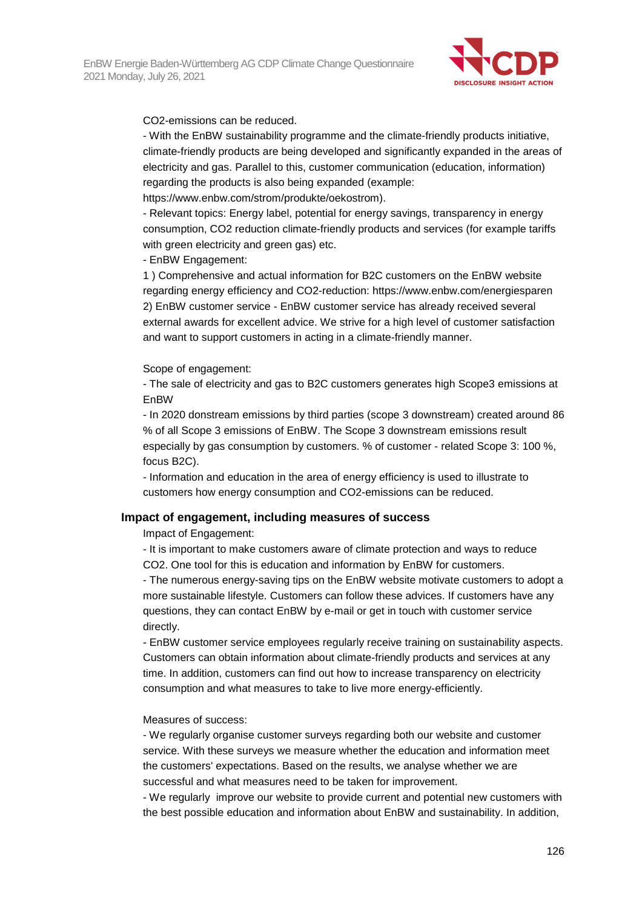

CO2-emissions can be reduced.

- With the EnBW sustainability programme and the climate-friendly products initiative, climate-friendly products are being developed and significantly expanded in the areas of electricity and gas. Parallel to this, customer communication (education, information) regarding the products is also being expanded (example:

https://www.enbw.com/strom/produkte/oekostrom).

- Relevant topics: Energy label, potential for energy savings, transparency in energy consumption, CO2 reduction climate-friendly products and services (for example tariffs with green electricity and green gas) etc.

- EnBW Engagement:

1 ) Comprehensive and actual information for B2C customers on the EnBW website regarding energy efficiency and CO2-reduction: https://www.enbw.com/energiesparen 2) EnBW customer service - EnBW customer service has already received several external awards for excellent advice. We strive for a high level of customer satisfaction and want to support customers in acting in a climate-friendly manner.

Scope of engagement:

- The sale of electricity and gas to B2C customers generates high Scope3 emissions at EnBW

- In 2020 donstream emissions by third parties (scope 3 downstream) created around 86 % of all Scope 3 emissions of EnBW. The Scope 3 downstream emissions result especially by gas consumption by customers. % of customer - related Scope 3: 100 %, focus B2C).

- Information and education in the area of energy efficiency is used to illustrate to customers how energy consumption and CO2-emissions can be reduced.

#### **Impact of engagement, including measures of success**

Impact of Engagement:

- It is important to make customers aware of climate protection and ways to reduce CO2. One tool for this is education and information by EnBW for customers.

- The numerous energy-saving tips on the EnBW website motivate customers to adopt a more sustainable lifestyle. Customers can follow these advices. If customers have any questions, they can contact EnBW by e-mail or get in touch with customer service directly.

- EnBW customer service employees regularly receive training on sustainability aspects. Customers can obtain information about climate-friendly products and services at any time. In addition, customers can find out how to increase transparency on electricity consumption and what measures to take to live more energy-efficiently.

#### Measures of success:

- We regularly organise customer surveys regarding both our website and customer service. With these surveys we measure whether the education and information meet the customers' expectations. Based on the results, we analyse whether we are successful and what measures need to be taken for improvement.

- We regularly improve our website to provide current and potential new customers with the best possible education and information about EnBW and sustainability. In addition,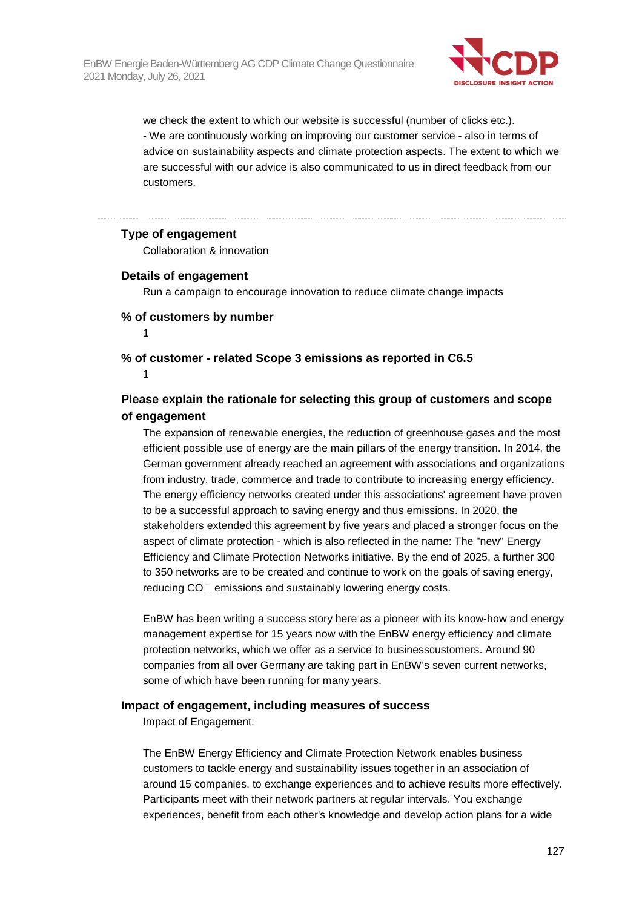

we check the extent to which our website is successful (number of clicks etc.). - We are continuously working on improving our customer service - also in terms of advice on sustainability aspects and climate protection aspects. The extent to which we are successful with our advice is also communicated to us in direct feedback from our customers.

#### **Type of engagement**

Collaboration & innovation

#### **Details of engagement**

Run a campaign to encourage innovation to reduce climate change impacts

#### **% of customers by number**

1

**% of customer - related Scope 3 emissions as reported in C6.5**  1

### **Please explain the rationale for selecting this group of customers and scope of engagement**

The expansion of renewable energies, the reduction of greenhouse gases and the most efficient possible use of energy are the main pillars of the energy transition. In 2014, the German government already reached an agreement with associations and organizations from industry, trade, commerce and trade to contribute to increasing energy efficiency. The energy efficiency networks created under this associations' agreement have proven to be a successful approach to saving energy and thus emissions. In 2020, the stakeholders extended this agreement by five years and placed a stronger focus on the aspect of climate protection - which is also reflected in the name: The "new" Energy Efficiency and Climate Protection Networks initiative. By the end of 2025, a further 300 to 350 networks are to be created and continue to work on the goals of saving energy, reducing CO<sub></sub> emissions and sustainably lowering energy costs.

EnBW has been writing a success story here as a pioneer with its know-how and energy management expertise for 15 years now with the EnBW energy efficiency and climate protection networks, which we offer as a service to businesscustomers. Around 90 companies from all over Germany are taking part in EnBW's seven current networks, some of which have been running for many years.

#### **Impact of engagement, including measures of success**

Impact of Engagement:

The EnBW Energy Efficiency and Climate Protection Network enables business customers to tackle energy and sustainability issues together in an association of around 15 companies, to exchange experiences and to achieve results more effectively. Participants meet with their network partners at regular intervals. You exchange experiences, benefit from each other's knowledge and develop action plans for a wide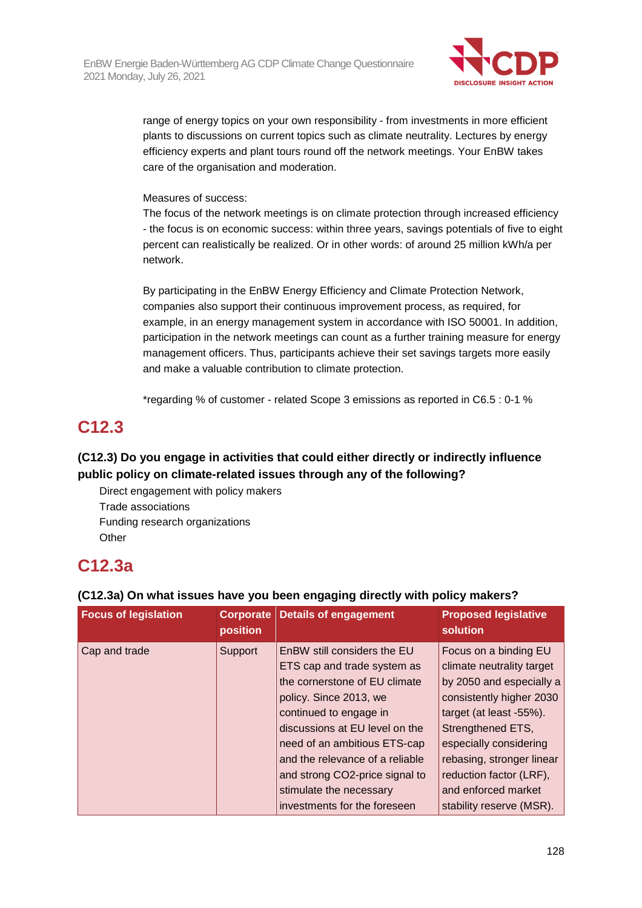

range of energy topics on your own responsibility - from investments in more efficient plants to discussions on current topics such as climate neutrality. Lectures by energy efficiency experts and plant tours round off the network meetings. Your EnBW takes care of the organisation and moderation.

#### Measures of success:

The focus of the network meetings is on climate protection through increased efficiency - the focus is on economic success: within three years, savings potentials of five to eight percent can realistically be realized. Or in other words: of around 25 million kWh/a per network.

By participating in the EnBW Energy Efficiency and Climate Protection Network, companies also support their continuous improvement process, as required, for example, in an energy management system in accordance with ISO 50001. In addition, participation in the network meetings can count as a further training measure for energy management officers. Thus, participants achieve their set savings targets more easily and make a valuable contribution to climate protection.

\*regarding % of customer - related Scope 3 emissions as reported in C6.5 : 0-1 %

# **C12.3**

## **(C12.3) Do you engage in activities that could either directly or indirectly influence public policy on climate-related issues through any of the following?**

Direct engagement with policy makers Trade associations Funding research organizations **Other** 

# **C12.3a**

### **(C12.3a) On what issues have you been engaging directly with policy makers?**

| <b>Focus of legislation</b> | <b>Corporate</b><br>position | <b>Details of engagement</b>                                                                                                                                                                                                                                                                                      | <b>Proposed legislative</b><br>solution                                                                                                                                                                                                                             |
|-----------------------------|------------------------------|-------------------------------------------------------------------------------------------------------------------------------------------------------------------------------------------------------------------------------------------------------------------------------------------------------------------|---------------------------------------------------------------------------------------------------------------------------------------------------------------------------------------------------------------------------------------------------------------------|
| Cap and trade               | Support                      | EnBW still considers the EU<br>ETS cap and trade system as<br>the cornerstone of EU climate<br>policy. Since 2013, we<br>continued to engage in<br>discussions at EU level on the<br>need of an ambitious ETS-cap<br>and the relevance of a reliable<br>and strong CO2-price signal to<br>stimulate the necessary | Focus on a binding EU<br>climate neutrality target<br>by 2050 and especially a<br>consistently higher 2030<br>target (at least -55%).<br>Strengthened ETS,<br>especially considering<br>rebasing, stronger linear<br>reduction factor (LRF),<br>and enforced market |
|                             |                              | investments for the foreseen                                                                                                                                                                                                                                                                                      | stability reserve (MSR).                                                                                                                                                                                                                                            |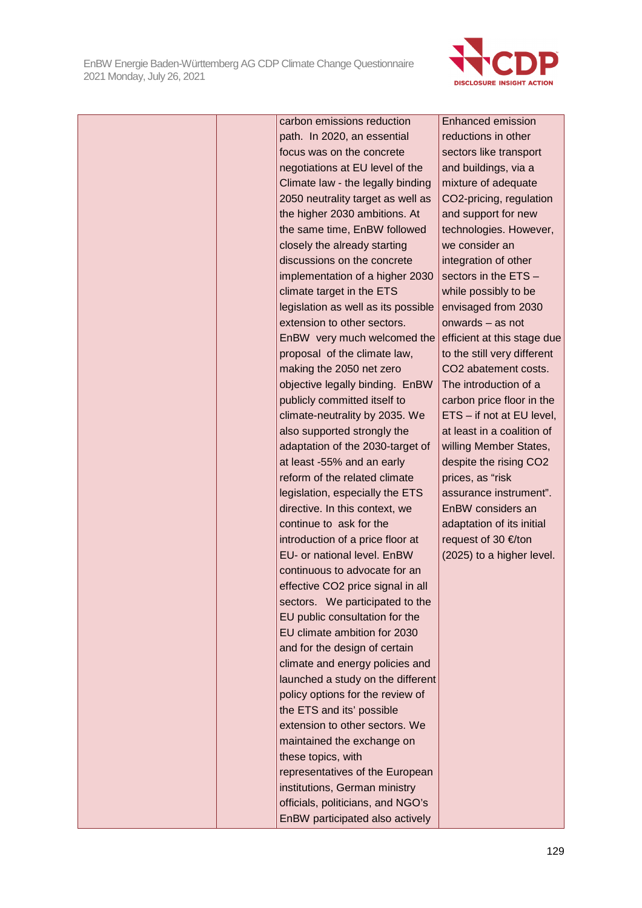

|  | carbon emissions reduction          | <b>Enhanced emission</b>         |
|--|-------------------------------------|----------------------------------|
|  | path. In 2020, an essential         | reductions in other              |
|  | focus was on the concrete           | sectors like transport           |
|  | negotiations at EU level of the     | and buildings, via a             |
|  | Climate law - the legally binding   | mixture of adequate              |
|  | 2050 neutrality target as well as   | CO2-pricing, regulation          |
|  | the higher 2030 ambitions. At       | and support for new              |
|  | the same time, EnBW followed        | technologies. However,           |
|  | closely the already starting        | we consider an                   |
|  | discussions on the concrete         | integration of other             |
|  | implementation of a higher 2030     | sectors in the ETS -             |
|  | climate target in the ETS           | while possibly to be             |
|  | legislation as well as its possible | envisaged from 2030              |
|  | extension to other sectors.         | onwards - as not                 |
|  | EnBW very much welcomed the         | efficient at this stage due      |
|  | proposal of the climate law,        | to the still very different      |
|  | making the 2050 net zero            | CO <sub>2</sub> abatement costs. |
|  | objective legally binding. EnBW     | The introduction of a            |
|  | publicly committed itself to        | carbon price floor in the        |
|  | climate-neutrality by 2035. We      | ETS - if not at EU level,        |
|  | also supported strongly the         | at least in a coalition of       |
|  | adaptation of the 2030-target of    | willing Member States,           |
|  | at least -55% and an early          | despite the rising CO2           |
|  | reform of the related climate       | prices, as "risk                 |
|  | legislation, especially the ETS     | assurance instrument".           |
|  | directive. In this context, we      | EnBW considers an                |
|  | continue to ask for the             | adaptation of its initial        |
|  | introduction of a price floor at    | request of 30 €/ton              |
|  | EU- or national level. EnBW         | (2025) to a higher level.        |
|  | continuous to advocate for an       |                                  |
|  | effective CO2 price signal in all   |                                  |
|  | sectors. We participated to the     |                                  |
|  | EU public consultation for the      |                                  |
|  | EU climate ambition for 2030        |                                  |
|  | and for the design of certain       |                                  |
|  | climate and energy policies and     |                                  |
|  | launched a study on the different   |                                  |
|  | policy options for the review of    |                                  |
|  | the ETS and its' possible           |                                  |
|  | extension to other sectors. We      |                                  |
|  | maintained the exchange on          |                                  |
|  | these topics, with                  |                                  |
|  | representatives of the European     |                                  |
|  | institutions, German ministry       |                                  |
|  | officials, politicians, and NGO's   |                                  |
|  | EnBW participated also actively     |                                  |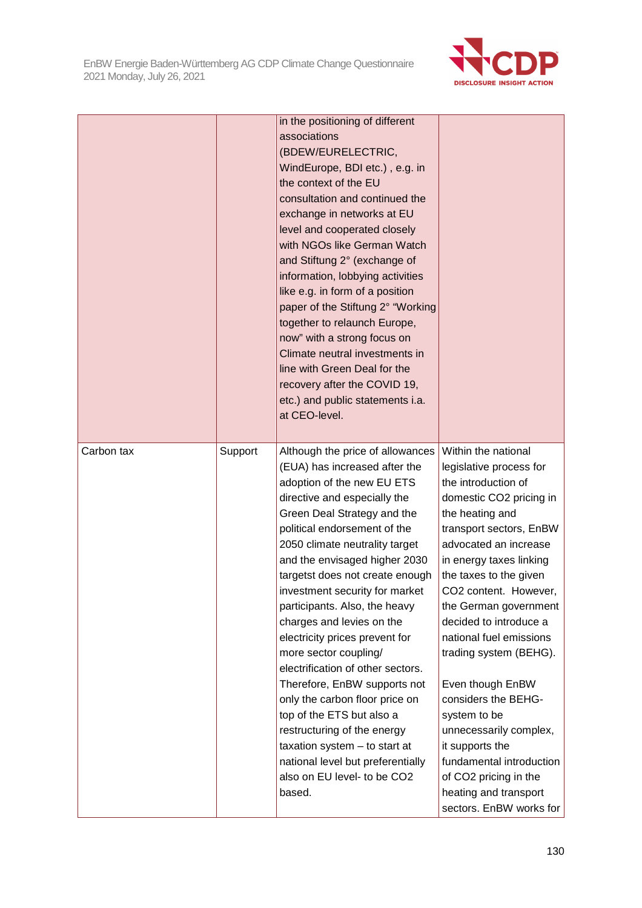EnBW Energie Baden-Württemberg AG CDP Climate Change Questionnaire 2021 Monday, July 26, 2021



|            |         | in the positioning of different<br>associations<br>(BDEW/EURELECTRIC,<br>WindEurope, BDI etc.), e.g. in<br>the context of the EU<br>consultation and continued the<br>exchange in networks at EU<br>level and cooperated closely<br>with NGOs like German Watch<br>and Stiftung 2° (exchange of<br>information, lobbying activities<br>like e.g. in form of a position<br>paper of the Stiftung 2° "Working<br>together to relaunch Europe,<br>now" with a strong focus on<br>Climate neutral investments in<br>line with Green Deal for the<br>recovery after the COVID 19,<br>etc.) and public statements i.a.<br>at CEO-level.                                                                                                                   |                                                                                                                                                                                                                                                                                                                                                                                                                                                                                                                                                                                |
|------------|---------|-----------------------------------------------------------------------------------------------------------------------------------------------------------------------------------------------------------------------------------------------------------------------------------------------------------------------------------------------------------------------------------------------------------------------------------------------------------------------------------------------------------------------------------------------------------------------------------------------------------------------------------------------------------------------------------------------------------------------------------------------------|--------------------------------------------------------------------------------------------------------------------------------------------------------------------------------------------------------------------------------------------------------------------------------------------------------------------------------------------------------------------------------------------------------------------------------------------------------------------------------------------------------------------------------------------------------------------------------|
| Carbon tax | Support | Although the price of allowances<br>(EUA) has increased after the<br>adoption of the new EU ETS<br>directive and especially the<br>Green Deal Strategy and the<br>political endorsement of the<br>2050 climate neutrality target<br>and the envisaged higher 2030<br>targetst does not create enough<br>investment security for market<br>participants. Also, the heavy<br>charges and levies on the<br>electricity prices prevent for<br>more sector coupling/<br>electrification of other sectors.<br>Therefore, EnBW supports not<br>only the carbon floor price on<br>top of the ETS but also a<br>restructuring of the energy<br>taxation system $-$ to start at<br>national level but preferentially<br>also on EU level- to be CO2<br>based. | Within the national<br>legislative process for<br>the introduction of<br>domestic CO2 pricing in<br>the heating and<br>transport sectors, EnBW<br>advocated an increase<br>in energy taxes linking<br>the taxes to the given<br>CO2 content. However,<br>the German government<br>decided to introduce a<br>national fuel emissions<br>trading system (BEHG).<br>Even though EnBW<br>considers the BEHG-<br>system to be<br>unnecessarily complex,<br>it supports the<br>fundamental introduction<br>of CO2 pricing in the<br>heating and transport<br>sectors. EnBW works for |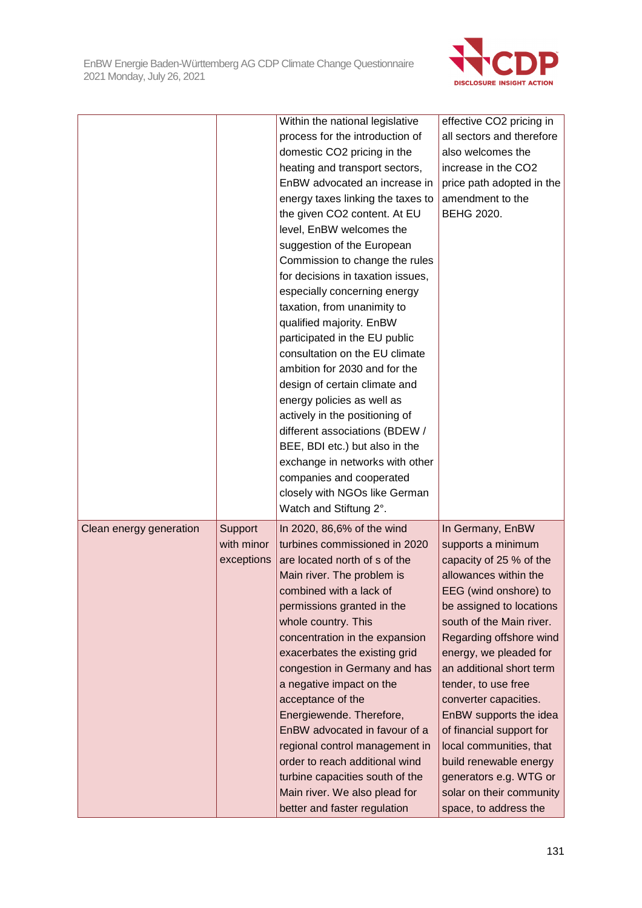

|                         |            | Within the national legislative   | effective CO2 pricing in  |
|-------------------------|------------|-----------------------------------|---------------------------|
|                         |            | process for the introduction of   | all sectors and therefore |
|                         |            | domestic CO2 pricing in the       | also welcomes the         |
|                         |            | heating and transport sectors,    | increase in the CO2       |
|                         |            | EnBW advocated an increase in     | price path adopted in the |
|                         |            | energy taxes linking the taxes to | amendment to the          |
|                         |            | the given CO2 content. At EU      | <b>BEHG 2020.</b>         |
|                         |            | level, EnBW welcomes the          |                           |
|                         |            | suggestion of the European        |                           |
|                         |            | Commission to change the rules    |                           |
|                         |            | for decisions in taxation issues, |                           |
|                         |            | especially concerning energy      |                           |
|                         |            | taxation, from unanimity to       |                           |
|                         |            | qualified majority. EnBW          |                           |
|                         |            | participated in the EU public     |                           |
|                         |            | consultation on the EU climate    |                           |
|                         |            | ambition for 2030 and for the     |                           |
|                         |            | design of certain climate and     |                           |
|                         |            | energy policies as well as        |                           |
|                         |            | actively in the positioning of    |                           |
|                         |            | different associations (BDEW /    |                           |
|                         |            | BEE, BDI etc.) but also in the    |                           |
|                         |            | exchange in networks with other   |                           |
|                         |            | companies and cooperated          |                           |
|                         |            | closely with NGOs like German     |                           |
|                         |            | Watch and Stiftung 2°.            |                           |
| Clean energy generation | Support    | In 2020, 86,6% of the wind        | In Germany, EnBW          |
|                         | with minor | turbines commissioned in 2020     | supports a minimum        |
|                         | exceptions | are located north of s of the     | capacity of 25 % of the   |
|                         |            | Main river. The problem is        | allowances within the     |
|                         |            | combined with a lack of           | EEG (wind onshore) to     |
|                         |            | permissions granted in the        | be assigned to locations  |
|                         |            | whole country. This               | south of the Main river.  |
|                         |            | concentration in the expansion    | Regarding offshore wind   |
|                         |            | exacerbates the existing grid     | energy, we pleaded for    |
|                         |            | congestion in Germany and has     | an additional short term  |
|                         |            | a negative impact on the          | tender, to use free       |
|                         |            | acceptance of the                 | converter capacities.     |
|                         |            | Energiewende. Therefore,          | EnBW supports the idea    |
|                         |            | EnBW advocated in favour of a     | of financial support for  |
|                         |            | regional control management in    | local communities, that   |
|                         |            | order to reach additional wind    | build renewable energy    |
|                         |            | turbine capacities south of the   | generators e.g. WTG or    |
|                         |            | Main river. We also plead for     | solar on their community  |
|                         |            | better and faster regulation      |                           |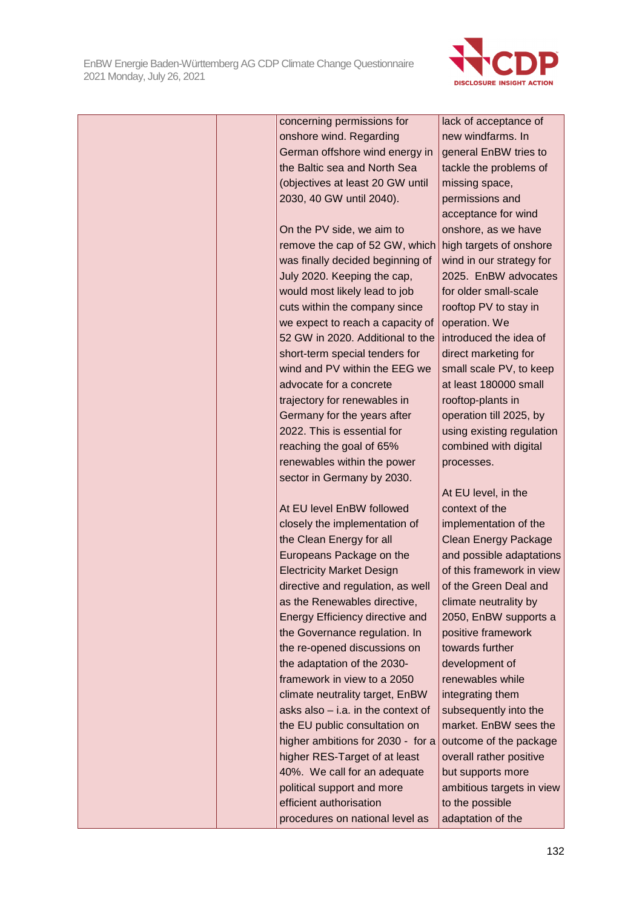

|  | concerning permissions for           | lack of acceptance of       |
|--|--------------------------------------|-----------------------------|
|  | onshore wind. Regarding              | new windfarms. In           |
|  | German offshore wind energy in       | general EnBW tries to       |
|  | the Baltic sea and North Sea         | tackle the problems of      |
|  | (objectives at least 20 GW until     | missing space,              |
|  | 2030, 40 GW until 2040).             | permissions and             |
|  |                                      | acceptance for wind         |
|  | On the PV side, we aim to            | onshore, as we have         |
|  | remove the cap of 52 GW, which       | high targets of onshore     |
|  | was finally decided beginning of     | wind in our strategy for    |
|  | July 2020. Keeping the cap,          | 2025. EnBW advocates        |
|  | would most likely lead to job        | for older small-scale       |
|  | cuts within the company since        | rooftop PV to stay in       |
|  | we expect to reach a capacity of     | operation. We               |
|  | 52 GW in 2020. Additional to the     | introduced the idea of      |
|  | short-term special tenders for       | direct marketing for        |
|  | wind and PV within the EEG we        | small scale PV, to keep     |
|  | advocate for a concrete              | at least 180000 small       |
|  | trajectory for renewables in         | rooftop-plants in           |
|  | Germany for the years after          | operation till 2025, by     |
|  | 2022. This is essential for          | using existing regulation   |
|  | reaching the goal of 65%             | combined with digital       |
|  | renewables within the power          | processes.                  |
|  | sector in Germany by 2030.           |                             |
|  |                                      | At EU level, in the         |
|  | At EU level EnBW followed            | context of the              |
|  | closely the implementation of        | implementation of the       |
|  | the Clean Energy for all             | <b>Clean Energy Package</b> |
|  | Europeans Package on the             | and possible adaptations    |
|  | <b>Electricity Market Design</b>     | of this framework in view   |
|  | directive and regulation, as well    | of the Green Deal and       |
|  | as the Renewables directive,         | climate neutrality by       |
|  | Energy Efficiency directive and      | 2050, EnBW supports a       |
|  | the Governance regulation. In        | positive framework          |
|  | the re-opened discussions on         | towards further             |
|  | the adaptation of the 2030-          | development of              |
|  | framework in view to a 2050          | renewables while            |
|  | climate neutrality target, EnBW      | integrating them            |
|  | asks also $-$ i.a. in the context of | subsequently into the       |
|  | the EU public consultation on        | market. EnBW sees the       |
|  | higher ambitions for 2030 - for a    | outcome of the package      |
|  | higher RES-Target of at least        | overall rather positive     |
|  | 40%. We call for an adequate         | but supports more           |
|  | political support and more           | ambitious targets in view   |
|  | efficient authorisation              | to the possible             |
|  | procedures on national level as      | adaptation of the           |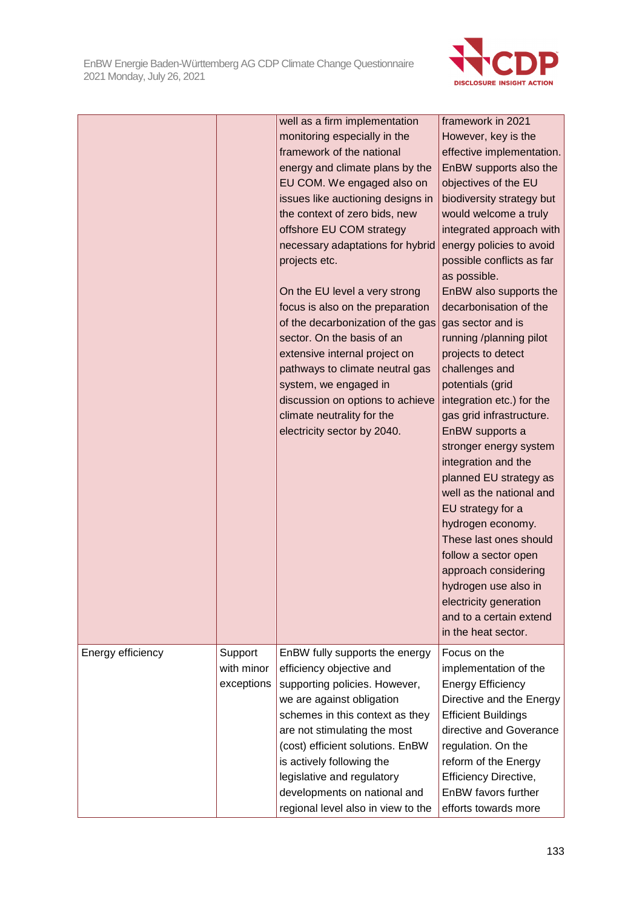

|                   |                                     | well as a firm implementation<br>monitoring especially in the<br>framework of the national<br>energy and climate plans by the<br>EU COM. We engaged also on<br>issues like auctioning designs in<br>the context of zero bids, new | framework in 2021<br>However, key is the<br>effective implementation.<br>EnBW supports also the<br>objectives of the EU<br>biodiversity strategy but<br>would welcome a truly |
|-------------------|-------------------------------------|-----------------------------------------------------------------------------------------------------------------------------------------------------------------------------------------------------------------------------------|-------------------------------------------------------------------------------------------------------------------------------------------------------------------------------|
|                   |                                     | offshore EU COM strategy<br>necessary adaptations for hybrid<br>projects etc.<br>On the EU level a very strong<br>focus is also on the preparation                                                                                | integrated approach with<br>energy policies to avoid<br>possible conflicts as far<br>as possible.<br>EnBW also supports the<br>decarbonisation of the                         |
|                   |                                     | of the decarbonization of the gas<br>sector. On the basis of an<br>extensive internal project on<br>pathways to climate neutral gas<br>system, we engaged in<br>discussion on options to achieve                                  | gas sector and is<br>running /planning pilot<br>projects to detect<br>challenges and<br>potentials (grid<br>integration etc.) for the                                         |
|                   |                                     | climate neutrality for the<br>electricity sector by 2040.                                                                                                                                                                         | gas grid infrastructure.<br>EnBW supports a<br>stronger energy system<br>integration and the<br>planned EU strategy as<br>well as the national and                            |
|                   |                                     |                                                                                                                                                                                                                                   | EU strategy for a<br>hydrogen economy.<br>These last ones should<br>follow a sector open<br>approach considering                                                              |
|                   |                                     |                                                                                                                                                                                                                                   | hydrogen use also in<br>electricity generation<br>and to a certain extend<br>in the heat sector.                                                                              |
| Energy efficiency | Support<br>with minor<br>exceptions | EnBW fully supports the energy<br>efficiency objective and<br>supporting policies. However,<br>we are against obligation<br>schemes in this context as they<br>are not stimulating the most                                       | Focus on the<br>implementation of the<br><b>Energy Efficiency</b><br>Directive and the Energy<br><b>Efficient Buildings</b><br>directive and Goverance                        |
|                   |                                     | (cost) efficient solutions. EnBW<br>is actively following the<br>legislative and regulatory<br>developments on national and<br>regional level also in view to the                                                                 | regulation. On the<br>reform of the Energy<br>Efficiency Directive,<br>EnBW favors further<br>efforts towards more                                                            |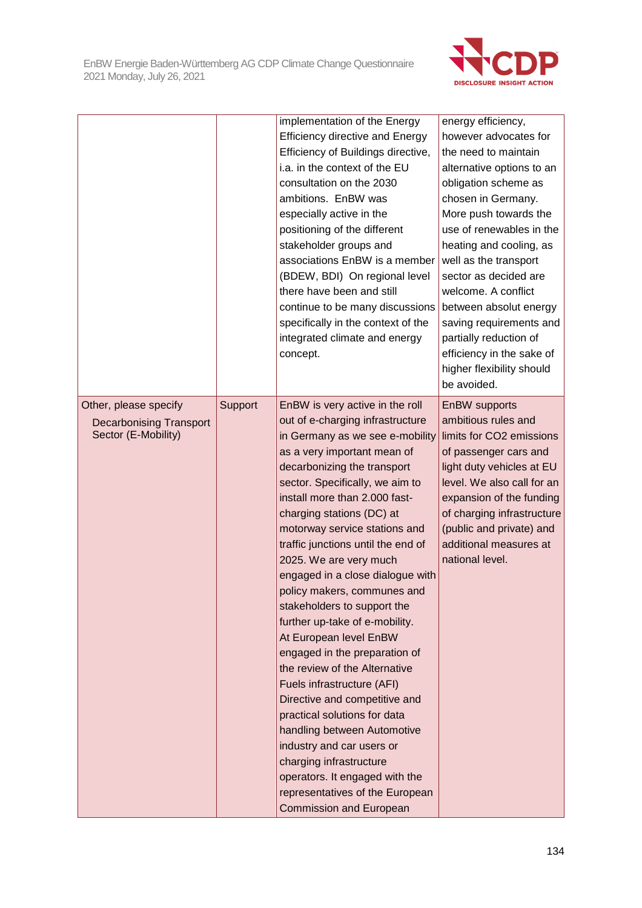

|                                                                                |         | implementation of the Energy<br><b>Efficiency directive and Energy</b><br>Efficiency of Buildings directive,<br>i.a. in the context of the EU<br>consultation on the 2030<br>ambitions. EnBW was<br>especially active in the<br>positioning of the different<br>stakeholder groups and<br>associations EnBW is a member<br>(BDEW, BDI) On regional level<br>there have been and still<br>continue to be many discussions<br>specifically in the context of the<br>integrated climate and energy<br>concept.                                                                                                                                                                                                                                                                                                                                                                                         | energy efficiency,<br>however advocates for<br>the need to maintain<br>alternative options to an<br>obligation scheme as<br>chosen in Germany.<br>More push towards the<br>use of renewables in the<br>heating and cooling, as<br>well as the transport<br>sector as decided are<br>welcome. A conflict<br>between absolut energy<br>saving requirements and<br>partially reduction of<br>efficiency in the sake of<br>higher flexibility should<br>be avoided. |
|--------------------------------------------------------------------------------|---------|-----------------------------------------------------------------------------------------------------------------------------------------------------------------------------------------------------------------------------------------------------------------------------------------------------------------------------------------------------------------------------------------------------------------------------------------------------------------------------------------------------------------------------------------------------------------------------------------------------------------------------------------------------------------------------------------------------------------------------------------------------------------------------------------------------------------------------------------------------------------------------------------------------|-----------------------------------------------------------------------------------------------------------------------------------------------------------------------------------------------------------------------------------------------------------------------------------------------------------------------------------------------------------------------------------------------------------------------------------------------------------------|
| Other, please specify<br><b>Decarbonising Transport</b><br>Sector (E-Mobility) | Support | EnBW is very active in the roll<br>out of e-charging infrastructure<br>in Germany as we see e-mobility<br>as a very important mean of<br>decarbonizing the transport<br>sector. Specifically, we aim to<br>install more than 2.000 fast-<br>charging stations (DC) at<br>motorway service stations and<br>traffic junctions until the end of<br>2025. We are very much<br>engaged in a close dialogue with<br>policy makers, communes and<br>stakeholders to support the<br>further up-take of e-mobility.<br>At European level EnBW<br>engaged in the preparation of<br>the review of the Alternative<br>Fuels infrastructure (AFI)<br>Directive and competitive and<br>practical solutions for data<br>handling between Automotive<br>industry and car users or<br>charging infrastructure<br>operators. It engaged with the<br>representatives of the European<br><b>Commission and European</b> | EnBW supports<br>ambitious rules and<br>limits for CO2 emissions<br>of passenger cars and<br>light duty vehicles at EU<br>level. We also call for an<br>expansion of the funding<br>of charging infrastructure<br>(public and private) and<br>additional measures at<br>national level.                                                                                                                                                                         |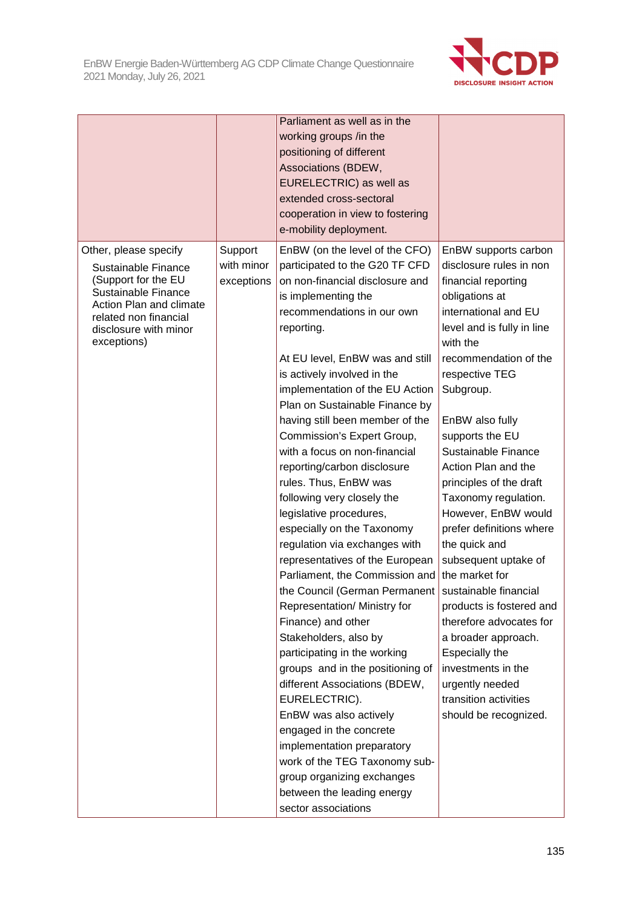

|                                                                                                                                                                                        |                                     | Parliament as well as in the<br>working groups /in the<br>positioning of different<br>Associations (BDEW,<br>EURELECTRIC) as well as<br>extended cross-sectoral<br>cooperation in view to fostering<br>e-mobility deployment.                                                                                                                                                                                                                                                                                                                                                                                                                                                                                                                                                                                                                                                                                                                                                                                                                                                                                     |                                                                                                                                                                                                                                                                                                                                                                                                                                                                                                                                                                                                                                                                                             |
|----------------------------------------------------------------------------------------------------------------------------------------------------------------------------------------|-------------------------------------|-------------------------------------------------------------------------------------------------------------------------------------------------------------------------------------------------------------------------------------------------------------------------------------------------------------------------------------------------------------------------------------------------------------------------------------------------------------------------------------------------------------------------------------------------------------------------------------------------------------------------------------------------------------------------------------------------------------------------------------------------------------------------------------------------------------------------------------------------------------------------------------------------------------------------------------------------------------------------------------------------------------------------------------------------------------------------------------------------------------------|---------------------------------------------------------------------------------------------------------------------------------------------------------------------------------------------------------------------------------------------------------------------------------------------------------------------------------------------------------------------------------------------------------------------------------------------------------------------------------------------------------------------------------------------------------------------------------------------------------------------------------------------------------------------------------------------|
| Other, please specify<br>Sustainable Finance<br>(Support for the EU<br>Sustainable Finance<br>Action Plan and climate<br>related non financial<br>disclosure with minor<br>exceptions) | Support<br>with minor<br>exceptions | EnBW (on the level of the CFO)<br>participated to the G20 TF CFD<br>on non-financial disclosure and<br>is implementing the<br>recommendations in our own<br>reporting.<br>At EU level, EnBW was and still<br>is actively involved in the<br>implementation of the EU Action<br>Plan on Sustainable Finance by<br>having still been member of the<br>Commission's Expert Group,<br>with a focus on non-financial<br>reporting/carbon disclosure<br>rules. Thus, EnBW was<br>following very closely the<br>legislative procedures,<br>especially on the Taxonomy<br>regulation via exchanges with<br>representatives of the European<br>Parliament, the Commission and<br>the Council (German Permanent<br>Representation/ Ministry for<br>Finance) and other<br>Stakeholders, also by<br>participating in the working<br>groups and in the positioning of<br>different Associations (BDEW,<br>EURELECTRIC).<br>EnBW was also actively<br>engaged in the concrete<br>implementation preparatory<br>work of the TEG Taxonomy sub-<br>group organizing exchanges<br>between the leading energy<br>sector associations | EnBW supports carbon<br>disclosure rules in non<br>financial reporting<br>obligations at<br>international and EU<br>level and is fully in line<br>with the<br>recommendation of the<br>respective TEG<br>Subgroup.<br>EnBW also fully<br>supports the EU<br>Sustainable Finance<br>Action Plan and the<br>principles of the draft<br>Taxonomy regulation.<br>However, EnBW would<br>prefer definitions where<br>the quick and<br>subsequent uptake of<br>the market for<br>sustainable financial<br>products is fostered and<br>therefore advocates for<br>a broader approach.<br>Especially the<br>investments in the<br>urgently needed<br>transition activities<br>should be recognized. |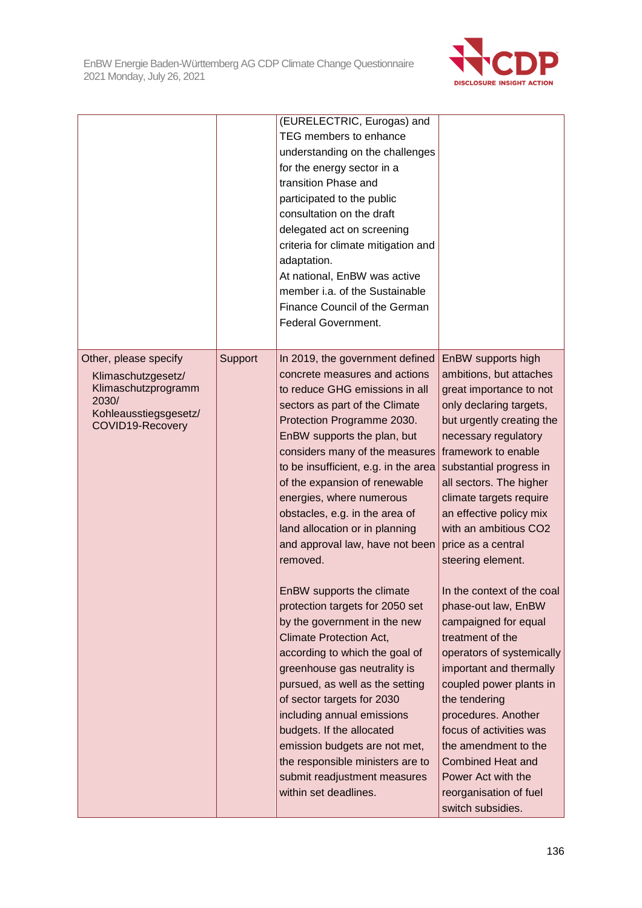

|                                                                                                                          |         | (EURELECTRIC, Eurogas) and<br>TEG members to enhance<br>understanding on the challenges<br>for the energy sector in a<br>transition Phase and<br>participated to the public<br>consultation on the draft<br>delegated act on screening<br>criteria for climate mitigation and<br>adaptation.<br>At national, EnBW was active<br>member i.a. of the Sustainable<br>Finance Council of the German<br>Federal Government.                                                                                                                                                                                                                                                                                                                                                                                                                                                                                                    |                                                                                                                                                                                                                                                                                                                                                                                                                                                                                                                                                                                                                                                                                                                                                 |
|--------------------------------------------------------------------------------------------------------------------------|---------|---------------------------------------------------------------------------------------------------------------------------------------------------------------------------------------------------------------------------------------------------------------------------------------------------------------------------------------------------------------------------------------------------------------------------------------------------------------------------------------------------------------------------------------------------------------------------------------------------------------------------------------------------------------------------------------------------------------------------------------------------------------------------------------------------------------------------------------------------------------------------------------------------------------------------|-------------------------------------------------------------------------------------------------------------------------------------------------------------------------------------------------------------------------------------------------------------------------------------------------------------------------------------------------------------------------------------------------------------------------------------------------------------------------------------------------------------------------------------------------------------------------------------------------------------------------------------------------------------------------------------------------------------------------------------------------|
| Other, please specify<br>Klimaschutzgesetz/<br>Klimaschutzprogramm<br>2030/<br>Kohleausstiegsgesetz/<br>COVID19-Recovery | Support | In 2019, the government defined<br>concrete measures and actions<br>to reduce GHG emissions in all<br>sectors as part of the Climate<br>Protection Programme 2030.<br>EnBW supports the plan, but<br>considers many of the measures<br>to be insufficient, e.g. in the area<br>of the expansion of renewable<br>energies, where numerous<br>obstacles, e.g. in the area of<br>land allocation or in planning<br>and approval law, have not been<br>removed.<br>EnBW supports the climate<br>protection targets for 2050 set<br>by the government in the new<br><b>Climate Protection Act,</b><br>according to which the goal of<br>greenhouse gas neutrality is<br>pursued, as well as the setting<br>of sector targets for 2030<br>including annual emissions<br>budgets. If the allocated<br>emission budgets are not met,<br>the responsible ministers are to<br>submit readjustment measures<br>within set deadlines. | EnBW supports high<br>ambitions, but attaches<br>great importance to not<br>only declaring targets,<br>but urgently creating the<br>necessary regulatory<br>framework to enable<br>substantial progress in<br>all sectors. The higher<br>climate targets require<br>an effective policy mix<br>with an ambitious CO2<br>price as a central<br>steering element.<br>In the context of the coal<br>phase-out law, EnBW<br>campaigned for equal<br>treatment of the<br>operators of systemically<br>important and thermally<br>coupled power plants in<br>the tendering<br>procedures. Another<br>focus of activities was<br>the amendment to the<br><b>Combined Heat and</b><br>Power Act with the<br>reorganisation of fuel<br>switch subsidies. |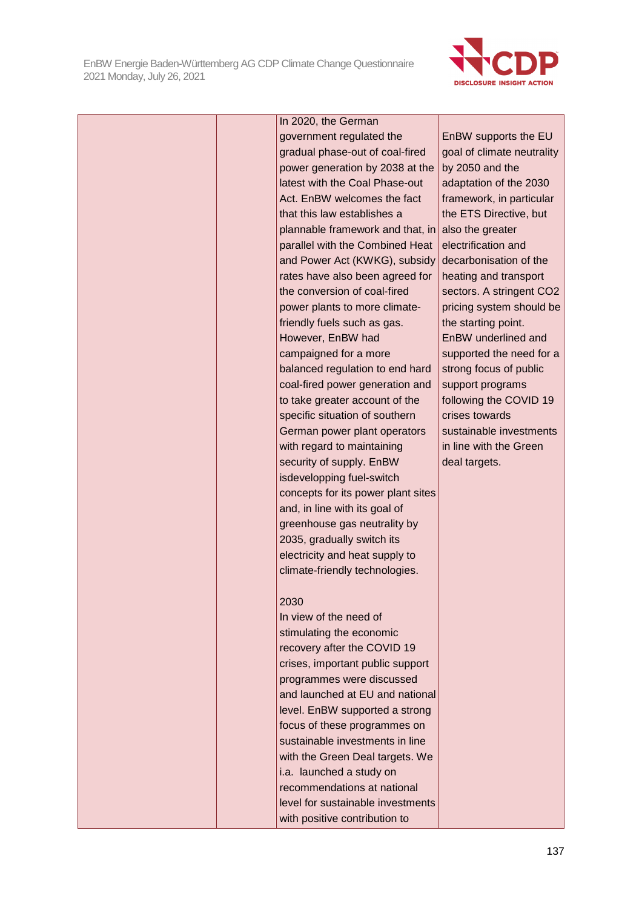

|  | In 2020, the German                |                            |
|--|------------------------------------|----------------------------|
|  | government regulated the           | EnBW supports the EU       |
|  | gradual phase-out of coal-fired    | goal of climate neutrality |
|  | power generation by 2038 at the    | by 2050 and the            |
|  | latest with the Coal Phase-out     | adaptation of the 2030     |
|  | Act. EnBW welcomes the fact        | framework, in particular   |
|  | that this law establishes a        | the ETS Directive, but     |
|  | plannable framework and that, in   | also the greater           |
|  | parallel with the Combined Heat    | electrification and        |
|  | and Power Act (KWKG), subsidy      | decarbonisation of the     |
|  | rates have also been agreed for    | heating and transport      |
|  | the conversion of coal-fired       | sectors. A stringent CO2   |
|  | power plants to more climate-      | pricing system should be   |
|  | friendly fuels such as gas.        | the starting point.        |
|  | However, EnBW had                  | EnBW underlined and        |
|  | campaigned for a more              | supported the need for a   |
|  | balanced regulation to end hard    | strong focus of public     |
|  | coal-fired power generation and    | support programs           |
|  | to take greater account of the     | following the COVID 19     |
|  | specific situation of southern     | crises towards             |
|  | German power plant operators       | sustainable investments    |
|  | with regard to maintaining         | in line with the Green     |
|  | security of supply. EnBW           | deal targets.              |
|  | isdevelopping fuel-switch          |                            |
|  | concepts for its power plant sites |                            |
|  | and, in line with its goal of      |                            |
|  | greenhouse gas neutrality by       |                            |
|  | 2035, gradually switch its         |                            |
|  | electricity and heat supply to     |                            |
|  | climate-friendly technologies.     |                            |
|  | 2030                               |                            |
|  | In view of the need of             |                            |
|  | stimulating the economic           |                            |
|  | recovery after the COVID 19        |                            |
|  | crises, important public support   |                            |
|  | programmes were discussed          |                            |
|  | and launched at EU and national    |                            |
|  | level. EnBW supported a strong     |                            |
|  | focus of these programmes on       |                            |
|  | sustainable investments in line    |                            |
|  | with the Green Deal targets. We    |                            |
|  | i.a. launched a study on           |                            |
|  | recommendations at national        |                            |
|  | level for sustainable investments  |                            |
|  | with positive contribution to      |                            |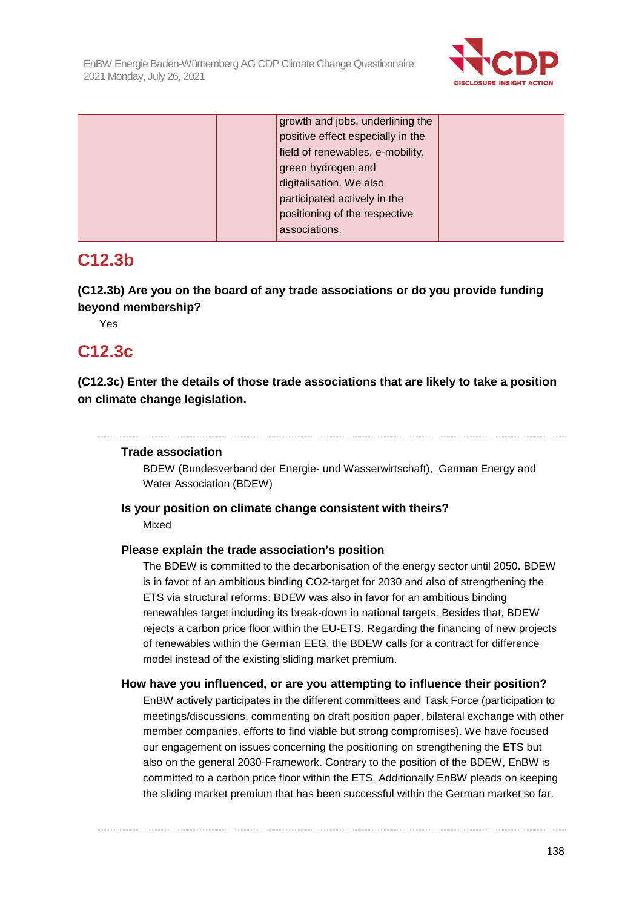

| growth and jobs, underlining the  |  |
|-----------------------------------|--|
| positive effect especially in the |  |
| field of renewables, e-mobility,  |  |
| green hydrogen and                |  |
| digitalisation. We also           |  |
| participated actively in the      |  |
| positioning of the respective     |  |
| associations.                     |  |

# **C12.3b**

**(C12.3b) Are you on the board of any trade associations or do you provide funding beyond membership?** 

Yes

# **C12.3c**

**(C12.3c) Enter the details of those trade associations that are likely to take a position on climate change legislation.** 

### **Trade association**

BDEW (Bundesverband der Energie- und Wasserwirtschaft), German Energy and Water Association (BDEW)

### **Is your position on climate change consistent with theirs?**  Mixed

### **Please explain the trade association's position**

The BDEW is committed to the decarbonisation of the energy sector until 2050. BDEW is in favor of an ambitious binding CO2-target for 2030 and also of strengthening the ETS via structural reforms. BDEW was also in favor for an ambitious binding renewables target including its break-down in national targets. Besides that, BDEW rejects a carbon price floor within the EU-ETS. Regarding the financing of new projects of renewables within the German EEG, the BDEW calls for a contract for difference model instead of the existing sliding market premium.

### **How have you influenced, or are you attempting to influence their position?**

EnBW actively participates in the different committees and Task Force (participation to meetings/discussions, commenting on draft position paper, bilateral exchange with other member companies, efforts to find viable but strong compromises). We have focused our engagement on issues concerning the positioning on strengthening the ETS but also on the general 2030-Framework. Contrary to the position of the BDEW, EnBW is committed to a carbon price floor within the ETS. Additionally EnBW pleads on keeping the sliding market premium that has been successful within the German market so far.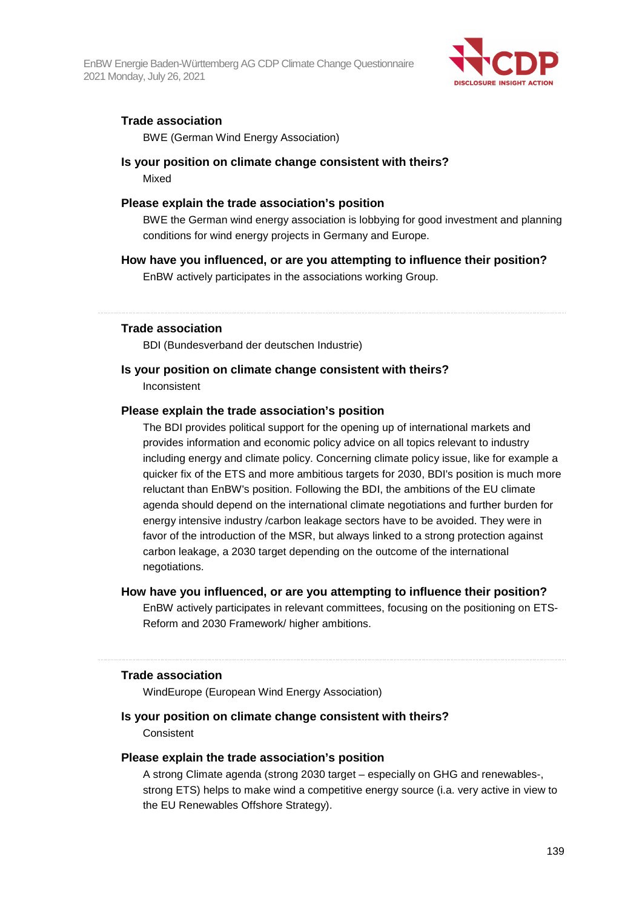EnBW Energie Baden-Württemberg AG CDP Climate Change Questionnaire 2021 Monday, July 26, 2021



#### **Trade association**

BWE (German Wind Energy Association)

#### **Is your position on climate change consistent with theirs?**  Mixed

#### **Please explain the trade association's position**

BWE the German wind energy association is lobbying for good investment and planning conditions for wind energy projects in Germany and Europe.

#### **How have you influenced, or are you attempting to influence their position?**

EnBW actively participates in the associations working Group.

#### **Trade association**

BDI (Bundesverband der deutschen Industrie)

#### **Is your position on climate change consistent with theirs?**

Inconsistent

#### **Please explain the trade association's position**

The BDI provides political support for the opening up of international markets and provides information and economic policy advice on all topics relevant to industry including energy and climate policy. Concerning climate policy issue, like for example a quicker fix of the ETS and more ambitious targets for 2030, BDI's position is much more reluctant than EnBW's position. Following the BDI, the ambitions of the EU climate agenda should depend on the international climate negotiations and further burden for energy intensive industry /carbon leakage sectors have to be avoided. They were in favor of the introduction of the MSR, but always linked to a strong protection against carbon leakage, a 2030 target depending on the outcome of the international negotiations.

#### **How have you influenced, or are you attempting to influence their position?**

EnBW actively participates in relevant committees, focusing on the positioning on ETS-Reform and 2030 Framework/ higher ambitions.

#### **Trade association**

WindEurope (European Wind Energy Association)

#### **Is your position on climate change consistent with theirs?**

**Consistent** 

#### **Please explain the trade association's position**

A strong Climate agenda (strong 2030 target – especially on GHG and renewables-, strong ETS) helps to make wind a competitive energy source (i.a. very active in view to the EU Renewables Offshore Strategy).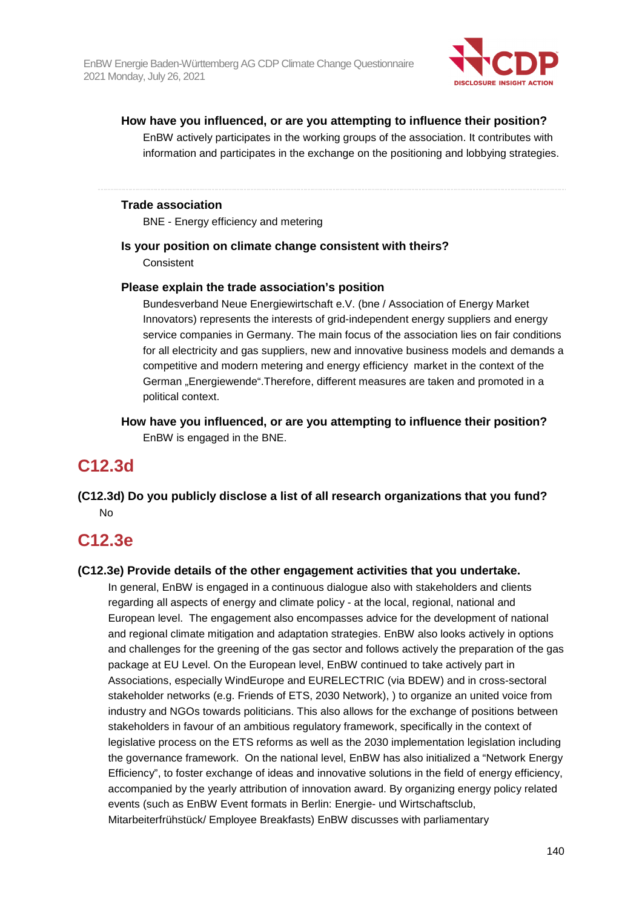

#### **How have you influenced, or are you attempting to influence their position?**

EnBW actively participates in the working groups of the association. It contributes with information and participates in the exchange on the positioning and lobbying strategies.

#### **Trade association**

BNE - Energy efficiency and metering

#### **Is your position on climate change consistent with theirs?**

**Consistent** 

#### **Please explain the trade association's position**

Bundesverband Neue Energiewirtschaft e.V. (bne / Association of Energy Market Innovators) represents the interests of grid-independent energy suppliers and energy service companies in Germany. The main focus of the association lies on fair conditions for all electricity and gas suppliers, new and innovative business models and demands a competitive and modern metering and energy efficiency market in the context of the German "Energiewende".Therefore, different measures are taken and promoted in a political context.

**How have you influenced, or are you attempting to influence their position?**  EnBW is engaged in the BNE.

# **C12.3d**

**(C12.3d) Do you publicly disclose a list of all research organizations that you fund?**  No

# **C12.3e**

#### **(C12.3e) Provide details of the other engagement activities that you undertake.**

In general, EnBW is engaged in a continuous dialogue also with stakeholders and clients regarding all aspects of energy and climate policy - at the local, regional, national and European level. The engagement also encompasses advice for the development of national and regional climate mitigation and adaptation strategies. EnBW also looks actively in options and challenges for the greening of the gas sector and follows actively the preparation of the gas package at EU Level. On the European level, EnBW continued to take actively part in Associations, especially WindEurope and EURELECTRIC (via BDEW) and in cross-sectoral stakeholder networks (e.g. Friends of ETS, 2030 Network), ) to organize an united voice from industry and NGOs towards politicians. This also allows for the exchange of positions between stakeholders in favour of an ambitious regulatory framework, specifically in the context of legislative process on the ETS reforms as well as the 2030 implementation legislation including the governance framework. On the national level, EnBW has also initialized a "Network Energy Efficiency", to foster exchange of ideas and innovative solutions in the field of energy efficiency, accompanied by the yearly attribution of innovation award. By organizing energy policy related events (such as EnBW Event formats in Berlin: Energie- und Wirtschaftsclub, Mitarbeiterfrühstück/ Employee Breakfasts) EnBW discusses with parliamentary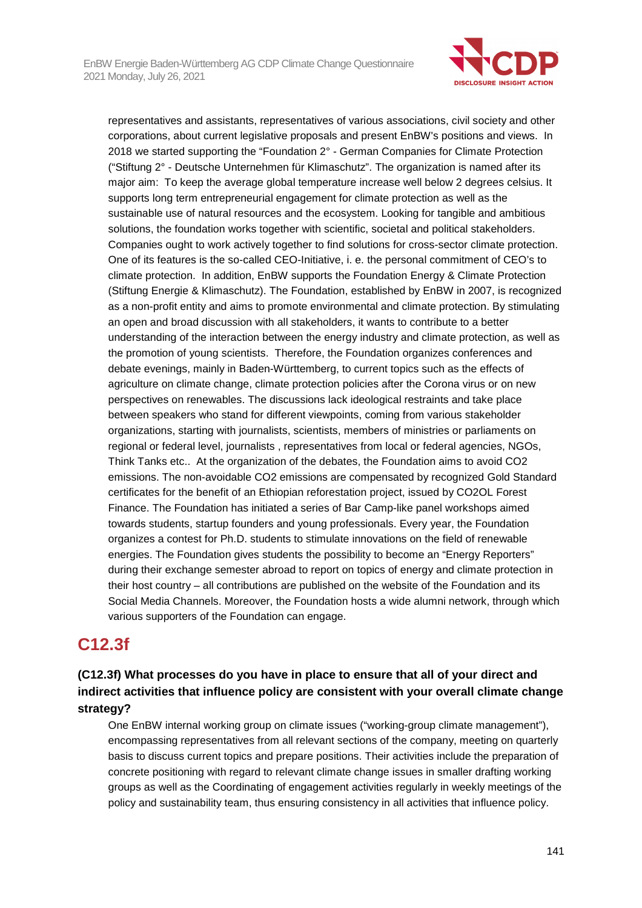

representatives and assistants, representatives of various associations, civil society and other corporations, about current legislative proposals and present EnBW's positions and views. In 2018 we started supporting the "Foundation 2° - German Companies for Climate Protection ("Stiftung 2° - Deutsche Unternehmen für Klimaschutz". The organization is named after its major aim: To keep the average global temperature increase well below 2 degrees celsius. It supports long term entrepreneurial engagement for climate protection as well as the sustainable use of natural resources and the ecosystem. Looking for tangible and ambitious solutions, the foundation works together with scientific, societal and political stakeholders. Companies ought to work actively together to find solutions for cross-sector climate protection. One of its features is the so-called CEO-Initiative, i. e. the personal commitment of CEO's to climate protection. In addition, EnBW supports the Foundation Energy & Climate Protection (Stiftung Energie & Klimaschutz). The Foundation, established by EnBW in 2007, is recognized as a non-profit entity and aims to promote environmental and climate protection. By stimulating an open and broad discussion with all stakeholders, it wants to contribute to a better understanding of the interaction between the energy industry and climate protection, as well as the promotion of young scientists. Therefore, the Foundation organizes conferences and debate evenings, mainly in Baden-Württemberg, to current topics such as the effects of agriculture on climate change, climate protection policies after the Corona virus or on new perspectives on renewables. The discussions lack ideological restraints and take place between speakers who stand for different viewpoints, coming from various stakeholder organizations, starting with journalists, scientists, members of ministries or parliaments on regional or federal level, journalists , representatives from local or federal agencies, NGOs, Think Tanks etc.. At the organization of the debates, the Foundation aims to avoid CO2 emissions. The non-avoidable CO2 emissions are compensated by recognized Gold Standard certificates for the benefit of an Ethiopian reforestation project, issued by CO2OL Forest Finance. The Foundation has initiated a series of Bar Camp-like panel workshops aimed towards students, startup founders and young professionals. Every year, the Foundation organizes a contest for Ph.D. students to stimulate innovations on the field of renewable energies. The Foundation gives students the possibility to become an "Energy Reporters" during their exchange semester abroad to report on topics of energy and climate protection in their host country – all contributions are published on the website of the Foundation and its Social Media Channels. Moreover, the Foundation hosts a wide alumni network, through which various supporters of the Foundation can engage.

# **C12.3f**

# **(C12.3f) What processes do you have in place to ensure that all of your direct and indirect activities that influence policy are consistent with your overall climate change strategy?**

One EnBW internal working group on climate issues ("working-group climate management"), encompassing representatives from all relevant sections of the company, meeting on quarterly basis to discuss current topics and prepare positions. Their activities include the preparation of concrete positioning with regard to relevant climate change issues in smaller drafting working groups as well as the Coordinating of engagement activities regularly in weekly meetings of the policy and sustainability team, thus ensuring consistency in all activities that influence policy.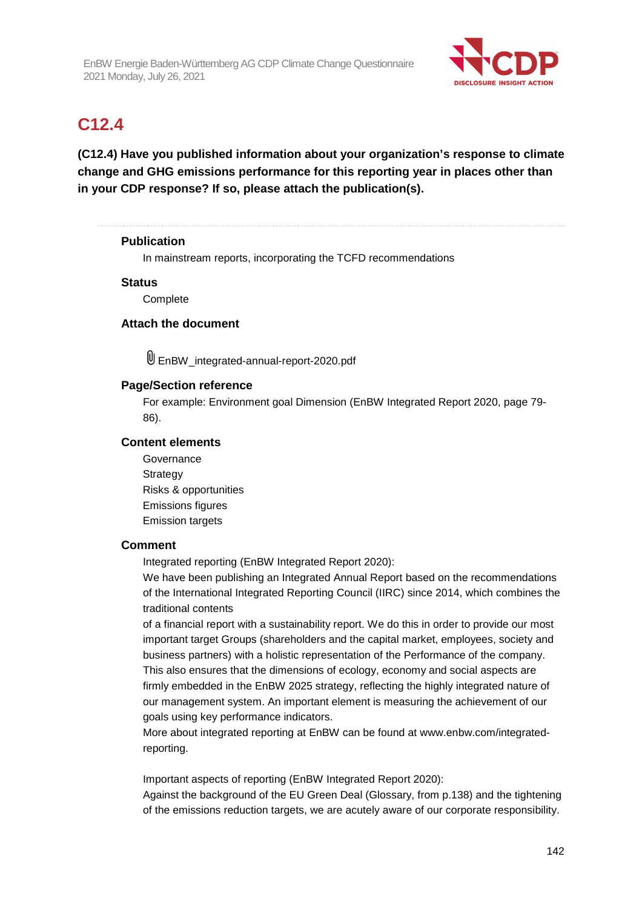

# **C12.4**

**(C12.4) Have you published information about your organization's response to climate change and GHG emissions performance for this reporting year in places other than in your CDP response? If so, please attach the publication(s).** 

#### **Publication**

In mainstream reports, incorporating the TCFD recommendations

#### **Status**

**Complete** 

### **Attach the document**

U EnBW integrated-annual-report-2020.pdf

#### **Page/Section reference**

For example: Environment goal Dimension (EnBW Integrated Report 2020, page 79- 86).

#### **Content elements**

**Governance Strategy** Risks & opportunities Emissions figures Emission targets

#### **Comment**

Integrated reporting (EnBW Integrated Report 2020):

We have been publishing an Integrated Annual Report based on the recommendations of the International Integrated Reporting Council (IIRC) since 2014, which combines the traditional contents

of a financial report with a sustainability report. We do this in order to provide our most important target Groups (shareholders and the capital market, employees, society and business partners) with a holistic representation of the Performance of the company. This also ensures that the dimensions of ecology, economy and social aspects are firmly embedded in the EnBW 2025 strategy, reflecting the highly integrated nature of our management system. An important element is measuring the achievement of our goals using key performance indicators.

More about integrated reporting at EnBW can be found at www.enbw.com/integratedreporting.

Important aspects of reporting (EnBW Integrated Report 2020):

Against the background of the EU Green Deal (Glossary, from p.138) and the tightening of the emissions reduction targets, we are acutely aware of our corporate responsibility.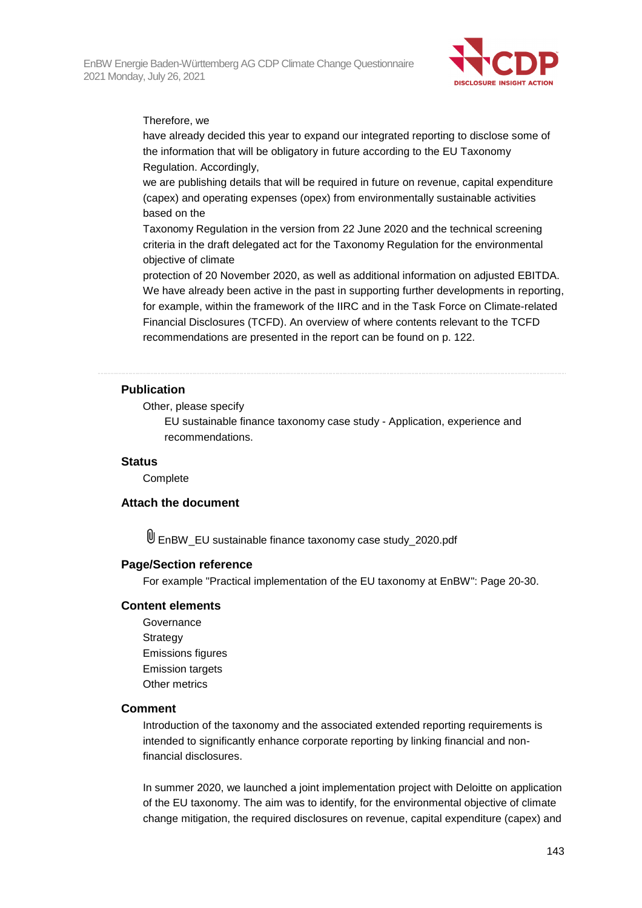

#### Therefore, we

have already decided this year to expand our integrated reporting to disclose some of the information that will be obligatory in future according to the EU Taxonomy Regulation. Accordingly,

we are publishing details that will be required in future on revenue, capital expenditure (capex) and operating expenses (opex) from environmentally sustainable activities based on the

Taxonomy Regulation in the version from 22 June 2020 and the technical screening criteria in the draft delegated act for the Taxonomy Regulation for the environmental objective of climate

protection of 20 November 2020, as well as additional information on adjusted EBITDA. We have already been active in the past in supporting further developments in reporting, for example, within the framework of the IIRC and in the Task Force on Climate-related Financial Disclosures (TCFD). An overview of where contents relevant to the TCFD recommendations are presented in the report can be found on p. 122.

#### **Publication**

#### Other, please specify

EU sustainable finance taxonomy case study - Application, experience and recommendations.

#### **Status**

**Complete** 

#### **Attach the document**

EnBW\_EU sustainable finance taxonomy case study\_2020.pdf

#### **Page/Section reference**

For example "Practical implementation of the EU taxonomy at EnBW": Page 20-30.

#### **Content elements**

Governance **Strategy** Emissions figures Emission targets Other metrics

#### **Comment**

Introduction of the taxonomy and the associated extended reporting requirements is intended to significantly enhance corporate reporting by linking financial and nonfinancial disclosures.

In summer 2020, we launched a joint implementation project with Deloitte on application of the EU taxonomy. The aim was to identify, for the environmental objective of climate change mitigation, the required disclosures on revenue, capital expenditure (capex) and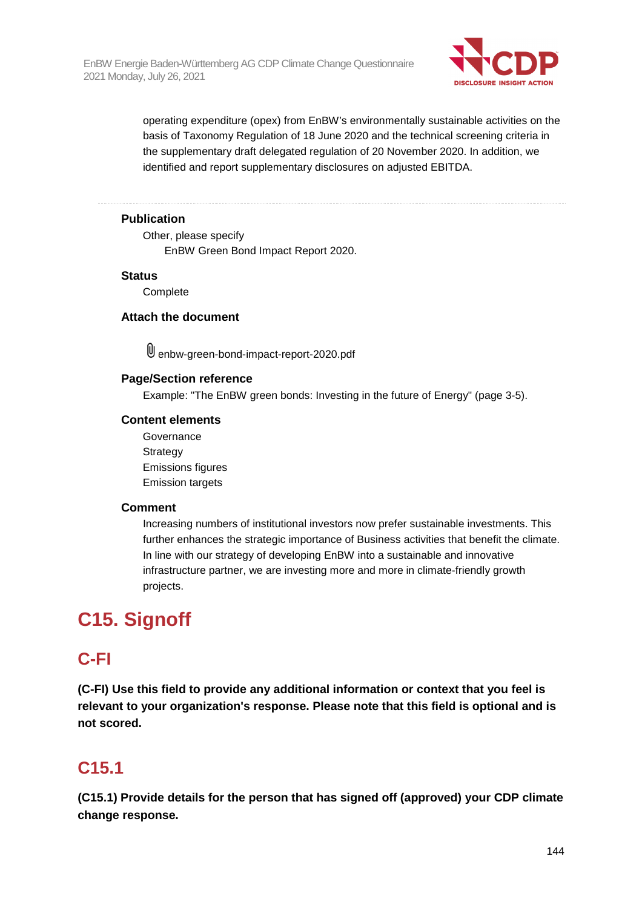

operating expenditure (opex) from EnBW's environmentally sustainable activities on the basis of Taxonomy Regulation of 18 June 2020 and the technical screening criteria in the supplementary draft delegated regulation of 20 November 2020. In addition, we identified and report supplementary disclosures on adjusted EBITDA.

### **Publication**

Other, please specify EnBW Green Bond Impact Report 2020.

#### **Status**

**Complete** 

#### **Attach the document**

enbw-green-bond-impact-report-2020.pdf

#### **Page/Section reference**

Example: "The EnBW green bonds: Investing in the future of Energy" (page 3-5).

### **Content elements**

Governance Strategy Emissions figures Emission targets

#### **Comment**

Increasing numbers of institutional investors now prefer sustainable investments. This further enhances the strategic importance of Business activities that benefit the climate. In line with our strategy of developing EnBW into a sustainable and innovative infrastructure partner, we are investing more and more in climate-friendly growth projects.

# **C15. Signoff**

# **C-FI**

**(C-FI) Use this field to provide any additional information or context that you feel is relevant to your organization's response. Please note that this field is optional and is not scored.** 

# **C15.1**

**(C15.1) Provide details for the person that has signed off (approved) your CDP climate change response.**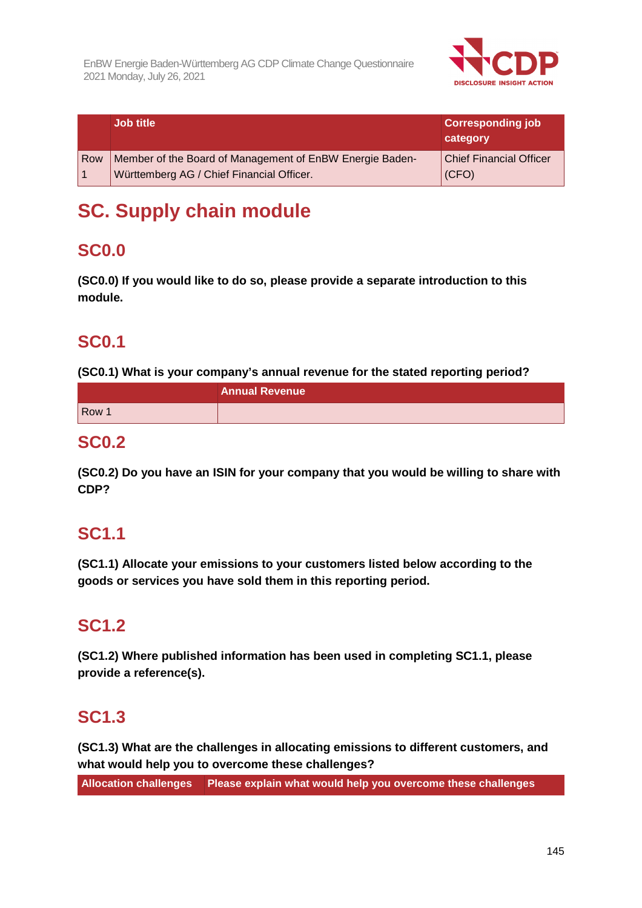

|     | <b>Job title</b>                                                                                      | <b>Corresponding job</b><br>category    |
|-----|-------------------------------------------------------------------------------------------------------|-----------------------------------------|
| Row | Member of the Board of Management of EnBW Energie Baden-<br>Württemberg AG / Chief Financial Officer. | <b>Chief Financial Officer</b><br>(CFO) |

# **SC. Supply chain module**

## **SC0.0**

**(SC0.0) If you would like to do so, please provide a separate introduction to this module.** 

# **SC0.1**

**(SC0.1) What is your company's annual revenue for the stated reporting period?** 

|                  | <b>Annual Revenue</b> |
|------------------|-----------------------|
| Row <sub>1</sub> |                       |

### **SC0.2**

**(SC0.2) Do you have an ISIN for your company that you would be willing to share with CDP?** 

# **SC1.1**

**(SC1.1) Allocate your emissions to your customers listed below according to the goods or services you have sold them in this reporting period.** 

# **SC1.2**

**(SC1.2) Where published information has been used in completing SC1.1, please provide a reference(s).** 

## **SC1.3**

**(SC1.3) What are the challenges in allocating emissions to different customers, and what would help you to overcome these challenges?** 

**Allocation challenges Please explain what would help you overcome these challenges**